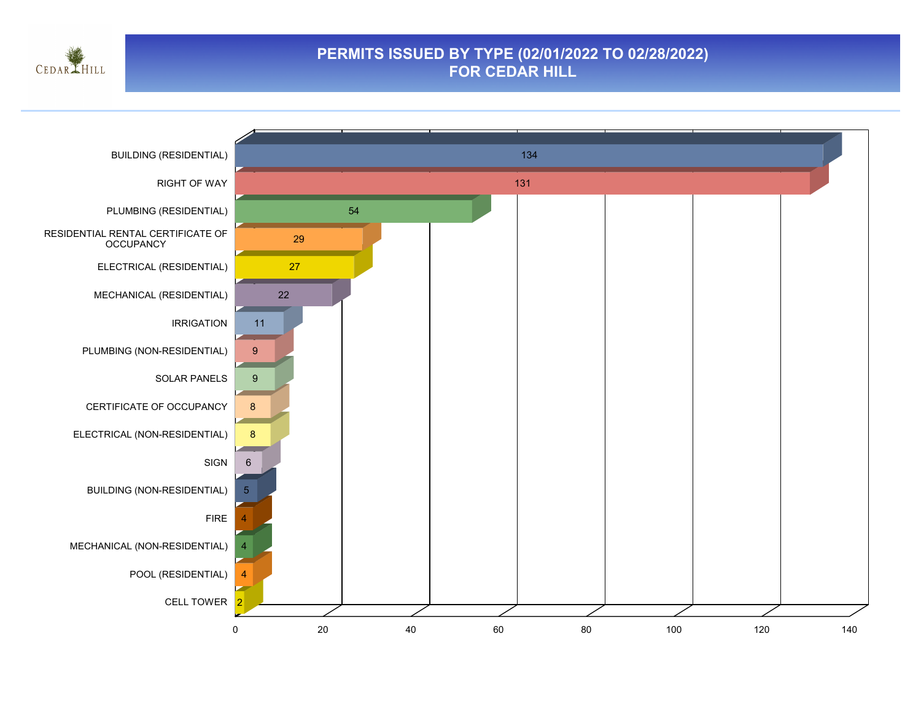

#### **PERMITS ISSUED BY TYPE (02/01/2022 TO 02/28/2022) FOR CEDAR HILL**

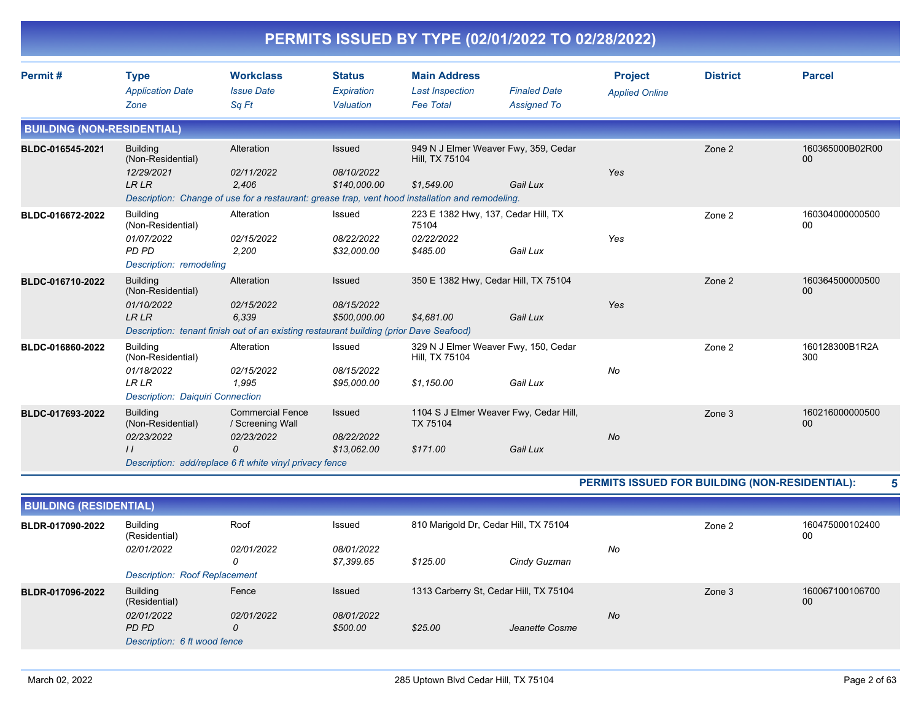|                                   |                                                                                                                                                                 |                                                                |                                             | PERMITS ISSUED BY TYPE (02/01/2022 TO 02/28/2022)                      |                                           |                                                |                 |                       |
|-----------------------------------|-----------------------------------------------------------------------------------------------------------------------------------------------------------------|----------------------------------------------------------------|---------------------------------------------|------------------------------------------------------------------------|-------------------------------------------|------------------------------------------------|-----------------|-----------------------|
| Permit#                           | <b>Type</b><br><b>Application Date</b><br>Zone                                                                                                                  | <b>Workclass</b><br><b>Issue Date</b><br>Sq Ft                 | <b>Status</b><br>Expiration<br>Valuation    | <b>Main Address</b><br><b>Last Inspection</b><br><b>Fee Total</b>      | <b>Finaled Date</b><br><b>Assigned To</b> | <b>Project</b><br><b>Applied Online</b>        | <b>District</b> | <b>Parcel</b>         |
| <b>BUILDING (NON-RESIDENTIAL)</b> |                                                                                                                                                                 |                                                                |                                             |                                                                        |                                           |                                                |                 |                       |
| BLDC-016545-2021                  | <b>Building</b><br>(Non-Residential)<br>12/29/2021<br>LR LR<br>Description: Change of use for a restaurant: grease trap, vent hood installation and remodeling. | Alteration<br>02/11/2022<br>2,406                              | <b>Issued</b><br>08/10/2022<br>\$140,000.00 | 949 N J Elmer Weaver Fwy, 359, Cedar<br>Hill, TX 75104<br>\$1,549.00   | Gail Lux                                  | Yes                                            | Zone 2          | 160365000B02R00<br>00 |
| BLDC-016672-2022                  | <b>Building</b><br>(Non-Residential)<br>01/07/2022<br>PD PD<br>Description: remodeling                                                                          | Alteration<br>02/15/2022<br>2,200                              | Issued<br>08/22/2022<br>\$32,000.00         | 223 E 1382 Hwy, 137, Cedar Hill, TX<br>75104<br>02/22/2022<br>\$485.00 | Gail Lux                                  | Yes                                            | Zone 2          | 160304000000500<br>00 |
| BLDC-016710-2022                  | <b>Building</b><br>(Non-Residential)<br>01/10/2022<br>LR LR<br>Description: tenant finish out of an existing restaurant building (prior Dave Seafood)           | Alteration<br>02/15/2022<br>6,339                              | Issued<br>08/15/2022<br>\$500,000.00        | 350 E 1382 Hwy, Cedar Hill, TX 75104<br>\$4,681.00                     | Gail Lux                                  | Yes                                            | Zone 2          | 160364500000500<br>00 |
| BLDC-016860-2022                  | <b>Building</b><br>(Non-Residential)<br>01/18/2022<br>LR LR<br>Description: Daiquiri Connection                                                                 | Alteration<br>02/15/2022<br>1,995                              | Issued<br>08/15/2022<br>\$95,000.00         | 329 N J Elmer Weaver Fwy, 150, Cedar<br>Hill, TX 75104<br>\$1,150.00   | Gail Lux                                  | No                                             | Zone 2          | 160128300B1R2A<br>300 |
| BLDC-017693-2022                  | <b>Building</b><br>(Non-Residential)<br>02/23/2022<br>$\frac{1}{2}$<br>Description: add/replace 6 ft white vinyl privacy fence                                  | <b>Commercial Fence</b><br>/ Screening Wall<br>02/23/2022<br>0 | <b>Issued</b><br>08/22/2022<br>\$13,062.00  | 1104 S J Elmer Weaver Fwy, Cedar Hill,<br>TX 75104<br>\$171.00         | Gail Lux                                  | No                                             | Zone 3          | 160216000000500<br>00 |
|                                   |                                                                                                                                                                 |                                                                |                                             |                                                                        |                                           | PERMITS ISSUED FOR BUILDING (NON-RESIDENTIAL): |                 | 5                     |
| <b>BUILDING (RESIDENTIAL)</b>     |                                                                                                                                                                 |                                                                |                                             |                                                                        |                                           |                                                |                 |                       |
| BLDR-017090-2022                  | <b>Building</b><br>(Residential)<br>02/01/2022                                                                                                                  | Roof<br>02/01/2022<br>0                                        | Issued<br>08/01/2022<br>\$7,399.65          | 810 Marigold Dr, Cedar Hill, TX 75104<br>\$125.00                      | Cindy Guzman                              | No                                             | Zone 2          | 160475000102400<br>00 |
|                                   | <b>Description: Roof Replacement</b>                                                                                                                            |                                                                |                                             |                                                                        |                                           |                                                |                 |                       |
| BLDR-017096-2022                  | <b>Building</b><br>(Residential)<br>02/01/2022<br>PD PD<br>Description: 6 ft wood fence                                                                         | Fence<br>02/01/2022<br>0                                       | <b>Issued</b><br>08/01/2022<br>\$500.00     | 1313 Carberry St, Cedar Hill, TX 75104<br>\$25.00                      | Jeanette Cosme                            | No                                             | Zone 3          | 160067100106700<br>00 |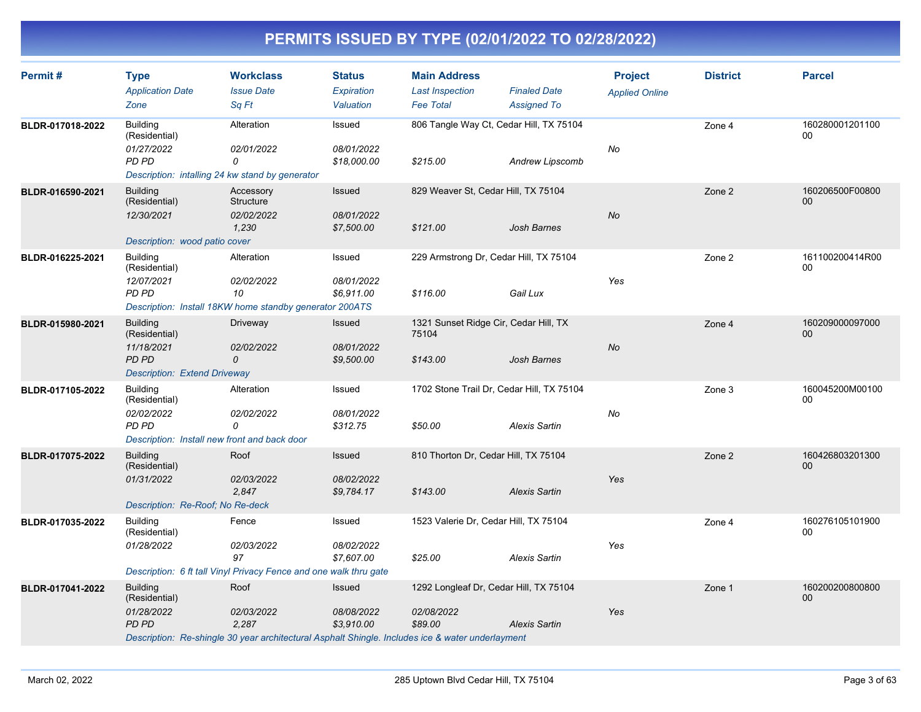| Permit#          | <b>Type</b><br><b>Application Date</b><br>Zone                                                             | <b>Workclass</b><br><b>Issue Date</b><br>Sq Ft                                                                                  | <b>Status</b><br>Expiration<br>Valuation  | <b>Main Address</b><br><b>Last Inspection</b><br><b>Fee Total</b> | <b>Finaled Date</b><br><b>Assigned To</b> | <b>Project</b><br><b>Applied Online</b> | <b>District</b> | <b>Parcel</b>             |
|------------------|------------------------------------------------------------------------------------------------------------|---------------------------------------------------------------------------------------------------------------------------------|-------------------------------------------|-------------------------------------------------------------------|-------------------------------------------|-----------------------------------------|-----------------|---------------------------|
| BLDR-017018-2022 | <b>Building</b><br>(Residential)<br>01/27/2022<br>PD PD<br>Description: intalling 24 kw stand by generator | Alteration<br>02/01/2022<br>0                                                                                                   | Issued<br>08/01/2022<br>\$18,000.00       | 806 Tangle Way Ct, Cedar Hill, TX 75104<br>\$215.00               | Andrew Lipscomb                           | No                                      | Zone 4          | 160280001201100<br>$00\,$ |
| BLDR-016590-2021 | <b>Building</b><br>(Residential)<br>12/30/2021<br>Description: wood patio cover                            | Accessory<br>Structure<br>02/02/2022<br>1,230                                                                                   | Issued<br>08/01/2022<br>\$7,500.00        | 829 Weaver St, Cedar Hill, TX 75104<br>\$121.00                   | <b>Josh Barnes</b>                        | No                                      | Zone 2          | 160206500F00800<br>$00\,$ |
| BLDR-016225-2021 | <b>Building</b><br>(Residential)<br>12/07/2021<br>PD PD                                                    | Alteration<br>02/02/2022<br>10<br>Description: Install 18KW home standby generator 200ATS                                       | Issued<br>08/01/2022<br>\$6,911.00        | 229 Armstrong Dr, Cedar Hill, TX 75104<br>\$116.00                | Gail Lux                                  | Yes                                     | Zone 2          | 161100200414R00<br>00     |
| BLDR-015980-2021 | <b>Building</b><br>(Residential)<br>11/18/2021<br>PD PD<br><b>Description: Extend Driveway</b>             | Driveway<br>02/02/2022<br>0                                                                                                     | <b>Issued</b><br>08/01/2022<br>\$9,500.00 | 1321 Sunset Ridge Cir, Cedar Hill, TX<br>75104<br>\$143.00        | Josh Barnes                               | No                                      | Zone 4          | 160209000097000<br>$00\,$ |
| BLDR-017105-2022 | <b>Building</b><br>(Residential)<br>02/02/2022<br>PD PD<br>Description: Install new front and back door    | Alteration<br>02/02/2022<br>0                                                                                                   | Issued<br>08/01/2022<br>\$312.75          | 1702 Stone Trail Dr, Cedar Hill, TX 75104<br>\$50.00              | <b>Alexis Sartin</b>                      | No                                      | Zone 3          | 160045200M00100<br>00     |
| BLDR-017075-2022 | <b>Building</b><br>(Residential)<br>01/31/2022<br>Description: Re-Roof; No Re-deck                         | Roof<br>02/03/2022<br>2,847                                                                                                     | Issued<br>08/02/2022<br>\$9,784.17        | 810 Thorton Dr, Cedar Hill, TX 75104<br>\$143.00                  | <b>Alexis Sartin</b>                      | Yes                                     | Zone 2          | 160426803201300<br>00     |
| BLDR-017035-2022 | <b>Building</b><br>(Residential)<br>01/28/2022                                                             | Fence<br>02/03/2022<br>97<br>Description: 6 ft tall Vinyl Privacy Fence and one walk thru gate                                  | Issued<br>08/02/2022<br>\$7,607.00        | 1523 Valerie Dr, Cedar Hill, TX 75104<br>\$25.00                  | <b>Alexis Sartin</b>                      | Yes                                     | Zone 4          | 160276105101900<br>00     |
| BLDR-017041-2022 | <b>Building</b><br>(Residential)<br>01/28/2022<br>PD PD                                                    | Roof<br>02/03/2022<br>2,287<br>Description: Re-shingle 30 year architectural Asphalt Shingle. Includes ice & water underlayment | Issued<br>08/08/2022<br>\$3,910.00        | 1292 Longleaf Dr, Cedar Hill, TX 75104<br>02/08/2022<br>\$89.00   | <b>Alexis Sartin</b>                      | Yes                                     | Zone 1          | 160200200800800<br>00     |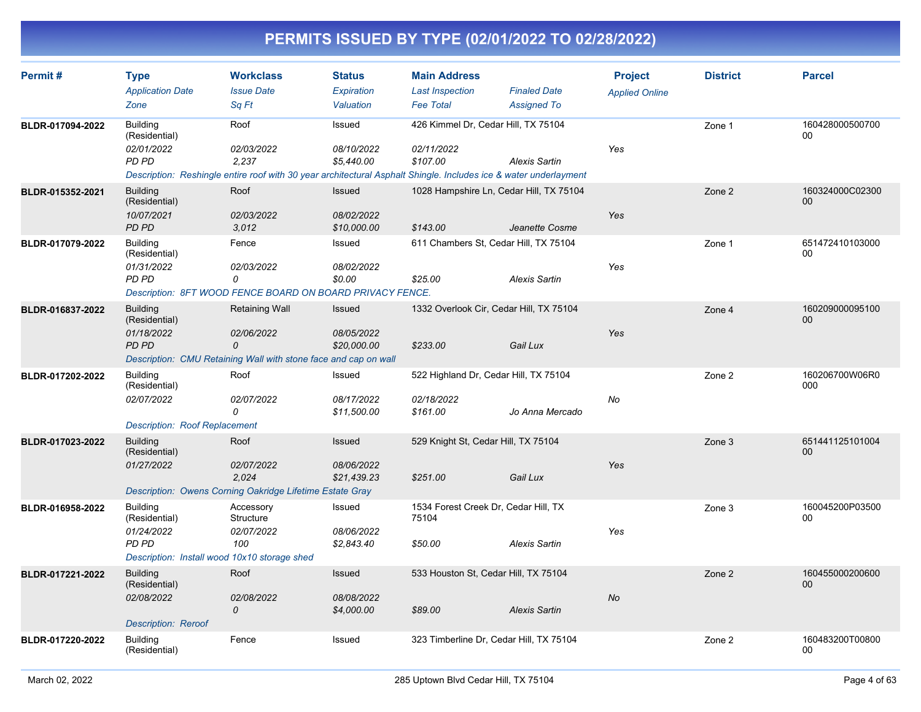| Permit#          | <b>Type</b><br><b>Application Date</b>                | <b>Workclass</b><br><b>Issue Date</b>                                                                            | <b>Status</b><br>Expiration | <b>Main Address</b><br><b>Last Inspection</b> | <b>Finaled Date</b>  | <b>Project</b><br><b>Applied Online</b> | <b>District</b> | <b>Parcel</b>         |
|------------------|-------------------------------------------------------|------------------------------------------------------------------------------------------------------------------|-----------------------------|-----------------------------------------------|----------------------|-----------------------------------------|-----------------|-----------------------|
|                  | Zone                                                  | Sq Ft                                                                                                            | Valuation                   | <b>Fee Total</b>                              | <b>Assigned To</b>   |                                         |                 |                       |
| BLDR-017094-2022 | Building<br>(Residential)                             | Roof                                                                                                             | Issued                      | 426 Kimmel Dr, Cedar Hill, TX 75104           |                      |                                         | Zone 1          | 160428000500700<br>00 |
|                  | 02/01/2022<br><b>PD PD</b>                            | 02/03/2022<br>2,237                                                                                              | 08/10/2022<br>\$5,440.00    | 02/11/2022<br>\$107.00                        | <b>Alexis Sartin</b> | Yes                                     |                 |                       |
|                  |                                                       | Description: Reshingle entire roof with 30 year architectural Asphalt Shingle. Includes ice & water underlayment |                             |                                               |                      |                                         |                 |                       |
| BLDR-015352-2021 | <b>Building</b><br>(Residential)<br>10/07/2021        | Roof<br>02/03/2022                                                                                               | <b>Issued</b><br>08/02/2022 | 1028 Hampshire Ln, Cedar Hill, TX 75104       |                      | Yes                                     | Zone 2          | 160324000C02300<br>00 |
|                  | PD PD                                                 | 3,012                                                                                                            | \$10,000.00                 | \$143.00                                      | Jeanette Cosme       |                                         |                 |                       |
| BLDR-017079-2022 | <b>Building</b><br>(Residential)                      | Fence                                                                                                            | Issued                      | 611 Chambers St, Cedar Hill, TX 75104         |                      |                                         | Zone 1          | 651472410103000<br>00 |
|                  | 01/31/2022<br><b>PD PD</b>                            | 02/03/2022<br>0                                                                                                  | 08/02/2022<br>\$0.00        | \$25.00                                       | <b>Alexis Sartin</b> | Yes                                     |                 |                       |
|                  |                                                       | Description: 8FT WOOD FENCE BOARD ON BOARD PRIVACY FENCE.                                                        |                             |                                               |                      |                                         |                 |                       |
| BLDR-016837-2022 | <b>Building</b><br>(Residential)                      | Retaining Wall                                                                                                   | <b>Issued</b>               | 1332 Overlook Cir, Cedar Hill, TX 75104       |                      |                                         | Zone 4          | 160209000095100<br>00 |
|                  | 01/18/2022<br>PD PD                                   | 02/06/2022<br>$\Omega$                                                                                           | 08/05/2022<br>\$20,000.00   | \$233.00                                      | Gail Lux             | Yes                                     |                 |                       |
|                  |                                                       | Description: CMU Retaining Wall with stone face and cap on wall                                                  |                             |                                               |                      |                                         |                 |                       |
| BLDR-017202-2022 | <b>Building</b><br>(Residential)                      | Roof                                                                                                             | Issued                      | 522 Highland Dr, Cedar Hill, TX 75104         |                      |                                         | Zone 2          | 160206700W06R0<br>000 |
|                  | 02/07/2022                                            | 02/07/2022<br>0                                                                                                  | 08/17/2022<br>\$11,500.00   | 02/18/2022<br>\$161.00                        | Jo Anna Mercado      | No                                      |                 |                       |
|                  | <b>Description: Roof Replacement</b>                  |                                                                                                                  |                             |                                               |                      |                                         |                 |                       |
| BLDR-017023-2022 | <b>Building</b><br>(Residential)                      | Roof                                                                                                             | Issued                      | 529 Knight St, Cedar Hill, TX 75104           |                      |                                         | Zone 3          | 651441125101004<br>00 |
|                  | 01/27/2022                                            | 02/07/2022<br>2,024                                                                                              | 08/06/2022<br>\$21,439.23   | \$251.00                                      | Gail Lux             | Yes                                     |                 |                       |
|                  |                                                       | Description: Owens Corning Oakridge Lifetime Estate Gray                                                         |                             |                                               |                      |                                         |                 | 160045200P03500       |
| BLDR-016958-2022 | <b>Building</b><br>(Residential)<br>01/24/2022        | Accessory<br>Structure<br>02/07/2022                                                                             | Issued<br>08/06/2022        | 1534 Forest Creek Dr, Cedar Hill, TX<br>75104 |                      | Yes                                     | Zone 3          | 00                    |
|                  | PD PD<br>Description: Install wood 10x10 storage shed | 100                                                                                                              | \$2,843.40                  | \$50.00                                       | <b>Alexis Sartin</b> |                                         |                 |                       |
| BLDR-017221-2022 | <b>Building</b>                                       | Roof                                                                                                             | Issued                      | 533 Houston St, Cedar Hill, TX 75104          |                      |                                         | Zone 2          | 160455000200600       |
|                  | (Residential)                                         |                                                                                                                  |                             |                                               |                      |                                         |                 | 00                    |
|                  | 02/08/2022                                            | 02/08/2022<br>0                                                                                                  | 08/08/2022<br>\$4,000.00    | \$89.00                                       | <b>Alexis Sartin</b> | <b>No</b>                               |                 |                       |
|                  | <b>Description: Reroof</b>                            |                                                                                                                  |                             |                                               |                      |                                         |                 |                       |
| BLDR-017220-2022 | <b>Building</b><br>(Residential)                      | Fence                                                                                                            | Issued                      | 323 Timberline Dr, Cedar Hill, TX 75104       |                      |                                         | Zone 2          | 160483200T00800<br>00 |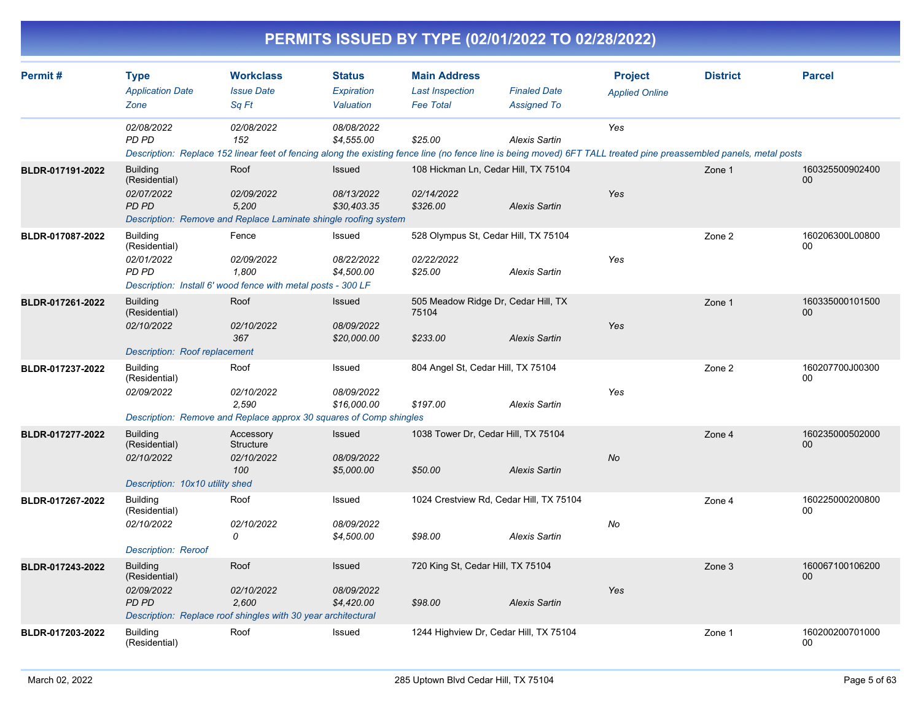|                  |                                                                                        |                                                                                                                                                                                          |                                          |                                                                   | PERMITS ISSUED BY TYPE (02/01/2022 TO 02/28/2022) |                                         |                 |                       |
|------------------|----------------------------------------------------------------------------------------|------------------------------------------------------------------------------------------------------------------------------------------------------------------------------------------|------------------------------------------|-------------------------------------------------------------------|---------------------------------------------------|-----------------------------------------|-----------------|-----------------------|
| Permit#          | <b>Type</b><br><b>Application Date</b><br>Zone                                         | <b>Workclass</b><br><b>Issue Date</b><br>Sq Ft                                                                                                                                           | <b>Status</b><br>Expiration<br>Valuation | <b>Main Address</b><br><b>Last Inspection</b><br><b>Fee Total</b> | <b>Finaled Date</b><br><b>Assigned To</b>         | <b>Project</b><br><b>Applied Online</b> | <b>District</b> | <b>Parcel</b>         |
|                  | 02/08/2022<br>PD PD                                                                    | 02/08/2022<br>152<br>Description: Replace 152 linear feet of fencing along the existing fence line (no fence line is being moved) 6FT TALL treated pine preassembled panels, metal posts | 08/08/2022<br>\$4,555.00                 | \$25.00                                                           | <b>Alexis Sartin</b>                              | Yes                                     |                 |                       |
| BLDR-017191-2022 | <b>Building</b><br>(Residential)<br>02/07/2022<br>PD PD                                | Roof<br>02/09/2022<br>5,200<br>Description: Remove and Replace Laminate shingle roofing system                                                                                           | Issued<br>08/13/2022<br>\$30,403.35      | 108 Hickman Ln, Cedar Hill, TX 75104<br>02/14/2022<br>\$326.00    | <b>Alexis Sartin</b>                              | Yes                                     | Zone 1          | 160325500902400<br>00 |
| BLDR-017087-2022 | <b>Building</b><br>(Residential)<br>02/01/2022<br><b>PD PD</b>                         | Fence<br>02/09/2022<br>1,800<br>Description: Install 6' wood fence with metal posts - 300 LF                                                                                             | Issued<br>08/22/2022<br>\$4.500.00       | 528 Olympus St, Cedar Hill, TX 75104<br>02/22/2022<br>\$25.00     | <b>Alexis Sartin</b>                              | Yes                                     | Zone 2          | 160206300L00800<br>00 |
| BLDR-017261-2022 | <b>Building</b><br>(Residential)<br>02/10/2022<br><b>Description: Roof replacement</b> | Roof<br>02/10/2022<br>367                                                                                                                                                                | Issued<br>08/09/2022<br>\$20,000.00      | 505 Meadow Ridge Dr, Cedar Hill, TX<br>75104<br>\$233.00          | <b>Alexis Sartin</b>                              | Yes                                     | Zone 1          | 160335000101500<br>00 |
| BLDR-017237-2022 | <b>Building</b><br>(Residential)<br>02/09/2022                                         | Roof<br>02/10/2022<br>2,590<br>Description: Remove and Replace approx 30 squares of Comp shingles                                                                                        | Issued<br>08/09/2022<br>\$16,000.00      | 804 Angel St, Cedar Hill, TX 75104<br>\$197.00                    | <b>Alexis Sartin</b>                              | Yes                                     | Zone 2          | 160207700J00300<br>00 |
| BLDR-017277-2022 | <b>Building</b><br>(Residential)<br>02/10/2022<br>Description: 10x10 utility shed      | Accessory<br>Structure<br>02/10/2022<br>100                                                                                                                                              | Issued<br>08/09/2022<br>\$5,000.00       | 1038 Tower Dr, Cedar Hill, TX 75104<br>\$50.00                    | <b>Alexis Sartin</b>                              | <b>No</b>                               | Zone 4          | 160235000502000<br>00 |
| BLDR-017267-2022 | <b>Building</b><br>(Residential)<br>02/10/2022<br><b>Description: Reroof</b>           | Roof<br>02/10/2022<br>0                                                                                                                                                                  | Issued<br>08/09/2022<br>\$4,500.00       | 1024 Crestview Rd, Cedar Hill, TX 75104<br>\$98.00                | <b>Alexis Sartin</b>                              | No                                      | Zone 4          | 160225000200800<br>00 |
| BLDR-017243-2022 | <b>Building</b><br>(Residential)<br>02/09/2022<br>PD PD                                | Roof<br>02/10/2022<br>2,600<br>Description: Replace roof shingles with 30 year architectural                                                                                             | Issued<br>08/09/2022<br>\$4,420.00       | 720 King St, Cedar Hill, TX 75104<br>\$98.00                      | <b>Alexis Sartin</b>                              | Yes                                     | Zone 3          | 160067100106200<br>00 |
| BLDR-017203-2022 | <b>Building</b><br>(Residential)                                                       | Roof                                                                                                                                                                                     | Issued                                   | 1244 Highview Dr, Cedar Hill, TX 75104                            |                                                   |                                         | Zone 1          | 160200200701000<br>00 |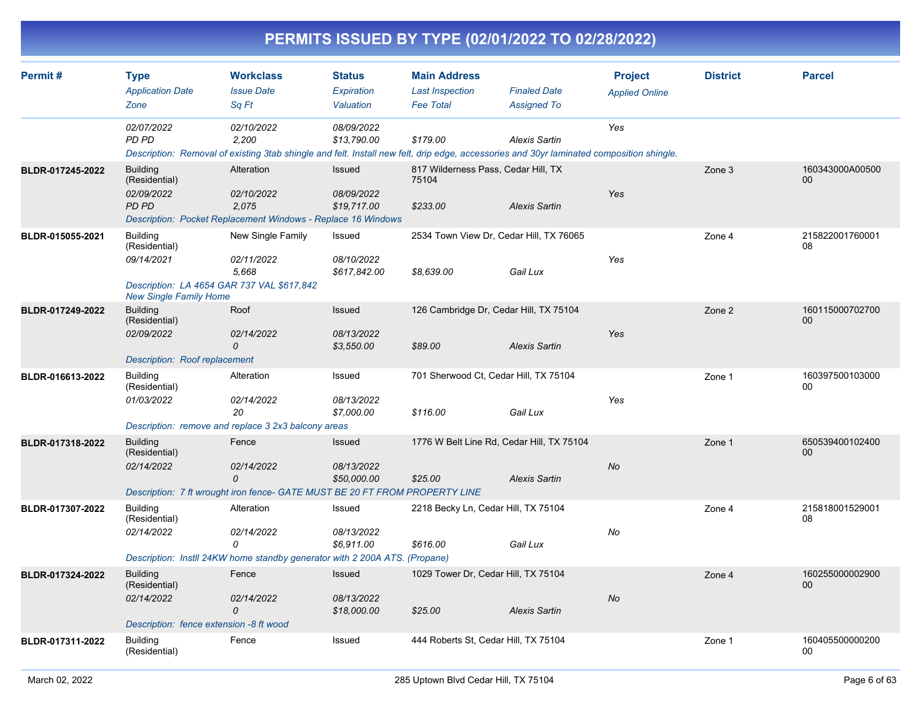|                  |                                                                                           |                                                                                                                                                                 |                                          |                                                                   | PERMITS ISSUED BY TYPE (02/01/2022 TO 02/28/2022)                 |                                         |                 |                       |
|------------------|-------------------------------------------------------------------------------------------|-----------------------------------------------------------------------------------------------------------------------------------------------------------------|------------------------------------------|-------------------------------------------------------------------|-------------------------------------------------------------------|-----------------------------------------|-----------------|-----------------------|
| Permit#          | <b>Type</b><br><b>Application Date</b><br>Zone                                            | <b>Workclass</b><br><b>Issue Date</b><br>Sq Ft                                                                                                                  | <b>Status</b><br>Expiration<br>Valuation | <b>Main Address</b><br><b>Last Inspection</b><br><b>Fee Total</b> | <b>Finaled Date</b><br><b>Assigned To</b>                         | <b>Project</b><br><b>Applied Online</b> | <b>District</b> | <b>Parcel</b>         |
|                  | 02/07/2022<br>PD PD                                                                       | 02/10/2022<br>2,200<br>Description: Removal of existing 3tab shingle and felt. Install new felt, drip edge, accessories and 30yr laminated composition shingle. | 08/09/2022<br>\$13,790.00                | \$179.00                                                          | <b>Alexis Sartin</b>                                              | Yes                                     |                 |                       |
| BLDR-017245-2022 | <b>Building</b><br>(Residential)<br>02/09/2022<br>PD PD                                   | Alteration<br>02/10/2022<br>2,075<br>Description: Pocket Replacement Windows - Replace 16 Windows                                                               | Issued<br>08/09/2022<br>\$19,717.00      | 817 Wilderness Pass, Cedar Hill, TX<br>75104<br>\$233.00          | <b>Alexis Sartin</b>                                              | Yes                                     | Zone 3          | 160343000A00500<br>00 |
| BLDR-015055-2021 | <b>Building</b><br>(Residential)<br>09/14/2021<br><b>New Single Family Home</b>           | New Single Family<br>02/11/2022<br>5,668<br>Description: LA 4654 GAR 737 VAL \$617,842                                                                          | Issued<br>08/10/2022<br>\$617,842.00     | \$8,639.00                                                        | 2534 Town View Dr, Cedar Hill, TX 76065<br>Gail Lux               | Yes                                     | Zone 4          | 215822001760001<br>08 |
| BLDR-017249-2022 | <b>Building</b><br>(Residential)<br>02/09/2022<br><b>Description: Roof replacement</b>    | Roof<br>02/14/2022<br>$\Omega$                                                                                                                                  | Issued<br>08/13/2022<br>\$3,550.00       | \$89.00                                                           | 126 Cambridge Dr, Cedar Hill, TX 75104<br><b>Alexis Sartin</b>    | Yes                                     | Zone 2          | 160115000702700<br>00 |
| BLDR-016613-2022 | <b>Building</b><br>(Residential)<br>01/03/2022                                            | Alteration<br>02/14/2022<br>20<br>Description: remove and replace 3 2x3 balcony areas                                                                           | Issued<br>08/13/2022<br>\$7,000.00       | \$116.00                                                          | 701 Sherwood Ct, Cedar Hill, TX 75104<br>Gail Lux                 | Yes                                     | Zone 1          | 160397500103000<br>00 |
| BLDR-017318-2022 | <b>Building</b><br>(Residential)<br>02/14/2022                                            | Fence<br>02/14/2022<br>$\Omega$<br>Description: 7 ft wrought iron fence- GATE MUST BE 20 FT FROM PROPERTY LINE                                                  | Issued<br>08/13/2022<br>\$50,000.00      | \$25.00                                                           | 1776 W Belt Line Rd, Cedar Hill, TX 75104<br><b>Alexis Sartin</b> | No                                      | Zone 1          | 650539400102400<br>00 |
| BLDR-017307-2022 | <b>Building</b><br>(Residential)<br>02/14/2022                                            | Alteration<br>02/14/2022<br>0<br>Description: Instll 24KW home standby generator with 2 200A ATS. (Propane)                                                     | Issued<br>08/13/2022<br>\$6,911.00       | \$616.00                                                          | 2218 Becky Ln, Cedar Hill, TX 75104<br>Gail Lux                   | No                                      | Zone 4          | 215818001529001<br>08 |
| BLDR-017324-2022 | <b>Building</b><br>(Residential)<br>02/14/2022<br>Description: fence extension -8 ft wood | Fence<br>02/14/2022<br>$\Omega$                                                                                                                                 | Issued<br>08/13/2022<br>\$18,000.00      | \$25.00                                                           | 1029 Tower Dr, Cedar Hill, TX 75104<br><b>Alexis Sartin</b>       | $N\sigma$                               | Zone 4          | 160255000002900<br>00 |
| BLDR-017311-2022 | <b>Building</b><br>(Residential)                                                          | Fence                                                                                                                                                           | Issued                                   |                                                                   | 444 Roberts St. Cedar Hill, TX 75104                              |                                         | Zone 1          | 160405500000200<br>00 |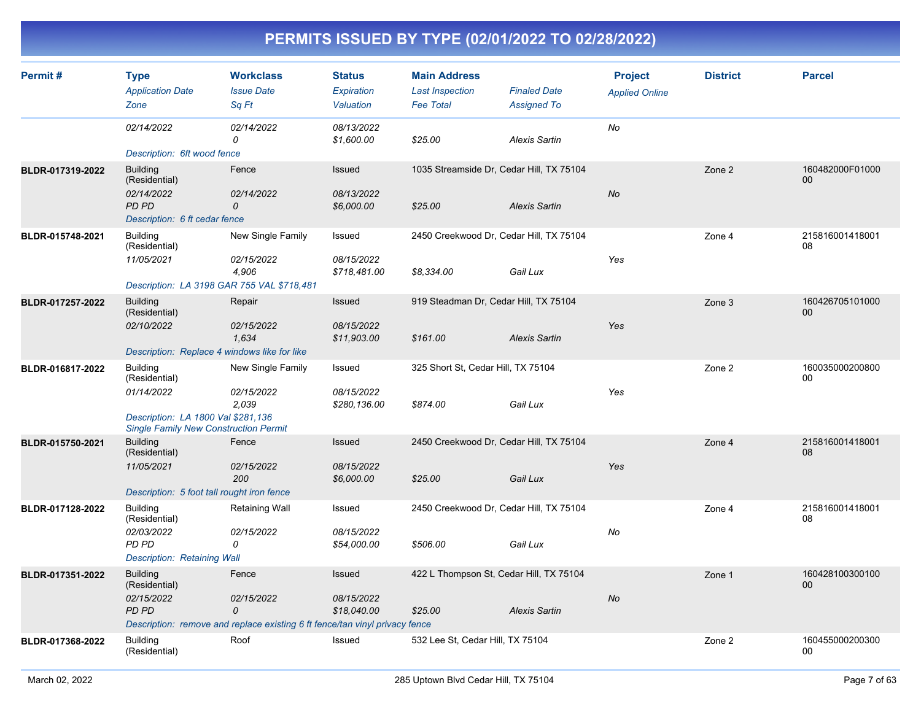| Permit#          | <b>Type</b><br><b>Application Date</b><br>Zone                                                                                       | <b>Workclass</b><br><b>Issue Date</b><br>Sq Ft                                                                 | <b>Status</b><br>Expiration<br>Valuation  | <b>Main Address</b><br><b>Last Inspection</b><br><b>Fee Total</b> | <b>Finaled Date</b><br><b>Assigned To</b> | <b>Project</b><br><b>Applied Online</b> | <b>District</b> | <b>Parcel</b>         |
|------------------|--------------------------------------------------------------------------------------------------------------------------------------|----------------------------------------------------------------------------------------------------------------|-------------------------------------------|-------------------------------------------------------------------|-------------------------------------------|-----------------------------------------|-----------------|-----------------------|
|                  | 02/14/2022<br>Description: 6ft wood fence                                                                                            | 02/14/2022<br>0                                                                                                | 08/13/2022<br>\$1,600.00                  | \$25.00                                                           | <b>Alexis Sartin</b>                      | No                                      |                 |                       |
| BLDR-017319-2022 | <b>Building</b><br>(Residential)<br>02/14/2022<br>PD PD<br>Description: 6 ft cedar fence                                             | Fence<br>02/14/2022<br>0                                                                                       | Issued<br>08/13/2022<br>\$6,000.00        | 1035 Streamside Dr, Cedar Hill, TX 75104<br>\$25.00               | <b>Alexis Sartin</b>                      | No                                      | Zone 2          | 160482000F01000<br>00 |
| BLDR-015748-2021 | <b>Building</b><br>(Residential)<br>11/05/2021                                                                                       | New Single Family<br>02/15/2022<br>4,906<br>Description: LA 3198 GAR 755 VAL \$718,481                         | Issued<br>08/15/2022<br>\$718,481.00      | 2450 Creekwood Dr, Cedar Hill, TX 75104<br>\$8,334.00             | Gail Lux                                  | Yes                                     | Zone 4          | 215816001418001<br>08 |
| BLDR-017257-2022 | <b>Building</b><br>(Residential)<br>02/10/2022<br>Description: Replace 4 windows like for like                                       | Repair<br>02/15/2022<br>1,634                                                                                  | Issued<br>08/15/2022<br>\$11,903.00       | 919 Steadman Dr, Cedar Hill, TX 75104<br>\$161.00                 | <b>Alexis Sartin</b>                      | Yes                                     | Zone 3          | 160426705101000<br>00 |
| BLDR-016817-2022 | <b>Building</b><br>(Residential)<br>01/14/2022<br>Description: LA 1800 Val \$281,136<br><b>Single Family New Construction Permit</b> | New Single Family<br>02/15/2022<br>2,039                                                                       | Issued<br>08/15/2022<br>\$280,136.00      | 325 Short St, Cedar Hill, TX 75104<br>\$874.00                    | Gail Lux                                  | Yes                                     | Zone 2          | 160035000200800<br>00 |
| BLDR-015750-2021 | <b>Building</b><br>(Residential)<br>11/05/2021<br>Description: 5 foot tall rought iron fence                                         | Fence<br>02/15/2022<br>200                                                                                     | <b>Issued</b><br>08/15/2022<br>\$6,000.00 | 2450 Creekwood Dr, Cedar Hill, TX 75104<br>\$25.00                | Gail Lux                                  | Yes                                     | Zone 4          | 215816001418001<br>08 |
| BLDR-017128-2022 | <b>Building</b><br>(Residential)<br>02/03/2022<br>PD PD<br><b>Description: Retaining Wall</b>                                        | Retaining Wall<br>02/15/2022<br>0                                                                              | Issued<br>08/15/2022<br>\$54,000.00       | 2450 Creekwood Dr, Cedar Hill, TX 75104<br>\$506.00               | Gail Lux                                  | No                                      | Zone 4          | 215816001418001<br>08 |
| BLDR-017351-2022 | <b>Building</b><br>(Residential)<br>02/15/2022<br><b>PD PD</b>                                                                       | Fence<br>02/15/2022<br>$\Omega$<br>Description: remove and replace existing 6 ft fence/tan vinyl privacy fence | Issued<br>08/15/2022<br>\$18,040.00       | 422 L Thompson St, Cedar Hill, TX 75104<br>\$25.00                | <b>Alexis Sartin</b>                      | No                                      | Zone 1          | 160428100300100<br>00 |
| BLDR-017368-2022 | <b>Building</b><br>(Residential)                                                                                                     | Roof                                                                                                           | Issued                                    | 532 Lee St, Cedar Hill, TX 75104                                  |                                           |                                         | Zone 2          | 160455000200300<br>00 |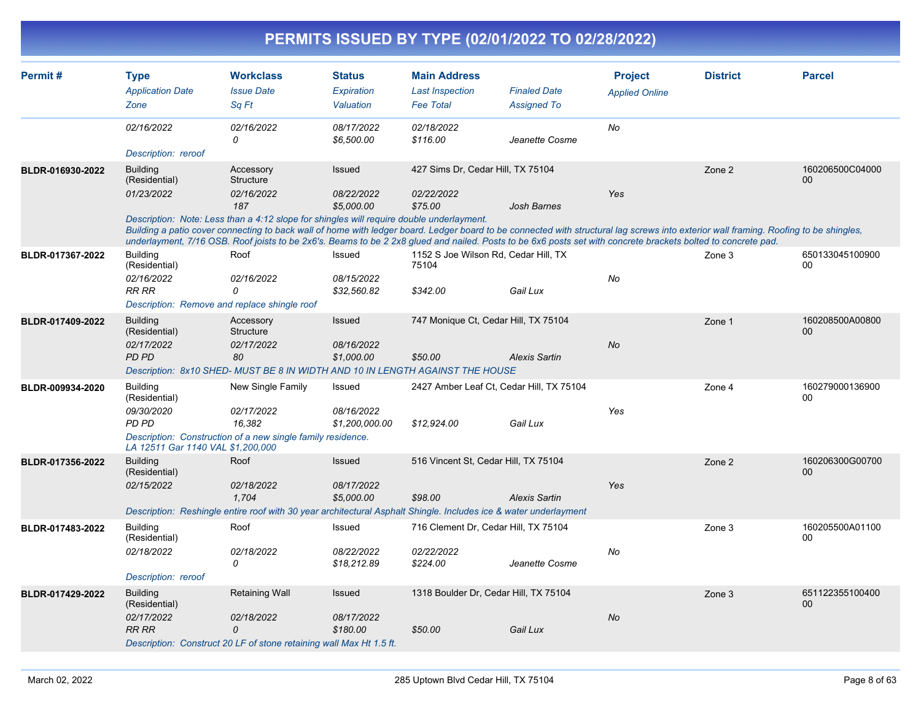| Permit#          | <b>Type</b>                       | <b>Workclass</b>                                                                                                 | <b>Status</b>                | <b>Main Address</b>                           |                                                                                                                                                                                                                                                                                                                                                        | <b>Project</b>        | <b>District</b> | <b>Parcel</b>         |
|------------------|-----------------------------------|------------------------------------------------------------------------------------------------------------------|------------------------------|-----------------------------------------------|--------------------------------------------------------------------------------------------------------------------------------------------------------------------------------------------------------------------------------------------------------------------------------------------------------------------------------------------------------|-----------------------|-----------------|-----------------------|
|                  | <b>Application Date</b>           | <b>Issue Date</b>                                                                                                | Expiration                   | <b>Last Inspection</b>                        | <b>Finaled Date</b>                                                                                                                                                                                                                                                                                                                                    | <b>Applied Online</b> |                 |                       |
|                  | Zone                              | Sq Ft                                                                                                            | Valuation                    | <b>Fee Total</b>                              | <b>Assigned To</b>                                                                                                                                                                                                                                                                                                                                     |                       |                 |                       |
|                  | 02/16/2022                        | 02/16/2022                                                                                                       | 08/17/2022                   | 02/18/2022                                    |                                                                                                                                                                                                                                                                                                                                                        | No                    |                 |                       |
|                  | Description: reroof               | 0                                                                                                                | \$6,500.00                   | \$116.00                                      | Jeanette Cosme                                                                                                                                                                                                                                                                                                                                         |                       |                 |                       |
| BLDR-016930-2022 | <b>Building</b><br>(Residential)  | Accessory<br>Structure                                                                                           | <b>Issued</b>                | 427 Sims Dr, Cedar Hill, TX 75104             |                                                                                                                                                                                                                                                                                                                                                        |                       | Zone 2          | 160206500C04000<br>00 |
|                  | 01/23/2022                        | 02/16/2022<br>187                                                                                                | 08/22/2022<br>\$5,000.00     | 02/22/2022<br>\$75.00                         | Josh Barnes                                                                                                                                                                                                                                                                                                                                            | Yes                   |                 |                       |
|                  |                                   | Description: Note: Less than a 4:12 slope for shingles will require double underlayment.                         |                              |                                               | Building a patio cover connecting to back wall of home with ledger board. Ledger board to be connected with structural lag screws into exterior wall framing. Roofing to be shingles,<br>underlayment, 7/16 OSB. Roof joists to be 2x6's. Beams to be 2 2x8 glued and nailed. Posts to be 6x6 posts set with concrete brackets bolted to concrete pad. |                       |                 |                       |
| BLDR-017367-2022 | <b>Building</b><br>(Residential)  | Roof                                                                                                             | Issued                       | 1152 S Joe Wilson Rd, Cedar Hill, TX<br>75104 |                                                                                                                                                                                                                                                                                                                                                        |                       | Zone 3          | 650133045100900<br>00 |
|                  | 02/16/2022<br><b>RR RR</b>        | 02/16/2022<br>$\Omega$                                                                                           | 08/15/2022<br>\$32,560.82    | \$342.00                                      | Gail Lux                                                                                                                                                                                                                                                                                                                                               | No                    |                 |                       |
|                  |                                   | Description: Remove and replace shingle roof                                                                     |                              |                                               |                                                                                                                                                                                                                                                                                                                                                        |                       |                 |                       |
| BLDR-017409-2022 | <b>Building</b><br>(Residential)  | Accessory<br>Structure                                                                                           | Issued                       | 747 Monique Ct, Cedar Hill, TX 75104          |                                                                                                                                                                                                                                                                                                                                                        |                       | Zone 1          | 160208500A00800<br>00 |
|                  | 02/17/2022<br>PD PD               | 02/17/2022<br>80                                                                                                 | 08/16/2022                   |                                               |                                                                                                                                                                                                                                                                                                                                                        | <b>No</b>             |                 |                       |
|                  |                                   | Description: 8x10 SHED- MUST BE 8 IN WIDTH AND 10 IN LENGTH AGAINST THE HOUSE                                    | \$1,000.00                   | \$50.00                                       | <b>Alexis Sartin</b>                                                                                                                                                                                                                                                                                                                                   |                       |                 |                       |
| BLDR-009934-2020 | <b>Building</b>                   | New Single Family                                                                                                | Issued                       |                                               | 2427 Amber Leaf Ct, Cedar Hill, TX 75104                                                                                                                                                                                                                                                                                                               |                       | Zone 4          | 160279000136900       |
|                  | (Residential)                     |                                                                                                                  |                              |                                               |                                                                                                                                                                                                                                                                                                                                                        |                       |                 | 00                    |
|                  | 09/30/2020<br>PD PD               | 02/17/2022<br>16.382                                                                                             | 08/16/2022<br>\$1,200,000.00 | \$12.924.00                                   | Gail Lux                                                                                                                                                                                                                                                                                                                                               | Yes                   |                 |                       |
|                  | LA 12511 Gar 1140 VAL \$1,200,000 | Description: Construction of a new single family residence.                                                      |                              |                                               |                                                                                                                                                                                                                                                                                                                                                        |                       |                 |                       |
| BLDR-017356-2022 | <b>Building</b><br>(Residential)  | Roof                                                                                                             | <b>Issued</b>                | 516 Vincent St, Cedar Hill, TX 75104          |                                                                                                                                                                                                                                                                                                                                                        |                       | Zone 2          | 160206300G00700<br>00 |
|                  | 02/15/2022                        | 02/18/2022<br>1.704                                                                                              | 08/17/2022<br>\$5,000.00     | \$98.00                                       | <b>Alexis Sartin</b>                                                                                                                                                                                                                                                                                                                                   | Yes                   |                 |                       |
|                  |                                   | Description: Reshingle entire roof with 30 year architectural Asphalt Shingle. Includes ice & water underlayment |                              |                                               |                                                                                                                                                                                                                                                                                                                                                        |                       |                 |                       |
| BLDR-017483-2022 | <b>Building</b><br>(Residential)  | Roof                                                                                                             | Issued                       | 716 Clement Dr, Cedar Hill, TX 75104          |                                                                                                                                                                                                                                                                                                                                                        |                       | Zone 3          | 160205500A01100<br>00 |
|                  | 02/18/2022                        | 02/18/2022<br>0                                                                                                  | 08/22/2022<br>\$18,212.89    | 02/22/2022<br>\$224.00                        | Jeanette Cosme                                                                                                                                                                                                                                                                                                                                         | No                    |                 |                       |
|                  | Description: reroof               |                                                                                                                  |                              |                                               |                                                                                                                                                                                                                                                                                                                                                        |                       |                 |                       |
| BLDR-017429-2022 | <b>Building</b><br>(Residential)  | <b>Retaining Wall</b>                                                                                            | Issued                       |                                               | 1318 Boulder Dr, Cedar Hill, TX 75104                                                                                                                                                                                                                                                                                                                  |                       | Zone 3          | 651122355100400<br>00 |
|                  | 02/17/2022                        | 02/18/2022                                                                                                       | 08/17/2022                   |                                               |                                                                                                                                                                                                                                                                                                                                                        | No                    |                 |                       |
|                  | <b>RR RR</b>                      | $\Omega$<br>Description: Construct 20 LF of stone retaining wall Max Ht 1.5 ft.                                  | \$180.00                     | \$50.00                                       | Gail Lux                                                                                                                                                                                                                                                                                                                                               |                       |                 |                       |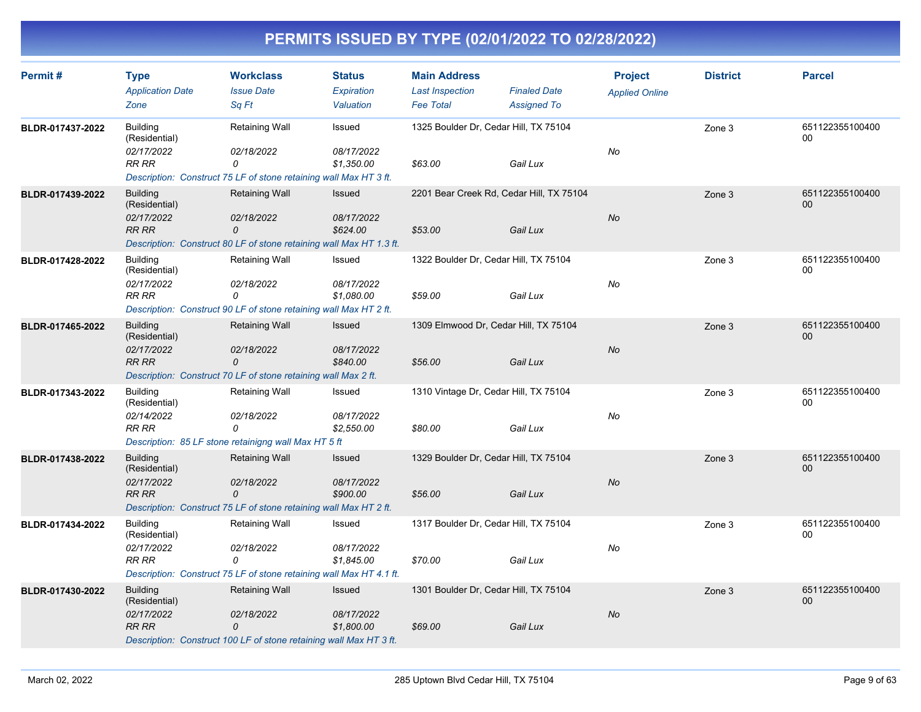| <b>Type</b><br><b>Application Date</b> | <b>Workclass</b><br><b>Issue Date</b>                                                                         | <b>Status</b><br>Expiration                                                                     | <b>Main Address</b><br><b>Last Inspection</b>                                                                                                                                                                                                                                                                                                                                                                                                                                                                                                                                                                               | <b>Finaled Date</b> | <b>Project</b><br><b>Applied Online</b>                                                                                                                                                                                                                                                                                                 | <b>District</b>                    | <b>Parcel</b>             |
|----------------------------------------|---------------------------------------------------------------------------------------------------------------|-------------------------------------------------------------------------------------------------|-----------------------------------------------------------------------------------------------------------------------------------------------------------------------------------------------------------------------------------------------------------------------------------------------------------------------------------------------------------------------------------------------------------------------------------------------------------------------------------------------------------------------------------------------------------------------------------------------------------------------------|---------------------|-----------------------------------------------------------------------------------------------------------------------------------------------------------------------------------------------------------------------------------------------------------------------------------------------------------------------------------------|------------------------------------|---------------------------|
| Zone                                   | Sq Ft                                                                                                         | Valuation                                                                                       | <b>Fee Total</b>                                                                                                                                                                                                                                                                                                                                                                                                                                                                                                                                                                                                            | <b>Assigned To</b>  |                                                                                                                                                                                                                                                                                                                                         |                                    |                           |
| <b>Building</b><br>(Residential)       | Retaining Wall                                                                                                | Issued                                                                                          |                                                                                                                                                                                                                                                                                                                                                                                                                                                                                                                                                                                                                             |                     |                                                                                                                                                                                                                                                                                                                                         | Zone 3                             | 651122355100400<br>00     |
| 02/17/2022<br>RR RR                    | 02/18/2022<br>0                                                                                               | 08/17/2022<br>\$1,350.00                                                                        | \$63.00                                                                                                                                                                                                                                                                                                                                                                                                                                                                                                                                                                                                                     | Gail Lux            | No                                                                                                                                                                                                                                                                                                                                      |                                    |                           |
|                                        |                                                                                                               |                                                                                                 |                                                                                                                                                                                                                                                                                                                                                                                                                                                                                                                                                                                                                             |                     |                                                                                                                                                                                                                                                                                                                                         |                                    |                           |
| (Residential)                          | <b>Retaining Wall</b>                                                                                         | Issued                                                                                          |                                                                                                                                                                                                                                                                                                                                                                                                                                                                                                                                                                                                                             |                     |                                                                                                                                                                                                                                                                                                                                         | Zone 3                             | 651122355100400<br>00     |
| <b>RR RR</b>                           | 0                                                                                                             | \$624.00                                                                                        | \$53.00                                                                                                                                                                                                                                                                                                                                                                                                                                                                                                                                                                                                                     | Gail Lux            |                                                                                                                                                                                                                                                                                                                                         |                                    |                           |
|                                        |                                                                                                               |                                                                                                 |                                                                                                                                                                                                                                                                                                                                                                                                                                                                                                                                                                                                                             |                     |                                                                                                                                                                                                                                                                                                                                         |                                    |                           |
| <b>Building</b><br>(Residential)       | Retaining Wall                                                                                                | Issued                                                                                          |                                                                                                                                                                                                                                                                                                                                                                                                                                                                                                                                                                                                                             |                     |                                                                                                                                                                                                                                                                                                                                         | Zone 3                             | 651122355100400<br>00     |
| <b>RR RR</b>                           | 0                                                                                                             | \$1,080.00                                                                                      | \$59.00                                                                                                                                                                                                                                                                                                                                                                                                                                                                                                                                                                                                                     | Gail Lux            |                                                                                                                                                                                                                                                                                                                                         |                                    |                           |
| <b>Building</b><br>(Residential)       | Retaining Wall                                                                                                | Issued                                                                                          |                                                                                                                                                                                                                                                                                                                                                                                                                                                                                                                                                                                                                             |                     |                                                                                                                                                                                                                                                                                                                                         | Zone 3                             | 651122355100400<br>$00\,$ |
| 02/17/2022<br><b>RR RR</b>             | 02/18/2022<br>0                                                                                               | 08/17/2022<br>\$840.00                                                                          | \$56.00                                                                                                                                                                                                                                                                                                                                                                                                                                                                                                                                                                                                                     | Gail Lux            | No                                                                                                                                                                                                                                                                                                                                      |                                    |                           |
|                                        |                                                                                                               |                                                                                                 |                                                                                                                                                                                                                                                                                                                                                                                                                                                                                                                                                                                                                             |                     |                                                                                                                                                                                                                                                                                                                                         |                                    |                           |
| (Residential)                          |                                                                                                               |                                                                                                 |                                                                                                                                                                                                                                                                                                                                                                                                                                                                                                                                                                                                                             |                     |                                                                                                                                                                                                                                                                                                                                         |                                    | 651122355100400<br>00     |
| <b>RR RR</b>                           | 0                                                                                                             | \$2,550.00                                                                                      | \$80.00                                                                                                                                                                                                                                                                                                                                                                                                                                                                                                                                                                                                                     | Gail Lux            |                                                                                                                                                                                                                                                                                                                                         |                                    |                           |
|                                        |                                                                                                               |                                                                                                 |                                                                                                                                                                                                                                                                                                                                                                                                                                                                                                                                                                                                                             |                     |                                                                                                                                                                                                                                                                                                                                         |                                    |                           |
| (Residential)                          |                                                                                                               | Issued                                                                                          |                                                                                                                                                                                                                                                                                                                                                                                                                                                                                                                                                                                                                             |                     |                                                                                                                                                                                                                                                                                                                                         | Zone 3                             | 651122355100400<br>00     |
| <b>RR RR</b>                           | $\mathcal{O}$                                                                                                 | \$900.00                                                                                        | \$56.00                                                                                                                                                                                                                                                                                                                                                                                                                                                                                                                                                                                                                     | Gail Lux            |                                                                                                                                                                                                                                                                                                                                         |                                    |                           |
| <b>Building</b><br>(Residential)       | Retaining Wall                                                                                                | Issued                                                                                          |                                                                                                                                                                                                                                                                                                                                                                                                                                                                                                                                                                                                                             |                     |                                                                                                                                                                                                                                                                                                                                         | Zone 3                             | 651122355100400<br>00     |
| 02/17/2022<br><b>RR RR</b>             | 02/18/2022<br>0                                                                                               | 08/17/2022<br>\$1.845.00                                                                        | \$70.00                                                                                                                                                                                                                                                                                                                                                                                                                                                                                                                                                                                                                     | Gail Lux            | No                                                                                                                                                                                                                                                                                                                                      |                                    |                           |
|                                        |                                                                                                               |                                                                                                 |                                                                                                                                                                                                                                                                                                                                                                                                                                                                                                                                                                                                                             |                     |                                                                                                                                                                                                                                                                                                                                         |                                    |                           |
| <b>Building</b><br>(Residential)       | Retaining Wall                                                                                                | Issued                                                                                          |                                                                                                                                                                                                                                                                                                                                                                                                                                                                                                                                                                                                                             |                     |                                                                                                                                                                                                                                                                                                                                         | Zone 3                             | 651122355100400<br>00     |
| 02/17/2022<br>RR RR                    | 02/18/2022<br>0                                                                                               | 08/17/2022<br>\$1,800.00                                                                        | \$69.00                                                                                                                                                                                                                                                                                                                                                                                                                                                                                                                                                                                                                     | Gail Lux            | <b>No</b>                                                                                                                                                                                                                                                                                                                               |                                    |                           |
|                                        | <b>Building</b><br>02/17/2022<br>02/17/2022<br><b>Building</b><br>02/14/2022<br><b>Building</b><br>02/17/2022 | <i>02/18/2022</i><br>02/18/2022<br>Retaining Wall<br>02/18/2022<br>Retaining Wall<br>02/18/2022 | Description: Construct 75 LF of stone retaining wall Max HT 3 ft.<br>08/17/2022<br>Description: Construct 80 LF of stone retaining wall Max HT 1.3 ft.<br>08/17/2022<br>Description: Construct 90 LF of stone retaining wall Max HT 2 ft.<br>Description: Construct 70 LF of stone retaining wall Max 2 ft.<br>Issued<br>08/17/2022<br>Description: 85 LF stone retainigng wall Max HT 5 ft<br>08/17/2022<br>Description: Construct 75 LF of stone retaining wall Max HT 2 ft.<br>Description: Construct 75 LF of stone retaining wall Max HT 4.1 ft.<br>Description: Construct 100 LF of stone retaining wall Max HT 3 ft. |                     | 1325 Boulder Dr, Cedar Hill, TX 75104<br>2201 Bear Creek Rd, Cedar Hill, TX 75104<br>1322 Boulder Dr, Cedar Hill, TX 75104<br>1309 Elmwood Dr, Cedar Hill, TX 75104<br>1310 Vintage Dr, Cedar Hill, TX 75104<br>1329 Boulder Dr, Cedar Hill, TX 75104<br>1317 Boulder Dr, Cedar Hill, TX 75104<br>1301 Boulder Dr, Cedar Hill, TX 75104 | <b>No</b><br>No<br>No<br><b>No</b> | Zone 3                    |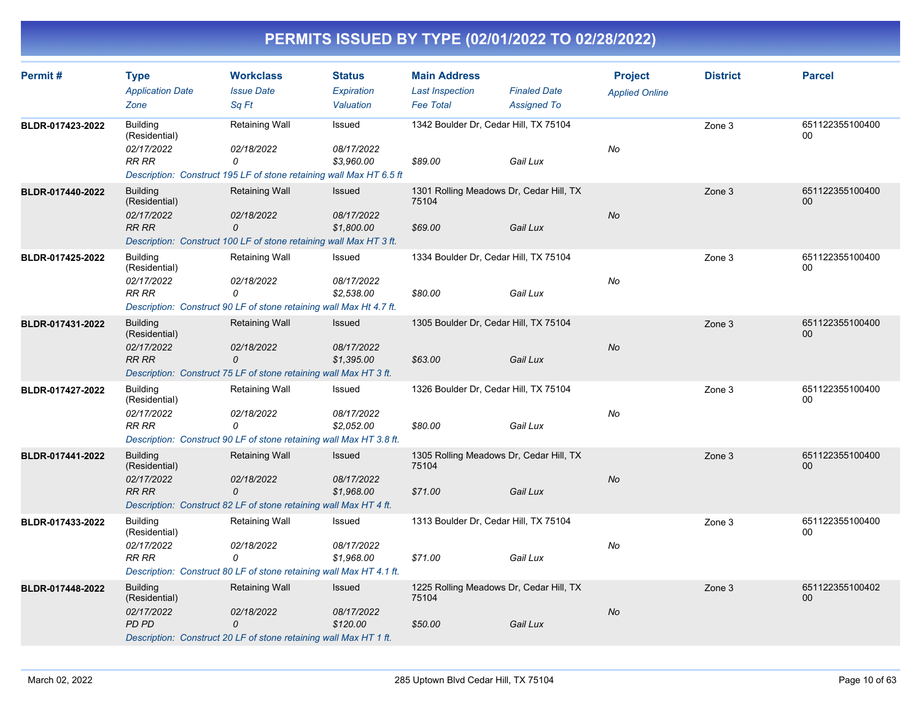| Permit#          | <b>Type</b><br><b>Application Date</b><br>Zone                 | <b>Workclass</b><br><b>Issue Date</b><br>Sq Ft                                                                 | <b>Status</b><br>Expiration<br>Valuation | <b>Main Address</b><br><b>Last Inspection</b><br><b>Fee Total</b> | <b>Finaled Date</b><br><b>Assigned To</b> | <b>Project</b><br><b>Applied Online</b> | <b>District</b> | <b>Parcel</b>             |
|------------------|----------------------------------------------------------------|----------------------------------------------------------------------------------------------------------------|------------------------------------------|-------------------------------------------------------------------|-------------------------------------------|-----------------------------------------|-----------------|---------------------------|
| BLDR-017423-2022 | <b>Building</b><br>(Residential)<br>02/17/2022<br><b>RR RR</b> | Retaining Wall<br>02/18/2022<br>0<br>Description: Construct 195 LF of stone retaining wall Max HT 6.5 ft       | Issued<br>08/17/2022<br>\$3,960.00       | 1342 Boulder Dr, Cedar Hill, TX 75104<br>\$89.00                  | Gail Lux                                  | No                                      | Zone 3          | 651122355100400<br>$00\,$ |
| BLDR-017440-2022 | <b>Building</b><br>(Residential)<br>02/17/2022<br><b>RR RR</b> | <b>Retaining Wall</b><br>02/18/2022<br>0<br>Description: Construct 100 LF of stone retaining wall Max HT 3 ft. | Issued<br>08/17/2022<br>\$1,800.00       | 1301 Rolling Meadows Dr, Cedar Hill, TX<br>75104<br>\$69.00       | Gail Lux                                  | No                                      | Zone 3          | 651122355100400<br>00     |
| BLDR-017425-2022 | <b>Building</b><br>(Residential)<br>02/17/2022<br><b>RR RR</b> | Retaining Wall<br>02/18/2022<br>0<br>Description: Construct 90 LF of stone retaining wall Max Ht 4.7 ft.       | Issued<br>08/17/2022<br>\$2,538.00       | 1334 Boulder Dr, Cedar Hill, TX 75104<br>\$80.00                  | Gail Lux                                  | No                                      | Zone 3          | 651122355100400<br>00     |
| BLDR-017431-2022 | <b>Building</b><br>(Residential)<br>02/17/2022<br><b>RR RR</b> | <b>Retaining Wall</b><br>02/18/2022<br>0<br>Description: Construct 75 LF of stone retaining wall Max HT 3 ft.  | Issued<br>08/17/2022<br>\$1,395.00       | 1305 Boulder Dr, Cedar Hill, TX 75104<br>\$63.00                  | Gail Lux                                  | <b>No</b>                               | Zone 3          | 651122355100400<br>00     |
| BLDR-017427-2022 | <b>Building</b><br>(Residential)<br>02/17/2022<br><b>RR RR</b> | Retaining Wall<br>02/18/2022<br>0<br>Description: Construct 90 LF of stone retaining wall Max HT 3.8 ft.       | Issued<br>08/17/2022<br>\$2,052.00       | 1326 Boulder Dr, Cedar Hill, TX 75104<br>\$80.00                  | Gail Lux                                  | No                                      | Zone 3          | 651122355100400<br>00     |
| BLDR-017441-2022 | <b>Building</b><br>(Residential)<br>02/17/2022<br><b>RR RR</b> | Retaining Wall<br>02/18/2022<br>0<br>Description: Construct 82 LF of stone retaining wall Max HT 4 ft.         | Issued<br>08/17/2022<br>\$1,968.00       | 1305 Rolling Meadows Dr, Cedar Hill, TX<br>75104<br>\$71.00       | Gail Lux                                  | No                                      | Zone 3          | 651122355100400<br>00     |
| BLDR-017433-2022 | <b>Building</b><br>(Residential)<br>02/17/2022<br><b>RR RR</b> | Retaining Wall<br>02/18/2022<br>0<br>Description: Construct 80 LF of stone retaining wall Max HT 4.1 ft.       | Issued<br>08/17/2022<br>\$1,968.00       | 1313 Boulder Dr, Cedar Hill, TX 75104<br>\$71.00                  | Gail Lux                                  | No                                      | Zone 3          | 651122355100400<br>00     |
| BLDR-017448-2022 | <b>Building</b><br>(Residential)<br>02/17/2022<br>PD PD        | <b>Retaining Wall</b><br>02/18/2022<br>0<br>Description: Construct 20 LF of stone retaining wall Max HT 1 ft.  | Issued<br>08/17/2022<br>\$120.00         | 1225 Rolling Meadows Dr, Cedar Hill, TX<br>75104<br>\$50.00       | Gail Lux                                  | No                                      | Zone 3          | 651122355100402<br>00     |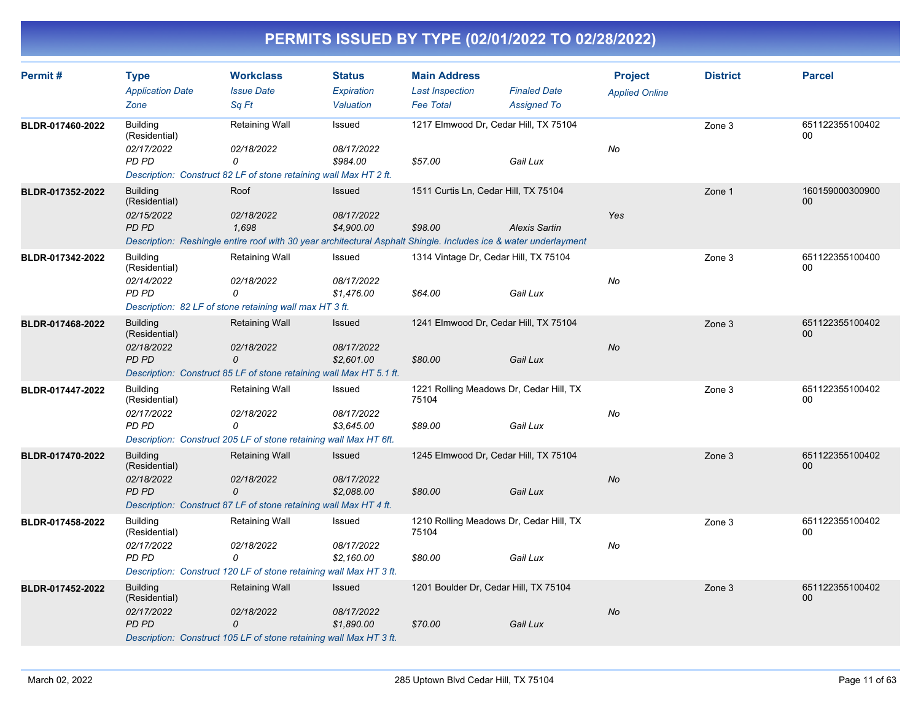| Permit#          | <b>Type</b><br><b>Application Date</b><br>Zone          | <b>Workclass</b><br><b>Issue Date</b><br>Sa Ft                                                                                                  | <b>Status</b><br><b>Expiration</b><br>Valuation | <b>Main Address</b><br><b>Last Inspection</b><br><b>Fee Total</b> | <b>Finaled Date</b><br><b>Assigned To</b> | <b>Project</b><br><b>Applied Online</b> | <b>District</b> | <b>Parcel</b>             |
|------------------|---------------------------------------------------------|-------------------------------------------------------------------------------------------------------------------------------------------------|-------------------------------------------------|-------------------------------------------------------------------|-------------------------------------------|-----------------------------------------|-----------------|---------------------------|
| BLDR-017460-2022 | <b>Building</b><br>(Residential)<br>02/17/2022<br>PD PD | Retaining Wall<br>02/18/2022<br>0<br>Description: Construct 82 LF of stone retaining wall Max HT 2 ft.                                          | Issued<br>08/17/2022<br>\$984.00                | 1217 Elmwood Dr, Cedar Hill, TX 75104<br>\$57.00                  | Gail Lux                                  | No                                      | Zone 3          | 651122355100402<br>00     |
| BLDR-017352-2022 | <b>Building</b><br>(Residential)<br>02/15/2022<br>PD PD | Roof<br>02/18/2022<br>1,698<br>Description: Reshingle entire roof with 30 year architectural Asphalt Shingle. Includes ice & water underlayment | <b>Issued</b><br>08/17/2022<br>\$4,900.00       | 1511 Curtis Ln, Cedar Hill, TX 75104<br>\$98.00                   | <b>Alexis Sartin</b>                      | Yes                                     | Zone 1          | 160159000300900<br>$00\,$ |
| BLDR-017342-2022 | <b>Building</b><br>(Residential)<br>02/14/2022<br>PD PD | Retaining Wall<br>02/18/2022<br>0<br>Description: 82 LF of stone retaining wall max HT 3 ft.                                                    | Issued<br>08/17/2022<br>\$1,476.00              | 1314 Vintage Dr, Cedar Hill, TX 75104<br>\$64.00                  | Gail Lux                                  | No                                      | Zone 3          | 651122355100400<br>00     |
| BLDR-017468-2022 | <b>Building</b><br>(Residential)<br>02/18/2022<br>PD PD | <b>Retaining Wall</b><br>02/18/2022<br>0<br>Description: Construct 85 LF of stone retaining wall Max HT 5.1 ft.                                 | Issued<br>08/17/2022<br>\$2,601.00              | 1241 Elmwood Dr, Cedar Hill, TX 75104<br>\$80.00                  | Gail Lux                                  | No                                      | Zone 3          | 651122355100402<br>00     |
| BLDR-017447-2022 | <b>Building</b><br>(Residential)<br>02/17/2022<br>PD PD | Retaining Wall<br>02/18/2022<br>$\Omega$<br>Description: Construct 205 LF of stone retaining wall Max HT 6ft.                                   | Issued<br>08/17/2022<br>\$3,645.00              | 1221 Rolling Meadows Dr, Cedar Hill, TX<br>75104<br>\$89.00       | Gail Lux                                  | No                                      | Zone 3          | 651122355100402<br>$00\,$ |
| BLDR-017470-2022 | <b>Building</b><br>(Residential)<br>02/18/2022<br>PD PD | <b>Retaining Wall</b><br>02/18/2022<br>0<br>Description: Construct 87 LF of stone retaining wall Max HT 4 ft.                                   | Issued<br>08/17/2022<br>\$2,088.00              | 1245 Elmwood Dr, Cedar Hill, TX 75104<br>\$80.00                  | Gail Lux                                  | No                                      | Zone 3          | 651122355100402<br>00     |
| BLDR-017458-2022 | <b>Building</b><br>(Residential)<br>02/17/2022<br>PD PD | Retaining Wall<br>02/18/2022<br>0<br>Description: Construct 120 LF of stone retaining wall Max HT 3 ft.                                         | Issued<br>08/17/2022<br>\$2.160.00              | 1210 Rolling Meadows Dr, Cedar Hill, TX<br>75104<br>\$80.00       | Gail Lux                                  | No                                      | Zone 3          | 651122355100402<br>00     |
| BLDR-017452-2022 | <b>Building</b><br>(Residential)<br>02/17/2022<br>PD PD | <b>Retaining Wall</b><br>02/18/2022<br>0<br>Description: Construct 105 LF of stone retaining wall Max HT 3 ft.                                  | Issued<br>08/17/2022<br>\$1,890.00              | 1201 Boulder Dr, Cedar Hill, TX 75104<br>\$70.00                  | Gail Lux                                  | No                                      | Zone 3          | 651122355100402<br>00     |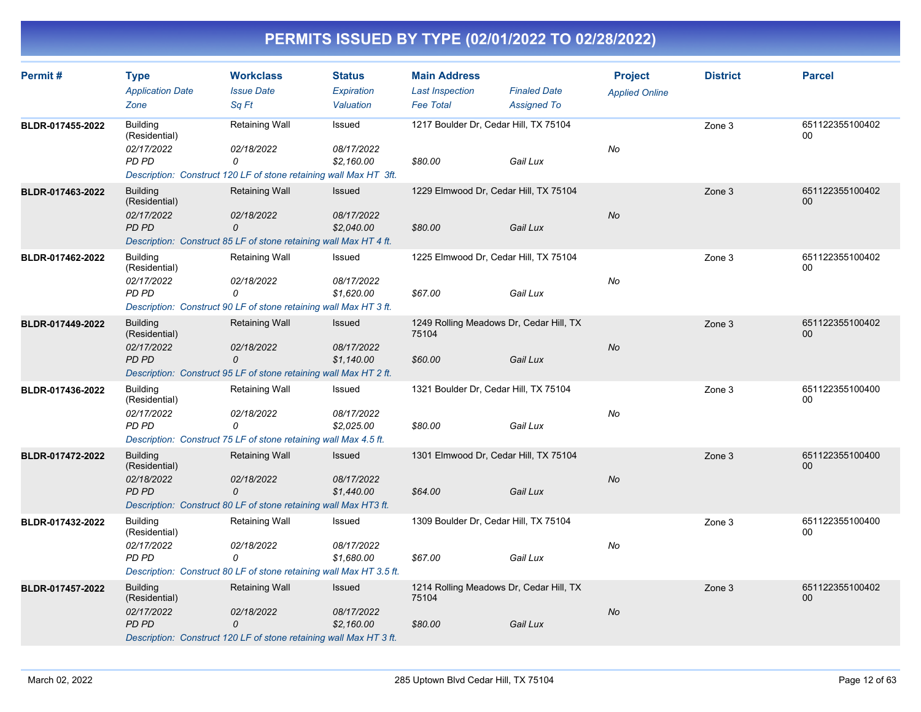| Permit#          | <b>Type</b><br><b>Application Date</b><br>Zone          | <b>Workclass</b><br><b>Issue Date</b><br>Sq Ft                                                                 | <b>Status</b><br>Expiration<br>Valuation | <b>Main Address</b><br><b>Last Inspection</b><br><b>Fee Total</b> | <b>Finaled Date</b><br><b>Assigned To</b> | <b>Project</b><br><b>Applied Online</b> | <b>District</b> | <b>Parcel</b>             |
|------------------|---------------------------------------------------------|----------------------------------------------------------------------------------------------------------------|------------------------------------------|-------------------------------------------------------------------|-------------------------------------------|-----------------------------------------|-----------------|---------------------------|
| BLDR-017455-2022 | <b>Building</b><br>(Residential)<br>02/17/2022<br>PD PD | Retaining Wall<br>02/18/2022<br>0<br>Description: Construct 120 LF of stone retaining wall Max HT 3ft.         | Issued<br>08/17/2022<br>\$2,160.00       | 1217 Boulder Dr, Cedar Hill, TX 75104<br>\$80.00                  | Gail Lux                                  | No                                      | Zone 3          | 651122355100402<br>00     |
| BLDR-017463-2022 | <b>Building</b><br>(Residential)<br>02/17/2022<br>PD PD | <b>Retaining Wall</b><br>02/18/2022<br>0<br>Description: Construct 85 LF of stone retaining wall Max HT 4 ft.  | Issued<br>08/17/2022<br>\$2,040.00       | 1229 Elmwood Dr, Cedar Hill, TX 75104<br>\$80.00                  | Gail Lux                                  | No                                      | Zone 3          | 651122355100402<br>$00\,$ |
| BLDR-017462-2022 | <b>Building</b><br>(Residential)<br>02/17/2022<br>PD PD | Retaining Wall<br>02/18/2022<br>0<br>Description: Construct 90 LF of stone retaining wall Max HT 3 ft.         | Issued<br>08/17/2022<br>\$1.620.00       | 1225 Elmwood Dr, Cedar Hill, TX 75104<br>\$67.00                  | Gail Lux                                  | No                                      | Zone 3          | 651122355100402<br>00     |
| BLDR-017449-2022 | <b>Building</b><br>(Residential)<br>02/17/2022<br>PD PD | <b>Retaining Wall</b><br>02/18/2022<br>0<br>Description: Construct 95 LF of stone retaining wall Max HT 2 ft.  | Issued<br>08/17/2022<br>\$1,140.00       | 1249 Rolling Meadows Dr, Cedar Hill, TX<br>75104<br>\$60.00       | Gail Lux                                  | No                                      | Zone 3          | 651122355100402<br>$00\,$ |
| BLDR-017436-2022 | <b>Building</b><br>(Residential)<br>02/17/2022<br>PD PD | Retaining Wall<br>02/18/2022<br>0<br>Description: Construct 75 LF of stone retaining wall Max 4.5 ft.          | Issued<br>08/17/2022<br>\$2,025.00       | 1321 Boulder Dr, Cedar Hill, TX 75104<br>\$80.00                  | Gail Lux                                  | No                                      | Zone 3          | 651122355100400<br>00     |
| BLDR-017472-2022 | <b>Building</b><br>(Residential)<br>02/18/2022<br>PD PD | Retaining Wall<br>02/18/2022<br>0<br>Description: Construct 80 LF of stone retaining wall Max HT3 ft.          | Issued<br>08/17/2022<br>\$1,440.00       | 1301 Elmwood Dr, Cedar Hill, TX 75104<br>\$64.00                  | Gail Lux                                  | No                                      | Zone 3          | 651122355100400<br>00     |
| BLDR-017432-2022 | <b>Building</b><br>(Residential)<br>02/17/2022<br>PD PD | Retaining Wall<br>02/18/2022<br>0<br>Description: Construct 80 LF of stone retaining wall Max HT 3.5 ft.       | Issued<br>08/17/2022<br>\$1,680.00       | 1309 Boulder Dr, Cedar Hill, TX 75104<br>\$67.00                  | Gail Lux                                  | No                                      | Zone 3          | 651122355100400<br>00     |
| BLDR-017457-2022 | <b>Building</b><br>(Residential)<br>02/17/2022<br>PD PD | <b>Retaining Wall</b><br>02/18/2022<br>0<br>Description: Construct 120 LF of stone retaining wall Max HT 3 ft. | Issued<br>08/17/2022<br>\$2,160.00       | 1214 Rolling Meadows Dr, Cedar Hill, TX<br>75104<br>\$80.00       | Gail Lux                                  | No                                      | Zone 3          | 651122355100402<br>00     |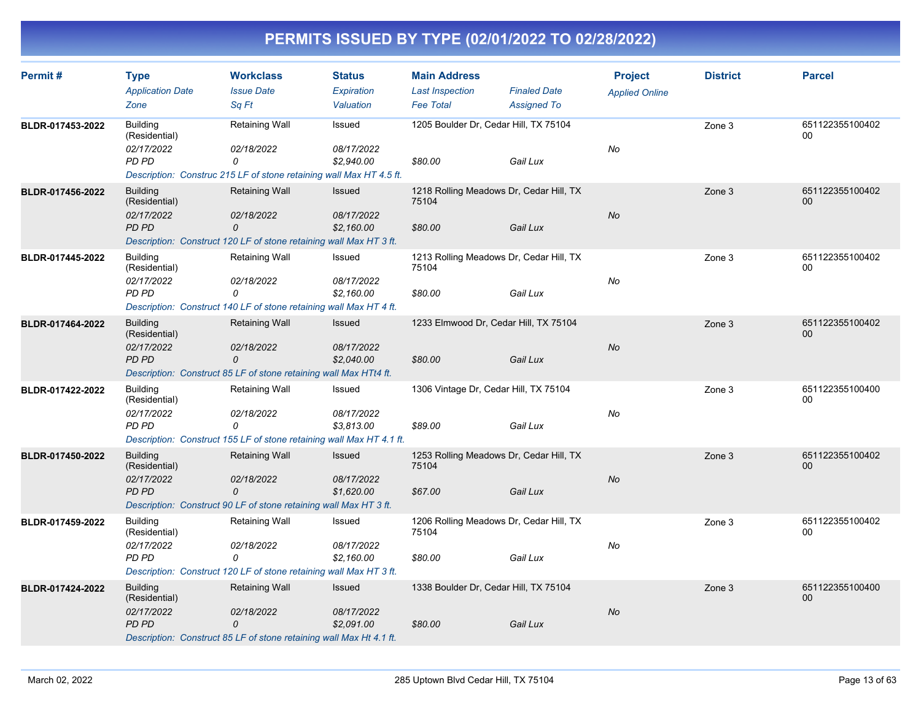| Permit#          | <b>Type</b><br><b>Application Date</b><br>Zone          | <b>Workclass</b><br><b>Issue Date</b><br>Sa Ft                                                                   | <b>Status</b><br><b>Expiration</b><br>Valuation | <b>Main Address</b><br><b>Last Inspection</b><br><b>Fee Total</b> | <b>Finaled Date</b><br><b>Assigned To</b> | <b>Project</b><br><b>Applied Online</b> | <b>District</b> | <b>Parcel</b>             |
|------------------|---------------------------------------------------------|------------------------------------------------------------------------------------------------------------------|-------------------------------------------------|-------------------------------------------------------------------|-------------------------------------------|-----------------------------------------|-----------------|---------------------------|
| BLDR-017453-2022 | <b>Building</b><br>(Residential)<br>02/17/2022<br>PD PD | Retaining Wall<br>02/18/2022<br>0<br>Description: Construc 215 LF of stone retaining wall Max HT 4.5 ft.         | Issued<br>08/17/2022<br>\$2,940.00              | 1205 Boulder Dr, Cedar Hill, TX 75104<br>\$80.00                  | Gail Lux                                  | No                                      | Zone 3          | 651122355100402<br>00     |
| BLDR-017456-2022 | <b>Building</b><br>(Residential)<br>02/17/2022<br>PD PD | <b>Retaining Wall</b><br>02/18/2022<br>0<br>Description: Construct 120 LF of stone retaining wall Max HT 3 ft.   | <b>Issued</b><br>08/17/2022<br>\$2,160.00       | 1218 Rolling Meadows Dr, Cedar Hill, TX<br>75104<br>\$80.00       | Gail Lux                                  | No                                      | Zone 3          | 651122355100402<br>00     |
| BLDR-017445-2022 | <b>Building</b><br>(Residential)<br>02/17/2022<br>PD PD | Retaining Wall<br>02/18/2022<br>0<br>Description: Construct 140 LF of stone retaining wall Max HT 4 ft.          | Issued<br>08/17/2022<br>\$2.160.00              | 1213 Rolling Meadows Dr, Cedar Hill, TX<br>75104<br>\$80.00       | Gail Lux                                  | No                                      | Zone 3          | 651122355100402<br>00     |
| BLDR-017464-2022 | <b>Building</b><br>(Residential)<br>02/17/2022<br>PD PD | Retaining Wall<br>02/18/2022<br>0<br>Description: Construct 85 LF of stone retaining wall Max HTt4 ft.           | Issued<br>08/17/2022<br>\$2,040.00              | 1233 Elmwood Dr, Cedar Hill, TX 75104<br>\$80.00                  | Gail Lux                                  | No                                      | Zone 3          | 651122355100402<br>00     |
| BLDR-017422-2022 | <b>Building</b><br>(Residential)<br>02/17/2022<br>PD PD | Retaining Wall<br>02/18/2022<br>$\Omega$<br>Description: Construct 155 LF of stone retaining wall Max HT 4.1 ft. | Issued<br>08/17/2022<br>\$3,813.00              | 1306 Vintage Dr, Cedar Hill, TX 75104<br>\$89.00                  | Gail Lux                                  | No                                      | Zone 3          | 651122355100400<br>$00\,$ |
| BLDR-017450-2022 | <b>Building</b><br>(Residential)<br>02/17/2022<br>PD PD | <b>Retaining Wall</b><br>02/18/2022<br>0<br>Description: Construct 90 LF of stone retaining wall Max HT 3 ft.    | Issued<br>08/17/2022<br>\$1,620.00              | 1253 Rolling Meadows Dr, Cedar Hill, TX<br>75104<br>\$67.00       | Gail Lux                                  | No                                      | Zone 3          | 651122355100402<br>00     |
| BLDR-017459-2022 | <b>Building</b><br>(Residential)<br>02/17/2022<br>PD PD | Retaining Wall<br>02/18/2022<br>0<br>Description: Construct 120 LF of stone retaining wall Max HT 3 ft.          | Issued<br>08/17/2022<br>\$2.160.00              | 1206 Rolling Meadows Dr, Cedar Hill, TX<br>75104<br>\$80.00       | Gail Lux                                  | No                                      | Zone 3          | 651122355100402<br>00     |
| BLDR-017424-2022 | <b>Building</b><br>(Residential)<br>02/17/2022<br>PD PD | <b>Retaining Wall</b><br>02/18/2022<br>0<br>Description: Construct 85 LF of stone retaining wall Max Ht 4.1 ft.  | Issued<br>08/17/2022<br>\$2,091.00              | 1338 Boulder Dr, Cedar Hill, TX 75104<br>\$80.00                  | Gail Lux                                  | No                                      | Zone 3          | 651122355100400<br>00     |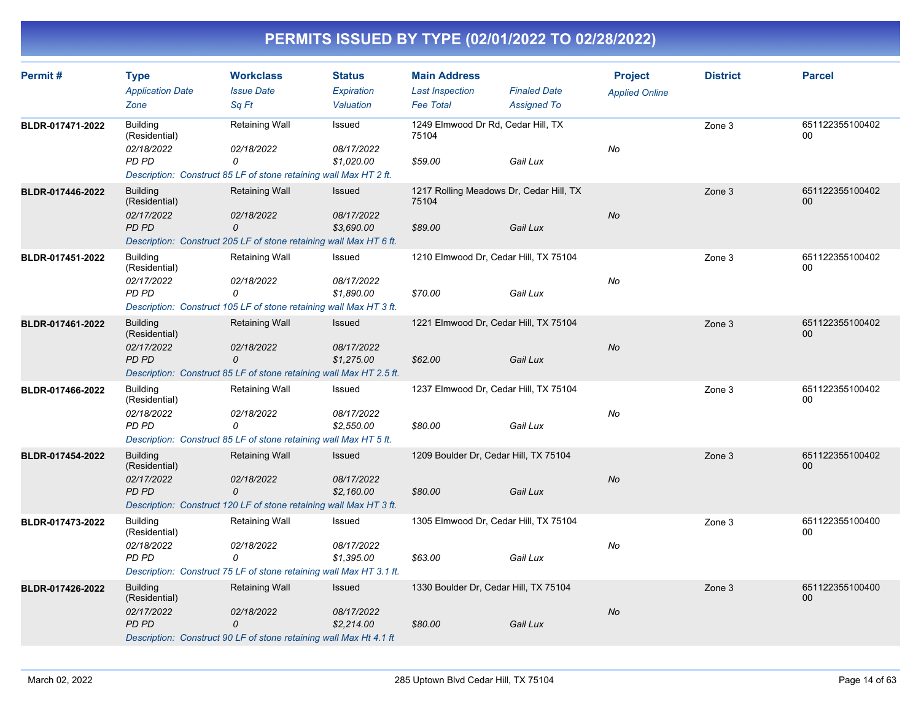| Permit#          | <b>Type</b><br><b>Application Date</b>         | <b>Workclass</b><br><b>Issue Date</b>                                                 | <b>Status</b><br>Expiration | <b>Main Address</b><br><b>Last Inspection</b>    | <b>Finaled Date</b> | <b>Project</b><br><b>Applied Online</b> | <b>District</b> | <b>Parcel</b>             |
|------------------|------------------------------------------------|---------------------------------------------------------------------------------------|-----------------------------|--------------------------------------------------|---------------------|-----------------------------------------|-----------------|---------------------------|
|                  | Zone                                           | Sq Ft                                                                                 | Valuation                   | <b>Fee Total</b>                                 | <b>Assigned To</b>  |                                         |                 |                           |
| BLDR-017471-2022 | <b>Building</b><br>(Residential)               | <b>Retaining Wall</b>                                                                 | Issued                      | 1249 Elmwood Dr Rd, Cedar Hill, TX<br>75104      |                     |                                         | Zone 3          | 651122355100402<br>00     |
|                  | 02/18/2022<br>PD PD                            | 02/18/2022<br>0                                                                       | 08/17/2022<br>\$1,020.00    | \$59.00                                          | Gail Lux            | No                                      |                 |                           |
|                  |                                                | Description: Construct 85 LF of stone retaining wall Max HT 2 ft.                     |                             |                                                  |                     |                                         |                 |                           |
| BLDR-017446-2022 | <b>Building</b><br>(Residential)<br>02/17/2022 | <b>Retaining Wall</b><br>02/18/2022                                                   | <b>Issued</b><br>08/17/2022 | 1217 Rolling Meadows Dr, Cedar Hill, TX<br>75104 |                     | No                                      | Zone 3          | 651122355100402<br>00     |
|                  | PD PD                                          | $\mathcal{O}$<br>Description: Construct 205 LF of stone retaining wall Max HT 6 ft.   | \$3,690.00                  | \$89.00                                          | Gail Lux            |                                         |                 |                           |
| BLDR-017451-2022 | <b>Building</b><br>(Residential)               | <b>Retaining Wall</b>                                                                 | Issued                      | 1210 Elmwood Dr, Cedar Hill, TX 75104            |                     |                                         | Zone 3          | 651122355100402<br>00     |
|                  | 02/17/2022<br>PD PD                            | 02/18/2022<br>0<br>Description: Construct 105 LF of stone retaining wall Max HT 3 ft. | 08/17/2022<br>\$1,890.00    | \$70.00                                          | Gail Lux            | No                                      |                 |                           |
| BLDR-017461-2022 | <b>Building</b><br>(Residential)               | <b>Retaining Wall</b>                                                                 | <b>Issued</b>               | 1221 Elmwood Dr, Cedar Hill, TX 75104            |                     |                                         | Zone 3          | 651122355100402<br>$00\,$ |
|                  | 02/17/2022<br>PD PD                            | 02/18/2022<br>0                                                                       | 08/17/2022<br>\$1,275.00    | \$62.00                                          | Gail Lux            | No                                      |                 |                           |
|                  |                                                | Description: Construct 85 LF of stone retaining wall Max HT 2.5 ft.                   |                             |                                                  |                     |                                         |                 |                           |
| BLDR-017466-2022 | <b>Building</b><br>(Residential)               | <b>Retaining Wall</b>                                                                 | Issued                      | 1237 Elmwood Dr, Cedar Hill, TX 75104            |                     |                                         | Zone 3          | 651122355100402<br>00     |
|                  | 02/18/2022<br>PD PD                            | 02/18/2022<br>0                                                                       | 08/17/2022<br>\$2,550.00    | \$80.00                                          | Gail Lux            | No                                      |                 |                           |
|                  |                                                | Description: Construct 85 LF of stone retaining wall Max HT 5 ft.                     |                             |                                                  |                     |                                         |                 |                           |
| BLDR-017454-2022 | <b>Building</b><br>(Residential)               | <b>Retaining Wall</b>                                                                 | <b>Issued</b>               | 1209 Boulder Dr, Cedar Hill, TX 75104            |                     |                                         | Zone 3          | 651122355100402<br>00     |
|                  | 02/17/2022<br>PD PD                            | 02/18/2022<br>0<br>Description: Construct 120 LF of stone retaining wall Max HT 3 ft. | 08/17/2022<br>\$2.160.00    | \$80.00                                          | Gail Lux            | No                                      |                 |                           |
| BLDR-017473-2022 | <b>Building</b><br>(Residential)               | <b>Retaining Wall</b>                                                                 | Issued                      | 1305 Elmwood Dr, Cedar Hill, TX 75104            |                     |                                         | Zone 3          | 651122355100400<br>00     |
|                  | 02/18/2022<br>PD PD                            | 02/18/2022<br>0                                                                       | 08/17/2022<br>\$1,395.00    | \$63.00                                          | Gail Lux            | No                                      |                 |                           |
|                  |                                                | Description: Construct 75 LF of stone retaining wall Max HT 3.1 ft.                   |                             |                                                  |                     |                                         |                 |                           |
| BLDR-017426-2022 | <b>Building</b><br>(Residential)               | <b>Retaining Wall</b>                                                                 | <b>Issued</b>               | 1330 Boulder Dr, Cedar Hill, TX 75104            |                     |                                         | Zone 3          | 651122355100400<br>$00\,$ |
|                  | 02/17/2022<br>PD PD                            | 02/18/2022<br>0<br>Description: Construct 90 LF of stone retaining wall Max Ht 4.1 ft | 08/17/2022<br>\$2,214.00    | \$80.00                                          | Gail Lux            | No                                      |                 |                           |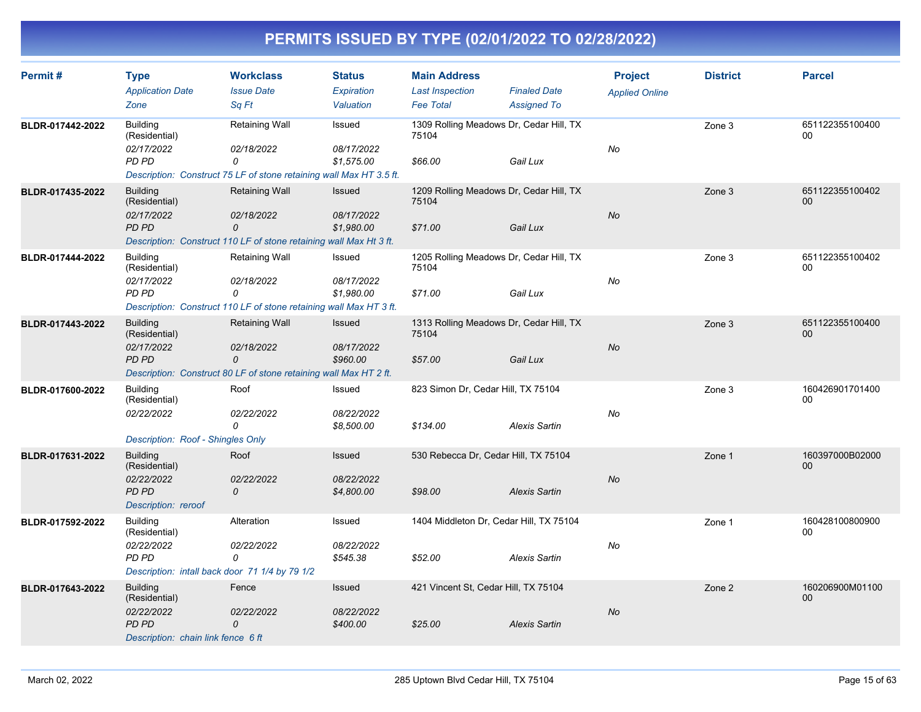| Permit#          | <b>Type</b>                                    | <b>Workclass</b>                                                    | <b>Status</b>            | <b>Main Address</b>                              |                                           | <b>Project</b>        | <b>District</b> | <b>Parcel</b>         |
|------------------|------------------------------------------------|---------------------------------------------------------------------|--------------------------|--------------------------------------------------|-------------------------------------------|-----------------------|-----------------|-----------------------|
|                  | <b>Application Date</b><br>Zone                | <b>Issue Date</b><br>Sq Ft                                          | Expiration<br>Valuation  | <b>Last Inspection</b><br><b>Fee Total</b>       | <b>Finaled Date</b><br><b>Assigned To</b> | <b>Applied Online</b> |                 |                       |
| BLDR-017442-2022 | <b>Building</b><br>(Residential)               | Retaining Wall                                                      | Issued                   | 1309 Rolling Meadows Dr, Cedar Hill, TX<br>75104 |                                           |                       | Zone 3          | 651122355100400<br>00 |
|                  | 02/17/2022<br>PD PD                            | 02/18/2022<br>0                                                     | 08/17/2022<br>\$1,575.00 | \$66.00                                          | Gail Lux                                  | No                    |                 |                       |
|                  |                                                | Description: Construct 75 LF of stone retaining wall Max HT 3.5 ft. |                          |                                                  |                                           |                       |                 |                       |
| BLDR-017435-2022 | <b>Building</b><br>(Residential)               | <b>Retaining Wall</b>                                               | Issued                   | 1209 Rolling Meadows Dr, Cedar Hill, TX<br>75104 |                                           |                       | Zone 3          | 651122355100402<br>00 |
|                  | 02/17/2022<br>PD PD                            | 02/18/2022<br>0                                                     | 08/17/2022<br>\$1,980.00 | \$71.00                                          | Gail Lux                                  | No                    |                 |                       |
|                  |                                                | Description: Construct 110 LF of stone retaining wall Max Ht 3 ft.  |                          |                                                  |                                           |                       |                 |                       |
| BLDR-017444-2022 | <b>Building</b><br>(Residential)<br>02/17/2022 | Retaining Wall                                                      | Issued<br>08/17/2022     | 1205 Rolling Meadows Dr, Cedar Hill, TX<br>75104 |                                           | No                    | Zone 3          | 651122355100402<br>00 |
|                  | PD PD                                          | 02/18/2022<br>0                                                     | \$1,980.00               | \$71.00                                          | Gail Lux                                  |                       |                 |                       |
|                  |                                                | Description: Construct 110 LF of stone retaining wall Max HT 3 ft.  |                          |                                                  |                                           |                       |                 |                       |
| BLDR-017443-2022 | <b>Building</b><br>(Residential)               | <b>Retaining Wall</b>                                               | Issued                   | 1313 Rolling Meadows Dr, Cedar Hill, TX<br>75104 |                                           |                       | Zone 3          | 651122355100400<br>00 |
|                  | 02/17/2022<br>PD PD                            | 02/18/2022<br>0                                                     | 08/17/2022<br>\$960.00   | \$57.00                                          | Gail Lux                                  | No                    |                 |                       |
|                  |                                                | Description: Construct 80 LF of stone retaining wall Max HT 2 ft.   |                          |                                                  |                                           |                       |                 |                       |
| BLDR-017600-2022 | <b>Building</b><br>(Residential)               | Roof                                                                | Issued                   | 823 Simon Dr, Cedar Hill, TX 75104               |                                           |                       | Zone 3          | 160426901701400<br>00 |
|                  | 02/22/2022                                     | 02/22/2022<br>0                                                     | 08/22/2022<br>\$8,500.00 | \$134.00                                         | <b>Alexis Sartin</b>                      | No                    |                 |                       |
|                  | Description: Roof - Shingles Only              |                                                                     |                          |                                                  |                                           |                       |                 |                       |
| BLDR-017631-2022 | <b>Building</b><br>(Residential)               | Roof                                                                | Issued                   | 530 Rebecca Dr, Cedar Hill, TX 75104             |                                           |                       | Zone 1          | 160397000B02000<br>00 |
|                  | 02/22/2022<br>PD PD                            | 02/22/2022<br>0                                                     | 08/22/2022<br>\$4,800.00 | \$98.00                                          | <b>Alexis Sartin</b>                      | No                    |                 |                       |
|                  | Description: reroof                            |                                                                     |                          |                                                  |                                           |                       |                 |                       |
| BLDR-017592-2022 | <b>Building</b><br>(Residential)               | Alteration                                                          | Issued                   | 1404 Middleton Dr, Cedar Hill, TX 75104          |                                           |                       | Zone 1          | 160428100800900<br>00 |
|                  | 02/22/2022<br>PD PD                            | 02/22/2022<br>0                                                     | 08/22/2022<br>\$545.38   | \$52.00                                          | <b>Alexis Sartin</b>                      | No                    |                 |                       |
|                  | Description: intall back door 71 1/4 by 79 1/2 |                                                                     |                          |                                                  |                                           |                       |                 |                       |
| BLDR-017643-2022 | <b>Building</b><br>(Residential)               | Fence                                                               | <b>Issued</b>            | 421 Vincent St, Cedar Hill, TX 75104             |                                           |                       | Zone 2          | 160206900M01100<br>00 |
|                  | 02/22/2022<br>PD PD                            | 02/22/2022<br>0                                                     | 08/22/2022<br>\$400.00   | \$25.00                                          | <b>Alexis Sartin</b>                      | No                    |                 |                       |
|                  | Description: chain link fence 6 ft             |                                                                     |                          |                                                  |                                           |                       |                 |                       |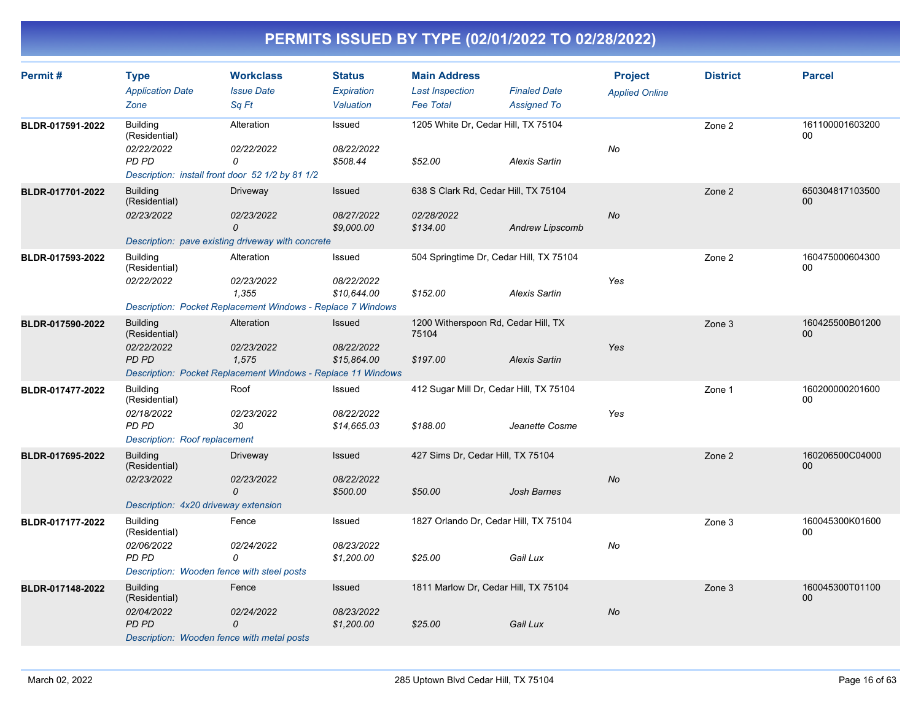| Permit#          | <b>Type</b><br><b>Application Date</b><br>Zone                                                              | <b>Workclass</b><br><b>Issue Date</b><br>Sq Ft                                                          | <b>Status</b><br>Expiration<br>Valuation | <b>Main Address</b><br><b>Last Inspection</b><br><b>Fee Total</b> | <b>Finaled Date</b><br><b>Assigned To</b> | <b>Project</b><br><b>Applied Online</b> | <b>District</b> | <b>Parcel</b>         |
|------------------|-------------------------------------------------------------------------------------------------------------|---------------------------------------------------------------------------------------------------------|------------------------------------------|-------------------------------------------------------------------|-------------------------------------------|-----------------------------------------|-----------------|-----------------------|
| BLDR-017591-2022 | <b>Building</b><br>(Residential)<br>02/22/2022<br>PD PD<br>Description: install front door 52 1/2 by 81 1/2 | Alteration<br>02/22/2022<br>0                                                                           | Issued<br>08/22/2022<br>\$508.44         | 1205 White Dr, Cedar Hill, TX 75104<br>\$52.00                    | <b>Alexis Sartin</b>                      | No                                      | Zone 2          | 161100001603200<br>00 |
| BLDR-017701-2022 | <b>Building</b><br>(Residential)<br>02/23/2022                                                              | Driveway<br>02/23/2022<br>0<br>Description: pave existing driveway with concrete                        | Issued<br>08/27/2022<br>\$9,000.00       | 638 S Clark Rd, Cedar Hill, TX 75104<br>02/28/2022<br>\$134.00    | <b>Andrew Lipscomb</b>                    | No                                      | Zone 2          | 650304817103500<br>00 |
| BLDR-017593-2022 | <b>Building</b><br>(Residential)<br>02/22/2022                                                              | Alteration<br>02/23/2022<br>1.355<br><b>Description: Pocket Replacement Windows - Replace 7 Windows</b> | Issued<br>08/22/2022<br>\$10,644.00      | 504 Springtime Dr, Cedar Hill, TX 75104<br>\$152.00               | <b>Alexis Sartin</b>                      | Yes                                     | Zone 2          | 160475000604300<br>00 |
| BLDR-017590-2022 | <b>Building</b><br>(Residential)<br>02/22/2022<br>PD PD                                                     | Alteration<br>02/23/2022<br>1,575<br>Description: Pocket Replacement Windows - Replace 11 Windows       | Issued<br>08/22/2022<br>\$15,864.00      | 1200 Witherspoon Rd, Cedar Hill, TX<br>75104<br>\$197.00          | <b>Alexis Sartin</b>                      | Yes                                     | Zone 3          | 160425500B01200<br>00 |
| BLDR-017477-2022 | <b>Building</b><br>(Residential)<br>02/18/2022<br>PD PD<br>Description: Roof replacement                    | Roof<br>02/23/2022<br>30                                                                                | Issued<br>08/22/2022<br>\$14,665.03      | 412 Sugar Mill Dr, Cedar Hill, TX 75104<br>\$188.00               | Jeanette Cosme                            | Yes                                     | Zone 1          | 160200000201600<br>00 |
| BLDR-017695-2022 | <b>Building</b><br>(Residential)<br>02/23/2022<br>Description: 4x20 driveway extension                      | Driveway<br>02/23/2022<br>0                                                                             | Issued<br>08/22/2022<br>\$500.00         | 427 Sims Dr, Cedar Hill, TX 75104<br>\$50.00                      | Josh Barnes                               | No                                      | Zone 2          | 160206500C04000<br>00 |
| BLDR-017177-2022 | <b>Building</b><br>(Residential)<br>02/06/2022<br>PD PD<br>Description: Wooden fence with steel posts       | Fence<br>02/24/2022<br>0                                                                                | Issued<br>08/23/2022<br>\$1,200.00       | 1827 Orlando Dr, Cedar Hill, TX 75104<br>\$25.00                  | Gail Lux                                  | No                                      | Zone 3          | 160045300K01600<br>00 |
| BLDR-017148-2022 | <b>Building</b><br>(Residential)<br>02/04/2022<br>PD PD<br>Description: Wooden fence with metal posts       | Fence<br>02/24/2022<br>0                                                                                | Issued<br>08/23/2022<br>\$1,200.00       | 1811 Marlow Dr, Cedar Hill, TX 75104<br>\$25.00                   | Gail Lux                                  | No                                      | Zone 3          | 160045300T01100<br>00 |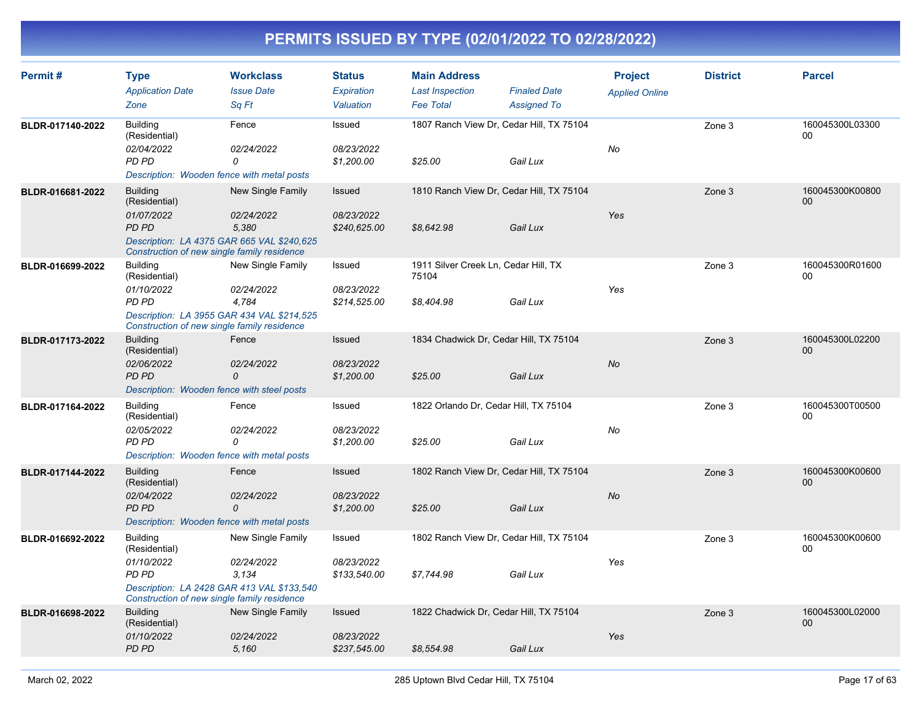| Permit#          | <b>Type</b><br><b>Application Date</b><br>Zone                                                                | <b>Workclass</b><br><b>Issue Date</b><br>Sq Ft                                         | <b>Status</b><br>Expiration<br>Valuation | <b>Main Address</b><br><b>Last Inspection</b><br><b>Fee Total</b> | <b>Finaled Date</b><br><b>Assigned To</b>            | <b>Project</b><br><b>Applied Online</b> | <b>District</b> | <b>Parcel</b>                 |
|------------------|---------------------------------------------------------------------------------------------------------------|----------------------------------------------------------------------------------------|------------------------------------------|-------------------------------------------------------------------|------------------------------------------------------|-----------------------------------------|-----------------|-------------------------------|
| BLDR-017140-2022 | <b>Building</b><br>(Residential)<br>02/04/2022<br>PD PD<br>Description: Wooden fence with metal posts         | Fence<br>02/24/2022<br>0                                                               | Issued<br>08/23/2022<br>\$1,200.00       | \$25.00                                                           | 1807 Ranch View Dr, Cedar Hill, TX 75104<br>Gail Lux | No                                      | Zone 3          | 160045300L03300<br>00         |
| BLDR-016681-2022 | <b>Building</b><br>(Residential)<br>01/07/2022<br>PD PD<br>Construction of new single family residence        | New Single Family<br>02/24/2022<br>5,380<br>Description: LA 4375 GAR 665 VAL \$240,625 | Issued<br>08/23/2022<br>\$240,625.00     | \$8,642.98                                                        | 1810 Ranch View Dr, Cedar Hill, TX 75104<br>Gail Lux | Yes                                     | Zone 3          | 160045300K00800<br>00         |
| BLDR-016699-2022 | <b>Building</b><br>(Residential)<br>01/10/2022<br>PD PD<br>Construction of new single family residence        | New Single Family<br>02/24/2022<br>4,784<br>Description: LA 3955 GAR 434 VAL \$214,525 | Issued<br>08/23/2022<br>\$214,525.00     | 1911 Silver Creek Ln, Cedar Hill, TX<br>75104<br>\$8,404.98       | Gail Lux                                             | Yes                                     | Zone 3          | 160045300R01600<br>00         |
| BLDR-017173-2022 | <b>Building</b><br>(Residential)<br>02/06/2022<br>PD PD<br>Description: Wooden fence with steel posts         | Fence<br>02/24/2022<br>0                                                               | Issued<br>08/23/2022<br>\$1,200.00       | 1834 Chadwick Dr, Cedar Hill, TX 75104<br>\$25.00                 | Gail Lux                                             | <b>No</b>                               | Zone 3          | 160045300L02200<br>$00\,$     |
| BLDR-017164-2022 | <b>Building</b><br>(Residential)<br>02/05/2022<br><b>PD PD</b><br>Description: Wooden fence with metal posts  | Fence<br>02/24/2022<br>0                                                               | Issued<br>08/23/2022<br>\$1,200.00       | 1822 Orlando Dr, Cedar Hill, TX 75104<br>\$25.00                  | Gail Lux                                             | No                                      | Zone 3          | 160045300T00500<br>${\bf 00}$ |
| BLDR-017144-2022 | <b>Building</b><br>(Residential)<br>02/04/2022<br>PD PD<br>Description: Wooden fence with metal posts         | Fence<br>02/24/2022<br>0                                                               | Issued<br>08/23/2022<br>\$1,200.00       | \$25.00                                                           | 1802 Ranch View Dr, Cedar Hill, TX 75104<br>Gail Lux | <b>No</b>                               | Zone 3          | 160045300K00600<br>$00\,$     |
| BLDR-016692-2022 | <b>Building</b><br>(Residential)<br>01/10/2022<br><b>PD PD</b><br>Construction of new single family residence | New Single Family<br>02/24/2022<br>3,134<br>Description: LA 2428 GAR 413 VAL \$133,540 | Issued<br>08/23/2022<br>\$133,540.00     | \$7,744.98                                                        | 1802 Ranch View Dr, Cedar Hill, TX 75104<br>Gail Lux | Yes                                     | Zone 3          | 160045300K00600<br>$00 \,$    |
| BLDR-016698-2022 | <b>Building</b><br>(Residential)<br>01/10/2022<br><b>PD PD</b>                                                | New Single Family<br>02/24/2022<br>5,160                                               | Issued<br>08/23/2022<br>\$237,545.00     | 1822 Chadwick Dr, Cedar Hill, TX 75104<br>\$8,554.98              | Gail Lux                                             | Yes                                     | Zone 3          | 160045300L02000<br>00         |
|                  |                                                                                                               |                                                                                        |                                          |                                                                   |                                                      |                                         |                 |                               |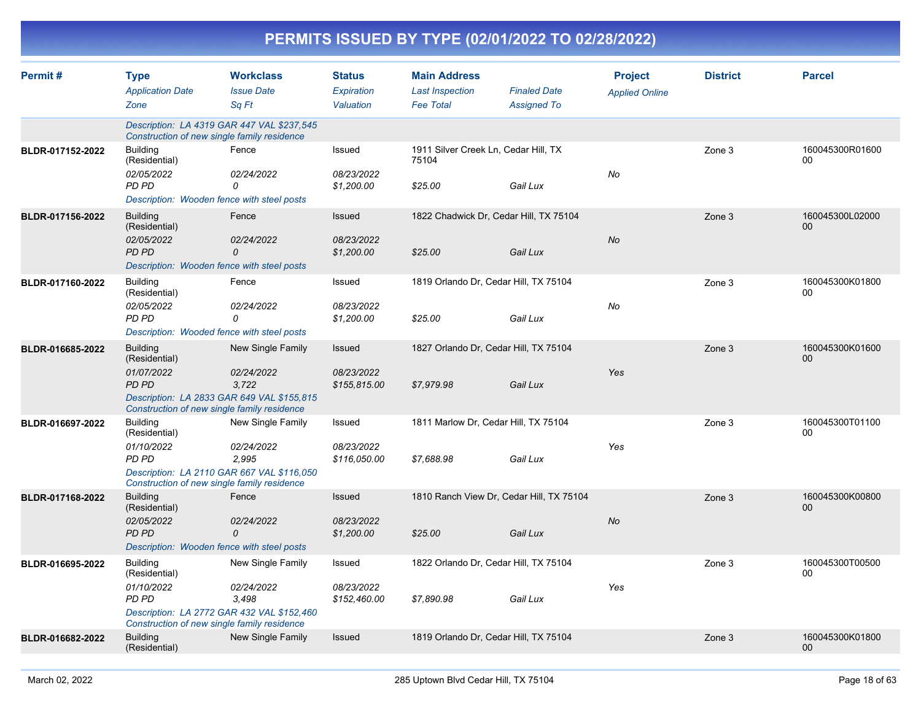|                  | PERMITS ISSUED BY TYPE (02/01/2022 TO 02/28/2022)                                                      |                                                                                               |                                          |                                                                   |                                                      |                                         |                 |                           |  |  |  |
|------------------|--------------------------------------------------------------------------------------------------------|-----------------------------------------------------------------------------------------------|------------------------------------------|-------------------------------------------------------------------|------------------------------------------------------|-----------------------------------------|-----------------|---------------------------|--|--|--|
| Permit#          | <b>Type</b><br><b>Application Date</b><br>Zone                                                         | <b>Workclass</b><br><b>Issue Date</b><br>Sq Ft                                                | <b>Status</b><br>Expiration<br>Valuation | <b>Main Address</b><br><b>Last Inspection</b><br><b>Fee Total</b> | <b>Finaled Date</b><br><b>Assigned To</b>            | <b>Project</b><br><b>Applied Online</b> | <b>District</b> | <b>Parcel</b>             |  |  |  |
|                  | Construction of new single family residence                                                            | Description: LA 4319 GAR 447 VAL \$237,545                                                    |                                          |                                                                   |                                                      |                                         |                 |                           |  |  |  |
| BLDR-017152-2022 | <b>Building</b><br>(Residential)<br>02/05/2022<br>PD PD<br>Description: Wooden fence with steel posts  | Fence<br>02/24/2022<br>0                                                                      | Issued<br>08/23/2022<br>\$1,200.00       | 1911 Silver Creek Ln, Cedar Hill, TX<br>75104<br>\$25.00          | Gail Lux                                             | No                                      | Zone 3          | 160045300R01600<br>00     |  |  |  |
| BLDR-017156-2022 | <b>Building</b><br>(Residential)<br>02/05/2022<br>PD PD<br>Description: Wooden fence with steel posts  | Fence<br>02/24/2022<br>0                                                                      | Issued<br>08/23/2022<br>\$1,200.00       | \$25.00                                                           | 1822 Chadwick Dr, Cedar Hill, TX 75104<br>Gail Lux   | No                                      | Zone 3          | 160045300L02000<br>00     |  |  |  |
| BLDR-017160-2022 | Building<br>(Residential)<br>02/05/2022<br>PD PD<br>Description: Wooded fence with steel posts         | Fence<br>02/24/2022<br>0                                                                      | Issued<br>08/23/2022<br>\$1,200.00       | 1819 Orlando Dr, Cedar Hill, TX 75104<br>\$25.00                  | Gail Lux                                             | No                                      | Zone 3          | 160045300K01800<br>00     |  |  |  |
| BLDR-016685-2022 | <b>Building</b><br>(Residential)<br>01/07/2022<br>PD PD<br>Construction of new single family residence | <b>New Single Family</b><br>02/24/2022<br>3,722<br>Description: LA 2833 GAR 649 VAL \$155,815 | Issued<br>08/23/2022<br>\$155,815.00     | 1827 Orlando Dr, Cedar Hill, TX 75104<br>\$7,979.98               | Gail Lux                                             | Yes                                     | Zone 3          | 160045300K01600<br>00     |  |  |  |
| BLDR-016697-2022 | <b>Building</b><br>(Residential)<br>01/10/2022<br>PD PD<br>Construction of new single family residence | New Single Family<br>02/24/2022<br>2,995<br>Description: LA 2110 GAR 667 VAL \$116,050        | Issued<br>08/23/2022<br>\$116,050.00     | 1811 Marlow Dr, Cedar Hill, TX 75104<br>\$7,688.98                | Gail Lux                                             | Yes                                     | Zone 3          | 160045300T01100<br>00     |  |  |  |
| BLDR-017168-2022 | <b>Building</b><br>(Residential)<br>02/05/2022<br>PD PD                                                | Fence<br>02/24/2022<br>0<br>Description: Wooden fence with steel posts                        | Issued<br>08/23/2022<br>\$1,200.00       | \$25.00                                                           | 1810 Ranch View Dr, Cedar Hill, TX 75104<br>Gail Lux | No                                      | Zone 3          | 160045300K00800<br>00     |  |  |  |
| BLDR-016695-2022 | <b>Building</b><br>(Residential)<br>01/10/2022<br>PD PD<br>Construction of new single family residence | New Single Family<br>02/24/2022<br>3,498<br>Description: LA 2772 GAR 432 VAL \$152,460        | Issued<br>08/23/2022<br>\$152,460.00     | 1822 Orlando Dr, Cedar Hill, TX 75104<br>\$7,890.98               | Gail Lux                                             | Yes                                     | Zone 3          | 160045300T00500<br>00     |  |  |  |
| BLDR-016682-2022 | <b>Building</b><br>(Residential)                                                                       | New Single Family                                                                             | Issued                                   | 1819 Orlando Dr, Cedar Hill, TX 75104                             |                                                      |                                         | Zone 3          | 160045300K01800<br>$00\,$ |  |  |  |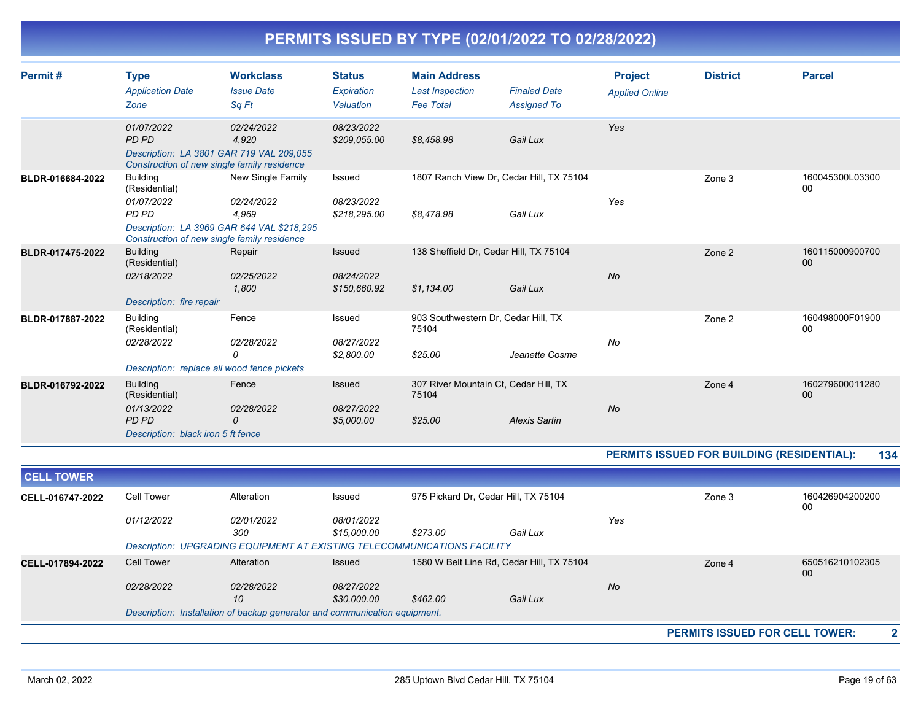| Permit#          | <b>Type</b><br><b>Application Date</b><br>Zone                                                                                                       | <b>Workclass</b><br><b>Issue Date</b><br>Sq Ft | <b>Status</b><br>Expiration<br>Valuation | <b>Main Address</b><br><b>Last Inspection</b><br><b>Fee Total</b> | <b>Finaled Date</b><br><b>Assigned To</b> | <b>Project</b><br><b>Applied Online</b> | <b>District</b> | <b>Parcel</b>         |
|------------------|------------------------------------------------------------------------------------------------------------------------------------------------------|------------------------------------------------|------------------------------------------|-------------------------------------------------------------------|-------------------------------------------|-----------------------------------------|-----------------|-----------------------|
|                  | 01/07/2022<br>PD PD<br>Description: LA 3801 GAR 719 VAL 209,055<br>Construction of new single family residence                                       | 02/24/2022<br>4,920                            | 08/23/2022<br>\$209,055.00               | \$8,458.98                                                        | Gail Lux                                  | Yes                                     |                 |                       |
| BLDR-016684-2022 | <b>Building</b><br>(Residential)<br>01/07/2022<br>PD PD<br>Description: LA 3969 GAR 644 VAL \$218,295<br>Construction of new single family residence | New Single Family<br>02/24/2022<br>4.969       | Issued<br>08/23/2022<br>\$218,295.00     | 1807 Ranch View Dr, Cedar Hill, TX 75104<br>\$8,478.98            | Gail Lux                                  | Yes                                     | Zone 3          | 160045300L03300<br>00 |
| BLDR-017475-2022 | <b>Building</b><br>(Residential)<br>02/18/2022<br>Description: fire repair                                                                           | Repair<br>02/25/2022<br>1,800                  | Issued<br>08/24/2022<br>\$150,660.92     | 138 Sheffield Dr, Cedar Hill, TX 75104<br>\$1,134.00              | Gail Lux                                  | <b>No</b>                               | Zone 2          | 160115000900700<br>00 |
| BLDR-017887-2022 | <b>Building</b><br>(Residential)<br>02/28/2022<br>Description: replace all wood fence pickets                                                        | Fence<br>02/28/2022<br>0                       | Issued<br>08/27/2022<br>\$2,800.00       | 903 Southwestern Dr, Cedar Hill, TX<br>75104<br>\$25.00           | Jeanette Cosme                            | No                                      | Zone 2          | 160498000F01900<br>00 |
| BLDR-016792-2022 | <b>Building</b><br>(Residential)<br>01/13/2022<br>PD PD<br>Description: black iron 5 ft fence                                                        | Fence<br>02/28/2022<br>0                       | Issued<br>08/27/2022<br>\$5,000.00       | 307 River Mountain Ct, Cedar Hill, TX<br>75104<br>\$25.00         | <b>Alexis Sartin</b>                      | No                                      | Zone 4          | 160279600011280<br>00 |

#### **PERMITS ISSUED FOR BUILDING (RESIDENTIAL): 134**

| <b>CELL TOWER</b>       |                   |                                                                            |             |          |                                           |           |                                       |                       |
|-------------------------|-------------------|----------------------------------------------------------------------------|-------------|----------|-------------------------------------------|-----------|---------------------------------------|-----------------------|
| CELL-016747-2022        | Cell Tower        | Alteration                                                                 | Issued      |          | 975 Pickard Dr, Cedar Hill, TX 75104      |           | Zone 3                                | 160426904200200<br>00 |
|                         | 01/12/2022        | <i>02/01/2022</i>                                                          | 08/01/2022  |          |                                           | Yes       |                                       |                       |
|                         |                   | 300                                                                        | \$15,000.00 | \$273.00 | Gail Lux                                  |           |                                       |                       |
|                         |                   | Description: UPGRADING EQUIPMENT AT EXISTING TELECOMMUNICATIONS FACILITY   |             |          |                                           |           |                                       |                       |
| <b>CELL-017894-2022</b> | <b>Cell Tower</b> | Alteration                                                                 | Issued      |          | 1580 W Belt Line Rd, Cedar Hill, TX 75104 |           | Zone 4                                | 650516210102305<br>00 |
|                         | 02/28/2022        | 02/28/2022                                                                 | 08/27/2022  |          |                                           | <b>No</b> |                                       |                       |
|                         |                   | 10                                                                         | \$30,000.00 | \$462.00 | Gail Lux                                  |           |                                       |                       |
|                         |                   | Description: Installation of backup generator and communication equipment. |             |          |                                           |           |                                       |                       |
|                         |                   |                                                                            |             |          |                                           |           | <b>PERMITS ISSUED FOR CELL TOWER:</b> | 2                     |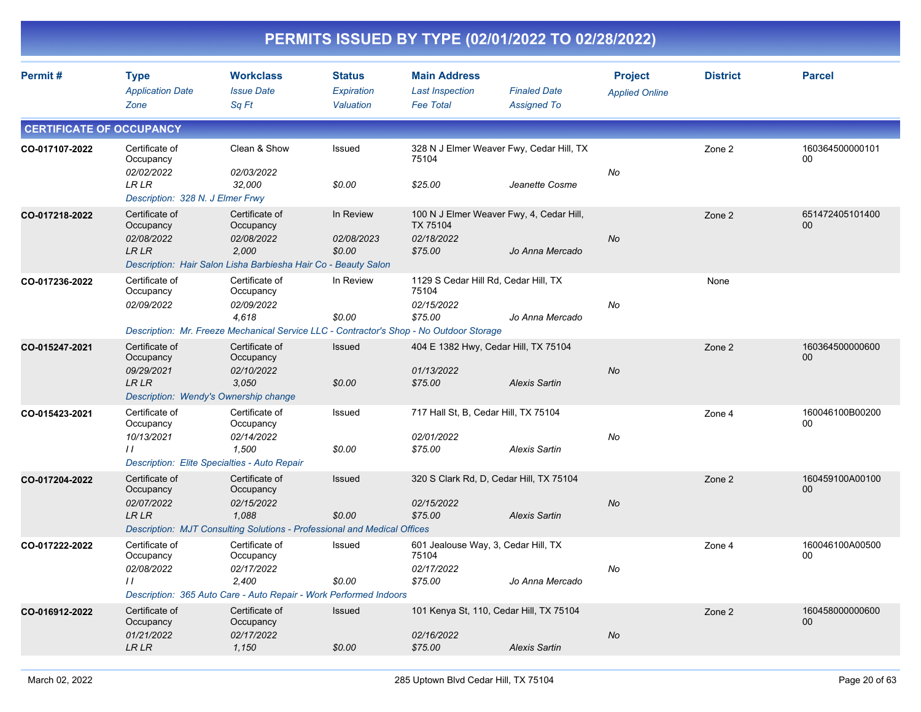|                                 | PERMITS ISSUED BY TYPE (02/01/2022 TO 02/28/2022)                                                     |                                                                                                                                |                                          |                                                                                      |                                           |                                         |                 |                       |  |  |  |
|---------------------------------|-------------------------------------------------------------------------------------------------------|--------------------------------------------------------------------------------------------------------------------------------|------------------------------------------|--------------------------------------------------------------------------------------|-------------------------------------------|-----------------------------------------|-----------------|-----------------------|--|--|--|
| Permit#                         | <b>Type</b><br><b>Application Date</b><br>Zone                                                        | <b>Workclass</b><br><b>Issue Date</b><br>Sq Ft                                                                                 | <b>Status</b><br>Expiration<br>Valuation | <b>Main Address</b><br><b>Last Inspection</b><br><b>Fee Total</b>                    | <b>Finaled Date</b><br><b>Assigned To</b> | <b>Project</b><br><b>Applied Online</b> | <b>District</b> | <b>Parcel</b>         |  |  |  |
| <b>CERTIFICATE OF OCCUPANCY</b> |                                                                                                       |                                                                                                                                |                                          |                                                                                      |                                           |                                         |                 |                       |  |  |  |
| CO-017107-2022                  | Certificate of<br>Occupancy<br>02/02/2022<br>LR LR<br>Description: 328 N. J Elmer Frwy                | Clean & Show<br><i>02/03/2022</i><br>32,000                                                                                    | Issued<br>\$0.00                         | 328 N J Elmer Weaver Fwy, Cedar Hill, TX<br>75104<br>\$25.00                         | Jeanette Cosme                            | No                                      | Zone 2          | 160364500000101<br>00 |  |  |  |
| CO-017218-2022                  | Certificate of<br>Occupancy<br>02/08/2022<br>LR LR                                                    | Certificate of<br>Occupancy<br><i>02/08/2022</i><br>2,000<br>Description: Hair Salon Lisha Barbiesha Hair Co - Beauty Salon    | In Review<br><i>02/08/2023</i><br>\$0.00 | 100 N J Elmer Weaver Fwy, 4, Cedar Hill,<br><b>TX 75104</b><br>02/18/2022<br>\$75.00 | Jo Anna Mercado                           | No                                      | Zone 2          | 651472405101400<br>00 |  |  |  |
| CO-017236-2022                  | Certificate of<br>Occupancy<br>02/09/2022                                                             | Certificate of<br>Occupancy<br><i>02/09/2022</i><br>4,618                                                                      | In Review<br>\$0.00                      | 1129 S Cedar Hill Rd, Cedar Hill, TX<br>75104<br>02/15/2022<br>\$75.00               | Jo Anna Mercado                           | No                                      | None            |                       |  |  |  |
| CO-015247-2021                  | Certificate of                                                                                        | Description: Mr. Freeze Mechanical Service LLC - Contractor's Shop - No Outdoor Storage<br>Certificate of                      | <b>Issued</b>                            | 404 E 1382 Hwy, Cedar Hill, TX 75104                                                 |                                           |                                         | Zone 2          | 160364500000600       |  |  |  |
|                                 | Occupancy<br>09/29/2021<br>LR LR<br>Description: Wendy's Ownership change                             | Occupancy<br>02/10/2022<br>3,050                                                                                               | \$0.00                                   | 01/13/2022<br>\$75.00                                                                | <b>Alexis Sartin</b>                      | No                                      |                 | 00                    |  |  |  |
| CO-015423-2021                  | Certificate of<br>Occupancy<br>10/13/2021<br>$\prime$<br>Description: Elite Specialties - Auto Repair | Certificate of<br>Occupancy<br>02/14/2022<br>1,500                                                                             | Issued<br>\$0.00                         | 717 Hall St, B, Cedar Hill, TX 75104<br>02/01/2022<br>\$75.00                        | <b>Alexis Sartin</b>                      | No                                      | Zone 4          | 160046100B00200<br>00 |  |  |  |
| CO-017204-2022                  | Certificate of<br>Occupancy<br>02/07/2022<br>LR LR                                                    | Certificate of<br>Occupancy<br>02/15/2022<br>1,088<br>Description: MJT Consulting Solutions - Professional and Medical Offices | <b>Issued</b><br>\$0.00                  | 320 S Clark Rd, D, Cedar Hill, TX 75104<br>02/15/2022<br>\$75.00                     | <b>Alexis Sartin</b>                      | No                                      | Zone 2          | 160459100A00100<br>00 |  |  |  |
| CO-017222-2022                  | Certificate of<br>Occupancy<br>02/08/2022<br>$\prime$                                                 | Certificate of<br>Occupancy<br>02/17/2022<br>2,400<br>Description: 365 Auto Care - Auto Repair - Work Performed Indoors        | Issued<br>\$0.00                         | 601 Jealouse Way, 3, Cedar Hill, TX<br>75104<br>02/17/2022<br>\$75.00                | Jo Anna Mercado                           | No                                      | Zone 4          | 160046100A00500<br>00 |  |  |  |
| CO-016912-2022                  | Certificate of<br>Occupancy<br>01/21/2022<br>${\ensuremath{\mathit{LR}}\,}{\ensuremath{\mathit{LR}}}$ | Certificate of<br>Occupancy<br>02/17/2022<br>1,150                                                                             | Issued<br>\$0.00                         | 101 Kenya St, 110, Cedar Hill, TX 75104<br>02/16/2022<br>\$75.00                     | <b>Alexis Sartin</b>                      | No                                      | Zone 2          | 160458000000600<br>00 |  |  |  |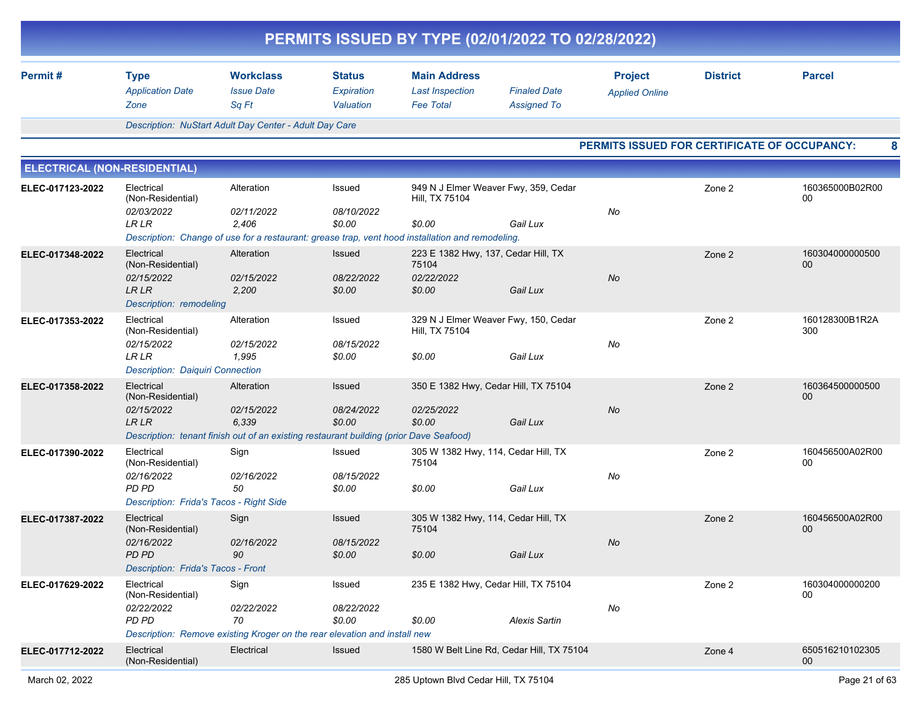| PERMITS ISSUED BY TYPE (02/01/2022 TO 02/28/2022) |                                                                                                               |                                                |                                          |                                                                   |                                           |                                              |                 |                                    |  |  |
|---------------------------------------------------|---------------------------------------------------------------------------------------------------------------|------------------------------------------------|------------------------------------------|-------------------------------------------------------------------|-------------------------------------------|----------------------------------------------|-----------------|------------------------------------|--|--|
| Permit#                                           | <b>Type</b><br><b>Application Date</b><br>Zone                                                                | <b>Workclass</b><br><b>Issue Date</b><br>Sq Ft | <b>Status</b><br>Expiration<br>Valuation | <b>Main Address</b><br><b>Last Inspection</b><br><b>Fee Total</b> | <b>Finaled Date</b><br><b>Assigned To</b> | <b>Project</b><br><b>Applied Online</b>      | <b>District</b> | <b>Parcel</b>                      |  |  |
|                                                   | Description: NuStart Adult Day Center - Adult Day Care                                                        |                                                |                                          |                                                                   |                                           |                                              |                 |                                    |  |  |
|                                                   |                                                                                                               |                                                |                                          |                                                                   |                                           | PERMITS ISSUED FOR CERTIFICATE OF OCCUPANCY: |                 |                                    |  |  |
| <b>ELECTRICAL (NON-RESIDENTIAL)</b>               |                                                                                                               |                                                |                                          |                                                                   |                                           |                                              |                 |                                    |  |  |
| ELEC-017123-2022                                  | Electrical<br>(Non-Residential)<br>02/03/2022                                                                 | Alteration<br>02/11/2022                       | Issued<br>08/10/2022                     | 949 N J Elmer Weaver Fwy, 359, Cedar<br>Hill, TX 75104            |                                           | No                                           | Zone 2          | 160365000B02R00<br>00              |  |  |
|                                                   | LR LR                                                                                                         | 2,406                                          | \$0.00                                   | \$0.00                                                            | Gail Lux                                  |                                              |                 |                                    |  |  |
|                                                   | Description: Change of use for a restaurant: grease trap, vent hood installation and remodeling.              |                                                |                                          |                                                                   |                                           |                                              |                 |                                    |  |  |
| ELEC-017348-2022                                  | Electrical<br>(Non-Residential)<br>02/15/2022                                                                 | Alteration<br>02/15/2022                       | <b>Issued</b><br>08/22/2022              | 223 E 1382 Hwy, 137, Cedar Hill, TX<br>75104<br>02/22/2022        |                                           | No                                           | Zone 2          | 160304000000500<br>00              |  |  |
|                                                   | <b>LRLR</b><br>Description: remodeling                                                                        | 2,200                                          | \$0.00                                   | \$0.00                                                            | Gail Lux                                  |                                              |                 |                                    |  |  |
| ELEC-017353-2022                                  | Electrical<br>(Non-Residential)<br>02/15/2022                                                                 | Alteration<br>02/15/2022                       | Issued<br>08/15/2022                     | 329 N J Elmer Weaver Fwy, 150, Cedar<br>Hill, TX 75104            |                                           | No                                           | Zone 2          | 160128300B1R2A<br>300              |  |  |
|                                                   | LR LR<br><b>Description: Daiquiri Connection</b>                                                              | 1,995                                          | \$0.00                                   | \$0.00                                                            | Gail Lux                                  |                                              |                 |                                    |  |  |
| ELEC-017358-2022                                  | Electrical<br>(Non-Residential)                                                                               | Alteration                                     | <b>Issued</b>                            | 350 E 1382 Hwy, Cedar Hill, TX 75104                              |                                           |                                              | Zone 2          | 160364500000500<br>00              |  |  |
|                                                   | 02/15/2022<br>LR LR<br>Description: tenant finish out of an existing restaurant building (prior Dave Seafood) | 02/15/2022<br>6,339                            | 08/24/2022<br>\$0.00                     | 02/25/2022<br>\$0.00                                              | Gail Lux                                  | No                                           |                 |                                    |  |  |
| ELEC-017390-2022                                  | Electrical                                                                                                    | Sign                                           | Issued                                   | 305 W 1382 Hwy, 114, Cedar Hill, TX                               |                                           |                                              | Zone 2          | 160456500A02R00                    |  |  |
|                                                   | (Non-Residential)<br>02/16/2022                                                                               | 02/16/2022                                     | 08/15/2022                               | 75104                                                             |                                           | No                                           |                 | 00                                 |  |  |
|                                                   | PD PD<br>Description: Frida's Tacos - Right Side                                                              | 50                                             | \$0.00                                   | \$0.00                                                            | Gail Lux                                  |                                              |                 |                                    |  |  |
| ELEC-017387-2022                                  | Electrical<br>(Non-Residential)                                                                               | Sign                                           | <b>Issued</b>                            | 305 W 1382 Hwy, 114, Cedar Hill, TX<br>75104                      |                                           |                                              | Zone 2          | 160456500A02R00<br>00              |  |  |
|                                                   | 02/16/2022<br>PD PD<br><b>Description: Frida's Tacos - Front</b>                                              | 02/16/2022<br>90                               | 08/15/2022<br>\$0.00                     | \$0.00                                                            | Gail Lux                                  | No                                           |                 |                                    |  |  |
| ELEC-017629-2022                                  | Electrical                                                                                                    | Sign                                           | Issued                                   | 235 E 1382 Hwy, Cedar Hill, TX 75104                              |                                           |                                              | Zone 2          | 160304000000200                    |  |  |
|                                                   | (Non-Residential)<br>02/22/2022<br>PD PD                                                                      | 02/22/2022<br>70                               | 08/22/2022<br>\$0.00                     | \$0.00                                                            | <b>Alexis Sartin</b>                      | No                                           |                 | 00                                 |  |  |
|                                                   | Description: Remove existing Kroger on the rear elevation and install new                                     |                                                |                                          |                                                                   |                                           |                                              |                 |                                    |  |  |
| ELEC-017712-2022                                  | Electrical<br>(Non-Residential)                                                                               | Electrical                                     | Issued                                   | 1580 W Belt Line Rd, Cedar Hill, TX 75104                         |                                           |                                              | Zone 4          | 650516210102305<br>00 <sub>o</sub> |  |  |
|                                                   |                                                                                                               |                                                |                                          |                                                                   |                                           |                                              |                 |                                    |  |  |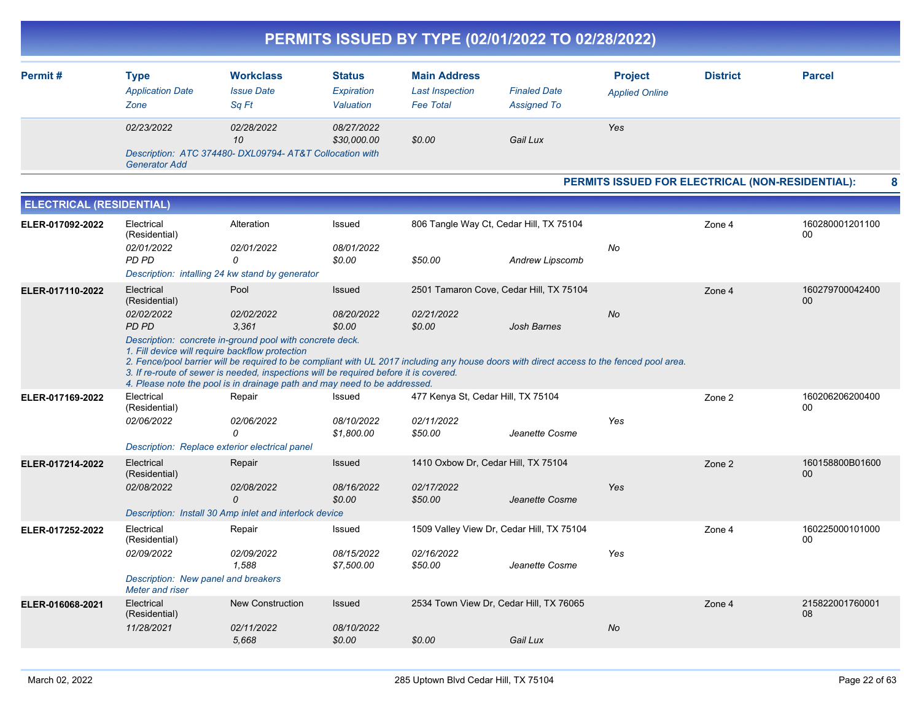|                                 |                                                                                                     |                                                                                                                                                                                                                                     |                                          |                                                                   | PERMITS ISSUED BY TYPE (02/01/2022 TO 02/28/2022)                                                                                                                                                          |                                                  |                 |                       |
|---------------------------------|-----------------------------------------------------------------------------------------------------|-------------------------------------------------------------------------------------------------------------------------------------------------------------------------------------------------------------------------------------|------------------------------------------|-------------------------------------------------------------------|------------------------------------------------------------------------------------------------------------------------------------------------------------------------------------------------------------|--------------------------------------------------|-----------------|-----------------------|
| Permit#                         | <b>Type</b><br><b>Application Date</b><br>Zone                                                      | <b>Workclass</b><br><b>Issue Date</b><br>Sq Ft                                                                                                                                                                                      | <b>Status</b><br>Expiration<br>Valuation | <b>Main Address</b><br><b>Last Inspection</b><br><b>Fee Total</b> | <b>Finaled Date</b><br><b>Assigned To</b>                                                                                                                                                                  | <b>Project</b><br><b>Applied Online</b>          | <b>District</b> | <b>Parcel</b>         |
|                                 | 02/23/2022<br><b>Generator Add</b>                                                                  | 02/28/2022<br>10<br>Description: ATC 374480- DXL09794- AT&T Collocation with                                                                                                                                                        | 08/27/2022<br>\$30,000.00                | \$0.00                                                            | Gail Lux                                                                                                                                                                                                   | Yes                                              |                 |                       |
|                                 |                                                                                                     |                                                                                                                                                                                                                                     |                                          |                                                                   |                                                                                                                                                                                                            | PERMITS ISSUED FOR ELECTRICAL (NON-RESIDENTIAL): |                 | 8                     |
| <b>ELECTRICAL (RESIDENTIAL)</b> |                                                                                                     |                                                                                                                                                                                                                                     |                                          |                                                                   |                                                                                                                                                                                                            |                                                  |                 |                       |
| ELER-017092-2022                | Electrical<br>(Residential)<br>02/01/2022<br>PD PD                                                  | Alteration<br>02/01/2022<br>0<br>Description: intalling 24 kw stand by generator                                                                                                                                                    | Issued<br>08/01/2022<br>\$0.00           | \$50.00                                                           | 806 Tangle Way Ct, Cedar Hill, TX 75104<br>Andrew Lipscomb                                                                                                                                                 | No                                               | Zone 4          | 160280001201100<br>00 |
| ELER-017110-2022                | Electrical<br>(Residential)<br>02/02/2022<br>PD PD                                                  | Pool<br>02/02/2022<br>3,361<br>Description: concrete in-ground pool with concrete deck.<br>1. Fill device will require backflow protection<br>3. If re-route of sewer is needed, inspections will be required before it is covered. | <b>Issued</b><br>08/20/2022<br>\$0.00    | 02/21/2022<br>\$0.00                                              | 2501 Tamaron Cove, Cedar Hill, TX 75104<br><b>Josh Barnes</b><br>2. Fence/pool barrier will be required to be compliant with UL 2017 including any house doors with direct access to the fenced pool area. | No                                               | Zone 4          | 160279700042400<br>00 |
| ELER-017169-2022                | Electrical<br>(Residential)<br>02/06/2022                                                           | 4. Please note the pool is in drainage path and may need to be addressed.<br>Repair<br>02/06/2022<br>$\Omega$<br>Description: Replace exterior electrical panel                                                                     | Issued<br>08/10/2022<br>\$1,800.00       | 477 Kenya St, Cedar Hill, TX 75104<br>02/11/2022<br>\$50.00       | Jeanette Cosme                                                                                                                                                                                             | Yes                                              | Zone 2          | 160206206200400<br>00 |
| ELER-017214-2022                | Electrical<br>(Residential)<br>02/08/2022                                                           | Repair<br>02/08/2022<br>$\Omega$<br>Description: Install 30 Amp inlet and interlock device                                                                                                                                          | <b>Issued</b><br>08/16/2022<br>\$0.00    | 02/17/2022<br>\$50.00                                             | 1410 Oxbow Dr, Cedar Hill, TX 75104<br>Jeanette Cosme                                                                                                                                                      | Yes                                              | Zone 2          | 160158800B01600<br>00 |
| ELER-017252-2022                | Electrical<br>(Residential)<br>02/09/2022<br>Description: New panel and breakers<br>Meter and riser | Repair<br>02/09/2022<br>1,588                                                                                                                                                                                                       | Issued<br>08/15/2022<br>\$7,500.00       | 02/16/2022<br>\$50.00                                             | 1509 Valley View Dr, Cedar Hill, TX 75104<br>Jeanette Cosme                                                                                                                                                | Yes                                              | Zone 4          | 160225000101000<br>00 |
| ELER-016068-2021                | Electrical<br>(Residential)<br>11/28/2021                                                           | New Construction<br>02/11/2022<br>5,668                                                                                                                                                                                             | Issued<br>08/10/2022<br>\$0.00           | \$0.00                                                            | 2534 Town View Dr, Cedar Hill, TX 76065<br>Gail Lux                                                                                                                                                        | No                                               | Zone 4          | 215822001760001<br>08 |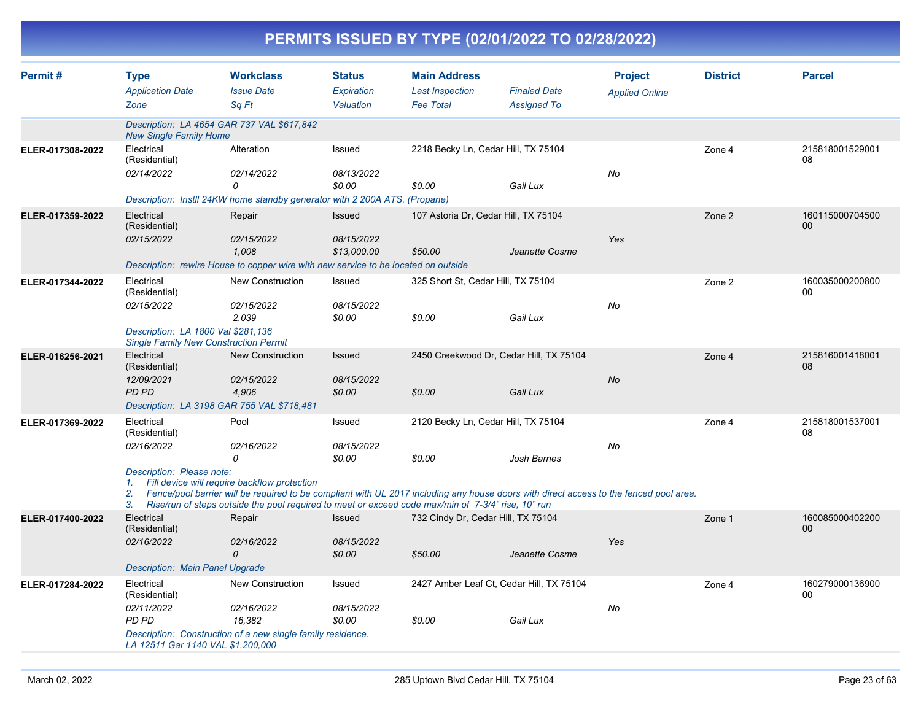|                  | PERMITS ISSUED BY TYPE (02/01/2022 TO 02/28/2022)                                                                               |                                                                                                                                                                                                                                                                                                                         |                                          |                                                                   |                                           |                                         |                 |                       |  |  |  |
|------------------|---------------------------------------------------------------------------------------------------------------------------------|-------------------------------------------------------------------------------------------------------------------------------------------------------------------------------------------------------------------------------------------------------------------------------------------------------------------------|------------------------------------------|-------------------------------------------------------------------|-------------------------------------------|-----------------------------------------|-----------------|-----------------------|--|--|--|
| Permit#          | <b>Type</b><br><b>Application Date</b><br>Zone                                                                                  | <b>Workclass</b><br><b>Issue Date</b><br>Sq Ft                                                                                                                                                                                                                                                                          | <b>Status</b><br>Expiration<br>Valuation | <b>Main Address</b><br><b>Last Inspection</b><br><b>Fee Total</b> | <b>Finaled Date</b><br><b>Assigned To</b> | <b>Project</b><br><b>Applied Online</b> | <b>District</b> | <b>Parcel</b>         |  |  |  |
|                  | <b>New Single Family Home</b>                                                                                                   | Description: LA 4654 GAR 737 VAL \$617,842                                                                                                                                                                                                                                                                              |                                          |                                                                   |                                           |                                         |                 |                       |  |  |  |
| ELER-017308-2022 | Electrical<br>(Residential)<br>02/14/2022                                                                                       | Alteration<br>02/14/2022<br>0<br>Description: Instll 24KW home standby generator with 2 200A ATS. (Propane)                                                                                                                                                                                                             | Issued<br>08/13/2022<br>\$0.00           | 2218 Becky Ln, Cedar Hill, TX 75104<br>\$0.00                     | Gail Lux                                  | No                                      | Zone 4          | 215818001529001<br>08 |  |  |  |
| ELER-017359-2022 | Electrical<br>(Residential)<br>02/15/2022                                                                                       | Repair<br>02/15/2022<br>1.008<br>Description: rewire House to copper wire with new service to be located on outside                                                                                                                                                                                                     | Issued<br>08/15/2022<br>\$13,000.00      | 107 Astoria Dr, Cedar Hill, TX 75104<br>\$50.00                   | Jeanette Cosme                            | Yes                                     | Zone 2          | 160115000704500<br>00 |  |  |  |
| ELER-017344-2022 | Electrical<br>(Residential)<br>02/15/2022<br>Description: LA 1800 Val \$281,136<br><b>Single Family New Construction Permit</b> | New Construction<br>02/15/2022<br>2,039                                                                                                                                                                                                                                                                                 | Issued<br>08/15/2022<br>\$0.00           | 325 Short St, Cedar Hill, TX 75104<br>\$0.00                      | Gail Lux                                  | No                                      | Zone 2          | 160035000200800<br>00 |  |  |  |
| ELER-016256-2021 | Electrical<br>(Residential)<br>12/09/2021<br>PD PD                                                                              | <b>New Construction</b><br>02/15/2022<br>4,906<br>Description: LA 3198 GAR 755 VAL \$718,481                                                                                                                                                                                                                            | Issued<br>08/15/2022<br>\$0.00           | 2450 Creekwood Dr, Cedar Hill, TX 75104<br>\$0.00                 | Gail Lux                                  | No                                      | Zone 4          | 215816001418001<br>08 |  |  |  |
| ELER-017369-2022 | Electrical<br>(Residential)<br>02/16/2022<br>Description: Please note:<br>1.<br>2.<br>3.                                        | Pool<br>02/16/2022<br>0<br>Fill device will require backflow protection<br>Fence/pool barrier will be required to be compliant with UL 2017 including any house doors with direct access to the fenced pool area.<br>Rise/run of steps outside the pool required to meet or exceed code max/min of 7-3/4" rise, 10" run | Issued<br>08/15/2022<br>\$0.00           | 2120 Becky Ln, Cedar Hill, TX 75104<br>\$0.00                     | Josh Barnes                               | No                                      | Zone 4          | 215818001537001<br>08 |  |  |  |
| ELER-017400-2022 | Electrical<br>(Residential)<br>02/16/2022<br>Description: Main Panel Upgrade                                                    | Repair<br>02/16/2022                                                                                                                                                                                                                                                                                                    | Issued<br>08/15/2022<br>\$0.00           | 732 Cindy Dr, Cedar Hill, TX 75104<br>\$50.00                     | Jeanette Cosme                            | Yes                                     | Zone 1          | 160085000402200<br>00 |  |  |  |
| ELER-017284-2022 | Electrical<br>(Residential)<br>02/11/2022<br>PD PD<br>LA 12511 Gar 1140 VAL \$1,200,000                                         | New Construction<br>02/16/2022<br>16,382<br>Description: Construction of a new single family residence.                                                                                                                                                                                                                 | Issued<br>08/15/2022<br>\$0.00           | 2427 Amber Leaf Ct, Cedar Hill, TX 75104<br>\$0.00                | Gail Lux                                  | No                                      | Zone 4          | 160279000136900<br>00 |  |  |  |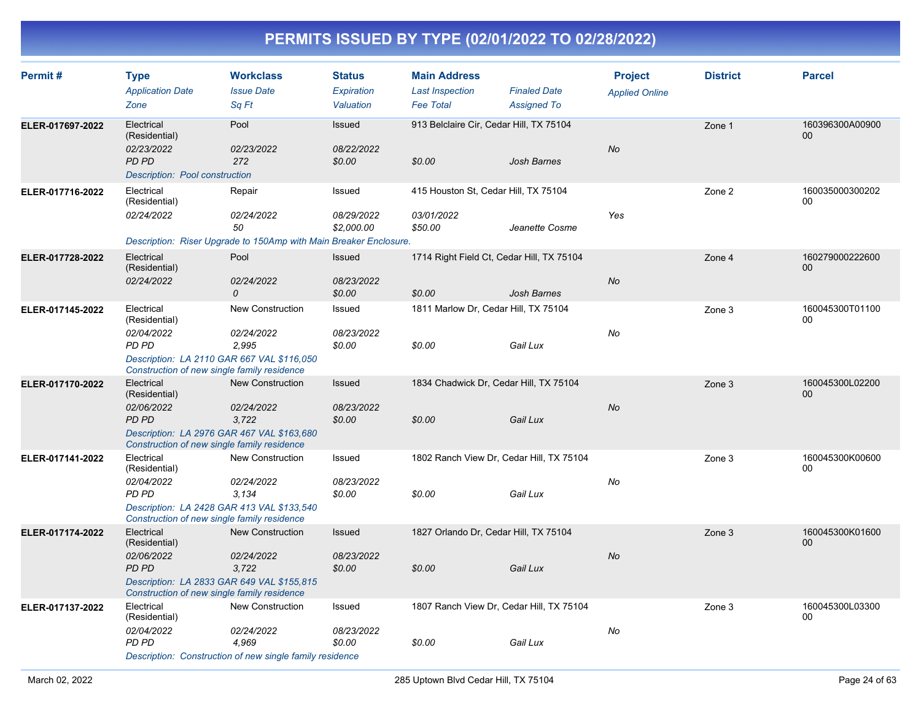| Permit#          | <b>Type</b><br><b>Application Date</b><br>Zone                                                                                                         | <b>Workclass</b><br><b>Issue Date</b><br>Sq Ft                                                             | <b>Status</b><br>Expiration<br>Valuation | <b>Main Address</b><br><b>Last Inspection</b><br><b>Fee Total</b> | <b>Finaled Date</b><br><b>Assigned To</b> | <b>Project</b><br><b>Applied Online</b> | <b>District</b> | <b>Parcel</b>             |
|------------------|--------------------------------------------------------------------------------------------------------------------------------------------------------|------------------------------------------------------------------------------------------------------------|------------------------------------------|-------------------------------------------------------------------|-------------------------------------------|-----------------------------------------|-----------------|---------------------------|
| ELER-017697-2022 | Electrical<br>(Residential)<br>02/23/2022<br><b>PD PD</b><br>Description: Pool construction                                                            | Pool<br>02/23/2022<br>272                                                                                  | Issued<br>08/22/2022<br>\$0.00           | 913 Belclaire Cir, Cedar Hill, TX 75104<br>\$0.00                 | <b>Josh Barnes</b>                        | <b>No</b>                               | Zone 1          | 160396300A00900<br>00     |
| ELER-017716-2022 | Electrical<br>(Residential)<br>02/24/2022                                                                                                              | Repair<br>02/24/2022<br>50<br>Description: Riser Upgrade to 150Amp with Main Breaker Enclosure.            | Issued<br>08/29/2022<br>\$2,000.00       | 415 Houston St, Cedar Hill, TX 75104<br>03/01/2022<br>\$50.00     | Jeanette Cosme                            | Yes                                     | Zone 2          | 160035000300202<br>$00\,$ |
| ELER-017728-2022 | Electrical<br>(Residential)<br>02/24/2022                                                                                                              | Pool<br>02/24/2022<br>$\mathcal{O}$                                                                        | Issued<br>08/23/2022<br>\$0.00           | 1714 Right Field Ct, Cedar Hill, TX 75104<br>\$0.00               | <b>Josh Barnes</b>                        | No                                      | Zone 4          | 160279000222600<br>$00\,$ |
| ELER-017145-2022 | Electrical<br>(Residential)<br>02/04/2022<br>PD PD<br>Description: LA 2110 GAR 667 VAL \$116,050<br>Construction of new single family residence        | <b>New Construction</b><br>02/24/2022<br>2,995                                                             | Issued<br>08/23/2022<br>\$0.00           | 1811 Marlow Dr, Cedar Hill, TX 75104<br>\$0.00                    | Gail Lux                                  | No                                      | Zone 3          | 160045300T01100<br>00     |
| ELER-017170-2022 | Electrical<br>(Residential)<br>02/06/2022<br><b>PD PD</b><br>Description: LA 2976 GAR 467 VAL \$163,680<br>Construction of new single family residence | New Construction<br>02/24/2022<br>3,722                                                                    | Issued<br>08/23/2022<br>\$0.00           | 1834 Chadwick Dr, Cedar Hill, TX 75104<br>\$0.00                  | Gail Lux                                  | No                                      | Zone 3          | 160045300L02200<br>$00\,$ |
| ELER-017141-2022 | Electrical<br>(Residential)<br>02/04/2022<br>PD PD<br>Description: LA 2428 GAR 413 VAL \$133,540<br>Construction of new single family residence        | <b>New Construction</b><br>02/24/2022<br>3.134                                                             | Issued<br>08/23/2022<br>\$0.00           | 1802 Ranch View Dr, Cedar Hill, TX 75104<br>\$0.00                | Gail Lux                                  | No                                      | Zone 3          | 160045300K00600<br>00     |
| ELER-017174-2022 | Electrical<br>(Residential)<br>02/06/2022<br>PD PD<br>Description: LA 2833 GAR 649 VAL \$155,815<br>Construction of new single family residence        | <b>New Construction</b><br>02/24/2022<br>3.722                                                             | Issued<br>08/23/2022<br>\$0.00           | 1827 Orlando Dr, Cedar Hill, TX 75104<br>\$0.00                   | Gail Lux                                  | <b>No</b>                               | Zone 3          | 160045300K01600<br>00     |
| ELER-017137-2022 | Electrical<br>(Residential)<br>02/04/2022<br>PD PD                                                                                                     | <b>New Construction</b><br>02/24/2022<br>4,969<br>Description: Construction of new single family residence | Issued<br>08/23/2022<br>\$0.00           | 1807 Ranch View Dr, Cedar Hill, TX 75104<br>\$0.00                | Gail Lux                                  | No                                      | Zone 3          | 160045300L03300<br>$00\,$ |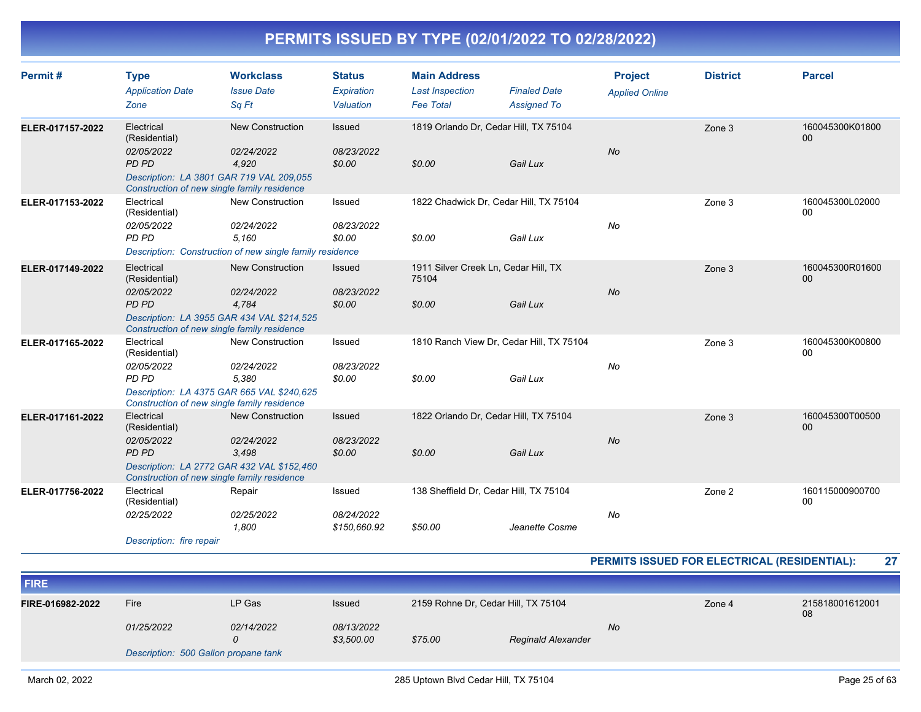| Permit#          | <b>Type</b><br><b>Application Date</b><br>Zone                                                                                                       | <b>Workclass</b><br><b>Issue Date</b><br>Sq Ft                                                             | <b>Status</b><br>Expiration<br>Valuation | <b>Main Address</b><br><b>Last Inspection</b><br><b>Fee Total</b> | <b>Finaled Date</b><br><b>Assigned To</b>            | <b>Project</b><br><b>Applied Online</b> | <b>District</b> | <b>Parcel</b>             |
|------------------|------------------------------------------------------------------------------------------------------------------------------------------------------|------------------------------------------------------------------------------------------------------------|------------------------------------------|-------------------------------------------------------------------|------------------------------------------------------|-----------------------------------------|-----------------|---------------------------|
| ELER-017157-2022 | Electrical<br>(Residential)<br>02/05/2022<br><b>PD PD</b><br>Description: LA 3801 GAR 719 VAL 209,055<br>Construction of new single family residence | <b>New Construction</b><br>02/24/2022<br>4,920                                                             | Issued<br>08/23/2022<br>\$0.00           | 1819 Orlando Dr, Cedar Hill, TX 75104<br>\$0.00                   | Gail Lux                                             | <b>No</b>                               | Zone 3          | 160045300K01800<br>00     |
| ELER-017153-2022 | Electrical<br>(Residential)<br>02/05/2022<br>PD PD                                                                                                   | <b>New Construction</b><br>02/24/2022<br>5.160<br>Description: Construction of new single family residence | Issued<br>08/23/2022<br>\$0.00           | 1822 Chadwick Dr, Cedar Hill, TX 75104<br>\$0.00                  | Gail Lux                                             | No                                      | Zone 3          | 160045300L02000<br>$00\,$ |
| ELER-017149-2022 | Electrical<br>(Residential)<br>02/05/2022<br><b>PD PD</b><br>Construction of new single family residence                                             | <b>New Construction</b><br>02/24/2022<br>4.784<br>Description: LA 3955 GAR 434 VAL \$214,525               | <b>Issued</b><br>08/23/2022<br>\$0.00    | 1911 Silver Creek Ln, Cedar Hill, TX<br>75104<br>\$0.00           | Gail Lux                                             | <b>No</b>                               | Zone 3          | 160045300R01600<br>00     |
| ELER-017165-2022 | Electrical<br>(Residential)<br>02/05/2022<br>PD PD<br>Construction of new single family residence                                                    | New Construction<br>02/24/2022<br>5,380<br>Description: LA 4375 GAR 665 VAL \$240,625                      | Issued<br>08/23/2022<br>\$0.00           | \$0.00                                                            | 1810 Ranch View Dr, Cedar Hill, TX 75104<br>Gail Lux | No                                      | Zone 3          | 160045300K00800<br>00     |
| ELER-017161-2022 | Electrical<br>(Residential)<br>02/05/2022<br><b>PD PD</b><br>Construction of new single family residence                                             | <b>New Construction</b><br>02/24/2022<br>3.498<br>Description: LA 2772 GAR 432 VAL \$152,460               | <b>Issued</b><br>08/23/2022<br>\$0.00    | 1822 Orlando Dr, Cedar Hill, TX 75104<br>\$0.00                   | Gail Lux                                             | <b>No</b>                               | Zone 3          | 160045300T00500<br>00     |
| ELER-017756-2022 | Electrical<br>(Residential)<br>02/25/2022<br>Description: fire repair                                                                                | Repair<br>02/25/2022<br>1,800                                                                              | Issued<br>08/24/2022<br>\$150,660.92     | 138 Sheffield Dr, Cedar Hill, TX 75104<br>\$50.00                 | Jeanette Cosme                                       | No                                      | Zone 2          | 160115000900700<br>$00\,$ |

#### **PERMITS ISSUED FOR ELECTRICAL (RESIDENTIAL): 27**

| <b>FIRE</b>                                                    |                                      |   |                                           |                                           |                    |        |                       |
|----------------------------------------------------------------|--------------------------------------|---|-------------------------------------------|-------------------------------------------|--------------------|--------|-----------------------|
| Fire<br>LP Gas<br>FIRE-016982-2022<br>01/25/2022<br>02/14/2022 |                                      |   | <b>Issued</b><br>08/13/2022<br>\$3,500.00 | 2159 Rohne Dr. Cedar Hill, TX 75104<br>No |                    | Zone 4 | 215818001612001<br>08 |
|                                                                | Description: 500 Gallon propane tank | 0 |                                           | \$75.00                                   | Reginald Alexander |        |                       |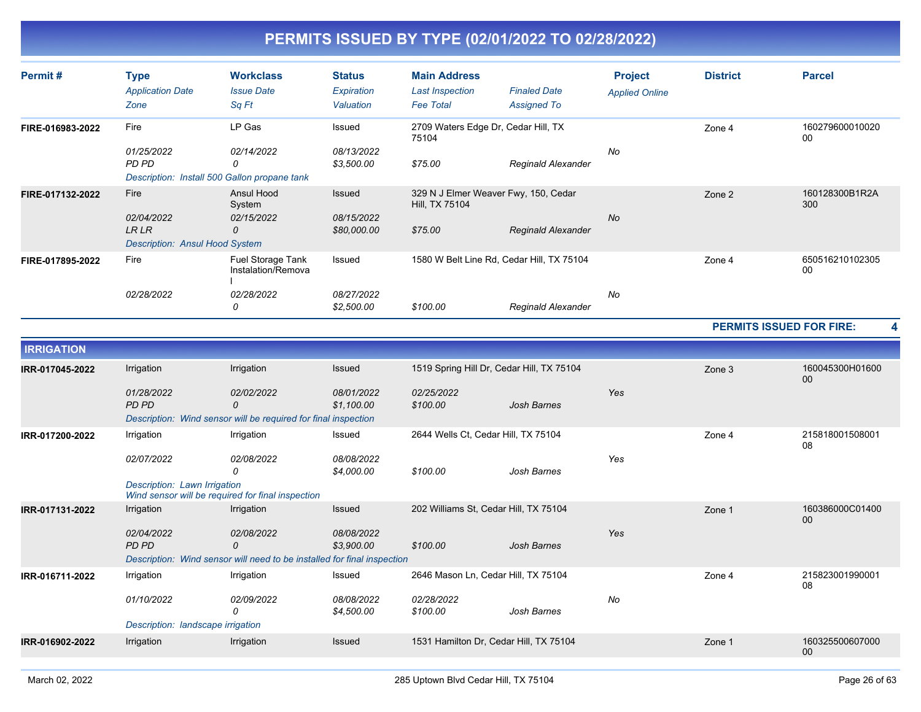| Permit#          | <b>Type</b><br><b>Application Date</b><br>Zone                              | <b>Workclass</b><br><b>Issue Date</b><br>Sq Ft                            | <b>Status</b><br>Expiration<br>Valuation | <b>Main Address</b><br>Last Inspection<br><b>Fee Total</b>        | <b>Finaled Date</b><br><b>Assigned To</b> | <b>Project</b><br><b>Applied Online</b> | <b>District</b> | <b>Parcel</b>         |
|------------------|-----------------------------------------------------------------------------|---------------------------------------------------------------------------|------------------------------------------|-------------------------------------------------------------------|-------------------------------------------|-----------------------------------------|-----------------|-----------------------|
| FIRE-016983-2022 | Fire<br>01/25/2022<br>PD PD                                                 | LP Gas<br>02/14/2022<br>0<br>Description: Install 500 Gallon propane tank | Issued<br>08/13/2022<br>\$3,500.00       | 2709 Waters Edge Dr, Cedar Hill, TX<br>75104<br>\$75.00           | Reginald Alexander                        | No                                      | Zone 4          | 160279600010020<br>00 |
| FIRE-017132-2022 | Fire<br>02/04/2022<br><b>LR LR</b><br><b>Description: Ansul Hood System</b> | Ansul Hood<br>System<br>02/15/2022<br>0                                   | Issued<br>08/15/2022<br>\$80,000.00      | 329 N J Elmer Weaver Fwy, 150, Cedar<br>Hill, TX 75104<br>\$75.00 | <b>Reginald Alexander</b>                 | No                                      | Zone 2          | 160128300B1R2A<br>300 |
| FIRE-017895-2022 | Fire<br>02/28/2022                                                          | Fuel Storage Tank<br>Instalation/Remova<br>02/28/2022<br>0                | Issued<br>08/27/2022<br>\$2,500.00       | 1580 W Belt Line Rd, Cedar Hill, TX 75104<br>\$100.00             | Reginald Alexander                        | No                                      | Zone 4          | 650516210102305<br>00 |

**PERMITS ISSUED FOR FIRE: 4**

| <b>IRRIGATION</b> |                                   |                                                                         |                          |                                           |             |     |        |                       |
|-------------------|-----------------------------------|-------------------------------------------------------------------------|--------------------------|-------------------------------------------|-------------|-----|--------|-----------------------|
| IRR-017045-2022   | Irrigation                        | Irrigation                                                              | <b>Issued</b>            | 1519 Spring Hill Dr, Cedar Hill, TX 75104 |             |     | Zone 3 | 160045300H01600<br>00 |
|                   | 01/28/2022<br>PD PD               | 02/02/2022<br>0                                                         | 08/01/2022<br>\$1,100.00 | 02/25/2022<br>\$100.00                    | Josh Barnes | Yes |        |                       |
|                   |                                   | Description: Wind sensor will be required for final inspection          |                          |                                           |             |     |        |                       |
| IRR-017200-2022   | Irrigation                        | Irrigation                                                              | Issued                   | 2644 Wells Ct, Cedar Hill, TX 75104       |             |     | Zone 4 | 215818001508001<br>08 |
|                   | 02/07/2022                        | 02/08/2022<br>0                                                         | 08/08/2022<br>\$4,000.00 | \$100.00                                  | Josh Barnes | Yes |        |                       |
|                   | Description: Lawn Irrigation      | Wind sensor will be required for final inspection                       |                          |                                           |             |     |        |                       |
| IRR-017131-2022   | Irrigation                        | Irrigation                                                              | <b>Issued</b>            | 202 Williams St, Cedar Hill, TX 75104     |             |     | Zone 1 | 160386000C01400<br>00 |
|                   | 02/04/2022<br>PD PD               | 02/08/2022<br>0                                                         | 08/08/2022<br>\$3,900.00 | \$100.00                                  | Josh Barnes | Yes |        |                       |
|                   |                                   | Description: Wind sensor will need to be installed for final inspection |                          |                                           |             |     |        |                       |
| IRR-016711-2022   | Irrigation                        | Irrigation                                                              | Issued                   | 2646 Mason Ln, Cedar Hill, TX 75104       |             |     | Zone 4 | 215823001990001<br>08 |
|                   | 01/10/2022                        | 02/09/2022<br>$\Omega$                                                  | 08/08/2022<br>\$4,500.00 | 02/28/2022<br>\$100.00                    | Josh Barnes | No  |        |                       |
|                   | Description: landscape irrigation |                                                                         |                          |                                           |             |     |        |                       |
| IRR-016902-2022   | Irrigation                        | Irrigation                                                              | Issued                   | 1531 Hamilton Dr, Cedar Hill, TX 75104    |             |     | Zone 1 | 160325500607000<br>00 |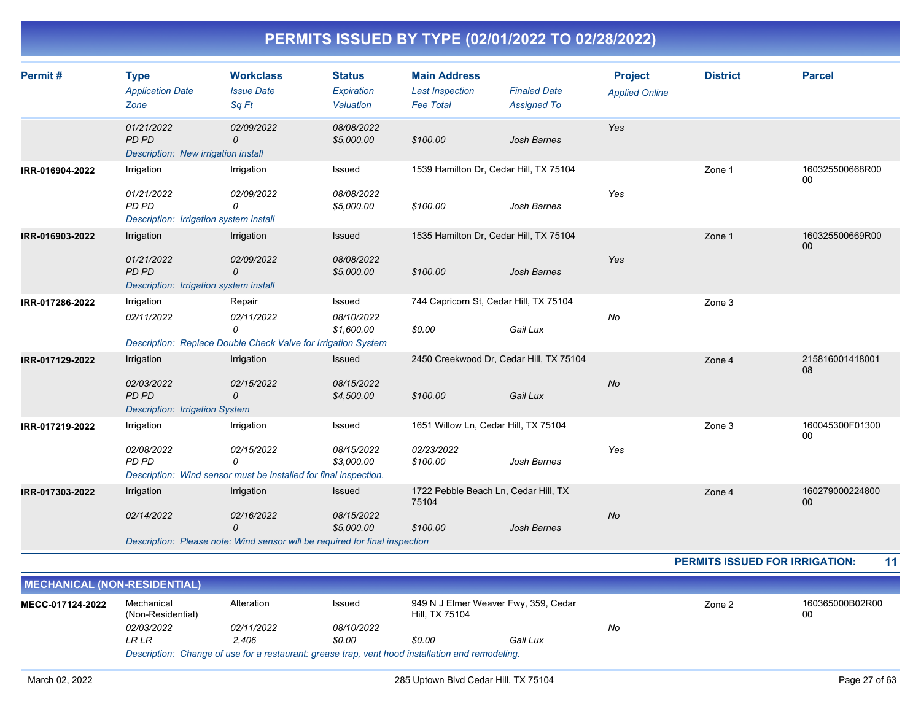| Permit#         | <b>Type</b><br><b>Application Date</b><br>Zone                              | <b>Workclass</b><br><b>Issue Date</b><br>Sq Ft                                          | <b>Status</b><br>Expiration<br>Valuation | <b>Main Address</b><br><b>Last Inspection</b><br><b>Fee Total</b> | <b>Finaled Date</b><br><b>Assigned To</b> | <b>Project</b><br><b>Applied Online</b> | <b>District</b> | <b>Parcel</b>             |
|-----------------|-----------------------------------------------------------------------------|-----------------------------------------------------------------------------------------|------------------------------------------|-------------------------------------------------------------------|-------------------------------------------|-----------------------------------------|-----------------|---------------------------|
|                 | 01/21/2022<br><b>PD PD</b><br>Description: New irrigation install           | 02/09/2022<br>0                                                                         | 08/08/2022<br>\$5,000.00                 | \$100.00                                                          | <b>Josh Barnes</b>                        | Yes                                     |                 |                           |
| IRR-016904-2022 | Irrigation                                                                  | Irrigation                                                                              | Issued                                   | 1539 Hamilton Dr, Cedar Hill, TX 75104                            |                                           |                                         | Zone 1          | 160325500668R00<br>$00\,$ |
|                 | 01/21/2022<br>PD PD<br>Description: Irrigation system install               | 02/09/2022<br>0                                                                         | 08/08/2022<br>\$5,000.00                 | \$100.00                                                          | Josh Barnes                               | Yes                                     |                 |                           |
| IRR-016903-2022 | Irrigation                                                                  | Irrigation                                                                              | Issued                                   | 1535 Hamilton Dr, Cedar Hill, TX 75104                            |                                           |                                         | Zone 1          | 160325500669R00<br>00     |
|                 | 01/21/2022<br>PD PD<br>Description: Irrigation system install               | 02/09/2022<br>0                                                                         | 08/08/2022<br>\$5,000.00                 | \$100.00                                                          | Josh Barnes                               | Yes                                     |                 |                           |
| IRR-017286-2022 | Irrigation                                                                  | Repair                                                                                  | Issued                                   | 744 Capricorn St, Cedar Hill, TX 75104                            |                                           |                                         | Zone 3          |                           |
|                 | 02/11/2022                                                                  | 02/11/2022<br>$\Omega$<br>Description: Replace Double Check Valve for Irrigation System | 08/10/2022<br>\$1,600.00                 | \$0.00                                                            | Gail Lux                                  | No                                      |                 |                           |
| IRR-017129-2022 | Irrigation                                                                  | Irrigation                                                                              | <b>Issued</b>                            | 2450 Creekwood Dr, Cedar Hill, TX 75104                           |                                           |                                         | Zone 4          | 215816001418001           |
|                 | 02/03/2022<br><b>PD PD</b><br><b>Description: Irrigation System</b>         | 02/15/2022<br>0                                                                         | 08/15/2022<br>\$4,500.00                 | \$100.00                                                          | Gail Lux                                  | No                                      |                 | 08                        |
| IRR-017219-2022 | Irrigation                                                                  | Irrigation                                                                              | Issued                                   | 1651 Willow Ln, Cedar Hill, TX 75104                              |                                           |                                         | Zone 3          | 160045300F01300<br>$00\,$ |
|                 | 02/08/2022<br>PD PD                                                         | 02/15/2022<br>0<br>Description: Wind sensor must be installed for final inspection.     | 08/15/2022<br>\$3,000.00                 | 02/23/2022<br>\$100.00                                            | Josh Barnes                               | Yes                                     |                 |                           |
| IRR-017303-2022 | Irrigation                                                                  | Irrigation                                                                              | Issued                                   | 1722 Pebble Beach Ln, Cedar Hill, TX<br>75104                     |                                           |                                         | Zone 4          | 160279000224800<br>$00\,$ |
|                 | 02/14/2022                                                                  | 02/16/2022<br>0                                                                         | 08/15/2022<br>\$5,000.00                 | \$100.00                                                          | <b>Josh Barnes</b>                        | No                                      |                 |                           |
|                 | Description: Please note: Wind sensor will be required for final inspection |                                                                                         |                                          |                                                                   |                                           |                                         |                 |                           |

**PERMITS ISSUED FOR IRRIGATION: 11**

| <b>MECHANICAL (NON-RESIDENTIAL)</b>                                                              |                                 |            |            |                |                                      |    |        |                       |  |  |
|--------------------------------------------------------------------------------------------------|---------------------------------|------------|------------|----------------|--------------------------------------|----|--------|-----------------------|--|--|
| MECC-017124-2022                                                                                 | Mechanical<br>(Non-Residential) | Alteration | Issued     | Hill. TX 75104 | 949 N J Elmer Weaver Fwy, 359, Cedar |    | Zone 2 | 160365000B02R00<br>00 |  |  |
|                                                                                                  | 02/03/2022                      | 02/11/2022 | 08/10/2022 |                |                                      | No |        |                       |  |  |
|                                                                                                  | LR LR                           | 2.406      | \$0.00     | \$0.00         | Gail Lux                             |    |        |                       |  |  |
| Description: Change of use for a restaurant: grease trap, vent hood installation and remodeling. |                                 |            |            |                |                                      |    |        |                       |  |  |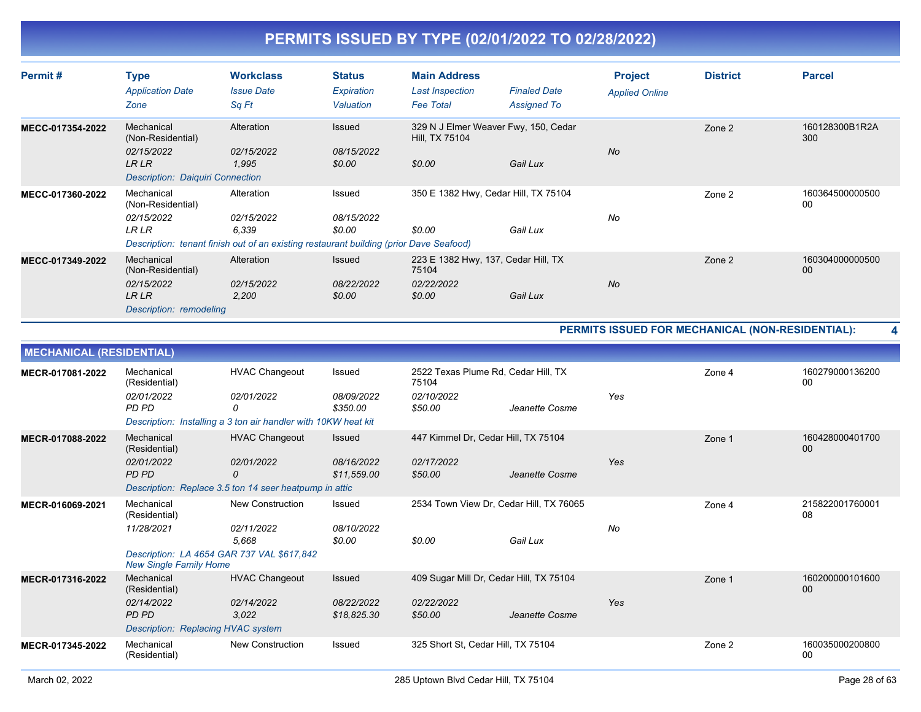| Permit#          | <b>Type</b><br><b>Application Date</b><br>Zone                                                    | <b>Workclass</b><br><b>Issue Date</b><br>Sq Ft                                                                              | <b>Status</b><br>Expiration<br>Valuation | <b>Main Address</b><br><b>Last Inspection</b><br><b>Fee Total</b>    | <b>Finaled Date</b><br><b>Assigned To</b> | <b>Project</b><br><b>Applied Online</b> | <b>District</b> | <b>Parcel</b>         |
|------------------|---------------------------------------------------------------------------------------------------|-----------------------------------------------------------------------------------------------------------------------------|------------------------------------------|----------------------------------------------------------------------|-------------------------------------------|-----------------------------------------|-----------------|-----------------------|
| MECC-017354-2022 | Mechanical<br>(Non-Residential)<br>02/15/2022<br>LR LR<br><b>Description: Daiguiri Connection</b> | Alteration<br>02/15/2022<br>1,995                                                                                           | Issued<br>08/15/2022<br>\$0.00           | 329 N J Elmer Weaver Fwy, 150, Cedar<br>Hill, TX 75104<br>\$0.00     | Gail Lux                                  | <b>No</b>                               | Zone 2          | 160128300B1R2A<br>300 |
| MECC-017360-2022 | Mechanical<br>(Non-Residential)<br>02/15/2022<br><b>LR LR</b>                                     | Alteration<br>02/15/2022<br>6.339<br>Description: tenant finish out of an existing restaurant building (prior Dave Seafood) | Issued<br>08/15/2022<br>\$0.00           | 350 E 1382 Hwy, Cedar Hill, TX 75104<br>\$0.00                       | Gail Lux                                  | No                                      | Zone 2          | 160364500000500<br>00 |
| MECC-017349-2022 | Mechanical<br>(Non-Residential)<br>02/15/2022<br><b>LR LR</b><br>Description: remodeling          | Alteration<br>02/15/2022<br>2,200                                                                                           | Issued<br>08/22/2022<br>\$0.00           | 223 E 1382 Hwy, 137, Cedar Hill, TX<br>75104<br>02/22/2022<br>\$0.00 | Gail Lux                                  | <b>No</b>                               | Zone 2          | 160304000000500<br>00 |

#### **PERMITS ISSUED FOR MECHANICAL (NON-RESIDENTIAL): 4**

|                  | <b>MECHANICAL (RESIDENTIAL)</b>                                             |                                                                |                             |                                              |                |     |        |                       |  |  |
|------------------|-----------------------------------------------------------------------------|----------------------------------------------------------------|-----------------------------|----------------------------------------------|----------------|-----|--------|-----------------------|--|--|
| MECR-017081-2022 | Mechanical<br>(Residential)                                                 | <b>HVAC Changeout</b>                                          | Issued                      | 2522 Texas Plume Rd, Cedar Hill, TX<br>75104 |                |     | Zone 4 | 160279000136200<br>00 |  |  |
|                  | 02/01/2022<br>PD PD                                                         | 02/01/2022<br>0                                                | 08/09/2022<br>\$350.00      | 02/10/2022<br>\$50.00                        | Jeanette Cosme | Yes |        |                       |  |  |
|                  |                                                                             | Description: Installing a 3 ton air handler with 10KW heat kit |                             |                                              |                |     |        |                       |  |  |
| MECR-017088-2022 | Mechanical<br>(Residential)                                                 | <b>HVAC Changeout</b>                                          | Issued                      | 447 Kimmel Dr, Cedar Hill, TX 75104          |                |     | Zone 1 | 160428000401700<br>00 |  |  |
|                  | 02/01/2022<br><b>PD PD</b>                                                  | 02/01/2022<br>0                                                | 08/16/2022<br>\$11,559.00   | 02/17/2022<br>\$50.00                        | Jeanette Cosme | Yes |        |                       |  |  |
|                  |                                                                             | Description: Replace 3.5 ton 14 seer heatpump in attic         |                             |                                              |                |     |        |                       |  |  |
| MECR-016069-2021 | Mechanical<br>(Residential)                                                 | <b>New Construction</b>                                        | Issued                      | 2534 Town View Dr, Cedar Hill, TX 76065      |                |     | Zone 4 | 215822001760001<br>08 |  |  |
|                  | 11/28/2021                                                                  | 02/11/2022<br>5,668                                            | <i>08/10/2022</i><br>\$0.00 | \$0.00                                       | Gail Lux       | No  |        |                       |  |  |
|                  | Description: LA 4654 GAR 737 VAL \$617,842<br><b>New Single Family Home</b> |                                                                |                             |                                              |                |     |        |                       |  |  |
| MECR-017316-2022 | Mechanical<br>(Residential)                                                 | <b>HVAC Changeout</b>                                          | Issued                      | 409 Sugar Mill Dr, Cedar Hill, TX 75104      |                |     | Zone 1 | 160200000101600<br>00 |  |  |
|                  | 02/14/2022<br><b>PD PD</b>                                                  | 02/14/2022<br>3.022                                            | 08/22/2022<br>\$18,825.30   | 02/22/2022<br>\$50.00                        | Jeanette Cosme | Yes |        |                       |  |  |
|                  | Description: Replacing HVAC system                                          |                                                                |                             |                                              |                |     |        |                       |  |  |
| MECR-017345-2022 | Mechanical<br>(Residential)                                                 | <b>New Construction</b>                                        | Issued                      | 325 Short St, Cedar Hill, TX 75104           |                |     | Zone 2 | 160035000200800<br>00 |  |  |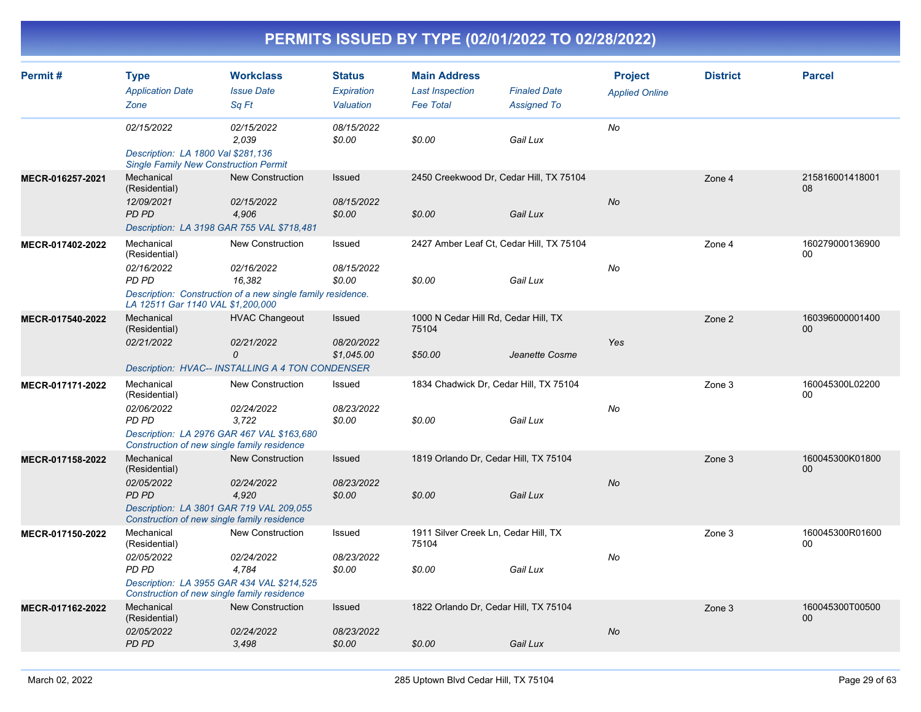| Permit#          | <b>Type</b><br><b>Application Date</b><br>Zone                                                                                                  | <b>Workclass</b><br><b>Issue Date</b><br>Sq Ft                                                                 | <b>Status</b><br>Expiration<br>Valuation | <b>Main Address</b><br><b>Last Inspection</b><br><b>Fee Total</b> | <b>Finaled Date</b><br><b>Assigned To</b> | <b>Project</b><br><b>Applied Online</b> | <b>District</b> | <b>Parcel</b>         |
|------------------|-------------------------------------------------------------------------------------------------------------------------------------------------|----------------------------------------------------------------------------------------------------------------|------------------------------------------|-------------------------------------------------------------------|-------------------------------------------|-----------------------------------------|-----------------|-----------------------|
|                  | 02/15/2022<br>Description: LA 1800 Val \$281,136<br><b>Single Family New Construction Permit</b>                                                | 02/15/2022<br>2.039                                                                                            | 08/15/2022<br>\$0.00                     | \$0.00                                                            | Gail Lux                                  | No                                      |                 |                       |
| MECR-016257-2021 | Mechanical<br>(Residential)<br>12/09/2021<br>PD PD<br>Description: LA 3198 GAR 755 VAL \$718,481                                                | <b>New Construction</b><br>02/15/2022<br>4,906                                                                 | Issued<br>08/15/2022<br>\$0.00           | 2450 Creekwood Dr, Cedar Hill, TX 75104<br>\$0.00                 | Gail Lux                                  | No                                      | Zone 4          | 215816001418001<br>08 |
| MECR-017402-2022 | Mechanical<br>(Residential)<br>02/16/2022<br>PD PD<br>LA 12511 Gar 1140 VAL \$1,200,000                                                         | <b>New Construction</b><br>02/16/2022<br>16.382<br>Description: Construction of a new single family residence. | Issued<br>08/15/2022<br>\$0.00           | 2427 Amber Leaf Ct, Cedar Hill, TX 75104<br>\$0.00                | Gail Lux                                  | No                                      | Zone 4          | 160279000136900<br>00 |
| MECR-017540-2022 | Mechanical<br>(Residential)<br>02/21/2022<br>Description: HVAC-- INSTALLING A 4 TON CONDENSER                                                   | <b>HVAC Changeout</b><br>02/21/2022<br>$\Omega$                                                                | Issued<br>08/20/2022<br>\$1,045.00       | 1000 N Cedar Hill Rd, Cedar Hill, TX<br>75104<br>\$50.00          | Jeanette Cosme                            | Yes                                     | Zone 2          | 160396000001400<br>00 |
| MECR-017171-2022 | Mechanical<br>(Residential)<br>02/06/2022<br>PD PD<br>Description: LA 2976 GAR 467 VAL \$163,680<br>Construction of new single family residence | <b>New Construction</b><br>02/24/2022<br>3,722                                                                 | Issued<br>08/23/2022<br>\$0.00           | 1834 Chadwick Dr, Cedar Hill, TX 75104<br>\$0.00                  | Gail Lux                                  | No                                      | Zone 3          | 160045300L02200<br>00 |
| MECR-017158-2022 | Mechanical<br>(Residential)<br>02/05/2022<br>PD PD<br>Description: LA 3801 GAR 719 VAL 209,055<br>Construction of new single family residence   | <b>New Construction</b><br>02/24/2022<br>4.920                                                                 | <b>Issued</b><br>08/23/2022<br>\$0.00    | 1819 Orlando Dr, Cedar Hill, TX 75104<br>\$0.00                   | Gail Lux                                  | <b>No</b>                               | Zone 3          | 160045300K01800<br>00 |
| MECR-017150-2022 | Mechanical<br>(Residential)<br>02/05/2022<br>PD PD<br>Description: LA 3955 GAR 434 VAL \$214,525<br>Construction of new single family residence | <b>New Construction</b><br>02/24/2022<br>4,784                                                                 | Issued<br>08/23/2022<br>\$0.00           | 1911 Silver Creek Ln, Cedar Hill, TX<br>75104<br>\$0.00           | Gail Lux                                  | No                                      | Zone 3          | 160045300R01600<br>00 |
| MECR-017162-2022 | Mechanical<br>(Residential)<br>02/05/2022<br><b>PD PD</b>                                                                                       | <b>New Construction</b><br>02/24/2022<br>3,498                                                                 | <b>Issued</b><br>08/23/2022<br>\$0.00    | 1822 Orlando Dr, Cedar Hill, TX 75104<br>\$0.00                   | Gail Lux                                  | No                                      | Zone 3          | 160045300T00500<br>00 |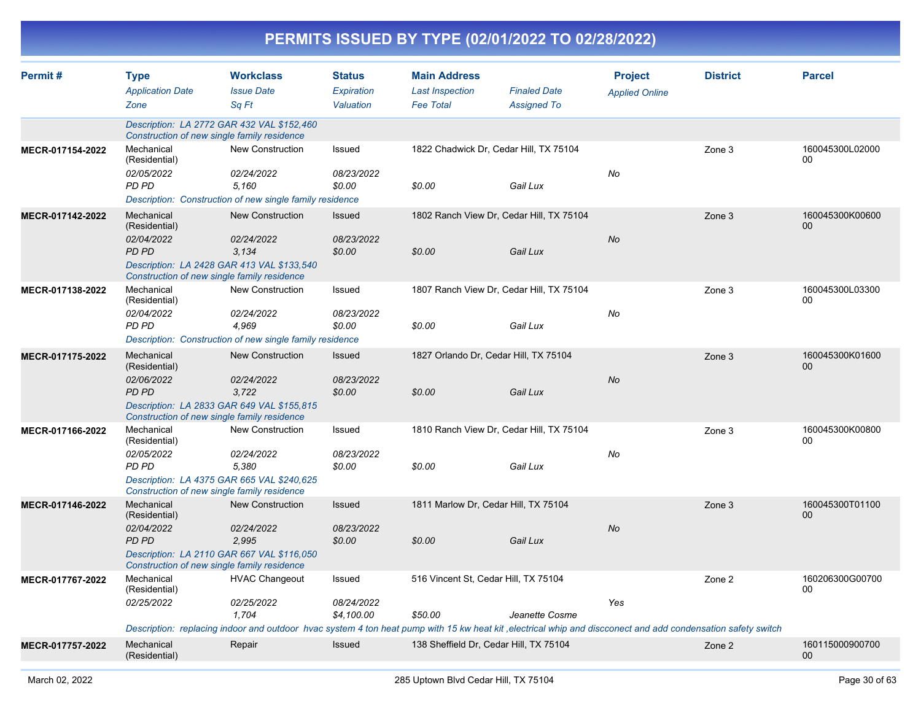|                  |                                                           |                                                                                                                                                                                                              |                                           |                                                                   | PERMITS ISSUED BY TYPE (02/01/2022 TO 02/28/2022)    |                                         |                 |                           |
|------------------|-----------------------------------------------------------|--------------------------------------------------------------------------------------------------------------------------------------------------------------------------------------------------------------|-------------------------------------------|-------------------------------------------------------------------|------------------------------------------------------|-----------------------------------------|-----------------|---------------------------|
| Permit#          | <b>Type</b><br><b>Application Date</b><br>Zone            | <b>Workclass</b><br><b>Issue Date</b><br>Sq Ft                                                                                                                                                               | <b>Status</b><br>Expiration<br>Valuation  | <b>Main Address</b><br><b>Last Inspection</b><br><b>Fee Total</b> | <b>Finaled Date</b><br><b>Assigned To</b>            | <b>Project</b><br><b>Applied Online</b> | <b>District</b> | <b>Parcel</b>             |
|                  |                                                           | Description: LA 2772 GAR 432 VAL \$152,460<br>Construction of new single family residence                                                                                                                    |                                           |                                                                   |                                                      |                                         |                 |                           |
| MECR-017154-2022 | Mechanical<br>(Residential)<br>02/05/2022<br>PD PD        | New Construction<br>02/24/2022<br>5,160<br>Description: Construction of new single family residence                                                                                                          | Issued<br>08/23/2022<br>\$0.00            | \$0.00                                                            | 1822 Chadwick Dr, Cedar Hill, TX 75104<br>Gail Lux   | No                                      | Zone 3          | 160045300L02000<br>00     |
| MECR-017142-2022 | Mechanical<br>(Residential)<br>02/04/2022<br>PD PD        | <b>New Construction</b><br>02/24/2022<br>3,134<br>Description: LA 2428 GAR 413 VAL \$133,540<br>Construction of new single family residence                                                                  | Issued<br>08/23/2022<br>\$0.00            | \$0.00                                                            | 1802 Ranch View Dr, Cedar Hill, TX 75104<br>Gail Lux | No                                      | Zone 3          | 160045300K00600<br>$00\,$ |
| MECR-017138-2022 | Mechanical<br>(Residential)<br>02/04/2022<br>PD PD        | New Construction<br>02/24/2022<br>4,969<br>Description: Construction of new single family residence                                                                                                          | Issued<br>08/23/2022<br>\$0.00            | \$0.00                                                            | 1807 Ranch View Dr, Cedar Hill, TX 75104<br>Gail Lux | No                                      | Zone 3          | 160045300L03300<br>00     |
| MECR-017175-2022 | Mechanical<br>(Residential)<br>02/06/2022<br>PD PD        | <b>New Construction</b><br>02/24/2022<br>3,722<br>Description: LA 2833 GAR 649 VAL \$155,815<br>Construction of new single family residence                                                                  | Issued<br>08/23/2022<br>\$0.00            | \$0.00                                                            | 1827 Orlando Dr, Cedar Hill, TX 75104<br>Gail Lux    | No                                      | Zone 3          | 160045300K01600<br>$00\,$ |
| MECR-017166-2022 | Mechanical<br>(Residential)<br>02/05/2022<br><b>PD PD</b> | <b>New Construction</b><br>02/24/2022<br>5,380<br>Description: LA 4375 GAR 665 VAL \$240,625<br>Construction of new single family residence                                                                  | Issued<br>08/23/2022<br>\$0.00            | \$0.00                                                            | 1810 Ranch View Dr, Cedar Hill, TX 75104<br>Gail Lux | No                                      | Zone 3          | 160045300K00800<br>00     |
| MECR-017146-2022 | Mechanical<br>(Residential)<br>02/04/2022<br>PD PD        | New Construction<br>02/24/2022<br>2,995<br>Description: LA 2110 GAR 667 VAL \$116,050<br>Construction of new single family residence                                                                         | Issued<br>08/23/2022<br>\$0.00            | \$0.00                                                            | 1811 Marlow Dr, Cedar Hill, TX 75104<br>Gail Lux     | No                                      | Zone 3          | 160045300T01100<br>00     |
| MECR-017767-2022 | Mechanical<br>(Residential)<br>02/25/2022                 | <b>HVAC Changeout</b><br>02/25/2022<br>1,704<br>Description: replacing indoor and outdoor hvac system 4 ton heat pump with 15 kw heat kit, electrical whip and discconect and add condensation safety switch | Issued<br><i>08/24/2022</i><br>\$4,100.00 | 516 Vincent St, Cedar Hill, TX 75104<br>\$50.00                   | Jeanette Cosme                                       | Yes                                     | Zone 2          | 160206300G00700<br>00     |
| MECR-017757-2022 | Mechanical<br>(Residential)                               | Repair                                                                                                                                                                                                       | <b>Issued</b>                             |                                                                   | 138 Sheffield Dr, Cedar Hill, TX 75104               |                                         | Zone 2          | 160115000900700<br>00     |

٦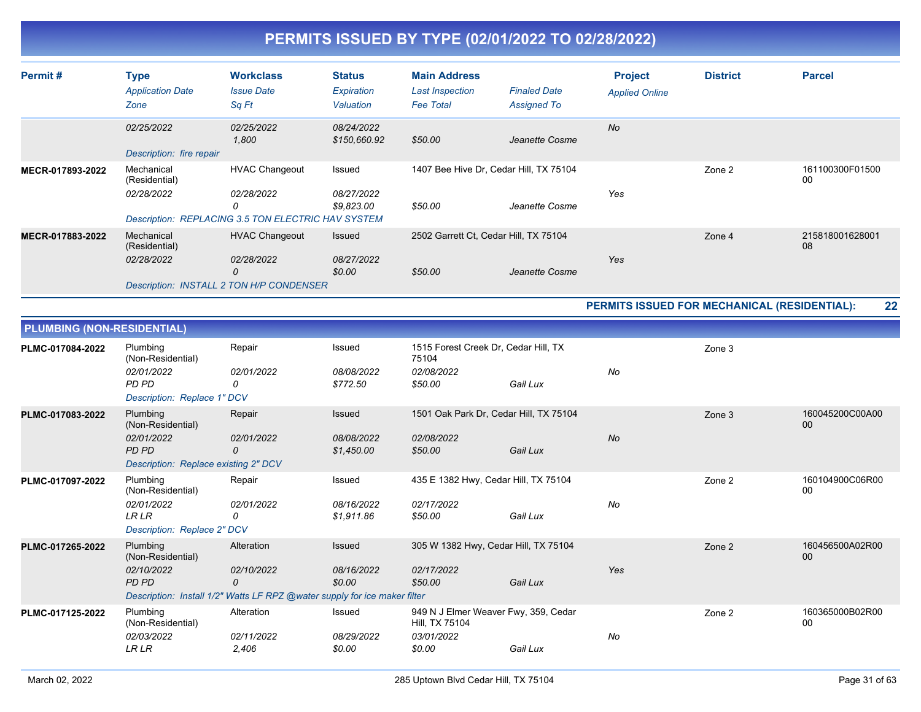| Permit#          | <b>Type</b><br><b>Application Date</b><br>Zone | <b>Workclass</b><br><b>Issue Date</b><br>Sq Ft                                                 | <b>Status</b><br>Expiration<br>Valuation | <b>Main Address</b><br>Last Inspection<br><b>Fee Total</b> | <b>Finaled Date</b><br><b>Assigned To</b> | <b>Project</b><br><b>Applied Online</b> | <b>District</b> | <b>Parcel</b>         |
|------------------|------------------------------------------------|------------------------------------------------------------------------------------------------|------------------------------------------|------------------------------------------------------------|-------------------------------------------|-----------------------------------------|-----------------|-----------------------|
|                  | 02/25/2022<br>Description: fire repair         | 02/25/2022<br>1,800                                                                            | 08/24/2022<br>\$150,660.92               | \$50.00                                                    | Jeanette Cosme                            | <b>No</b>                               |                 |                       |
| MECR-017893-2022 | Mechanical<br>(Residential)<br>02/28/2022      | <b>HVAC Changeout</b><br>02/28/2022<br>0<br>Description: REPLACING 3.5 TON ELECTRIC HAV SYSTEM | Issued<br>08/27/2022<br>\$9,823.00       | 1407 Bee Hive Dr, Cedar Hill, TX 75104<br>\$50.00          | Jeanette Cosme                            | Yes                                     | Zone 2          | 161100300F01500<br>00 |
| MECR-017883-2022 | Mechanical<br>(Residential)<br>02/28/2022      | <b>HVAC Changeout</b><br>02/28/2022<br>0<br>Description: INSTALL 2 TON H/P CONDENSER           | Issued<br>08/27/2022<br>\$0.00           | 2502 Garrett Ct. Cedar Hill, TX 75104<br>\$50.00           | Jeanette Cosme                            | Yes                                     | Zone 4          | 215818001628001<br>08 |

**PERMITS ISSUED FOR MECHANICAL (RESIDENTIAL): 22**

| <b>PLUMBING (NON-RESIDENTIAL)</b> |                                                                                              |                                                                                                            |                                    |                                                                                |          |           |        |                       |
|-----------------------------------|----------------------------------------------------------------------------------------------|------------------------------------------------------------------------------------------------------------|------------------------------------|--------------------------------------------------------------------------------|----------|-----------|--------|-----------------------|
| PLMC-017084-2022                  | Plumbing<br>(Non-Residential)<br>02/01/2022<br>PD PD<br>Description: Replace 1" DCV          | Repair<br>02/01/2022<br>0                                                                                  | Issued<br>08/08/2022<br>\$772.50   | 1515 Forest Creek Dr, Cedar Hill, TX<br>75104<br>02/08/2022<br>\$50.00         | Gail Lux | No        | Zone 3 |                       |
| PLMC-017083-2022                  | Plumbing<br>(Non-Residential)<br>02/01/2022<br>PD PD<br>Description: Replace existing 2" DCV | Repair<br>02/01/2022<br>0                                                                                  | Issued<br>08/08/2022<br>\$1,450.00 | 1501 Oak Park Dr, Cedar Hill, TX 75104<br>02/08/2022<br>\$50.00                | Gail Lux | <b>No</b> | Zone 3 | 160045200C00A00<br>00 |
| PLMC-017097-2022                  | Plumbing<br>(Non-Residential)<br>02/01/2022<br><b>LR LR</b><br>Description: Replace 2" DCV   | Repair<br>02/01/2022<br>0                                                                                  | Issued<br>08/16/2022<br>\$1,911.86 | 435 E 1382 Hwy, Cedar Hill, TX 75104<br>02/17/2022<br>\$50.00                  | Gail Lux | No        | Zone 2 | 160104900C06R00<br>00 |
| PLMC-017265-2022                  | Plumbing<br>(Non-Residential)<br>02/10/2022<br>PD PD                                         | Alteration<br>02/10/2022<br>0<br>Description: Install 1/2" Watts LF RPZ @water supply for ice maker filter | Issued<br>08/16/2022<br>\$0.00     | 305 W 1382 Hwy, Cedar Hill, TX 75104<br>02/17/2022<br>\$50.00                  | Gail Lux | Yes       | Zone 2 | 160456500A02R00<br>00 |
| PLMC-017125-2022                  | Plumbing<br>(Non-Residential)<br>02/03/2022<br><b>LR LR</b>                                  | Alteration<br>02/11/2022<br>2,406                                                                          | Issued<br>08/29/2022<br>\$0.00     | 949 N J Elmer Weaver Fwy, 359, Cedar<br>Hill, TX 75104<br>03/01/2022<br>\$0.00 | Gail Lux | No        | Zone 2 | 160365000B02R00<br>00 |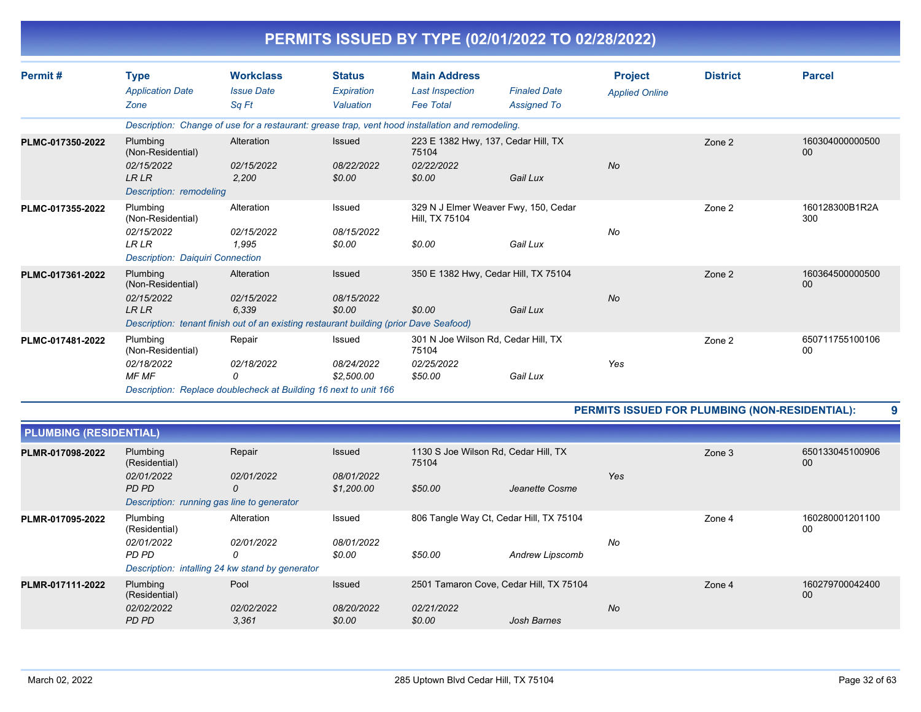|                  |                                             |                                                                                        |                             | PERMITS ISSUED BY TYPE (02/01/2022 TO 02/28/2022)                                                |                     |                       |                 |                       |
|------------------|---------------------------------------------|----------------------------------------------------------------------------------------|-----------------------------|--------------------------------------------------------------------------------------------------|---------------------|-----------------------|-----------------|-----------------------|
| Permit#          | <b>Type</b>                                 | <b>Workclass</b>                                                                       | <b>Status</b>               | <b>Main Address</b>                                                                              |                     | <b>Project</b>        | <b>District</b> | <b>Parcel</b>         |
|                  | <b>Application Date</b>                     | <b>Issue Date</b>                                                                      | Expiration                  | <b>Last Inspection</b>                                                                           | <b>Finaled Date</b> | <b>Applied Online</b> |                 |                       |
|                  | Zone                                        | Sa Ft                                                                                  | Valuation                   | <b>Fee Total</b>                                                                                 | <b>Assigned To</b>  |                       |                 |                       |
|                  |                                             |                                                                                        |                             | Description: Change of use for a restaurant: grease trap, vent hood installation and remodeling. |                     |                       |                 |                       |
| PLMC-017350-2022 | Plumbing<br>(Non-Residential)<br>02/15/2022 | Alteration<br>02/15/2022                                                               | <b>Issued</b><br>08/22/2022 | 223 E 1382 Hwy, 137, Cedar Hill, TX<br>75104<br>02/22/2022                                       |                     | <b>No</b>             | Zone 2          | 160304000000500<br>00 |
|                  | <b>LRLR</b><br>Description: remodeling      | 2.200                                                                                  | \$0.00                      | \$0.00                                                                                           | Gail Lux            |                       |                 |                       |
| PLMC-017355-2022 | Plumbing<br>(Non-Residential)               | Alteration                                                                             | Issued                      | 329 N J Elmer Weaver Fwy, 150, Cedar<br>Hill, TX 75104                                           |                     |                       | Zone 2          | 160128300B1R2A<br>300 |
|                  | 02/15/2022                                  | 02/15/2022                                                                             | 08/15/2022                  |                                                                                                  |                     | No                    |                 |                       |
|                  | <b>LRLR</b>                                 | 1.995                                                                                  | \$0.00                      | \$0.00                                                                                           | Gail Lux            |                       |                 |                       |
|                  | <b>Description: Daiguiri Connection</b>     |                                                                                        |                             |                                                                                                  |                     |                       |                 |                       |
| PLMC-017361-2022 | Plumbing<br>(Non-Residential)               | Alteration                                                                             | Issued                      | 350 E 1382 Hwy, Cedar Hill, TX 75104                                                             |                     |                       | Zone 2          | 160364500000500<br>00 |
|                  | 02/15/2022<br><b>LRLR</b>                   | 02/15/2022<br>6,339                                                                    | 08/15/2022<br>\$0.00        | \$0.00                                                                                           | Gail Lux            | No                    |                 |                       |
|                  |                                             | Description: tenant finish out of an existing restaurant building (prior Dave Seafood) |                             |                                                                                                  |                     |                       |                 |                       |
| PLMC-017481-2022 | Plumbing<br>(Non-Residential)               | Repair                                                                                 | Issued                      | 301 N Joe Wilson Rd, Cedar Hill, TX<br>75104                                                     |                     |                       | Zone 2          | 650711755100106<br>00 |
|                  | 02/18/2022                                  | 02/18/2022                                                                             | 08/24/2022                  | 02/25/2022                                                                                       |                     | Yes                   |                 |                       |
|                  | <b>MF MF</b>                                | 0                                                                                      | \$2,500.00                  | \$50.00                                                                                          | Gail Lux            |                       |                 |                       |
|                  |                                             | Description: Replace doublecheck at Building 16 next to unit 166                       |                             |                                                                                                  |                     |                       |                 |                       |

**PERMITS ISSUED FOR PLUMBING (NON-RESIDENTIAL): 9**

| <b>PLUMBING (RESIDENTIAL)</b>                 |                                                 |                     |                          |                                               |                 |           |        |                       |
|-----------------------------------------------|-------------------------------------------------|---------------------|--------------------------|-----------------------------------------------|-----------------|-----------|--------|-----------------------|
| Plumbing<br>PLMR-017098-2022<br>(Residential) |                                                 | Repair              | <b>Issued</b>            | 1130 S Joe Wilson Rd, Cedar Hill, TX<br>75104 |                 |           | Zone 3 | 650133045100906<br>00 |
|                                               | 02/01/2022<br>PD PD                             | 02/01/2022<br>0     | 08/01/2022<br>\$1,200.00 | \$50.00                                       | Jeanette Cosme  | Yes       |        |                       |
|                                               | Description: running gas line to generator      |                     |                          |                                               |                 |           |        |                       |
| PLMR-017095-2022                              | Plumbing<br>(Residential)                       | Alteration          | Issued                   | 806 Tangle Way Ct, Cedar Hill, TX 75104       |                 |           | Zone 4 | 160280001201100<br>00 |
|                                               | 02/01/2022<br>PD PD                             | 02/01/2022<br>0     | 08/01/2022<br>\$0.00     | \$50.00                                       | Andrew Lipscomb | No        |        |                       |
|                                               | Description: intalling 24 kw stand by generator |                     |                          |                                               |                 |           |        |                       |
| PLMR-017111-2022                              | Plumbing<br>(Residential)                       | Pool                | <b>Issued</b>            | 2501 Tamaron Cove, Cedar Hill, TX 75104       |                 |           | Zone 4 | 160279700042400<br>00 |
|                                               | 02/02/2022<br>PD PD                             | 02/02/2022<br>3,361 | 08/20/2022<br>\$0.00     | 02/21/2022<br>\$0.00                          | Josh Barnes     | <b>No</b> |        |                       |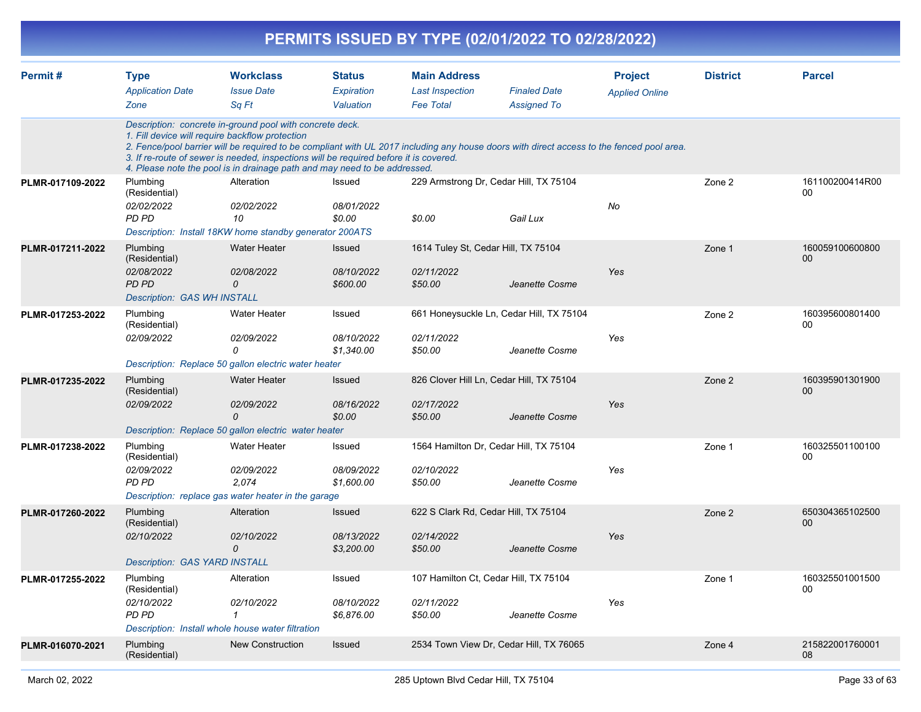|                  |                                                                                               |                                                                                                                                                                                                                                                                                   |                                           |                                                                   | PERMITS ISSUED BY TYPE (02/01/2022 TO 02/28/2022)                                                                                         |                                         |                 |                                    |
|------------------|-----------------------------------------------------------------------------------------------|-----------------------------------------------------------------------------------------------------------------------------------------------------------------------------------------------------------------------------------------------------------------------------------|-------------------------------------------|-------------------------------------------------------------------|-------------------------------------------------------------------------------------------------------------------------------------------|-----------------------------------------|-----------------|------------------------------------|
| Permit#          | <b>Type</b><br><b>Application Date</b><br>Zone                                                | <b>Workclass</b><br><b>Issue Date</b><br>Sq Ft                                                                                                                                                                                                                                    | <b>Status</b><br>Expiration<br>Valuation  | <b>Main Address</b><br><b>Last Inspection</b><br><b>Fee Total</b> | <b>Finaled Date</b><br><b>Assigned To</b>                                                                                                 | <b>Project</b><br><b>Applied Online</b> | <b>District</b> | <b>Parcel</b>                      |
|                  |                                                                                               | Description: concrete in-ground pool with concrete deck.<br>1. Fill device will require backflow protection<br>3. If re-route of sewer is needed, inspections will be required before it is covered.<br>4. Please note the pool is in drainage path and may need to be addressed. |                                           |                                                                   | 2. Fence/pool barrier will be required to be compliant with UL 2017 including any house doors with direct access to the fenced pool area. |                                         |                 |                                    |
| PLMR-017109-2022 | Plumbing<br>(Residential)<br>02/02/2022<br><b>PD PD</b>                                       | Alteration<br>02/02/2022<br>10<br>Description: Install 18KW home standby generator 200ATS                                                                                                                                                                                         | Issued<br>08/01/2022<br>\$0.00            | \$0.00                                                            | 229 Armstrong Dr, Cedar Hill, TX 75104<br>Gail Lux                                                                                        | No                                      | Zone 2          | 161100200414R00<br>00              |
| PLMR-017211-2022 | Plumbing<br>(Residential)<br>02/08/2022<br><b>PD PD</b><br><b>Description: GAS WH INSTALL</b> | <b>Water Heater</b><br>02/08/2022<br>0                                                                                                                                                                                                                                            | <b>Issued</b><br>08/10/2022<br>\$600.00   | 1614 Tuley St, Cedar Hill, TX 75104<br>02/11/2022<br>\$50.00      | Jeanette Cosme                                                                                                                            | Yes                                     | Zone 1          | 160059100600800<br>00              |
| PLMR-017253-2022 | Plumbing<br>(Residential)<br>02/09/2022                                                       | <b>Water Heater</b><br>02/09/2022<br>0<br>Description: Replace 50 gallon electric water heater                                                                                                                                                                                    | Issued<br>08/10/2022<br>\$1,340.00        | 02/11/2022<br>\$50.00                                             | 661 Honeysuckle Ln, Cedar Hill, TX 75104<br>Jeanette Cosme                                                                                | Yes                                     | Zone 2          | 160395600801400<br>00              |
| PLMR-017235-2022 | Plumbing<br>(Residential)<br>02/09/2022                                                       | <b>Water Heater</b><br>02/09/2022<br>$\Omega$<br>Description: Replace 50 gallon electric water heater                                                                                                                                                                             | Issued<br>08/16/2022<br>\$0.00            | 02/17/2022<br>\$50.00                                             | 826 Clover Hill Ln, Cedar Hill, TX 75104<br>Jeanette Cosme                                                                                | Yes                                     | Zone 2          | 160395901301900<br>00 <sub>0</sub> |
| PLMR-017238-2022 | Plumbing<br>(Residential)<br>02/09/2022<br><b>PD PD</b>                                       | Water Heater<br>02/09/2022<br>2,074<br>Description: replace gas water heater in the garage                                                                                                                                                                                        | Issued<br><i>08/09/2022</i><br>\$1,600.00 | 02/10/2022<br>\$50.00                                             | 1564 Hamilton Dr, Cedar Hill, TX 75104<br>Jeanette Cosme                                                                                  | Yes                                     | Zone 1          | 160325501100100<br>00              |
| PLMR-017260-2022 | Plumbing<br>(Residential)<br>02/10/2022<br><b>Description: GAS YARD INSTALL</b>               | Alteration<br>02/10/2022<br>0                                                                                                                                                                                                                                                     | Issued<br>08/13/2022<br>\$3,200.00        | 02/14/2022<br>\$50.00                                             | 622 S Clark Rd, Cedar Hill, TX 75104<br>Jeanette Cosme                                                                                    | Yes                                     | Zone 2          | 650304365102500<br>00              |
| PLMR-017255-2022 | Plumbing<br>(Residential)<br>02/10/2022<br>PD PD                                              | Alteration<br>02/10/2022<br>$\mathcal I$<br>Description: Install whole house water filtration                                                                                                                                                                                     | Issued<br>08/10/2022<br>\$6,876.00        | 02/11/2022<br>\$50.00                                             | 107 Hamilton Ct, Cedar Hill, TX 75104<br>Jeanette Cosme                                                                                   | Yes                                     | Zone 1          | 160325501001500<br>00              |
| PLMR-016070-2021 | Plumbing<br>(Residential)                                                                     | New Construction                                                                                                                                                                                                                                                                  | Issued                                    |                                                                   | 2534 Town View Dr, Cedar Hill, TX 76065                                                                                                   |                                         | Zone 4          | 215822001760001<br>08              |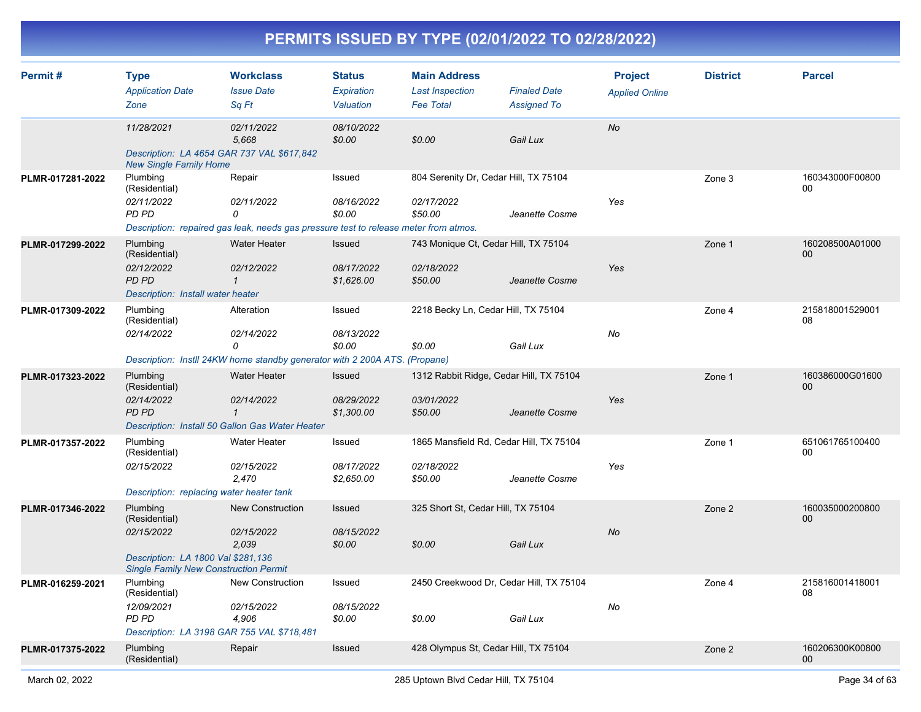| Permit#          | <b>Type</b><br><b>Application Date</b><br>Zone                                                                                | <b>Workclass</b><br><b>Issue Date</b><br>Sq Ft                                                                    | <b>Status</b><br>Expiration<br>Valuation | <b>Main Address</b><br><b>Last Inspection</b><br><b>Fee Total</b> | <b>Finaled Date</b><br><b>Assigned To</b> | <b>Project</b><br><b>Applied Online</b> | <b>District</b> | <b>Parcel</b>                      |
|------------------|-------------------------------------------------------------------------------------------------------------------------------|-------------------------------------------------------------------------------------------------------------------|------------------------------------------|-------------------------------------------------------------------|-------------------------------------------|-----------------------------------------|-----------------|------------------------------------|
|                  | 11/28/2021<br>Description: LA 4654 GAR 737 VAL \$617,842<br><b>New Single Family Home</b>                                     | 02/11/2022<br>5,668                                                                                               | 08/10/2022<br>\$0.00                     | \$0.00                                                            | Gail Lux                                  | No                                      |                 |                                    |
| PLMR-017281-2022 | Plumbing<br>(Residential)<br>02/11/2022<br>PD PD                                                                              | Repair<br>02/11/2022<br>0<br>Description: repaired gas leak, needs gas pressure test to release meter from atmos. | Issued<br>08/16/2022<br>\$0.00           | 804 Serenity Dr, Cedar Hill, TX 75104<br>02/17/2022<br>\$50.00    | Jeanette Cosme                            | Yes                                     | Zone 3          | 160343000F00800<br>00              |
| PLMR-017299-2022 | Plumbing<br>(Residential)<br>02/12/2022<br><b>PD PD</b><br>Description: Install water heater                                  | <b>Water Heater</b><br>02/12/2022<br>$\mathbf 1$                                                                  | Issued<br>08/17/2022<br>\$1,626.00       | 743 Monique Ct, Cedar Hill, TX 75104<br>02/18/2022<br>\$50.00     | Jeanette Cosme                            | Yes                                     | Zone 1          | 160208500A01000<br>$00\,$          |
| PLMR-017309-2022 | Plumbing<br>(Residential)<br>02/14/2022                                                                                       | Alteration<br>02/14/2022<br>0<br>Description: Instll 24KW home standby generator with 2 200A ATS. (Propane)       | Issued<br>08/13/2022<br>\$0.00           | 2218 Becky Ln, Cedar Hill, TX 75104<br>\$0.00                     | Gail Lux                                  | No                                      | Zone 4          | 215818001529001<br>08              |
| PLMR-017323-2022 | Plumbing<br>(Residential)<br>02/14/2022<br><b>PD PD</b>                                                                       | Water Heater<br>02/14/2022<br>$\mathbf{\overline{1}}$<br>Description: Install 50 Gallon Gas Water Heater          | Issued<br>08/29/2022<br>\$1,300.00       | 1312 Rabbit Ridge, Cedar Hill, TX 75104<br>03/01/2022<br>\$50.00  | Jeanette Cosme                            | Yes                                     | Zone 1          | 160386000G01600<br>00              |
| PLMR-017357-2022 | Plumbing<br>(Residential)<br>02/15/2022<br>Description: replacing water heater tank                                           | <b>Water Heater</b><br>02/15/2022<br>2,470                                                                        | Issued<br>08/17/2022<br>\$2,650.00       | 1865 Mansfield Rd, Cedar Hill, TX 75104<br>02/18/2022<br>\$50.00  | Jeanette Cosme                            | Yes                                     | Zone 1          | 651061765100400<br>00              |
| PLMR-017346-2022 | Plumbing<br>(Residential)<br>02/15/2022<br>Description: LA 1800 Val \$281,136<br><b>Single Family New Construction Permit</b> | New Construction<br>02/15/2022<br>2,039                                                                           | <b>Issued</b><br>08/15/2022<br>\$0.00    | 325 Short St, Cedar Hill, TX 75104<br>\$0.00                      | Gail Lux                                  | No                                      | Zone 2          | 160035000200800<br>00              |
| PLMR-016259-2021 | Plumbing<br>(Residential)<br>12/09/2021<br>PD PD<br>Description: LA 3198 GAR 755 VAL \$718,481                                | <b>New Construction</b><br>02/15/2022<br>4,906                                                                    | Issued<br>08/15/2022<br>\$0.00           | 2450 Creekwood Dr, Cedar Hill, TX 75104<br>\$0.00                 | Gail Lux                                  | No                                      | Zone 4          | 215816001418001<br>08              |
| PLMR-017375-2022 | Plumbing<br>(Residential)                                                                                                     | Repair                                                                                                            | Issued                                   | 428 Olympus St, Cedar Hill, TX 75104                              |                                           |                                         | Zone 2          | 160206300K00800<br>00 <sub>o</sub> |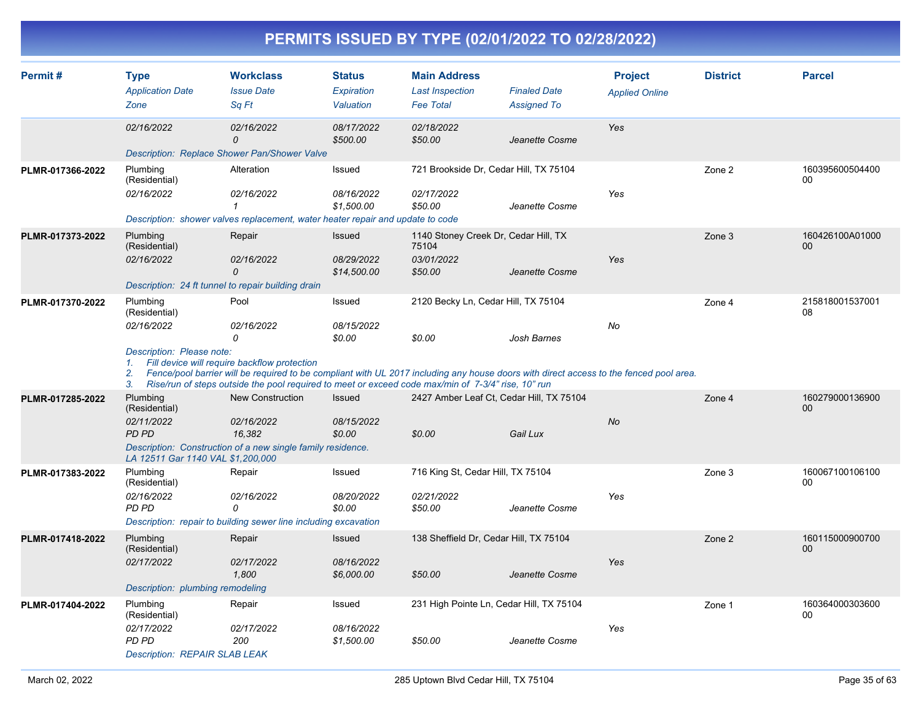|                  |                                                                                              |                                                                                                                                                                                      |                                          |                                                                   | PERMITS ISSUED BY TYPE (02/01/2022 TO 02/28/2022)                                                                                                                                            |                                         |                 |                       |
|------------------|----------------------------------------------------------------------------------------------|--------------------------------------------------------------------------------------------------------------------------------------------------------------------------------------|------------------------------------------|-------------------------------------------------------------------|----------------------------------------------------------------------------------------------------------------------------------------------------------------------------------------------|-----------------------------------------|-----------------|-----------------------|
| Permit#          | <b>Type</b><br><b>Application Date</b><br>Zone                                               | <b>Workclass</b><br><b>Issue Date</b><br>Sq Ft                                                                                                                                       | <b>Status</b><br>Expiration<br>Valuation | <b>Main Address</b><br><b>Last Inspection</b><br><b>Fee Total</b> | <b>Finaled Date</b><br><b>Assigned To</b>                                                                                                                                                    | <b>Project</b><br><b>Applied Online</b> | <b>District</b> | <b>Parcel</b>         |
|                  | 02/16/2022                                                                                   | 02/16/2022<br>$\Omega$<br>Description: Replace Shower Pan/Shower Valve                                                                                                               | 08/17/2022<br>\$500.00                   | 02/18/2022<br>\$50.00                                             | Jeanette Cosme                                                                                                                                                                               | Yes                                     |                 |                       |
| PLMR-017366-2022 | Plumbing<br>(Residential)<br>02/16/2022                                                      | Alteration<br>02/16/2022<br>1<br>Description: shower valves replacement, water heater repair and update to code                                                                      | Issued<br>08/16/2022<br>\$1,500.00       | 02/17/2022<br>\$50.00                                             | 721 Brookside Dr, Cedar Hill, TX 75104<br>Jeanette Cosme                                                                                                                                     | Yes                                     | Zone 2          | 160395600504400<br>00 |
| PLMR-017373-2022 | Plumbing<br>(Residential)<br>02/16/2022                                                      | Repair<br>02/16/2022<br>0<br>Description: 24 ft tunnel to repair building drain                                                                                                      | Issued<br>08/29/2022<br>\$14,500.00      | 75104<br>03/01/2022<br>\$50.00                                    | 1140 Stoney Creek Dr, Cedar Hill, TX<br>Jeanette Cosme                                                                                                                                       | Yes                                     | Zone 3          | 160426100A01000<br>00 |
| PLMR-017370-2022 | Plumbing<br>(Residential)<br>02/16/2022<br>Description: Please note:<br>1.<br>2.<br>3.       | Pool<br><i>02/16/2022</i><br>0<br>Fill device will require backflow protection<br>Rise/run of steps outside the pool required to meet or exceed code max/min of 7-3/4" rise, 10" run | Issued<br>08/15/2022<br>\$0.00           | \$0.00                                                            | 2120 Becky Ln, Cedar Hill, TX 75104<br>Josh Barnes<br>Fence/pool barrier will be required to be compliant with UL 2017 including any house doors with direct access to the fenced pool area. | No                                      | Zone 4          | 215818001537001<br>08 |
| PLMR-017285-2022 | Plumbing<br>(Residential)<br>02/11/2022<br><b>PD PD</b><br>LA 12511 Gar 1140 VAL \$1,200,000 | <b>New Construction</b><br>02/16/2022<br>16,382<br>Description: Construction of a new single family residence.                                                                       | Issued<br>08/15/2022<br>\$0.00           | \$0.00                                                            | 2427 Amber Leaf Ct, Cedar Hill, TX 75104<br>Gail Lux                                                                                                                                         | No                                      | Zone 4          | 160279000136900<br>00 |
| PLMR-017383-2022 | Plumbing<br>(Residential)<br>02/16/2022<br><b>PD PD</b>                                      | Repair<br>02/16/2022<br>0<br>Description: repair to building sewer line including excavation                                                                                         | Issued<br>08/20/2022<br>\$0.00           | 716 King St, Cedar Hill, TX 75104<br>02/21/2022<br>\$50.00        | Jeanette Cosme                                                                                                                                                                               | Yes                                     | Zone 3          | 160067100106100<br>00 |
| PLMR-017418-2022 | Plumbing<br>(Residential)<br>02/17/2022<br>Description: plumbing remodeling                  | Repair<br>02/17/2022<br>1,800                                                                                                                                                        | Issued<br>08/16/2022<br>\$6,000.00       | \$50.00                                                           | 138 Sheffield Dr, Cedar Hill, TX 75104<br>Jeanette Cosme                                                                                                                                     | Yes                                     | Zone 2          | 160115000900700<br>00 |
| PLMR-017404-2022 | Plumbing<br>(Residential)<br>02/17/2022<br>PD PD<br><b>Description: REPAIR SLAB LEAK</b>     | Repair<br>02/17/2022<br>200                                                                                                                                                          | Issued<br>08/16/2022<br>\$1,500.00       | \$50.00                                                           | 231 High Pointe Ln, Cedar Hill, TX 75104<br>Jeanette Cosme                                                                                                                                   | Yes                                     | Zone 1          | 160364000303600<br>00 |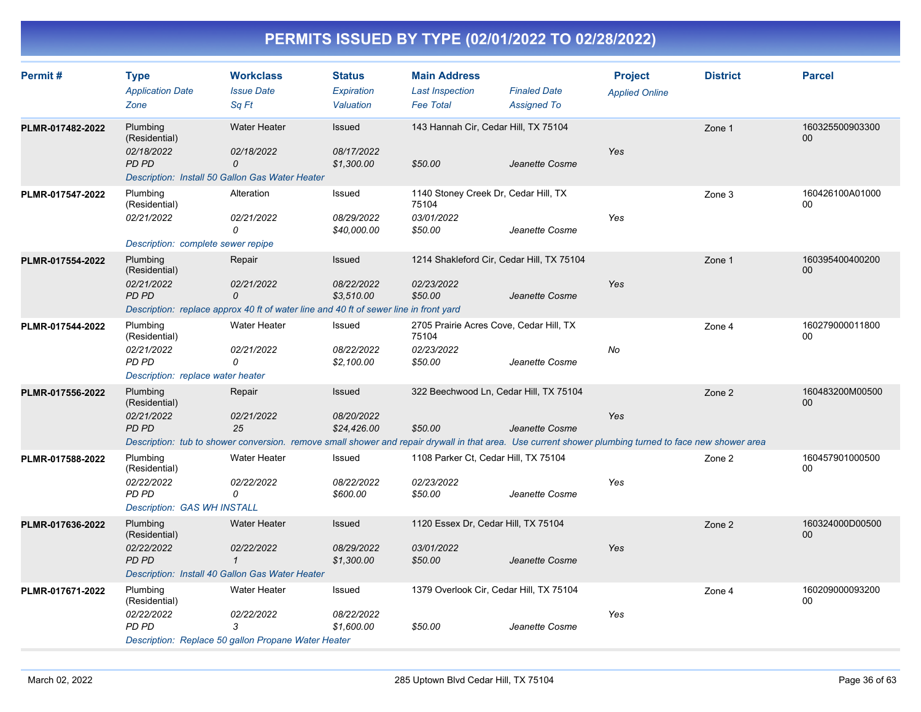| Permit#          | <b>Type</b><br><b>Application Date</b><br>Zone                                        | <b>Workclass</b><br><b>Issue Date</b><br>Sa Ft                                                                                                                                       | <b>Status</b><br><b>Expiration</b><br>Valuation | <b>Main Address</b><br><b>Last Inspection</b><br><b>Fee Total</b>         | <b>Finaled Date</b><br><b>Assigned To</b> | <b>Project</b><br><b>Applied Online</b> | <b>District</b> | <b>Parcel</b>         |
|------------------|---------------------------------------------------------------------------------------|--------------------------------------------------------------------------------------------------------------------------------------------------------------------------------------|-------------------------------------------------|---------------------------------------------------------------------------|-------------------------------------------|-----------------------------------------|-----------------|-----------------------|
| PLMR-017482-2022 | Plumbing<br>(Residential)<br>02/18/2022<br><b>PD PD</b>                               | Water Heater<br>02/18/2022<br>$\mathcal{O}$<br>Description: Install 50 Gallon Gas Water Heater                                                                                       | Issued<br>08/17/2022<br>\$1,300.00              | 143 Hannah Cir, Cedar Hill, TX 75104<br>\$50.00                           | Jeanette Cosme                            | <b>Yes</b>                              | Zone 1          | 160325500903300<br>00 |
| PLMR-017547-2022 | Plumbing<br>(Residential)<br>02/21/2022<br>Description: complete sewer repipe         | Alteration<br>02/21/2022<br>0                                                                                                                                                        | Issued<br>08/29/2022<br>\$40,000.00             | 1140 Stoney Creek Dr, Cedar Hill, TX<br>75104<br>03/01/2022<br>\$50.00    | Jeanette Cosme                            | Yes                                     | Zone 3          | 160426100A01000<br>00 |
| PLMR-017554-2022 | Plumbing<br>(Residential)<br>02/21/2022<br>PD PD                                      | Repair<br>02/21/2022<br>$\Omega$<br>Description: replace approx 40 ft of water line and 40 ft of sewer line in front yard                                                            | Issued<br>08/22/2022<br>\$3,510.00              | 1214 Shakleford Cir, Cedar Hill, TX 75104<br>02/23/2022<br>\$50.00        | Jeanette Cosme                            | Yes                                     | Zone 1          | 160395400400200<br>00 |
| PLMR-017544-2022 | Plumbing<br>(Residential)<br>02/21/2022<br>PD PD<br>Description: replace water heater | <b>Water Heater</b><br>02/21/2022<br>0                                                                                                                                               | Issued<br>08/22/2022<br>\$2,100.00              | 2705 Prairie Acres Cove, Cedar Hill, TX<br>75104<br>02/23/2022<br>\$50.00 | Jeanette Cosme                            | No                                      | Zone 4          | 160279000011800<br>00 |
| PLMR-017556-2022 | Plumbing<br>(Residential)<br>02/21/2022<br>PD PD                                      | Repair<br>02/21/2022<br>25<br>Description: tub to shower conversion. remove small shower and repair drywall in that area. Use current shower plumbing turned to face new shower area | Issued<br>08/20/2022<br>\$24,426.00             | 322 Beechwood Ln, Cedar Hill, TX 75104<br>\$50.00                         | Jeanette Cosme                            | Yes                                     | Zone 2          | 160483200M00500<br>00 |
| PLMR-017588-2022 | Plumbing<br>(Residential)<br>02/22/2022<br>PD PD<br>Description: GAS WH INSTALL       | Water Heater<br>02/22/2022<br>0                                                                                                                                                      | Issued<br>08/22/2022<br>\$600.00                | 1108 Parker Ct, Cedar Hill, TX 75104<br>02/23/2022<br>\$50.00             | Jeanette Cosme                            | Yes                                     | Zone 2          | 160457901000500<br>00 |
| PLMR-017636-2022 | Plumbing<br>(Residential)<br>02/22/2022<br><b>PD PD</b>                               | <b>Water Heater</b><br>02/22/2022<br>$\mathcal I$<br>Description: Install 40 Gallon Gas Water Heater                                                                                 | Issued<br>08/29/2022<br>\$1,300.00              | 1120 Essex Dr, Cedar Hill, TX 75104<br>03/01/2022<br>\$50.00              | Jeanette Cosme                            | Yes                                     | Zone 2          | 160324000D00500<br>00 |
| PLMR-017671-2022 | Plumbing<br>(Residential)<br>02/22/2022<br><b>PD PD</b>                               | <b>Water Heater</b><br>02/22/2022<br>3<br>Description: Replace 50 gallon Propane Water Heater                                                                                        | Issued<br>08/22/2022<br>\$1,600.00              | 1379 Overlook Cir, Cedar Hill, TX 75104<br>\$50.00                        | Jeanette Cosme                            | Yes                                     | Zone 4          | 160209000093200<br>00 |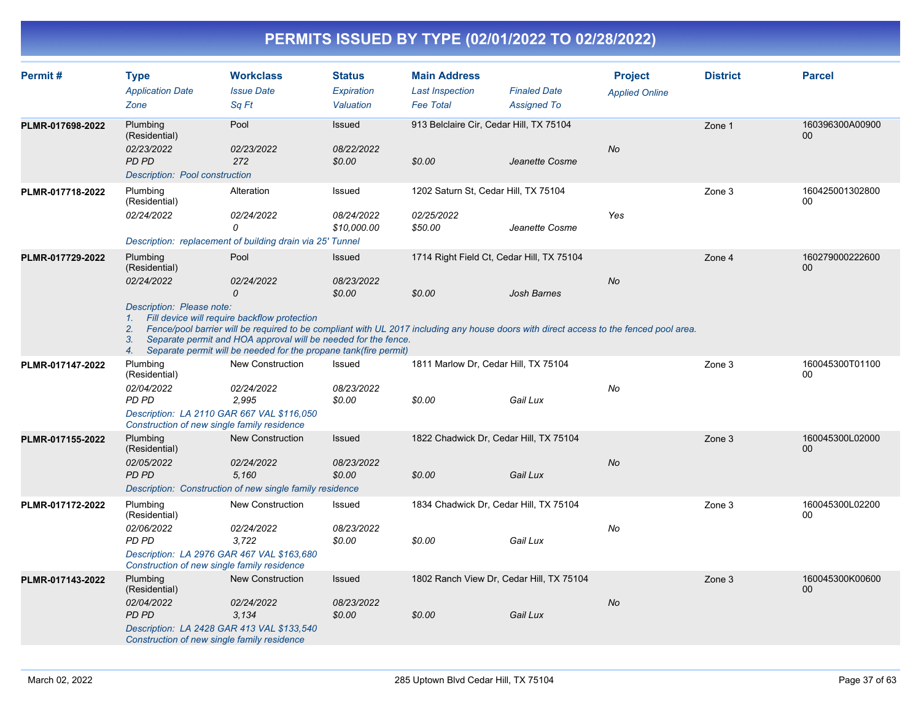| Permit#          | <b>Type</b>                                                 | <b>Workclass</b>                                                                                                                                                                                                                                                                                                             | <b>Status</b>             | <b>Main Address</b>                     |                                           | <b>Project</b>        | <b>District</b> | <b>Parcel</b>                      |
|------------------|-------------------------------------------------------------|------------------------------------------------------------------------------------------------------------------------------------------------------------------------------------------------------------------------------------------------------------------------------------------------------------------------------|---------------------------|-----------------------------------------|-------------------------------------------|-----------------------|-----------------|------------------------------------|
|                  | <b>Application Date</b>                                     | <b>Issue Date</b>                                                                                                                                                                                                                                                                                                            | Expiration                | <b>Last Inspection</b>                  | <b>Finaled Date</b>                       | <b>Applied Online</b> |                 |                                    |
|                  | Zone                                                        | Sq Ft                                                                                                                                                                                                                                                                                                                        | Valuation                 | <b>Fee Total</b>                        | <b>Assigned To</b>                        |                       |                 |                                    |
| PLMR-017698-2022 | Plumbing<br>(Residential)                                   | Pool                                                                                                                                                                                                                                                                                                                         | Issued                    | 913 Belclaire Cir, Cedar Hill, TX 75104 |                                           |                       | Zone 1          | 160396300A00900<br>00 <sub>0</sub> |
|                  | 02/23/2022                                                  | 02/23/2022                                                                                                                                                                                                                                                                                                                   | 08/22/2022                |                                         |                                           | <b>No</b>             |                 |                                    |
|                  | <b>PD PD</b>                                                | 272                                                                                                                                                                                                                                                                                                                          | \$0.00                    | \$0.00                                  | Jeanette Cosme                            |                       |                 |                                    |
|                  | Description: Pool construction                              |                                                                                                                                                                                                                                                                                                                              |                           |                                         |                                           |                       |                 |                                    |
| PLMR-017718-2022 | Plumbing<br>(Residential)                                   | Alteration                                                                                                                                                                                                                                                                                                                   | Issued                    | 1202 Saturn St, Cedar Hill, TX 75104    |                                           |                       | Zone 3          | 160425001302800<br>00              |
|                  | 02/24/2022                                                  | 02/24/2022<br>0                                                                                                                                                                                                                                                                                                              | 08/24/2022<br>\$10,000.00 | 02/25/2022<br>\$50.00                   | Jeanette Cosme                            | Yes                   |                 |                                    |
|                  |                                                             | Description: replacement of building drain via 25' Tunnel                                                                                                                                                                                                                                                                    |                           |                                         |                                           |                       |                 |                                    |
| PLMR-017729-2022 | Plumbing<br>(Residential)                                   | Pool                                                                                                                                                                                                                                                                                                                         | Issued                    |                                         | 1714 Right Field Ct, Cedar Hill, TX 75104 |                       | Zone 4          | 160279000222600<br>$00\,$          |
|                  | 02/24/2022                                                  | 02/24/2022                                                                                                                                                                                                                                                                                                                   | 08/23/2022                |                                         |                                           | <b>No</b>             |                 |                                    |
|                  |                                                             | $\Omega$                                                                                                                                                                                                                                                                                                                     | \$0.00                    | \$0.00                                  | <b>Josh Barnes</b>                        |                       |                 |                                    |
|                  | Description: Please note:<br>1.<br>2.<br>3.<br>4.           | Fill device will require backflow protection<br>Fence/pool barrier will be required to be compliant with UL 2017 including any house doors with direct access to the fenced pool area.<br>Separate permit and HOA approval will be needed for the fence.<br>Separate permit will be needed for the propane tank(fire permit) |                           |                                         |                                           |                       |                 |                                    |
| PLMR-017147-2022 | Plumbing<br>(Residential)                                   | <b>New Construction</b>                                                                                                                                                                                                                                                                                                      | Issued                    | 1811 Marlow Dr, Cedar Hill, TX 75104    |                                           |                       | Zone 3          | 160045300T01100<br>00              |
|                  | 02/04/2022<br>PD PD                                         | 02/24/2022<br>2,995                                                                                                                                                                                                                                                                                                          | 08/23/2022<br>\$0.00      | \$0.00                                  | Gail Lux                                  | No                    |                 |                                    |
|                  | Construction of new single family residence                 | Description: LA 2110 GAR 667 VAL \$116,050                                                                                                                                                                                                                                                                                   |                           |                                         |                                           |                       |                 |                                    |
| PLMR-017155-2022 | Plumbing<br>(Residential)                                   | <b>New Construction</b>                                                                                                                                                                                                                                                                                                      | Issued                    | 1822 Chadwick Dr, Cedar Hill, TX 75104  |                                           |                       | Zone 3          | 160045300L02000<br>00 <sub>0</sub> |
|                  | 02/05/2022                                                  | 02/24/2022                                                                                                                                                                                                                                                                                                                   | 08/23/2022                |                                         |                                           | <b>No</b>             |                 |                                    |
|                  | <b>PD PD</b>                                                | 5.160                                                                                                                                                                                                                                                                                                                        | \$0.00                    | \$0.00                                  | Gail Lux                                  |                       |                 |                                    |
|                  |                                                             | Description: Construction of new single family residence                                                                                                                                                                                                                                                                     |                           |                                         |                                           |                       |                 |                                    |
| PLMR-017172-2022 | Plumbing<br>(Residential)                                   | New Construction                                                                                                                                                                                                                                                                                                             | Issued                    | 1834 Chadwick Dr, Cedar Hill, TX 75104  |                                           |                       | Zone 3          | 160045300L02200<br>00              |
|                  | 02/06/2022                                                  | 02/24/2022                                                                                                                                                                                                                                                                                                                   | 08/23/2022                |                                         |                                           | No                    |                 |                                    |
|                  | PD PD                                                       | 3,722                                                                                                                                                                                                                                                                                                                        | \$0.00                    | \$0.00                                  | Gail Lux                                  |                       |                 |                                    |
|                  | Construction of new single family residence                 | Description: LA 2976 GAR 467 VAL \$163,680                                                                                                                                                                                                                                                                                   |                           |                                         |                                           |                       |                 |                                    |
| PLMR-017143-2022 | Plumbing<br>(Residential)                                   | <b>New Construction</b>                                                                                                                                                                                                                                                                                                      | Issued                    |                                         | 1802 Ranch View Dr, Cedar Hill, TX 75104  |                       | Zone 3          | 160045300K00600<br>$00\,$          |
|                  | 02/04/2022                                                  | 02/24/2022                                                                                                                                                                                                                                                                                                                   | 08/23/2022                |                                         |                                           | <b>No</b>             |                 |                                    |
|                  | <b>PD PD</b><br>Construction of new single family residence | 3.134<br>Description: LA 2428 GAR 413 VAL \$133,540                                                                                                                                                                                                                                                                          | \$0.00                    | \$0.00                                  | Gail Lux                                  |                       |                 |                                    |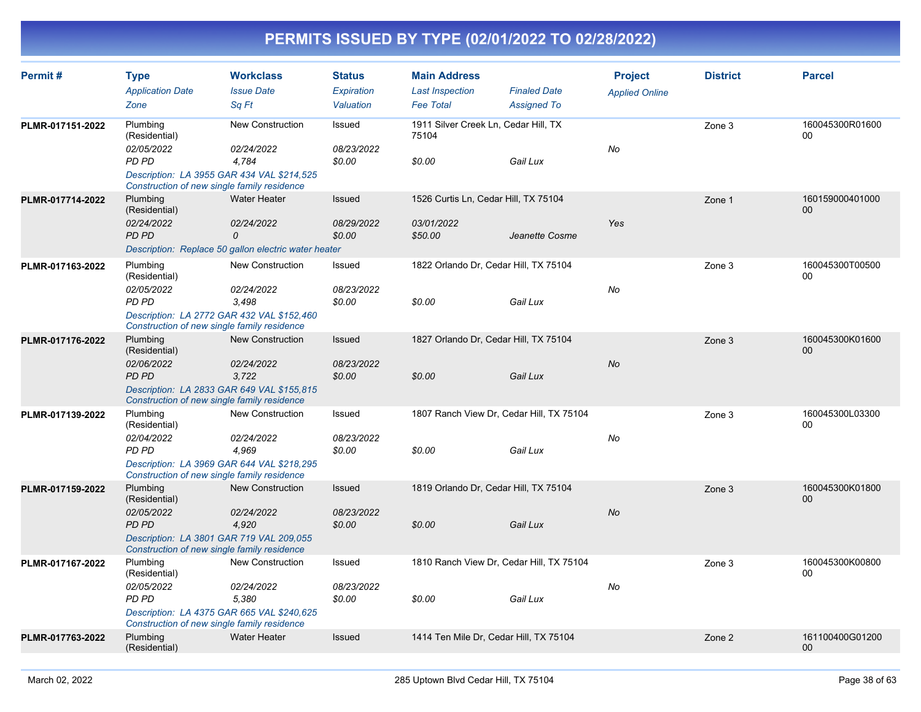| Permit#          | <b>Type</b>                          | <b>Workclass</b>                                                                                                 | <b>Status</b>                  | <b>Main Address</b>                           |                                           | <b>Project</b>        | <b>District</b> | <b>Parcel</b>             |
|------------------|--------------------------------------|------------------------------------------------------------------------------------------------------------------|--------------------------------|-----------------------------------------------|-------------------------------------------|-----------------------|-----------------|---------------------------|
|                  | <b>Application Date</b><br>Zone      | <b>Issue Date</b><br>Sa Ft                                                                                       | <b>Expiration</b><br>Valuation | <b>Last Inspection</b><br><b>Fee Total</b>    | <b>Finaled Date</b><br><b>Assigned To</b> | <b>Applied Online</b> |                 |                           |
| PLMR-017151-2022 | Plumbing<br>(Residential)            | New Construction                                                                                                 | Issued                         | 1911 Silver Creek Ln, Cedar Hill, TX<br>75104 |                                           |                       | Zone 3          | 160045300R01600<br>$00\,$ |
|                  | 02/05/2022<br>PD PD                  | 02/24/2022<br>4,784<br>Description: LA 3955 GAR 434 VAL \$214,525                                                | 08/23/2022<br>\$0.00           | \$0.00                                        | Gail Lux                                  | No                    |                 |                           |
| PLMR-017714-2022 | Plumbing                             | Construction of new single family residence<br>Water Heater                                                      | Issued                         | 1526 Curtis Ln, Cedar Hill, TX 75104          |                                           |                       | Zone 1          | 160159000401000<br>00     |
|                  | (Residential)<br>02/24/2022<br>PD PD | 02/24/2022<br>0                                                                                                  | 08/29/2022<br>\$0.00           | 03/01/2022<br>\$50.00                         | Jeanette Cosme                            | Yes                   |                 |                           |
|                  |                                      | Description: Replace 50 gallon electric water heater                                                             |                                |                                               |                                           |                       |                 |                           |
| PLMR-017163-2022 | Plumbing<br>(Residential)            | New Construction                                                                                                 | Issued                         |                                               | 1822 Orlando Dr, Cedar Hill, TX 75104     |                       | Zone 3          | 160045300T00500<br>00     |
|                  | 02/05/2022<br>PD PD                  | 02/24/2022<br>3,498<br>Description: LA 2772 GAR 432 VAL \$152,460<br>Construction of new single family residence | 08/23/2022<br>\$0.00           | \$0.00                                        | Gail Lux                                  | No                    |                 |                           |
| PLMR-017176-2022 | Plumbing<br>(Residential)            | <b>New Construction</b>                                                                                          | Issued                         |                                               | 1827 Orlando Dr, Cedar Hill, TX 75104     |                       | Zone 3          | 160045300K01600<br>$00\,$ |
|                  | 02/06/2022<br>PD PD                  | 02/24/2022<br>3,722                                                                                              | 08/23/2022<br>\$0.00           | \$0.00                                        | Gail Lux                                  | <b>No</b>             |                 |                           |
|                  |                                      | Description: LA 2833 GAR 649 VAL \$155,815<br>Construction of new single family residence                        |                                |                                               |                                           |                       |                 |                           |
| PLMR-017139-2022 | Plumbing<br>(Residential)            | New Construction                                                                                                 | Issued                         |                                               | 1807 Ranch View Dr, Cedar Hill, TX 75104  |                       | Zone 3          | 160045300L03300<br>$00\,$ |
|                  | 02/04/2022<br>PD PD                  | 02/24/2022<br>4,969                                                                                              | 08/23/2022<br>\$0.00           | \$0.00                                        | Gail Lux                                  | No                    |                 |                           |
|                  |                                      | Description: LA 3969 GAR 644 VAL \$218,295<br>Construction of new single family residence                        |                                |                                               |                                           |                       |                 |                           |
| PLMR-017159-2022 | Plumbing<br>(Residential)            | New Construction                                                                                                 | Issued                         |                                               | 1819 Orlando Dr, Cedar Hill, TX 75104     |                       | Zone 3          | 160045300K01800<br>00     |
|                  | 02/05/2022<br>PD PD                  | 02/24/2022<br>4,920                                                                                              | 08/23/2022<br>\$0.00           | \$0.00                                        | Gail Lux                                  | <b>No</b>             |                 |                           |
|                  |                                      | Description: LA 3801 GAR 719 VAL 209,055<br>Construction of new single family residence                          |                                |                                               |                                           |                       |                 |                           |
| PLMR-017167-2022 | Plumbing<br>(Residential)            | New Construction                                                                                                 | Issued                         |                                               | 1810 Ranch View Dr, Cedar Hill, TX 75104  |                       | Zone 3          | 160045300K00800<br>00     |
|                  | 02/05/2022<br>PD PD                  | 02/24/2022<br>5.380                                                                                              | 08/23/2022<br>\$0.00           | \$0.00                                        | Gail Lux                                  | No                    |                 |                           |
|                  |                                      | Description: LA 4375 GAR 665 VAL \$240,625<br>Construction of new single family residence                        |                                |                                               |                                           |                       |                 |                           |
| PLMR-017763-2022 | Plumbing<br>(Residential)            | <b>Water Heater</b>                                                                                              | Issued                         |                                               | 1414 Ten Mile Dr, Cedar Hill, TX 75104    |                       | Zone 2          | 161100400G01200<br>00     |
|                  |                                      |                                                                                                                  |                                |                                               |                                           |                       |                 |                           |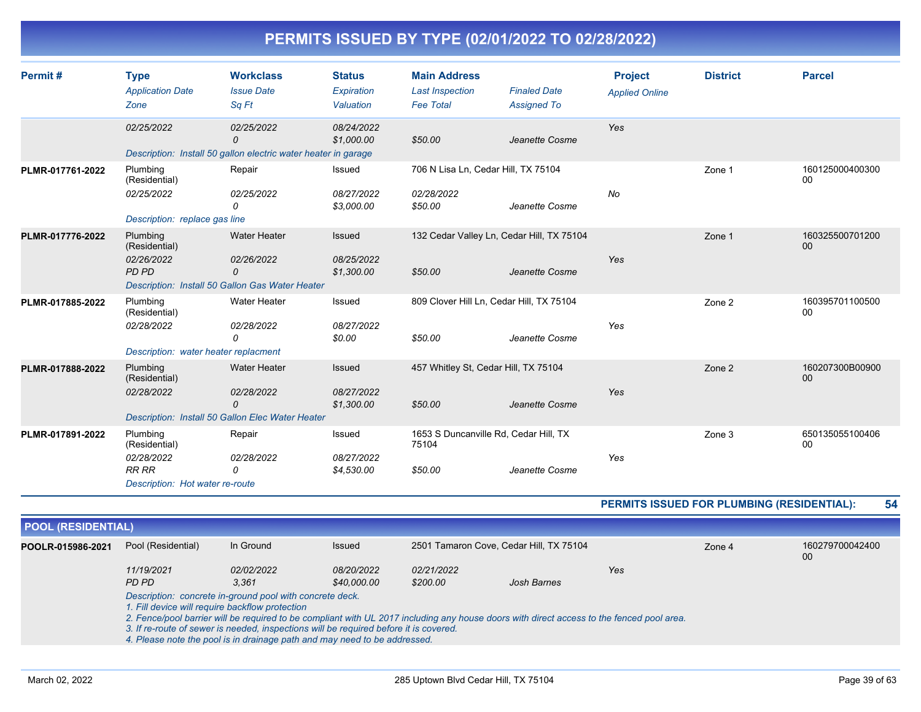| Permit#          | <b>Type</b>                          | <b>Workclass</b>                                               | <b>Status</b>            | <b>Main Address</b>                            |                                           | <b>Project</b>        | <b>District</b> | <b>Parcel</b>             |
|------------------|--------------------------------------|----------------------------------------------------------------|--------------------------|------------------------------------------------|-------------------------------------------|-----------------------|-----------------|---------------------------|
|                  | <b>Application Date</b>              | <b>Issue Date</b>                                              | Expiration               | <b>Last Inspection</b>                         | <b>Finaled Date</b>                       | <b>Applied Online</b> |                 |                           |
|                  | Zone                                 | Sq Ft                                                          | Valuation                | <b>Fee Total</b>                               | <b>Assigned To</b>                        |                       |                 |                           |
|                  | 02/25/2022                           | 02/25/2022                                                     | 08/24/2022               |                                                |                                           | Yes                   |                 |                           |
|                  |                                      | 0                                                              | \$1,000.00               | \$50.00                                        | Jeanette Cosme                            |                       |                 |                           |
|                  |                                      | Description: Install 50 gallon electric water heater in garage |                          |                                                |                                           |                       |                 |                           |
| PLMR-017761-2022 | Plumbing<br>(Residential)            | Repair                                                         | Issued                   | 706 N Lisa Ln, Cedar Hill, TX 75104            |                                           |                       | Zone 1          | 160125000400300<br>00     |
|                  | 02/25/2022                           | 02/25/2022<br>0                                                | 08/27/2022<br>\$3,000.00 | 02/28/2022<br>\$50.00                          | Jeanette Cosme                            | No                    |                 |                           |
|                  | Description: replace gas line        |                                                                |                          |                                                |                                           |                       |                 |                           |
| PLMR-017776-2022 | Plumbing<br>(Residential)            | <b>Water Heater</b>                                            | Issued                   |                                                | 132 Cedar Valley Ln, Cedar Hill, TX 75104 |                       | Zone 1          | 160325500701200<br>$00\,$ |
|                  | 02/26/2022<br>PD PD                  | 02/26/2022<br>0                                                | 08/25/2022<br>\$1,300.00 | \$50.00                                        | Jeanette Cosme                            | Yes                   |                 |                           |
|                  |                                      | Description: Install 50 Gallon Gas Water Heater                |                          |                                                |                                           |                       |                 |                           |
| PLMR-017885-2022 | Plumbing<br>(Residential)            | <b>Water Heater</b>                                            | Issued                   | 809 Clover Hill Ln, Cedar Hill, TX 75104       |                                           |                       | Zone 2          | 160395701100500<br>00     |
|                  | 02/28/2022                           | 02/28/2022                                                     | 08/27/2022               |                                                |                                           | Yes                   |                 |                           |
|                  |                                      | 0                                                              | \$0.00                   | \$50.00                                        | Jeanette Cosme                            |                       |                 |                           |
|                  | Description: water heater replacment |                                                                |                          |                                                |                                           |                       |                 |                           |
| PLMR-017888-2022 | Plumbing<br>(Residential)            | <b>Water Heater</b>                                            | Issued                   | 457 Whitley St, Cedar Hill, TX 75104           |                                           |                       | Zone 2          | 160207300B00900<br>00     |
|                  | 02/28/2022                           | 02/28/2022<br>$\Omega$                                         | 08/27/2022<br>\$1,300.00 | \$50.00                                        | Jeanette Cosme                            | Yes                   |                 |                           |
|                  |                                      | Description: Install 50 Gallon Elec Water Heater               |                          |                                                |                                           |                       |                 |                           |
| PLMR-017891-2022 | Plumbing<br>(Residential)            | Repair                                                         | Issued                   | 1653 S Duncanville Rd, Cedar Hill, TX<br>75104 |                                           |                       | Zone 3          | 650135055100406<br>00     |
|                  | 02/28/2022<br><b>RR RR</b>           | 02/28/2022<br>$\Omega$                                         | 08/27/2022<br>\$4,530.00 | \$50.00                                        | Jeanette Cosme                            | Yes                   |                 |                           |
|                  | Description: Hot water re-route      |                                                                |                          |                                                |                                           |                       |                 |                           |

**PERMITS ISSUED FOR PLUMBING (RESIDENTIAL): 54**

| <b>POOL (RESIDENTIAL)</b> |                                                          |                                                 |                                                                                                                                                                    |            |                                                                                                                                           |        |                       |  |
|---------------------------|----------------------------------------------------------|-------------------------------------------------|--------------------------------------------------------------------------------------------------------------------------------------------------------------------|------------|-------------------------------------------------------------------------------------------------------------------------------------------|--------|-----------------------|--|
| POOLR-015986-2021         | Pool (Residential)                                       | In Ground                                       | Issued                                                                                                                                                             |            | 2501 Tamaron Cove, Cedar Hill, TX 75104                                                                                                   | Zone 4 | 160279700042400<br>00 |  |
|                           | 11/19/2021                                               | 02/02/2022                                      | <i>08/20/2022</i>                                                                                                                                                  | 02/21/2022 |                                                                                                                                           | Yes    |                       |  |
|                           | PD PD                                                    | 3.361                                           | \$40,000.00                                                                                                                                                        | \$200.00   | Josh Barnes                                                                                                                               |        |                       |  |
|                           | Description: concrete in-ground pool with concrete deck. | 1. Fill device will require backflow protection |                                                                                                                                                                    |            |                                                                                                                                           |        |                       |  |
|                           |                                                          |                                                 | 3. If re-route of sewer is needed, inspections will be required before it is covered.<br>4. Please note the pool is in drainage path and may need to be addressed. |            | 2. Fence/pool barrier will be required to be compliant with UL 2017 including any house doors with direct access to the fenced pool area. |        |                       |  |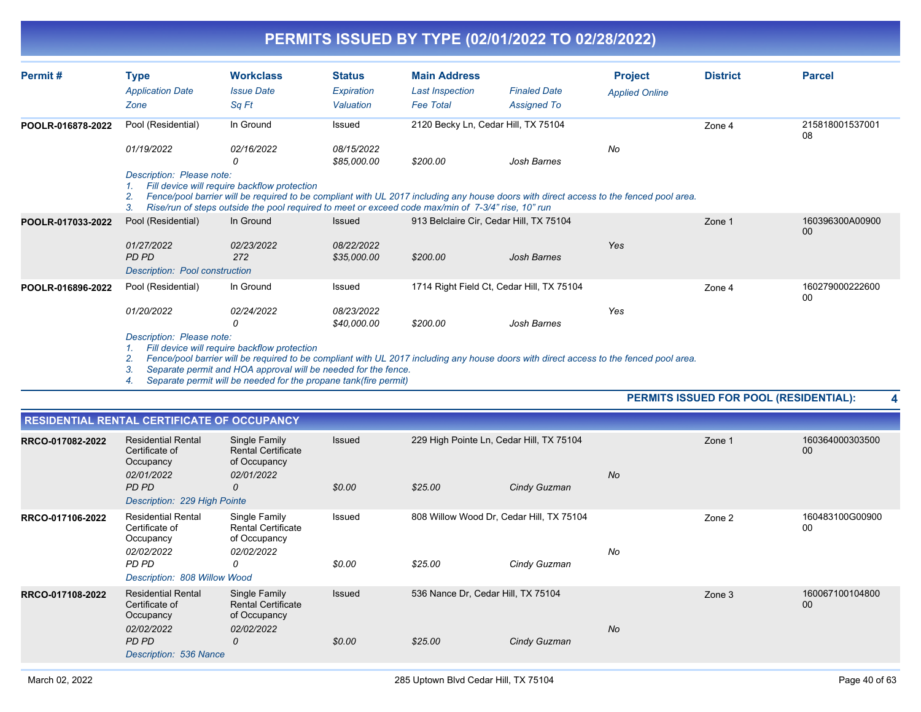| Permit#           | <b>Type</b><br><b>Application Date</b><br>Zone                              | <b>Workclass</b><br><b>Issue Date</b><br>Sq Ft                                                                                                                                                                                                                                                    | <b>Status</b><br>Expiration<br>Valuation   | <b>Main Address</b><br><b>Last Inspection</b><br><b>Fee Total</b> | <b>Finaled Date</b><br><b>Assigned To</b> | <b>Project</b><br><b>Applied Online</b> | <b>District</b> | <b>Parcel</b>         |
|-------------------|-----------------------------------------------------------------------------|---------------------------------------------------------------------------------------------------------------------------------------------------------------------------------------------------------------------------------------------------------------------------------------------------|--------------------------------------------|-------------------------------------------------------------------|-------------------------------------------|-----------------------------------------|-----------------|-----------------------|
| POOLR-016878-2022 | Pool (Residential)<br>01/19/2022                                            | In Ground<br>02/16/2022                                                                                                                                                                                                                                                                           | Issued<br>08/15/2022                       | 2120 Becky Ln, Cedar Hill, TX 75104                               |                                           | No                                      | Zone 4          | 215818001537001<br>08 |
|                   | Description: Please note:<br>2.<br>3.                                       | 0<br>Fill device will require backflow protection<br>Fence/pool barrier will be required to be compliant with UL 2017 including any house doors with direct access to the fenced pool area.<br>Rise/run of steps outside the pool required to meet or exceed code max/min of 7-3/4" rise, 10" run | \$85,000.00                                | \$200.00                                                          | Josh Barnes                               |                                         |                 |                       |
| POOLR-017033-2022 | Pool (Residential)<br>01/27/2022<br>PD PD<br>Description: Pool construction | In Ground<br>02/23/2022<br>272                                                                                                                                                                                                                                                                    | <b>Issued</b><br>08/22/2022<br>\$35,000.00 | 913 Belclaire Cir, Cedar Hill, TX 75104<br>\$200.00               | Josh Barnes                               | Yes                                     | Zone 1          | 160396300A00900<br>00 |
| POOLR-016896-2022 | Pool (Residential)<br>01/20/2022                                            | In Ground<br>02/24/2022<br>0                                                                                                                                                                                                                                                                      | Issued<br>08/23/2022<br>\$40,000.00        | 1714 Right Field Ct, Cedar Hill, TX 75104<br>\$200.00             | Josh Barnes                               | Yes                                     | Zone 4          | 160279000222600<br>00 |
|                   | Description: Please note:                                                   |                                                                                                                                                                                                                                                                                                   |                                            |                                                                   |                                           |                                         |                 |                       |

*1. Fill device will require backflow protection*

*2. Fence/pool barrier will be required to be compliant with UL 2017 including any house doors with direct access to the fenced pool area.*

*3. Separate permit and HOA approval will be needed for the fence.*

*4. Separate permit will be needed for the propane tank(fire permit)*

#### **PERMITS ISSUED FOR POOL (RESIDENTIAL): 4**

|                  | <b>RESIDENTIAL RENTAL CERTIFICATE OF OCCUPANCY</b>                                                              |                                                                               |                  |                                                     |              |           |        |                       |
|------------------|-----------------------------------------------------------------------------------------------------------------|-------------------------------------------------------------------------------|------------------|-----------------------------------------------------|--------------|-----------|--------|-----------------------|
| RRCO-017082-2022 | <b>Residential Rental</b><br>Certificate of<br>Occupancy<br>02/01/2022<br>PD PD<br>Description: 229 High Pointe | Single Family<br><b>Rental Certificate</b><br>of Occupancy<br>02/01/2022<br>0 | Issued<br>\$0.00 | 229 High Pointe Ln, Cedar Hill, TX 75104<br>\$25.00 | Cindy Guzman | <b>No</b> | Zone 1 | 160364000303500<br>00 |
| RRCO-017106-2022 | <b>Residential Rental</b><br>Certificate of<br>Occupancy<br>02/02/2022<br>PD PD<br>Description: 808 Willow Wood | Single Family<br><b>Rental Certificate</b><br>of Occupancy<br>02/02/2022<br>0 | Issued<br>\$0.00 | 808 Willow Wood Dr, Cedar Hill, TX 75104<br>\$25.00 | Cindy Guzman | No        | Zone 2 | 160483100G00900<br>00 |
| RRCO-017108-2022 | <b>Residential Rental</b><br>Certificate of<br>Occupancy<br>02/02/2022<br>PD PD<br>Description: 536 Nance       | Single Family<br><b>Rental Certificate</b><br>of Occupancy<br>02/02/2022<br>0 | Issued<br>\$0.00 | 536 Nance Dr, Cedar Hill, TX 75104<br>\$25.00       | Cindy Guzman | <b>No</b> | Zone 3 | 160067100104800<br>00 |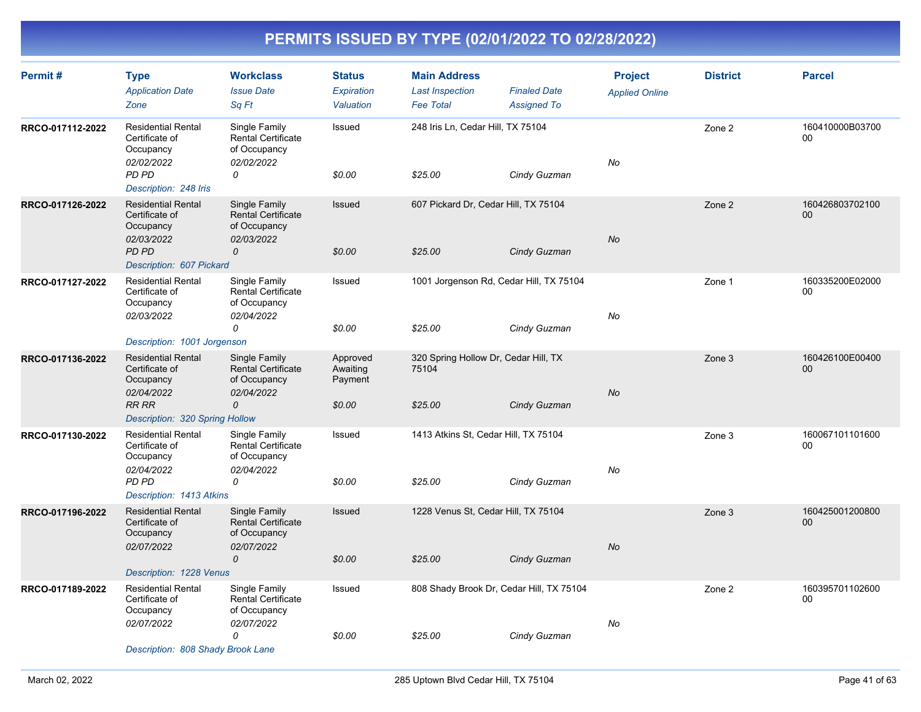| Permit#          | <b>Type</b><br><b>Application Date</b><br>Zone                         | <b>Workclass</b><br><b>Issue Date</b><br>Sq Ft                           | <b>Status</b><br>Expiration<br>Valuation | <b>Main Address</b><br><b>Last Inspection</b><br><b>Fee Total</b> | <b>Finaled Date</b><br><b>Assigned To</b> | <b>Project</b><br><b>Applied Online</b> | <b>District</b> | <b>Parcel</b>         |
|------------------|------------------------------------------------------------------------|--------------------------------------------------------------------------|------------------------------------------|-------------------------------------------------------------------|-------------------------------------------|-----------------------------------------|-----------------|-----------------------|
| RRCO-017112-2022 | <b>Residential Rental</b><br>Certificate of<br>Occupancy<br>02/02/2022 | Single Family<br><b>Rental Certificate</b><br>of Occupancy<br>02/02/2022 | Issued                                   | 248 Iris Ln, Cedar Hill, TX 75104                                 |                                           | No                                      | Zone 2          | 160410000B03700<br>00 |
|                  | PD PD<br>Description: 248 Iris                                         | 0                                                                        | \$0.00                                   | \$25.00                                                           | Cindy Guzman                              |                                         |                 |                       |
| RRCO-017126-2022 | <b>Residential Rental</b><br>Certificate of<br>Occupancy<br>02/03/2022 | Single Family<br><b>Rental Certificate</b><br>of Occupancy<br>02/03/2022 | Issued                                   | 607 Pickard Dr, Cedar Hill, TX 75104                              |                                           | <b>No</b>                               | Zone 2          | 160426803702100<br>00 |
|                  | PD PD<br>Description: 607 Pickard                                      | 0                                                                        | \$0.00                                   | \$25.00                                                           | Cindy Guzman                              |                                         |                 |                       |
| RRCO-017127-2022 | <b>Residential Rental</b><br>Certificate of<br>Occupancy<br>02/03/2022 | Single Family<br><b>Rental Certificate</b><br>of Occupancy<br>02/04/2022 | Issued                                   | 1001 Jorgenson Rd, Cedar Hill, TX 75104                           |                                           | No                                      | Zone 1          | 160335200E02000<br>00 |
|                  |                                                                        | 0                                                                        | \$0.00                                   | \$25.00                                                           | Cindy Guzman                              |                                         |                 |                       |
|                  | Description: 1001 Jorgenson<br><b>Residential Rental</b>               | Single Family                                                            | Approved                                 | 320 Spring Hollow Dr, Cedar Hill, TX                              |                                           |                                         |                 | 160426100E00400       |
| RRCO-017136-2022 | Certificate of<br>Occupancy<br>02/04/2022                              | <b>Rental Certificate</b><br>of Occupancy<br>02/04/2022                  | Awaiting<br>Payment                      | 75104                                                             |                                           | <b>No</b>                               | Zone 3          | 00                    |
|                  | <b>RR RR</b><br>Description: 320 Spring Hollow                         | $\mathcal{O}$                                                            | \$0.00                                   | \$25.00                                                           | Cindy Guzman                              |                                         |                 |                       |
| RRCO-017130-2022 | <b>Residential Rental</b><br>Certificate of<br>Occupancy               | Single Family<br>Rental Certificate<br>of Occupancy                      | Issued                                   | 1413 Atkins St, Cedar Hill, TX 75104                              |                                           |                                         | Zone 3          | 160067101101600<br>00 |
|                  | 02/04/2022<br>PD PD<br>Description: 1413 Atkins                        | 02/04/2022<br>0                                                          | \$0.00                                   | \$25.00                                                           | Cindy Guzman                              | No                                      |                 |                       |
| RRCO-017196-2022 | <b>Residential Rental</b><br>Certificate of<br>Occupancy               | Single Family<br><b>Rental Certificate</b><br>of Occupancy               | Issued                                   | 1228 Venus St, Cedar Hill, TX 75104                               |                                           |                                         | Zone 3          | 160425001200800<br>00 |
|                  | 02/07/2022                                                             | 02/07/2022<br>$\mathcal{O}$                                              | \$0.00                                   | \$25.00                                                           | Cindy Guzman                              | <b>No</b>                               |                 |                       |
|                  | Description: 1228 Venus                                                |                                                                          |                                          |                                                                   |                                           |                                         |                 |                       |
| RRCO-017189-2022 | <b>Residential Rental</b><br>Certificate of<br>Occupancy               | Single Family<br>Rental Certificate<br>of Occupancy                      | Issued                                   |                                                                   | 808 Shady Brook Dr, Cedar Hill, TX 75104  |                                         | Zone 2          | 160395701102600<br>00 |
|                  | 02/07/2022                                                             | 02/07/2022<br>0                                                          | \$0.00                                   | \$25.00                                                           | Cindy Guzman                              | No                                      |                 |                       |
|                  | Description: 808 Shady Brook Lane                                      |                                                                          |                                          |                                                                   |                                           |                                         |                 |                       |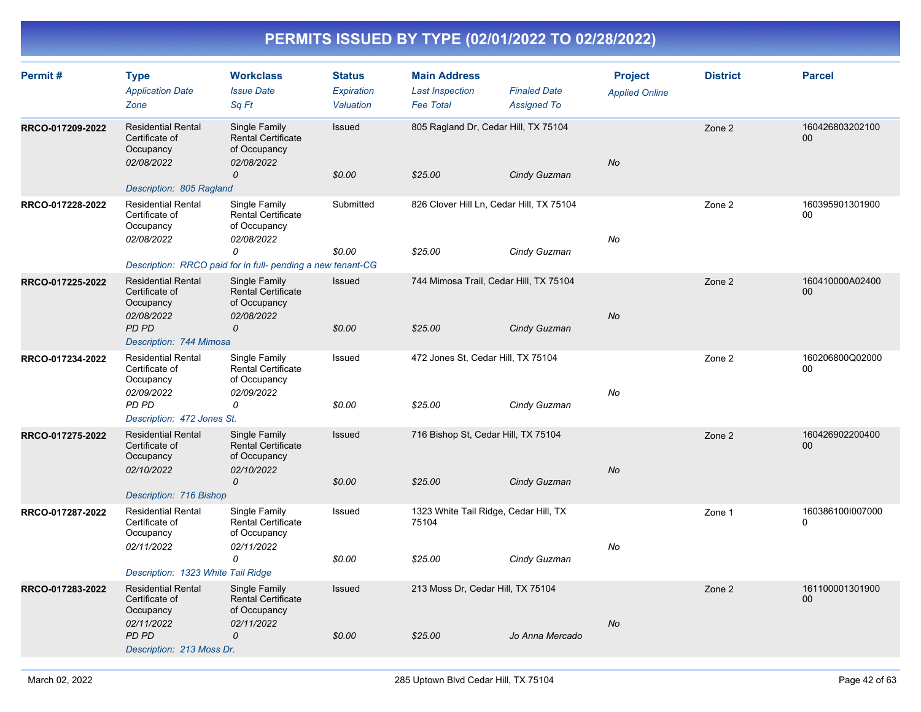| Permit#          | <b>Type</b><br><b>Application Date</b><br>Zone                                                                | <b>Workclass</b><br><b>Issue Date</b><br>Sq Ft                                                                                        | <b>Status</b><br>Expiration<br>Valuation | <b>Main Address</b><br><b>Last Inspection</b><br><b>Fee Total</b> | <b>Finaled Date</b><br><b>Assigned To</b> | <b>Project</b><br><b>Applied Online</b> | <b>District</b> | <b>Parcel</b>                |
|------------------|---------------------------------------------------------------------------------------------------------------|---------------------------------------------------------------------------------------------------------------------------------------|------------------------------------------|-------------------------------------------------------------------|-------------------------------------------|-----------------------------------------|-----------------|------------------------------|
| RRCO-017209-2022 | <b>Residential Rental</b><br>Certificate of<br>Occupancy<br>02/08/2022<br>Description: 805 Ragland            | Single Family<br><b>Rental Certificate</b><br>of Occupancy<br>02/08/2022<br>0                                                         | Issued<br>\$0.00                         | 805 Ragland Dr, Cedar Hill, TX 75104<br>\$25.00                   | Cindy Guzman                              | No                                      | Zone 2          | 160426803202100<br>$00\,$    |
| RRCO-017228-2022 | <b>Residential Rental</b><br>Certificate of<br>Occupancy<br>02/08/2022                                        | Single Family<br>Rental Certificate<br>of Occupancy<br>02/08/2022<br>0<br>Description: RRCO paid for in full- pending a new tenant-CG | Submitted<br>\$0.00                      | 826 Clover Hill Ln, Cedar Hill, TX 75104<br>\$25.00               | Cindy Guzman                              | No                                      | Zone 2          | 160395901301900<br>00        |
| RRCO-017225-2022 | <b>Residential Rental</b><br>Certificate of<br>Occupancy<br>02/08/2022<br>PD PD<br>Description: 744 Mimosa    | Single Family<br><b>Rental Certificate</b><br>of Occupancy<br>02/08/2022<br>0                                                         | Issued<br>\$0.00                         | 744 Mimosa Trail, Cedar Hill, TX 75104<br>\$25.00                 | Cindy Guzman                              | No                                      | Zone 2          | 160410000A02400<br>$00\,$    |
| RRCO-017234-2022 | <b>Residential Rental</b><br>Certificate of<br>Occupancy<br>02/09/2022<br>PD PD<br>Description: 472 Jones St. | Single Family<br><b>Rental Certificate</b><br>of Occupancy<br>02/09/2022<br>0                                                         | Issued<br>\$0.00                         | 472 Jones St, Cedar Hill, TX 75104<br>\$25.00                     | Cindy Guzman                              | No                                      | Zone 2          | 160206800Q02000<br>00        |
| RRCO-017275-2022 | <b>Residential Rental</b><br>Certificate of<br>Occupancy<br>02/10/2022<br>Description: 716 Bishop             | Single Family<br><b>Rental Certificate</b><br>of Occupancy<br>02/10/2022<br>$\mathcal{O}$                                             | Issued<br>\$0.00                         | 716 Bishop St, Cedar Hill, TX 75104<br>\$25.00                    | Cindy Guzman                              | <b>No</b>                               | Zone 2          | 160426902200400<br>00        |
| RRCO-017287-2022 | <b>Residential Rental</b><br>Certificate of<br>Occupancy<br>02/11/2022<br>Description: 1323 White Tail Ridge  | Single Family<br><b>Rental Certificate</b><br>of Occupancy<br>02/11/2022<br>0                                                         | Issued<br>\$0.00                         | 1323 White Tail Ridge, Cedar Hill, TX<br>75104<br>\$25.00         | Cindy Guzman                              | No                                      | Zone 1          | 160386100I007000<br>$\Omega$ |
| RRCO-017283-2022 | <b>Residential Rental</b><br>Certificate of<br>Occupancy<br>02/11/2022<br>PD PD<br>Description: 213 Moss Dr.  | Single Family<br><b>Rental Certificate</b><br>of Occupancy<br>02/11/2022<br>$\mathcal{O}$                                             | Issued<br>\$0.00                         | 213 Moss Dr, Cedar Hill, TX 75104<br>\$25.00                      | Jo Anna Mercado                           | <b>No</b>                               | Zone 2          | 161100001301900<br>00        |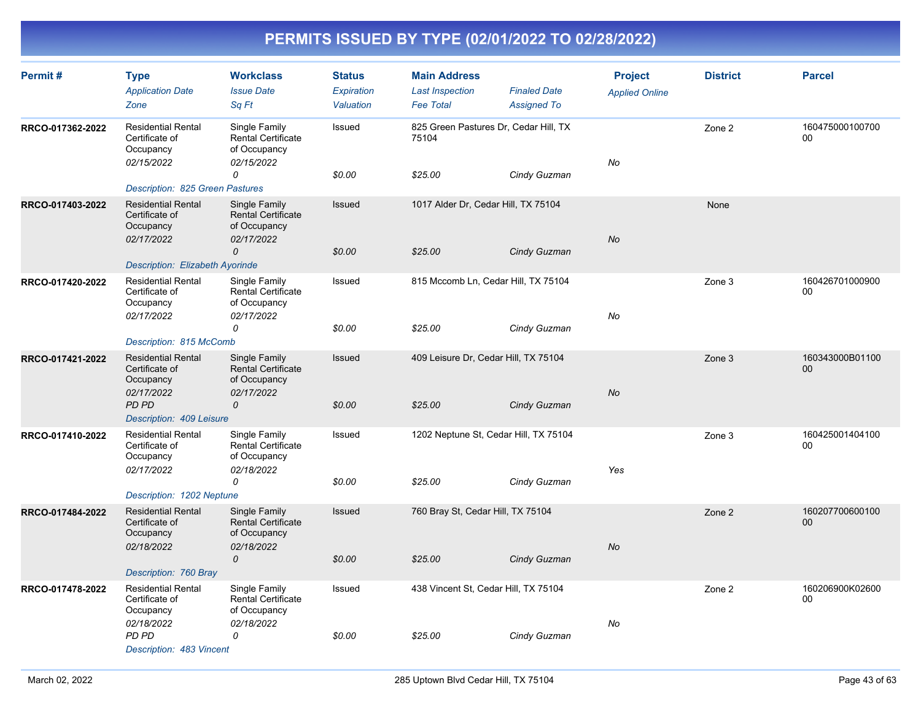| Permit#          | <b>Type</b><br><b>Application Date</b><br>Zone                                      | <b>Workclass</b><br><b>Issue Date</b><br>Sq Ft                           | <b>Status</b><br>Expiration<br>Valuation | <b>Main Address</b><br><b>Last Inspection</b><br><b>Fee Total</b> | <b>Finaled Date</b><br><b>Assigned To</b> | <b>Project</b><br><b>Applied Online</b> | <b>District</b> | <b>Parcel</b>         |
|------------------|-------------------------------------------------------------------------------------|--------------------------------------------------------------------------|------------------------------------------|-------------------------------------------------------------------|-------------------------------------------|-----------------------------------------|-----------------|-----------------------|
| RRCO-017362-2022 | <b>Residential Rental</b><br>Certificate of<br>Occupancy<br>02/15/2022              | Single Family<br><b>Rental Certificate</b><br>of Occupancy<br>02/15/2022 | Issued                                   | 825 Green Pastures Dr, Cedar Hill, TX<br>75104                    |                                           | No                                      | Zone 2          | 160475000100700<br>00 |
|                  | Description: 825 Green Pastures                                                     | 0                                                                        | \$0.00                                   | \$25.00                                                           | Cindy Guzman                              |                                         |                 |                       |
| RRCO-017403-2022 | <b>Residential Rental</b><br>Certificate of<br>Occupancy<br>02/17/2022              | Single Family<br><b>Rental Certificate</b><br>of Occupancy<br>02/17/2022 | <b>Issued</b>                            | 1017 Alder Dr, Cedar Hill, TX 75104                               |                                           | No                                      | None            |                       |
|                  | <b>Description: Elizabeth Ayorinde</b>                                              | 0                                                                        | \$0.00                                   | \$25.00                                                           | Cindy Guzman                              |                                         |                 |                       |
| RRCO-017420-2022 | <b>Residential Rental</b><br>Certificate of<br>Occupancy<br>02/17/2022              | Single Family<br><b>Rental Certificate</b><br>of Occupancy<br>02/17/2022 | Issued                                   | 815 Mccomb Ln, Cedar Hill, TX 75104                               |                                           | No                                      | Zone 3          | 160426701000900<br>00 |
|                  |                                                                                     | 0                                                                        | \$0.00                                   | \$25.00                                                           | Cindy Guzman                              |                                         |                 |                       |
| RRCO-017421-2022 | Description: 815 McComb<br><b>Residential Rental</b><br>Certificate of<br>Occupancy | Single Family<br><b>Rental Certificate</b><br>of Occupancy               | Issued                                   | 409 Leisure Dr, Cedar Hill, TX 75104                              |                                           |                                         | Zone 3          | 160343000B01100<br>00 |
|                  | 02/17/2022<br><b>PD PD</b><br>Description: 409 Leisure                              | 02/17/2022<br>0                                                          | \$0.00                                   | \$25.00                                                           | Cindy Guzman                              | No                                      |                 |                       |
| RRCO-017410-2022 | <b>Residential Rental</b><br>Certificate of<br>Occupancy<br>02/17/2022              | Single Family<br><b>Rental Certificate</b><br>of Occupancy<br>02/18/2022 | Issued                                   |                                                                   | 1202 Neptune St, Cedar Hill, TX 75104     | Yes                                     | Zone 3          | 160425001404100<br>00 |
|                  | Description: 1202 Neptune                                                           | 0                                                                        | \$0.00                                   | \$25.00                                                           | Cindy Guzman                              |                                         |                 |                       |
| RRCO-017484-2022 | <b>Residential Rental</b><br>Certificate of<br>Occupancy<br>02/18/2022              | Single Family<br><b>Rental Certificate</b><br>of Occupancy<br>02/18/2022 | Issued                                   | 760 Bray St, Cedar Hill, TX 75104                                 |                                           | <b>No</b>                               | Zone 2          | 160207700600100<br>00 |
|                  | Description: 760 Bray                                                               | $\mathcal{O}$                                                            | \$0.00                                   | \$25.00                                                           | Cindy Guzman                              |                                         |                 |                       |
| RRCO-017478-2022 | <b>Residential Rental</b><br>Certificate of<br>Occupancy                            | Single Family<br>Rental Certificate<br>of Occupancy                      | Issued                                   | 438 Vincent St, Cedar Hill, TX 75104                              |                                           |                                         | Zone 2          | 160206900K02600<br>00 |
|                  | 02/18/2022<br>PD PD<br>Description: 483 Vincent                                     | 02/18/2022<br>0                                                          | \$0.00                                   | \$25.00                                                           | Cindy Guzman                              | No                                      |                 |                       |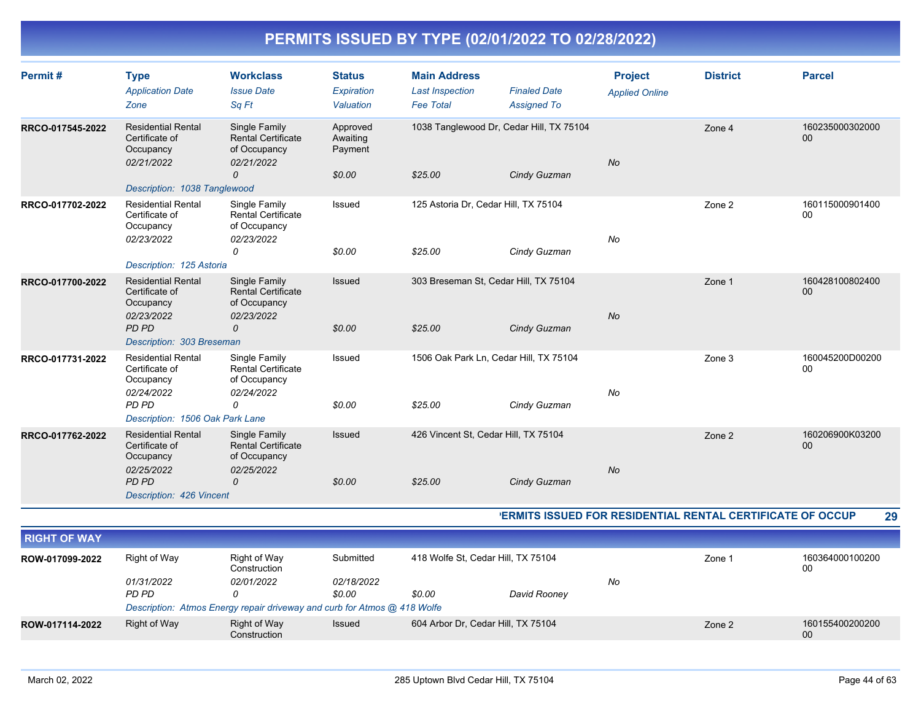| Permit#          | <b>Type</b><br><b>Application Date</b><br>Zone                         | <b>Workclass</b><br><b>Issue Date</b><br>Sq Ft                                | <b>Status</b><br>Expiration<br>Valuation  | <b>Main Address</b><br><b>Last Inspection</b><br><b>Fee Total</b> | <b>Finaled Date</b><br><b>Assigned To</b>                | <b>Project</b><br><b>Applied Online</b> | <b>District</b>                                                  | <b>Parcel</b>         |
|------------------|------------------------------------------------------------------------|-------------------------------------------------------------------------------|-------------------------------------------|-------------------------------------------------------------------|----------------------------------------------------------|-----------------------------------------|------------------------------------------------------------------|-----------------------|
| RRCO-017545-2022 | <b>Residential Rental</b><br>Certificate of<br>Occupancy<br>02/21/2022 | Single Family<br><b>Rental Certificate</b><br>of Occupancy<br>02/21/2022<br>0 | Approved<br>Awaiting<br>Payment<br>\$0.00 | \$25.00                                                           | 1038 Tanglewood Dr, Cedar Hill, TX 75104<br>Cindy Guzman | <b>No</b>                               | Zone 4                                                           | 160235000302000<br>00 |
|                  | Description: 1038 Tanglewood                                           |                                                                               |                                           |                                                                   |                                                          |                                         |                                                                  |                       |
| RRCO-017702-2022 | <b>Residential Rental</b><br>Certificate of<br>Occupancy<br>02/23/2022 | Single Family<br><b>Rental Certificate</b><br>of Occupancy<br>02/23/2022      | Issued                                    | 125 Astoria Dr, Cedar Hill, TX 75104                              |                                                          | No                                      | Zone 2                                                           | 160115000901400<br>00 |
|                  |                                                                        | 0                                                                             | \$0.00                                    | \$25.00                                                           | Cindy Guzman                                             |                                         |                                                                  |                       |
|                  | Description: 125 Astoria                                               |                                                                               |                                           |                                                                   |                                                          |                                         |                                                                  |                       |
| RRCO-017700-2022 | <b>Residential Rental</b><br>Certificate of<br>Occupancy<br>02/23/2022 | Single Family<br><b>Rental Certificate</b><br>of Occupancy<br>02/23/2022      | Issued                                    |                                                                   | 303 Breseman St, Cedar Hill, TX 75104                    | <b>No</b>                               | Zone 1                                                           | 160428100802400<br>00 |
|                  | PD PD                                                                  | 0                                                                             | \$0.00                                    | \$25.00                                                           | Cindy Guzman                                             |                                         |                                                                  |                       |
|                  | Description: 303 Breseman                                              |                                                                               |                                           |                                                                   |                                                          |                                         |                                                                  |                       |
| RRCO-017731-2022 | <b>Residential Rental</b><br>Certificate of<br>Occupancy<br>02/24/2022 | Single Family<br>Rental Certificate<br>of Occupancy<br>02/24/2022             | Issued                                    |                                                                   | 1506 Oak Park Ln, Cedar Hill, TX 75104                   | No                                      | Zone 3                                                           | 160045200D00200<br>00 |
|                  | PD PD                                                                  | 0                                                                             | \$0.00                                    | \$25.00                                                           | Cindy Guzman                                             |                                         |                                                                  |                       |
|                  | Description: 1506 Oak Park Lane                                        |                                                                               |                                           |                                                                   |                                                          |                                         |                                                                  |                       |
| RRCO-017762-2022 | <b>Residential Rental</b><br>Certificate of<br>Occupancy               | Single Family<br><b>Rental Certificate</b><br>of Occupancy                    | Issued                                    | 426 Vincent St, Cedar Hill, TX 75104                              |                                                          |                                         | Zone 2                                                           | 160206900K03200<br>00 |
|                  | 02/25/2022<br>PD PD<br>Description: 426 Vincent                        | 02/25/2022<br>0                                                               | \$0.00                                    | \$25.00                                                           | Cindy Guzman                                             | <b>No</b>                               |                                                                  |                       |
|                  |                                                                        |                                                                               |                                           |                                                                   |                                                          |                                         | <b>ERMITS ISSUED FOR RESIDENTIAL RENTAL CERTIFICATE OF OCCUP</b> | 29                    |
|                  |                                                                        |                                                                               |                                           |                                                                   |                                                          |                                         |                                                                  |                       |

| <b>RIGHT OF WAY</b> |                   |                                                                          |                   |        |                                    |    |        |                       |
|---------------------|-------------------|--------------------------------------------------------------------------|-------------------|--------|------------------------------------|----|--------|-----------------------|
| ROW-017099-2022     | Right of Way      | Right of Way<br>Construction                                             | Submitted         |        | 418 Wolfe St. Cedar Hill, TX 75104 |    | Zone 1 | 160364000100200<br>00 |
|                     | <i>01/31/2022</i> | <i>02/01/2022</i>                                                        | <i>02/18/2022</i> |        |                                    | No |        |                       |
|                     | PD PD             |                                                                          | \$0.00            | \$0.00 | David Rooney                       |    |        |                       |
|                     |                   | Description: Atmos Energy repair driveway and curb for Atmos @ 418 Wolfe |                   |        |                                    |    |        |                       |
| ROW-017114-2022     | Right of Way      | Right of Way<br>Construction                                             | <b>Issued</b>     |        | 604 Arbor Dr, Cedar Hill, TX 75104 |    | Zone 2 | 160155400200200<br>00 |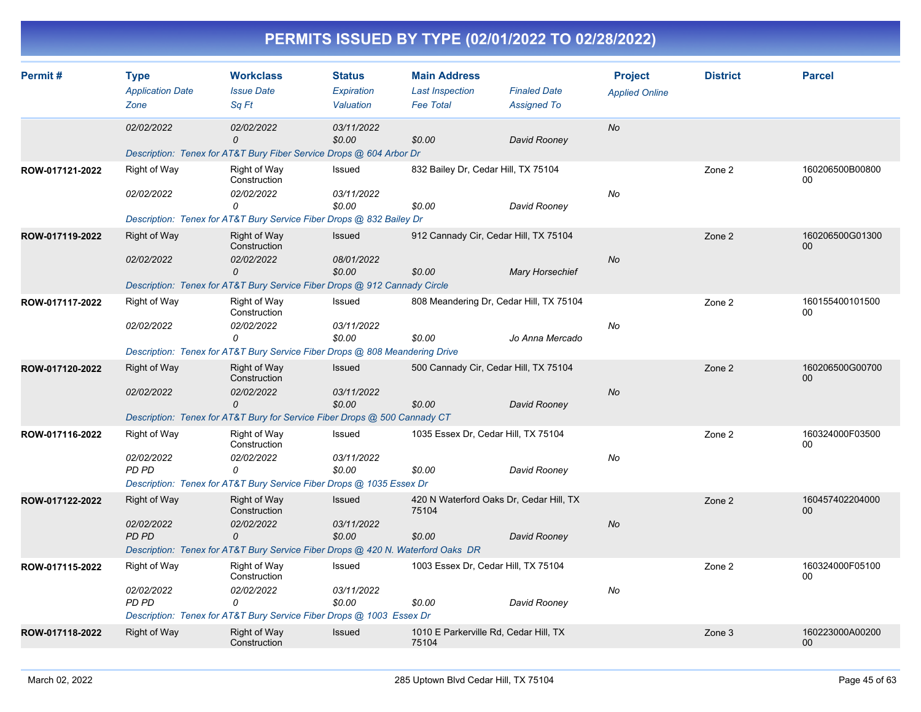| Permit#         | <b>Type</b><br><b>Application Date</b><br>Zone | <b>Workclass</b><br><b>Issue Date</b><br>Sq Ft                                  | <b>Status</b><br>Expiration<br>Valuation | <b>Main Address</b><br><b>Last Inspection</b><br><b>Fee Total</b> | <b>Finaled Date</b><br><b>Assigned To</b> | <b>Project</b><br><b>Applied Online</b> | <b>District</b> | <b>Parcel</b>                      |
|-----------------|------------------------------------------------|---------------------------------------------------------------------------------|------------------------------------------|-------------------------------------------------------------------|-------------------------------------------|-----------------------------------------|-----------------|------------------------------------|
|                 | 02/02/2022                                     | 02/02/2022<br>0                                                                 | 03/11/2022<br>\$0.00                     | \$0.00                                                            | David Rooney                              | No                                      |                 |                                    |
|                 |                                                | Description: Tenex for AT&T Bury Fiber Service Drops @ 604 Arbor Dr             |                                          |                                                                   |                                           |                                         |                 |                                    |
| ROW-017121-2022 | Right of Way                                   | Right of Way<br>Construction                                                    | Issued                                   | 832 Bailey Dr, Cedar Hill, TX 75104                               |                                           |                                         | Zone 2          | 160206500B00800<br>00              |
|                 | 02/02/2022                                     | 02/02/2022<br>0                                                                 | 03/11/2022<br>\$0.00                     | \$0.00                                                            | David Rooney                              | No                                      |                 |                                    |
|                 |                                                | Description: Tenex for AT&T Bury Service Fiber Drops @ 832 Bailey Dr            |                                          |                                                                   |                                           |                                         |                 |                                    |
| ROW-017119-2022 | <b>Right of Way</b>                            | Right of Way<br>Construction                                                    | Issued                                   | 912 Cannady Cir, Cedar Hill, TX 75104                             |                                           |                                         | Zone 2          | 160206500G01300<br>00 <sup>°</sup> |
|                 | 02/02/2022                                     | 02/02/2022<br>0                                                                 | 08/01/2022<br>\$0.00                     | \$0.00                                                            | <b>Mary Horsechief</b>                    | <b>No</b>                               |                 |                                    |
|                 |                                                | Description: Tenex for AT&T Bury Service Fiber Drops @ 912 Cannady Circle       |                                          |                                                                   |                                           |                                         |                 |                                    |
| ROW-017117-2022 | Right of Way                                   | Right of Way<br>Construction                                                    | Issued                                   | 808 Meandering Dr, Cedar Hill, TX 75104                           |                                           |                                         | Zone 2          | 160155400101500<br>00              |
|                 | 02/02/2022                                     | 02/02/2022<br>0                                                                 | 03/11/2022<br>\$0.00                     | \$0.00                                                            | Jo Anna Mercado                           | No                                      |                 |                                    |
|                 |                                                | Description: Tenex for AT&T Bury Service Fiber Drops @ 808 Meandering Drive     |                                          |                                                                   |                                           |                                         |                 |                                    |
| ROW-017120-2022 | Right of Way                                   | Right of Way<br>Construction                                                    | <b>Issued</b>                            | 500 Cannady Cir, Cedar Hill, TX 75104                             |                                           |                                         | Zone 2          | 160206500G00700<br>$00\,$          |
|                 | 02/02/2022                                     | 02/02/2022<br>$\mathcal{O}$                                                     | 03/11/2022<br>\$0.00                     | \$0.00                                                            | David Rooney                              | <b>No</b>                               |                 |                                    |
|                 |                                                | Description: Tenex for AT&T Bury for Service Fiber Drops @ 500 Cannady CT       |                                          |                                                                   |                                           |                                         |                 |                                    |
| ROW-017116-2022 | Right of Way                                   | Right of Way<br>Construction                                                    | Issued                                   | 1035 Essex Dr, Cedar Hill, TX 75104                               |                                           |                                         | Zone 2          | 160324000F03500<br>00              |
|                 | 02/02/2022                                     | 02/02/2022                                                                      | 03/11/2022                               |                                                                   |                                           | No                                      |                 |                                    |
|                 | PD PD                                          | $\Omega$                                                                        | \$0.00                                   | \$0.00                                                            | David Rooney                              |                                         |                 |                                    |
|                 |                                                | Description: Tenex for AT&T Bury Service Fiber Drops @ 1035 Essex Dr            |                                          |                                                                   |                                           |                                         |                 |                                    |
| ROW-017122-2022 | Right of Way                                   | Right of Way<br>Construction                                                    | <b>Issued</b>                            | 420 N Waterford Oaks Dr, Cedar Hill, TX<br>75104                  |                                           |                                         | Zone 2          | 160457402204000<br>$00\,$          |
|                 | 02/02/2022<br>PD PD                            | 02/02/2022<br>0                                                                 | 03/11/2022<br>\$0.00                     | \$0.00                                                            | David Rooney                              | No                                      |                 |                                    |
|                 |                                                | Description: Tenex for AT&T Bury Service Fiber Drops @ 420 N. Waterford Oaks DR |                                          |                                                                   |                                           |                                         |                 |                                    |
| ROW-017115-2022 | Right of Way                                   | Right of Way<br>Construction                                                    | Issued                                   | 1003 Essex Dr, Cedar Hill, TX 75104                               |                                           |                                         | Zone 2          | 160324000F05100<br>00              |
|                 | 02/02/2022<br><b>PD PD</b>                     | 02/02/2022<br>0                                                                 | 03/11/2022<br>\$0.00                     | \$0.00                                                            | David Rooney                              | No                                      |                 |                                    |
|                 |                                                | Description: Tenex for AT&T Bury Service Fiber Drops @ 1003 Essex Dr            |                                          |                                                                   |                                           |                                         |                 |                                    |
| ROW-017118-2022 | Right of Way                                   | <b>Right of Way</b><br>Construction                                             | <b>Issued</b>                            | 1010 E Parkerville Rd, Cedar Hill, TX<br>75104                    |                                           |                                         | Zone 3          | 160223000A00200<br>00 <sup>°</sup> |
|                 |                                                |                                                                                 |                                          |                                                                   |                                           |                                         |                 |                                    |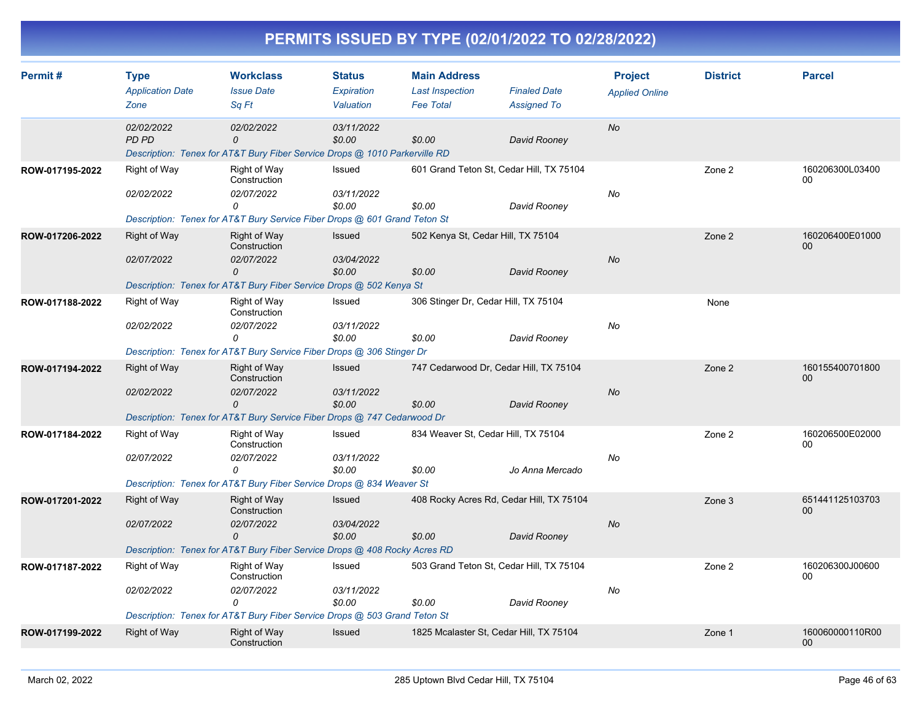| PERMITS ISSUED BY TYPE (02/01/2022 TO 02/28/2022) |
|---------------------------------------------------|
|---------------------------------------------------|

| Permit#         | <b>Type</b><br><b>Application Date</b> | <b>Workclass</b><br><b>Issue Date</b>                                      | <b>Status</b><br>Expiration | <b>Main Address</b><br><b>Last Inspection</b> | <b>Finaled Date</b>                      | <b>Project</b><br><b>Applied Online</b> | <b>District</b> | <b>Parcel</b>         |
|-----------------|----------------------------------------|----------------------------------------------------------------------------|-----------------------------|-----------------------------------------------|------------------------------------------|-----------------------------------------|-----------------|-----------------------|
|                 | Zone                                   | Sa Ft                                                                      | Valuation                   | <b>Fee Total</b>                              | <b>Assigned To</b>                       |                                         |                 |                       |
|                 | 02/02/2022<br><b>PD PD</b>             | 02/02/2022<br>0                                                            | 03/11/2022<br>\$0.00        | \$0.00                                        | David Rooney                             | <b>No</b>                               |                 |                       |
|                 |                                        | Description: Tenex for AT&T Bury Fiber Service Drops @ 1010 Parkerville RD |                             |                                               |                                          |                                         |                 |                       |
| ROW-017195-2022 | Right of Way                           | Right of Way<br>Construction                                               | Issued                      |                                               | 601 Grand Teton St, Cedar Hill, TX 75104 |                                         | Zone 2          | 160206300L03400<br>00 |
|                 | 02/02/2022                             | 02/07/2022<br>0                                                            | 03/11/2022<br>\$0.00        | \$0.00                                        | David Rooney                             | No                                      |                 |                       |
|                 |                                        | Description: Tenex for AT&T Bury Service Fiber Drops @ 601 Grand Teton St  |                             |                                               |                                          |                                         |                 |                       |
| ROW-017206-2022 | <b>Right of Way</b>                    | <b>Right of Way</b><br>Construction                                        | <b>Issued</b>               |                                               | 502 Kenya St, Cedar Hill, TX 75104       |                                         | Zone 2          | 160206400E01000<br>00 |
|                 | 02/07/2022                             | 02/07/2022<br>0                                                            | 03/04/2022<br>\$0.00        | \$0.00                                        | David Rooney                             | <b>No</b>                               |                 |                       |
|                 |                                        | Description: Tenex for AT&T Bury Fiber Service Drops @ 502 Kenya St        |                             |                                               |                                          |                                         |                 |                       |
| ROW-017188-2022 | Right of Way                           | Right of Way<br>Construction                                               | Issued                      |                                               | 306 Stinger Dr, Cedar Hill, TX 75104     |                                         | None            |                       |
|                 | 02/02/2022                             | 02/07/2022<br>0                                                            | 03/11/2022<br>\$0.00        | \$0.00                                        | David Rooney                             | No                                      |                 |                       |
|                 |                                        | Description: Tenex for AT&T Bury Service Fiber Drops @ 306 Stinger Dr      |                             |                                               |                                          |                                         |                 |                       |
| ROW-017194-2022 | <b>Right of Way</b>                    | Right of Way<br>Construction                                               | Issued                      |                                               | 747 Cedarwood Dr, Cedar Hill, TX 75104   |                                         | Zone 2          | 160155400701800<br>00 |
|                 | 02/02/2022                             | 02/07/2022<br>$\mathcal{O}$                                                | 03/11/2022<br>\$0.00        | \$0.00                                        | David Rooney                             | <b>No</b>                               |                 |                       |
|                 |                                        | Description: Tenex for AT&T Bury Service Fiber Drops @ 747 Cedarwood Dr    |                             |                                               |                                          |                                         |                 |                       |
| ROW-017184-2022 | Right of Way                           | Right of Way<br>Construction                                               | Issued                      |                                               | 834 Weaver St, Cedar Hill, TX 75104      |                                         | Zone 2          | 160206500E02000<br>00 |
|                 | 02/07/2022                             | 02/07/2022<br>$\Omega$                                                     | 03/11/2022<br>\$0.00        | \$0.00                                        | Jo Anna Mercado                          | No                                      |                 |                       |
|                 |                                        | Description: Tenex for AT&T Bury Fiber Service Drops @ 834 Weaver St       |                             |                                               |                                          |                                         |                 |                       |
| ROW-017201-2022 | <b>Right of Way</b>                    | <b>Right of Way</b><br>Construction                                        | <b>Issued</b>               |                                               | 408 Rocky Acres Rd, Cedar Hill, TX 75104 |                                         | Zone 3          | 651441125103703<br>00 |
|                 | 02/07/2022                             | 02/07/2022<br>0                                                            | 03/04/2022<br>\$0.00        | \$0.00                                        | David Rooney                             | <b>No</b>                               |                 |                       |
|                 |                                        | Description: Tenex for AT&T Bury Fiber Service Drops @ 408 Rocky Acres RD  |                             |                                               |                                          |                                         |                 |                       |
| ROW-017187-2022 | Right of Way                           | Right of Way<br>Construction                                               | Issued                      |                                               | 503 Grand Teton St, Cedar Hill, TX 75104 |                                         | Zone 2          | 160206300J00600<br>00 |
|                 | 02/02/2022                             | 02/07/2022<br>0                                                            | 03/11/2022                  |                                               |                                          | No                                      |                 |                       |
|                 |                                        | Description: Tenex for AT&T Bury Fiber Service Drops @ 503 Grand Teton St  | \$0.00                      | \$0.00                                        | David Rooney                             |                                         |                 |                       |
| ROW-017199-2022 | <b>Right of Way</b>                    | Right of Way                                                               | <b>Issued</b>               |                                               | 1825 Mcalaster St, Cedar Hill, TX 75104  |                                         | Zone 1          | 160060000110R00<br>00 |
|                 |                                        | Construction                                                               |                             |                                               |                                          |                                         |                 |                       |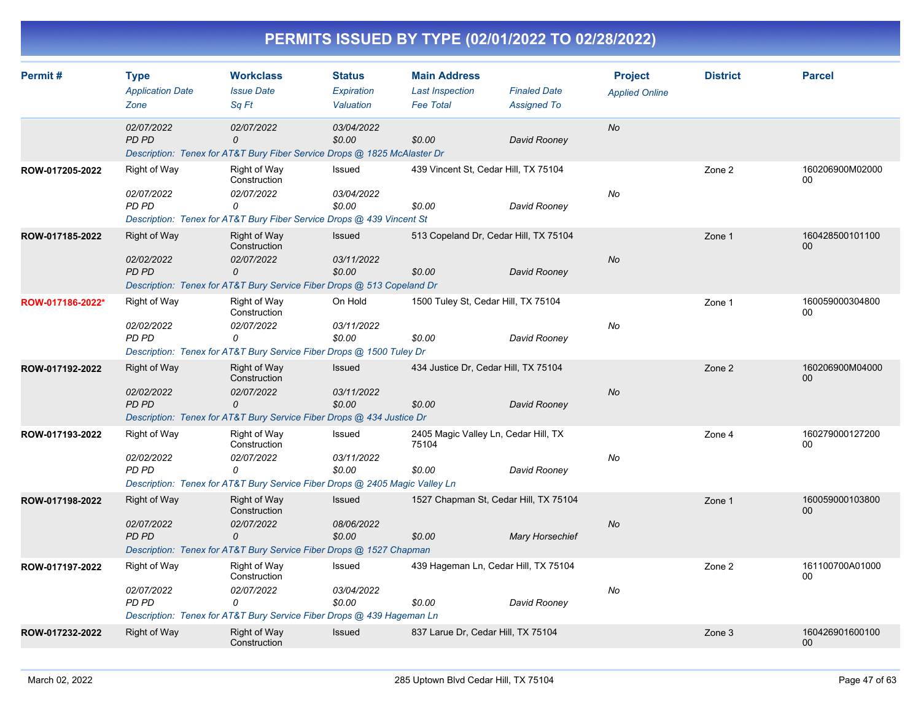| Permit#          | <b>Type</b>                     | <b>Workclass</b>                                                                                        | <b>Status</b>           | <b>Main Address</b>                        |                                           | <b>Project</b>        | <b>District</b> | <b>Parcel</b>         |
|------------------|---------------------------------|---------------------------------------------------------------------------------------------------------|-------------------------|--------------------------------------------|-------------------------------------------|-----------------------|-----------------|-----------------------|
|                  | <b>Application Date</b><br>Zone | <b>Issue Date</b><br>Sq Ft                                                                              | Expiration<br>Valuation | <b>Last Inspection</b><br><b>Fee Total</b> | <b>Finaled Date</b><br><b>Assigned To</b> | <b>Applied Online</b> |                 |                       |
|                  | 02/07/2022<br><b>PD PD</b>      | 02/07/2022<br>$\mathcal{O}$<br>Description: Tenex for AT&T Bury Fiber Service Drops @ 1825 McAlaster Dr | 03/04/2022<br>\$0.00    | \$0.00                                     | David Rooney                              | No                    |                 |                       |
| ROW-017205-2022  | Right of Way                    | Right of Way<br>Construction                                                                            | Issued                  |                                            | 439 Vincent St, Cedar Hill, TX 75104      |                       | Zone 2          | 160206900M02000<br>00 |
|                  | 02/07/2022<br>PD PD             | 02/07/2022<br>0<br>Description: Tenex for AT&T Bury Fiber Service Drops @ 439 Vincent St                | 03/04/2022<br>\$0.00    | \$0.00                                     | David Rooney                              | No                    |                 |                       |
| ROW-017185-2022  | Right of Way<br>02/02/2022      | <b>Right of Way</b><br>Construction<br>02/07/2022                                                       | Issued<br>03/11/2022    |                                            | 513 Copeland Dr, Cedar Hill, TX 75104     | <b>No</b>             | Zone 1          | 160428500101100<br>00 |
|                  | <b>PD PD</b>                    | 0<br>Description: Tenex for AT&T Bury Service Fiber Drops @ 513 Copeland Dr                             | \$0.00                  | \$0.00                                     | David Rooney                              |                       |                 |                       |
| ROW-017186-2022* | Right of Way<br>02/02/2022      | Right of Way<br>Construction<br>02/07/2022                                                              | On Hold<br>03/11/2022   | 1500 Tuley St, Cedar Hill, TX 75104        |                                           | No                    | Zone 1          | 160059000304800<br>00 |
|                  | PD PD                           | $\Omega$<br>Description: Tenex for AT&T Bury Service Fiber Drops @ 1500 Tuley Dr                        | \$0.00                  | \$0.00                                     | David Rooney                              |                       |                 |                       |
| ROW-017192-2022  | Right of Way<br>02/02/2022      | Right of Way<br>Construction<br>02/07/2022                                                              | Issued<br>03/11/2022    |                                            | 434 Justice Dr, Cedar Hill, TX 75104      | <b>No</b>             | Zone 2          | 160206900M04000<br>00 |
|                  | <b>PD PD</b>                    | $\mathcal{O}$<br>Description: Tenex for AT&T Bury Service Fiber Drops @ 434 Justice Dr                  | \$0.00                  | \$0.00                                     | David Rooney                              |                       |                 |                       |
| ROW-017193-2022  | <b>Right of Way</b>             | Right of Way<br>Construction                                                                            | Issued                  | 75104                                      | 2405 Magic Valley Ln, Cedar Hill, TX      |                       | Zone 4          | 160279000127200<br>00 |
|                  | 02/02/2022<br>PD PD             | 02/07/2022<br>0<br>Description: Tenex for AT&T Bury Service Fiber Drops @ 2405 Magic Valley Ln          | 03/11/2022<br>\$0.00    | \$0.00                                     | David Rooney                              | No                    |                 |                       |
| ROW-017198-2022  | Right of Way                    | <b>Right of Way</b><br>Construction                                                                     | Issued                  |                                            | 1527 Chapman St, Cedar Hill, TX 75104     |                       | Zone 1          | 160059000103800<br>00 |
|                  | 02/07/2022<br><b>PD PD</b>      | 02/07/2022<br>$\mathcal{O}$<br>Description: Tenex for AT&T Bury Service Fiber Drops @ 1527 Chapman      | 08/06/2022<br>\$0.00    | \$0.00                                     | <b>Mary Horsechief</b>                    | <b>No</b>             |                 |                       |
| ROW-017197-2022  | Right of Way                    | Right of Way<br>Construction                                                                            | Issued                  |                                            | 439 Hageman Ln, Cedar Hill, TX 75104      |                       | Zone 2          | 161100700A01000<br>00 |
|                  | 02/07/2022<br><b>PD PD</b>      | 02/07/2022<br>0<br>Description: Tenex for AT&T Bury Service Fiber Drops @ 439 Hageman Ln                | 03/04/2022<br>\$0.00    | \$0.00                                     | David Rooney                              | No                    |                 |                       |
| ROW-017232-2022  | Right of Way                    | Right of Way<br>Construction                                                                            | Issued                  | 837 Larue Dr, Cedar Hill, TX 75104         |                                           |                       | Zone 3          | 160426901600100<br>00 |
|                  |                                 |                                                                                                         |                         |                                            |                                           |                       |                 |                       |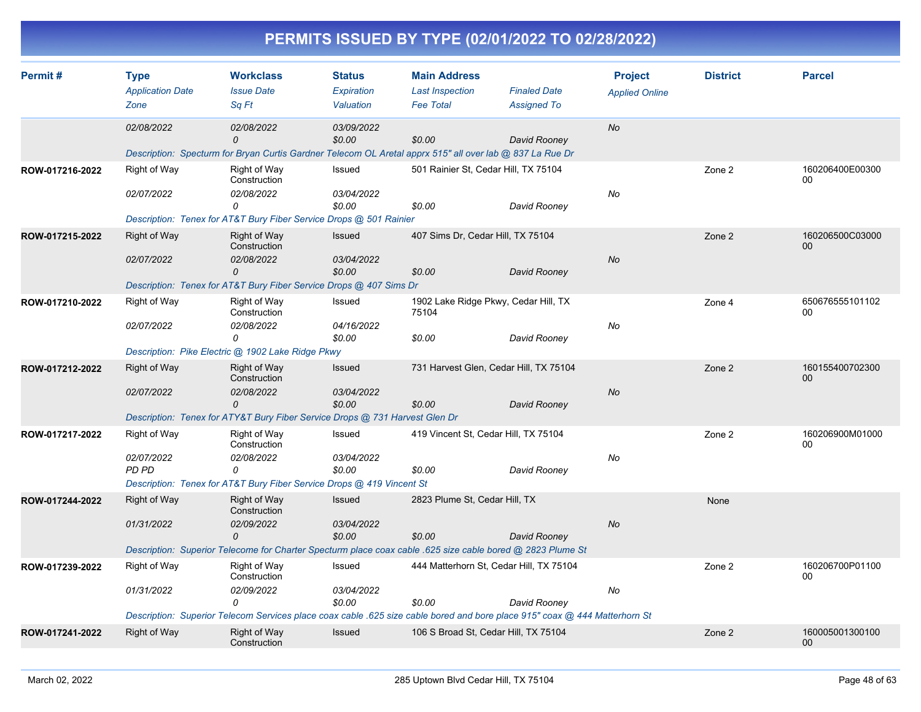|                 |                                                |                                                                                                                                                     |                                          |                                                                   | PERMITS ISSUED BY TYPE (02/01/2022 TO 02/28/2022)                                                                                                                                     |                                         |                 |                           |
|-----------------|------------------------------------------------|-----------------------------------------------------------------------------------------------------------------------------------------------------|------------------------------------------|-------------------------------------------------------------------|---------------------------------------------------------------------------------------------------------------------------------------------------------------------------------------|-----------------------------------------|-----------------|---------------------------|
| Permit#         | <b>Type</b><br><b>Application Date</b><br>Zone | <b>Workclass</b><br><b>Issue Date</b><br>Sq Ft                                                                                                      | <b>Status</b><br>Expiration<br>Valuation | <b>Main Address</b><br><b>Last Inspection</b><br><b>Fee Total</b> | <b>Finaled Date</b><br><b>Assigned To</b>                                                                                                                                             | <b>Project</b><br><b>Applied Online</b> | <b>District</b> | <b>Parcel</b>             |
|                 | 02/08/2022                                     | <i>02/08/2022</i><br>$\Omega$<br>Description: Specturm for Bryan Curtis Gardner Telecom OL Aretal apprx 515" all over lab @ 837 La Rue Dr           | 03/09/2022<br>\$0.00                     | \$0.00                                                            | David Rooney                                                                                                                                                                          | No                                      |                 |                           |
| ROW-017216-2022 | Right of Way<br>02/07/2022                     | Right of Way<br>Construction<br>02/08/2022<br>0<br>Description: Tenex for AT&T Bury Fiber Service Drops @ 501 Rainier                               | Issued<br>03/04/2022<br>\$0.00           | 501 Rainier St, Cedar Hill, TX 75104<br>\$0.00                    | David Rooney                                                                                                                                                                          | No                                      | Zone 2          | 160206400E00300<br>00     |
| ROW-017215-2022 | <b>Right of Way</b><br>02/07/2022              | Right of Way<br>Construction<br>02/08/2022<br>$\Omega$<br>Description: Tenex for AT&T Bury Fiber Service Drops @ 407 Sims Dr                        | Issued<br>03/04/2022<br>\$0.00           | 407 Sims Dr, Cedar Hill, TX 75104<br>\$0.00                       | David Rooney                                                                                                                                                                          | No                                      | Zone 2          | 160206500C03000<br>$00\,$ |
| ROW-017210-2022 | <b>Right of Way</b><br>02/07/2022              | Right of Way<br>Construction<br><i>02/08/2022</i><br>0<br>Description: Pike Electric @ 1902 Lake Ridge Pkwy                                         | Issued<br>04/16/2022<br>\$0.00           | 75104<br>\$0.00                                                   | 1902 Lake Ridge Pkwy, Cedar Hill, TX<br>David Rooney                                                                                                                                  | No                                      | Zone 4          | 650676555101102<br>00     |
| ROW-017212-2022 | <b>Right of Way</b><br>02/07/2022              | <b>Right of Way</b><br>Construction<br><i>02/08/2022</i><br>$\Omega$<br>Description: Tenex for ATY&T Bury Fiber Service Drops @ 731 Harvest Glen Dr | Issued<br>03/04/2022<br>\$0.00           | \$0.00                                                            | 731 Harvest Glen, Cedar Hill, TX 75104<br>David Rooney                                                                                                                                | No                                      | Zone 2          | 160155400702300<br>$00\,$ |
| ROW-017217-2022 | <b>Right of Way</b><br>02/07/2022<br>PD PD     | Right of Way<br>Construction<br><i>02/08/2022</i><br>0<br>Description: Tenex for AT&T Bury Fiber Service Drops @ 419 Vincent St                     | Issued<br>03/04/2022<br>\$0.00           | \$0.00                                                            | 419 Vincent St, Cedar Hill, TX 75104<br>David Rooney                                                                                                                                  | No                                      | Zone 2          | 160206900M01000<br>00     |
| ROW-017244-2022 | Right of Way<br>01/31/2022                     | Right of Way<br>Construction<br>02/09/2022<br>$\Omega$                                                                                              | Issued<br>03/04/2022<br>\$0.00           | 2823 Plume St, Cedar Hill, TX<br>\$0.00                           | David Rooney<br>Description: Superior Telecome for Charter Specturm place coax cable .625 size cable bored @ 2823 Plume St                                                            | No                                      | None            |                           |
| ROW-017239-2022 | Right of Way<br>01/31/2022                     | Right of Way<br>Construction<br>02/09/2022<br>0                                                                                                     | Issued<br>03/04/2022<br>\$0.00           | \$0.00                                                            | 444 Matterhorn St, Cedar Hill, TX 75104<br>David Rooney<br>Description: Superior Telecom Services place coax cable .625 size cable bored and bore place 915" coax @ 444 Matterhorn St | No                                      | Zone 2          | 160206700P01100<br>00     |
| ROW-017241-2022 | Right of Way                                   | <b>Right of Way</b><br>Construction                                                                                                                 | Issued                                   |                                                                   | 106 S Broad St, Cedar Hill, TX 75104                                                                                                                                                  |                                         | Zone 2          | 160005001300100<br>$00\,$ |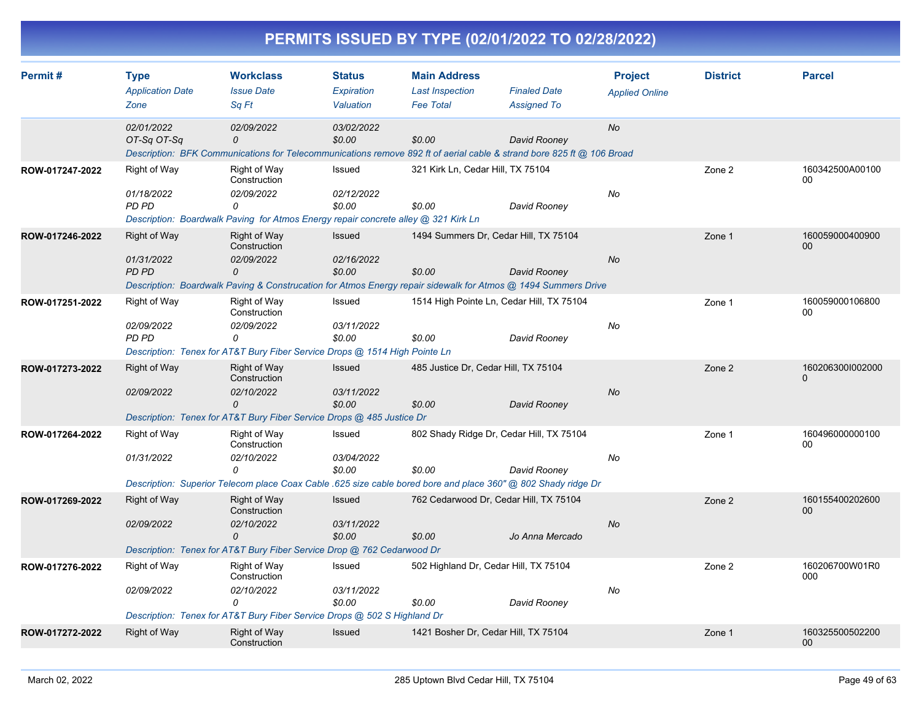|                 |                                                |                                                                                                                                       |                                          |                                                                   | PERMITS ISSUED BY TYPE (02/01/2022 TO 02/28/2022)                                                                                                                         |                                         |                 |                              |
|-----------------|------------------------------------------------|---------------------------------------------------------------------------------------------------------------------------------------|------------------------------------------|-------------------------------------------------------------------|---------------------------------------------------------------------------------------------------------------------------------------------------------------------------|-----------------------------------------|-----------------|------------------------------|
| Permit#         | <b>Type</b><br><b>Application Date</b><br>Zone | <b>Workclass</b><br><b>Issue Date</b><br>Sq Ft                                                                                        | <b>Status</b><br>Expiration<br>Valuation | <b>Main Address</b><br><b>Last Inspection</b><br><b>Fee Total</b> | <b>Finaled Date</b><br><b>Assigned To</b>                                                                                                                                 | <b>Project</b><br><b>Applied Online</b> | <b>District</b> | <b>Parcel</b>                |
|                 | 02/01/2022<br>OT-Sq OT-Sq                      | 02/09/2022<br>0                                                                                                                       | 03/02/2022<br>\$0.00                     | \$0.00                                                            | David Rooney<br>Description: BFK Communications for Telecommunications remove 892 ft of aerial cable & strand bore 825 ft @ 106 Broad                                     | No                                      |                 |                              |
| ROW-017247-2022 | Right of Way<br>01/18/2022<br>PD PD            | Right of Way<br>Construction<br>02/09/2022<br>0<br>Description: Boardwalk Paving for Atmos Energy repair concrete alley @ 321 Kirk Ln | Issued<br>02/12/2022<br>\$0.00           | 321 Kirk Ln, Cedar Hill, TX 75104<br>\$0.00                       | David Rooney                                                                                                                                                              | No                                      | Zone 2          | 160342500A00100<br>$00\,$    |
| ROW-017246-2022 | <b>Right of Way</b><br>01/31/2022<br>PD PD     | Right of Way<br>Construction<br>02/09/2022<br>0                                                                                       | <b>Issued</b><br>02/16/2022<br>\$0.00    | \$0.00                                                            | 1494 Summers Dr, Cedar Hill, TX 75104<br>David Rooney<br>Description: Boardwalk Paving & Construcation for Atmos Energy repair sidewalk for Atmos @ 1494 Summers Drive    | No                                      | Zone 1          | 160059000400900<br>$00\,$    |
| ROW-017251-2022 | Right of Way<br>02/09/2022<br>PD PD            | Right of Way<br>Construction<br>02/09/2022<br>0<br>Description: Tenex for AT&T Bury Fiber Service Drops @ 1514 High Pointe Ln         | Issued<br>03/11/2022<br>\$0.00           | \$0.00                                                            | 1514 High Pointe Ln, Cedar Hill, TX 75104<br>David Rooney                                                                                                                 | No                                      | Zone 1          | 160059000106800<br>00        |
| ROW-017273-2022 | Right of Way<br><i>02/09/2022</i>              | Right of Way<br>Construction<br><i>02/10/2022</i><br>0<br>Description: Tenex for AT&T Bury Fiber Service Drops @ 485 Justice Dr       | <b>Issued</b><br>03/11/2022<br>\$0.00    | \$0.00                                                            | 485 Justice Dr, Cedar Hill, TX 75104<br>David Rooney                                                                                                                      | No                                      | Zone 2          | 1602063001002000<br>$\Omega$ |
| ROW-017264-2022 | Right of Way<br><i>01/31/2022</i>              | Right of Way<br>Construction<br>02/10/2022<br>$\Omega$                                                                                | Issued<br>03/04/2022<br>\$0.00           | \$0.00                                                            | 802 Shady Ridge Dr, Cedar Hill, TX 75104<br>David Rooney<br>Description: Superior Telecom place Coax Cable .625 size cable bored bore and place 360" @ 802 Shady ridge Dr | No                                      | Zone 1          | 160496000000100<br>00        |
| ROW-017269-2022 | <b>Right of Way</b><br>02/09/2022              | Right of Way<br>Construction<br>02/10/2022<br>0<br>Description: Tenex for AT&T Bury Fiber Service Drop @ 762 Cedarwood Dr             | <b>Issued</b><br>03/11/2022<br>\$0.00    | \$0.00                                                            | 762 Cedarwood Dr. Cedar Hill, TX 75104<br>Jo Anna Mercado                                                                                                                 | No                                      | Zone 2          | 160155400202600<br>00        |
| ROW-017276-2022 | <b>Right of Way</b><br>02/09/2022              | Right of Way<br>Construction<br>02/10/2022<br>0<br>Description: Tenex for AT&T Bury Fiber Service Drops @ 502 S Highland Dr           | Issued<br>03/11/2022<br>\$0.00           | \$0.00                                                            | 502 Highland Dr, Cedar Hill, TX 75104<br>David Rooney                                                                                                                     | No                                      | Zone 2          | 160206700W01R0<br>000        |
| ROW-017272-2022 | Right of Way                                   | Right of Way<br>Construction                                                                                                          | Issued                                   |                                                                   | 1421 Bosher Dr, Cedar Hill, TX 75104                                                                                                                                      |                                         | Zone 1          | 160325500502200<br>$00\,$    |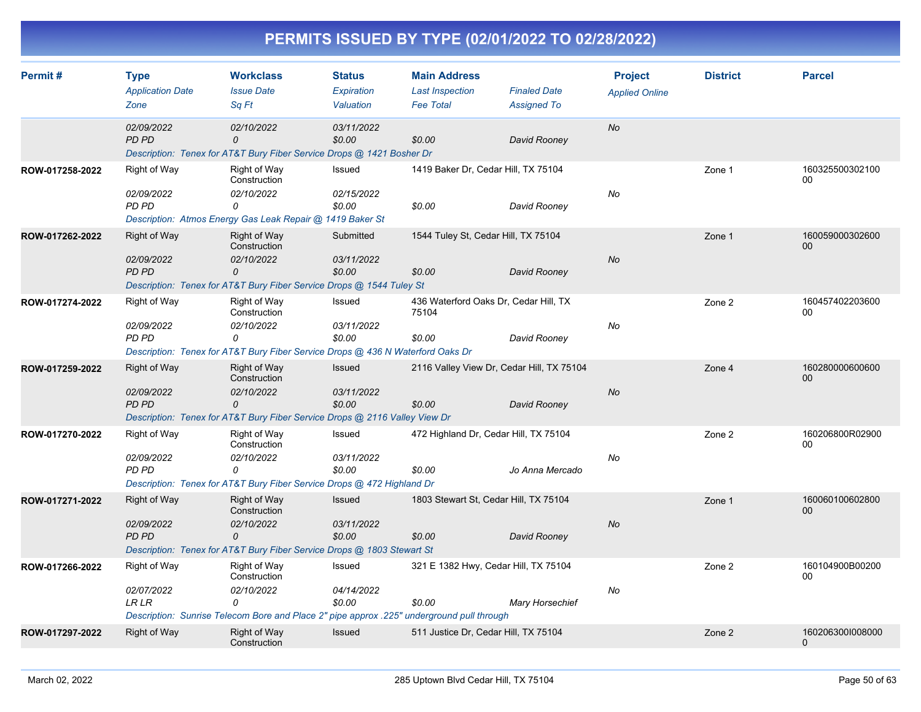| Permit#         | <b>Type</b><br><b>Application Date</b><br>Zone    | <b>Workclass</b><br><b>Issue Date</b><br>Sa Ft                                                                                               | <b>Status</b><br>Expiration<br>Valuation | <b>Main Address</b><br><b>Last Inspection</b><br><b>Fee Total</b> | <b>Finaled Date</b><br><b>Assigned To</b> | <b>Project</b><br><b>Applied Online</b> | <b>District</b> | <b>Parcel</b>                |
|-----------------|---------------------------------------------------|----------------------------------------------------------------------------------------------------------------------------------------------|------------------------------------------|-------------------------------------------------------------------|-------------------------------------------|-----------------------------------------|-----------------|------------------------------|
|                 | 02/09/2022<br>PD PD                               | 02/10/2022<br>$\Omega$<br>Description: Tenex for AT&T Bury Fiber Service Drops @ 1421 Bosher Dr                                              | 03/11/2022<br>\$0.00                     | \$0.00                                                            | David Rooney                              | <b>No</b>                               |                 |                              |
| ROW-017258-2022 | Right of Way<br>02/09/2022<br>PD PD               | <b>Right of Way</b><br>Construction<br>02/10/2022<br>0<br>Description: Atmos Energy Gas Leak Repair @ 1419 Baker St                          | Issued<br>02/15/2022<br>\$0.00           | 1419 Baker Dr, Cedar Hill, TX 75104<br>\$0.00                     | David Rooney                              | No                                      | Zone 1          | 160325500302100<br>00        |
| ROW-017262-2022 | Right of Way<br>02/09/2022<br><b>PD PD</b>        | Right of Way<br>Construction<br>02/10/2022<br>0<br>Description: Tenex for AT&T Bury Fiber Service Drops @ 1544 Tuley St                      | Submitted<br>03/11/2022<br>\$0.00        | 1544 Tuley St, Cedar Hill, TX 75104<br>\$0.00                     | David Rooney                              | <b>No</b>                               | Zone 1          | 160059000302600<br>00        |
| ROW-017274-2022 | <b>Right of Way</b><br>02/09/2022<br>PD PD        | Right of Way<br>Construction<br>02/10/2022<br>0<br>Description: Tenex for AT&T Bury Fiber Service Drops @ 436 N Waterford Oaks Dr            | Issued<br>03/11/2022<br>\$0.00           | 436 Waterford Oaks Dr, Cedar Hill, TX<br>75104<br>\$0.00          | David Rooney                              | No                                      | Zone 2          | 160457402203600<br>00        |
| ROW-017259-2022 | <b>Right of Way</b><br>02/09/2022<br><b>PD PD</b> | Right of Way<br>Construction<br>02/10/2022<br>0<br>Description: Tenex for AT&T Bury Fiber Service Drops @ 2116 Valley View Dr                | <b>Issued</b><br>03/11/2022<br>\$0.00    | 2116 Valley View Dr, Cedar Hill, TX 75104<br>\$0.00               | David Rooney                              | <b>No</b>                               | Zone 4          | 160280000600600<br>00        |
| ROW-017270-2022 | Right of Way<br>02/09/2022<br>PD PD               | Right of Way<br>Construction<br>02/10/2022<br>0<br>Description: Tenex for AT&T Bury Fiber Service Drops @ 472 Highland Dr                    | Issued<br>03/11/2022<br>\$0.00           | 472 Highland Dr, Cedar Hill, TX 75104<br>\$0.00                   | Jo Anna Mercado                           | No                                      | Zone 2          | 160206800R02900<br>00        |
| ROW-017271-2022 | Right of Way<br>02/09/2022<br><b>PD PD</b>        | Right of Way<br>Construction<br>02/10/2022<br>0<br>Description: Tenex for AT&T Bury Fiber Service Drops @ 1803 Stewart St                    | Issued<br>03/11/2022<br>\$0.00           | 1803 Stewart St, Cedar Hill, TX 75104<br>\$0.00                   | David Rooney                              | <b>No</b>                               | Zone 1          | 160060100602800<br>00        |
| ROW-017266-2022 | <b>Right of Way</b><br>02/07/2022<br><b>LRLR</b>  | Right of Way<br>Construction<br>02/10/2022<br>0<br>Description: Sunrise Telecom Bore and Place 2" pipe approx .225" underground pull through | Issued<br>04/14/2022<br>\$0.00           | 321 E 1382 Hwy, Cedar Hill, TX 75104<br>\$0.00                    | <b>Mary Horsechief</b>                    | No                                      | Zone 2          | 160104900B00200<br>00        |
| ROW-017297-2022 | <b>Right of Way</b>                               | Right of Way<br>Construction                                                                                                                 | Issued                                   | 511 Justice Dr. Cedar Hill, TX 75104                              |                                           |                                         | Zone 2          | 160206300I008000<br>$\Omega$ |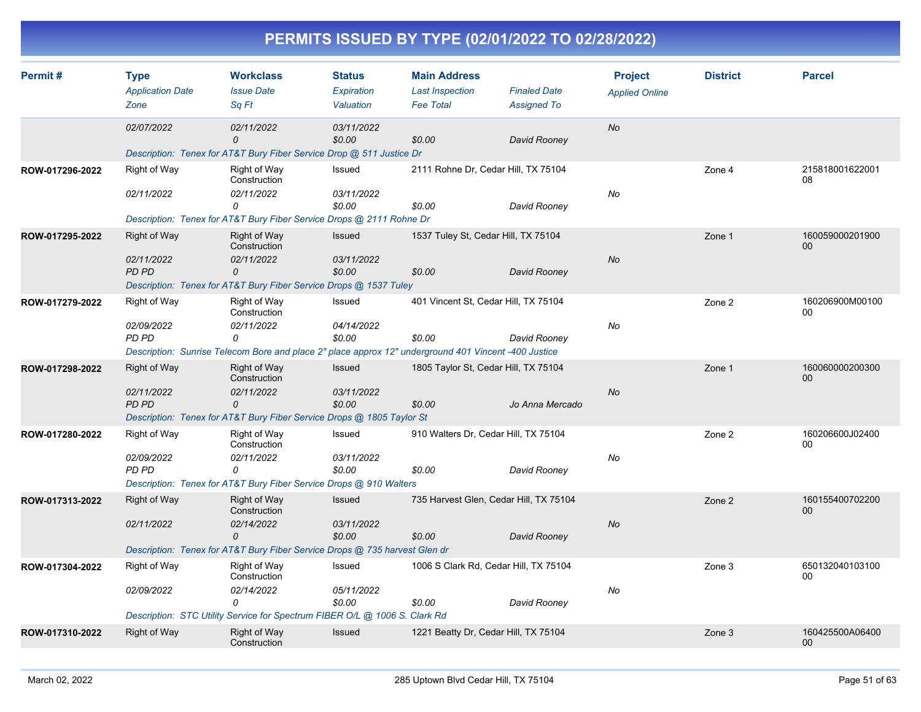| Permit#         | <b>Type</b><br><b>Application Date</b><br>Zone                                                                                                                                | <b>Workclass</b><br><b>Issue Date</b><br>Sq Ft                                                       | <b>Status</b><br>Expiration<br>Valuation | <b>Main Address</b><br><b>Last Inspection</b><br><b>Fee Total</b> | <b>Finaled Date</b><br><b>Assigned To</b> | <b>Project</b><br><b>Applied Online</b> | <b>District</b> | <b>Parcel</b>                      |
|-----------------|-------------------------------------------------------------------------------------------------------------------------------------------------------------------------------|------------------------------------------------------------------------------------------------------|------------------------------------------|-------------------------------------------------------------------|-------------------------------------------|-----------------------------------------|-----------------|------------------------------------|
|                 | 02/07/2022                                                                                                                                                                    | 02/11/2022<br>$\mathcal{O}$                                                                          | 03/11/2022<br>\$0.00                     | \$0.00                                                            | David Rooney                              | <b>No</b>                               |                 |                                    |
|                 |                                                                                                                                                                               | Description: Tenex for AT&T Bury Fiber Service Drop @ 511 Justice Dr                                 |                                          |                                                                   |                                           |                                         |                 |                                    |
| ROW-017296-2022 | Right of Way                                                                                                                                                                  | Right of Way<br>Construction                                                                         | Issued                                   | 2111 Rohne Dr, Cedar Hill, TX 75104                               |                                           |                                         | Zone 4          | 215818001622001<br>08              |
|                 | 02/11/2022                                                                                                                                                                    | 02/11/2022<br>0                                                                                      | 03/11/2022<br>\$0.00                     | \$0.00                                                            | David Rooney                              | No                                      |                 |                                    |
|                 |                                                                                                                                                                               | Description: Tenex for AT&T Bury Fiber Service Drops @ 2111 Rohne Dr                                 |                                          |                                                                   |                                           |                                         |                 |                                    |
| ROW-017295-2022 | Right of Way                                                                                                                                                                  | Right of Way<br>Construction                                                                         | <b>Issued</b>                            | 1537 Tuley St, Cedar Hill, TX 75104                               |                                           |                                         | Zone 1          | 160059000201900<br>$00\,$          |
|                 | 02/11/2022<br><b>PD PD</b>                                                                                                                                                    | 02/11/2022<br>$\mathcal{O}$                                                                          | 03/11/2022<br>\$0.00                     | \$0.00                                                            | David Rooney                              | <b>No</b>                               |                 |                                    |
|                 |                                                                                                                                                                               | Description: Tenex for AT&T Bury Fiber Service Drops @ 1537 Tuley                                    |                                          |                                                                   |                                           |                                         |                 |                                    |
| ROW-017279-2022 | Right of Way                                                                                                                                                                  | Right of Way<br>Construction                                                                         | Issued                                   | 401 Vincent St, Cedar Hill, TX 75104                              |                                           |                                         | Zone 2          | 160206900M00100<br>00              |
|                 | 02/09/2022<br>PD PD                                                                                                                                                           | 02/11/2022<br>0                                                                                      | 04/14/2022<br>\$0.00                     | \$0.00                                                            | David Rooney                              | No                                      |                 |                                    |
|                 |                                                                                                                                                                               | Description: Sunrise Telecom Bore and place 2" place approx 12" underground 401 Vincent -400 Justice |                                          |                                                                   |                                           |                                         |                 |                                    |
| ROW-017298-2022 | <b>Right of Way</b>                                                                                                                                                           | Right of Way<br>Construction                                                                         | Issued                                   | 1805 Taylor St, Cedar Hill, TX 75104                              |                                           |                                         | Zone 1          | 160060000200300<br>$00\,$          |
|                 | 02/11/2022<br>PD PD                                                                                                                                                           | 02/11/2022<br>0                                                                                      | 03/11/2022<br>\$0.00                     | \$0.00<br>Jo Anna Mercado                                         |                                           | <b>No</b>                               |                 |                                    |
|                 |                                                                                                                                                                               | Description: Tenex for AT&T Bury Fiber Service Drops @ 1805 Taylor St                                |                                          |                                                                   |                                           |                                         |                 |                                    |
| ROW-017280-2022 | Right of Way                                                                                                                                                                  | Right of Way<br>Construction                                                                         | Issued                                   | 910 Walters Dr, Cedar Hill, TX 75104                              |                                           |                                         | Zone 2          | 160206600J02400<br>00              |
|                 | 02/09/2022                                                                                                                                                                    | 02/11/2022                                                                                           | 03/11/2022                               |                                                                   |                                           | No                                      |                 |                                    |
|                 | PD PD                                                                                                                                                                         | $\Omega$                                                                                             |                                          | \$0.00<br>\$0.00<br>David Rooney                                  |                                           |                                         |                 |                                    |
| ROW-017313-2022 | Description: Tenex for AT&T Bury Fiber Service Drops @ 910 Walters<br><b>Right of Way</b><br>Right of Way<br>Issued<br>735 Harvest Glen, Cedar Hill, TX 75104<br>Construction |                                                                                                      |                                          |                                                                   |                                           |                                         | Zone 2          | 160155400702200<br>00              |
|                 | 02/11/2022                                                                                                                                                                    | 02/14/2022<br>0                                                                                      | 03/11/2022<br>\$0.00                     | \$0.00                                                            | David Rooney                              | No                                      |                 |                                    |
|                 |                                                                                                                                                                               | Description: Tenex for AT&T Bury Fiber Service Drops @ 735 harvest Glen dr                           |                                          |                                                                   |                                           |                                         |                 |                                    |
| ROW-017304-2022 | Right of Way                                                                                                                                                                  | Right of Way<br>Construction                                                                         | Issued                                   | 1006 S Clark Rd, Cedar Hill, TX 75104                             |                                           |                                         | Zone 3          | 650132040103100<br>00              |
|                 | 02/09/2022                                                                                                                                                                    | 02/14/2022<br>$\Omega$                                                                               | 05/11/2022<br>\$0.00                     | \$0.00                                                            | David Rooney                              | No                                      |                 |                                    |
|                 |                                                                                                                                                                               | Description: STC Utility Service for Spectrum FIBER O/L @ 1006 S. Clark Rd                           |                                          |                                                                   |                                           |                                         |                 |                                    |
| ROW-017310-2022 | Right of Way                                                                                                                                                                  | <b>Right of Way</b><br>Construction                                                                  | Issued                                   | 1221 Beatty Dr, Cedar Hill, TX 75104                              |                                           |                                         | Zone 3          | 160425500A06400<br>00 <sup>°</sup> |
|                 |                                                                                                                                                                               |                                                                                                      |                                          |                                                                   |                                           |                                         |                 |                                    |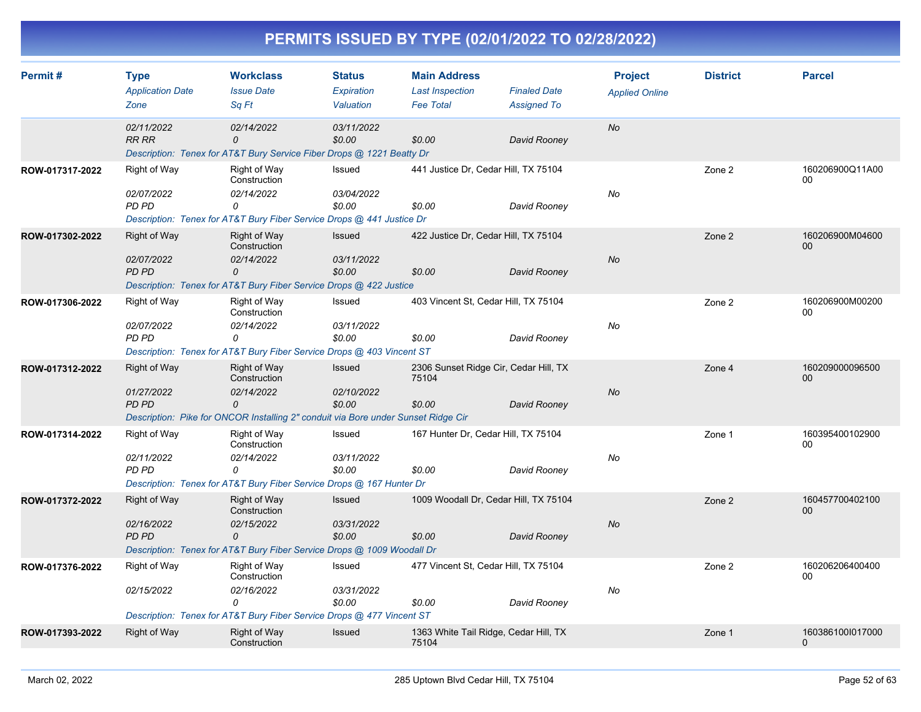| Permit#         | <b>Type</b><br><b>Application Date</b><br>Zone    | <b>Workclass</b><br><b>Issue Date</b><br>Sa Ft                                                                                       | <b>Status</b><br>Expiration<br>Valuation | <b>Main Address</b><br><b>Last Inspection</b><br><b>Fee Total</b> | <b>Finaled Date</b><br><b>Assigned To</b> | <b>Project</b><br><b>Applied Online</b> | <b>District</b> | <b>Parcel</b>                    |
|-----------------|---------------------------------------------------|--------------------------------------------------------------------------------------------------------------------------------------|------------------------------------------|-------------------------------------------------------------------|-------------------------------------------|-----------------------------------------|-----------------|----------------------------------|
|                 | 02/11/2022<br><b>RR RR</b>                        | 02/14/2022<br>0<br>Description: Tenex for AT&T Bury Service Fiber Drops @ 1221 Beatty Dr                                             | 03/11/2022<br>\$0.00                     | \$0.00                                                            | David Rooney                              | <b>No</b>                               |                 |                                  |
| ROW-017317-2022 | Right of Way<br>02/07/2022<br>PD PD               | Right of Way<br>Construction<br>02/14/2022<br>0<br>Description: Tenex for AT&T Bury Fiber Service Drops @ 441 Justice Dr             | Issued<br>03/04/2022<br>\$0.00           | 441 Justice Dr, Cedar Hill, TX 75104<br>\$0.00                    | David Rooney                              | No                                      | Zone 2          | 160206900Q11A00<br>00            |
| ROW-017302-2022 | <b>Right of Way</b><br>02/07/2022<br><b>PD PD</b> | Right of Way<br>Construction<br>02/14/2022<br>0<br>Description: Tenex for AT&T Bury Fiber Service Drops @ 422 Justice                | <b>Issued</b><br>03/11/2022<br>\$0.00    | 422 Justice Dr, Cedar Hill, TX 75104<br>\$0.00                    | David Rooney                              | <b>No</b>                               | Zone 2          | 160206900M04600<br>00            |
| ROW-017306-2022 | Right of Way<br>02/07/2022<br><b>PD PD</b>        | Right of Way<br>Construction<br>02/14/2022<br>0<br>Description: Tenex for AT&T Bury Fiber Service Drops @ 403 Vincent ST             | Issued<br>03/11/2022<br>\$0.00           | 403 Vincent St, Cedar Hill, TX 75104<br>\$0.00                    | David Rooney                              | No                                      | Zone 2          | 160206900M00200<br>00            |
| ROW-017312-2022 | <b>Right of Way</b><br>01/27/2022<br><b>PD PD</b> | Right of Way<br>Construction<br>02/14/2022<br>0<br>Description: Pike for ONCOR Installing 2" conduit via Bore under Sunset Ridge Cir | Issued<br>02/10/2022<br>\$0.00           | 2306 Sunset Ridge Cir, Cedar Hill, TX<br>75104<br>\$0.00          | David Rooney                              | <b>No</b>                               | Zone 4          | 160209000096500<br>00            |
| ROW-017314-2022 | <b>Right of Way</b><br>02/11/2022<br>PD PD        | Right of Way<br>Construction<br>02/14/2022<br>0<br>Description: Tenex for AT&T Bury Fiber Service Drops @ 167 Hunter Dr              | Issued<br>03/11/2022<br>\$0.00           | 167 Hunter Dr, Cedar Hill, TX 75104<br>\$0.00                     | David Rooney                              | No                                      | Zone 1          | 160395400102900<br>00            |
| ROW-017372-2022 | <b>Right of Way</b><br>02/16/2022<br>PD PD        | <b>Right of Way</b><br>Construction<br>02/15/2022<br>0<br>Description: Tenex for AT&T Bury Fiber Service Drops @ 1009 Woodall Dr     | Issued<br>03/31/2022<br>\$0.00           | 1009 Woodall Dr. Cedar Hill, TX 75104<br>\$0.00                   | David Rooney                              | <b>No</b>                               | Zone 2          | 160457700402100<br>00            |
| ROW-017376-2022 | Right of Way<br>02/15/2022                        | <b>Right of Way</b><br>Construction<br>02/16/2022<br>0<br>Description: Tenex for AT&T Bury Fiber Service Drops @ 477 Vincent ST      | Issued<br>03/31/2022<br>\$0.00           | 477 Vincent St, Cedar Hill, TX 75104<br>\$0.00                    | David Rooney                              | No                                      | Zone 2          | 160206206400400<br>00            |
| ROW-017393-2022 | <b>Right of Way</b>                               | <b>Right of Way</b><br>Construction                                                                                                  | <b>Issued</b>                            | 1363 White Tail Ridge, Cedar Hill, TX<br>75104                    |                                           |                                         | Zone 1          | 160386100l017000<br>$\mathbf{0}$ |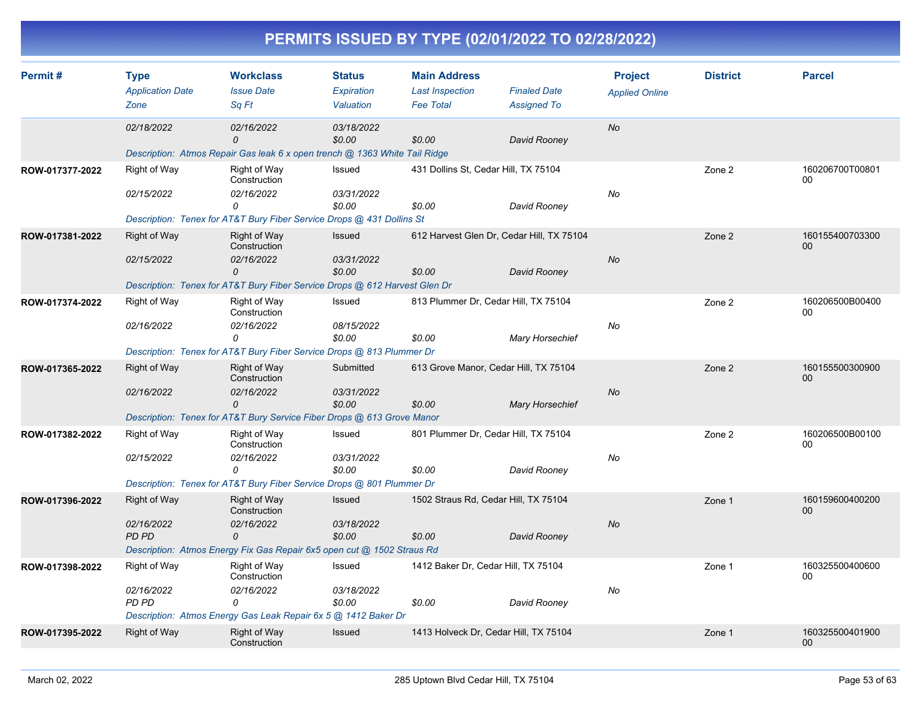|  |  |  | PERMITS ISSUED BY TYPE (02/01/2022 TO 02/28/2022) |
|--|--|--|---------------------------------------------------|
|--|--|--|---------------------------------------------------|

| Permit#         | <b>Type</b><br><b>Application Date</b>                                      | <b>Workclass</b><br><b>Issue Date</b>                                                         | <b>Status</b><br><b>Expiration</b> | <b>Main Address</b><br><b>Last Inspection</b> | <b>Finaled Date</b>                       | <b>Project</b><br><b>Applied Online</b> | <b>District</b> | <b>Parcel</b>             |
|-----------------|-----------------------------------------------------------------------------|-----------------------------------------------------------------------------------------------|------------------------------------|-----------------------------------------------|-------------------------------------------|-----------------------------------------|-----------------|---------------------------|
|                 | Zone                                                                        | Sa Ft                                                                                         | Valuation                          | <b>Fee Total</b>                              | <b>Assigned To</b>                        |                                         |                 |                           |
|                 | 02/18/2022                                                                  | 02/16/2022<br>$\Omega$                                                                        | 03/18/2022<br>\$0.00               | \$0.00                                        | David Rooney                              | <b>No</b>                               |                 |                           |
|                 |                                                                             | Description: Atmos Repair Gas leak 6 x open trench @ 1363 White Tail Ridge                    |                                    |                                               |                                           |                                         |                 |                           |
| ROW-017377-2022 | Right of Way                                                                | Right of Way<br>Construction                                                                  | Issued                             |                                               | 431 Dollins St, Cedar Hill, TX 75104      |                                         | Zone 2          | 160206700T00801<br>$00\,$ |
|                 | 02/15/2022                                                                  | 02/16/2022<br>0                                                                               | 03/31/2022<br>\$0.00               | \$0.00                                        | David Rooney                              | No                                      |                 |                           |
|                 |                                                                             | Description: Tenex for AT&T Bury Fiber Service Drops @ 431 Dollins St                         |                                    |                                               |                                           |                                         |                 |                           |
| ROW-017381-2022 | <b>Right of Way</b>                                                         | <b>Right of Way</b><br>Construction                                                           | Issued                             |                                               | 612 Harvest Glen Dr, Cedar Hill, TX 75104 |                                         | Zone 2          | 160155400703300<br>$00\,$ |
|                 | 02/15/2022                                                                  | 02/16/2022<br>0<br>Description: Tenex for AT&T Bury Fiber Service Drops @ 612 Harvest Glen Dr | 03/31/2022<br>\$0.00               | \$0.00                                        | David Rooney                              | No                                      |                 |                           |
|                 |                                                                             |                                                                                               |                                    |                                               |                                           |                                         |                 |                           |
| ROW-017374-2022 | <b>Right of Way</b>                                                         | Right of Way<br>Construction                                                                  | Issued                             |                                               | 813 Plummer Dr, Cedar Hill, TX 75104      |                                         | Zone 2          | 160206500B00400<br>00     |
|                 | 02/16/2022                                                                  | 02/16/2022<br>0                                                                               | 08/15/2022<br>\$0.00               | \$0.00                                        | <b>Mary Horsechief</b>                    | No                                      |                 |                           |
|                 |                                                                             | Description: Tenex for AT&T Bury Fiber Service Drops @ 813 Plummer Dr                         |                                    |                                               |                                           |                                         |                 |                           |
| ROW-017365-2022 | <b>Right of Way</b>                                                         | <b>Right of Way</b><br>Construction                                                           | Submitted                          |                                               | 613 Grove Manor, Cedar Hill, TX 75104     |                                         | Zone 2          | 160155500300900<br>$00\,$ |
|                 | 02/16/2022<br>03/31/2022<br>02/16/2022<br>$\mathcal{O}$<br>\$0.00<br>\$0.00 |                                                                                               | <b>Mary Horsechief</b>             | <b>No</b>                                     |                                           |                                         |                 |                           |
|                 |                                                                             | Description: Tenex for AT&T Bury Service Fiber Drops @ 613 Grove Manor                        |                                    |                                               |                                           |                                         |                 |                           |
| ROW-017382-2022 | Right of Way                                                                | Right of Way<br>Construction                                                                  | Issued                             |                                               | 801 Plummer Dr, Cedar Hill, TX 75104      |                                         | Zone 2          | 160206500B00100<br>00     |
|                 | 02/15/2022                                                                  | 02/16/2022<br>0                                                                               | 03/31/2022<br>\$0.00               | \$0.00                                        | David Rooney                              | No                                      |                 |                           |
|                 |                                                                             | Description: Tenex for AT&T Bury Fiber Service Drops @ 801 Plummer Dr                         |                                    |                                               |                                           |                                         |                 |                           |
| ROW-017396-2022 | <b>Right of Way</b>                                                         | <b>Right of Way</b><br>Construction                                                           | Issued                             |                                               | 1502 Straus Rd, Cedar Hill, TX 75104      |                                         | Zone 1          | 160159600400200<br>$00\,$ |
|                 | 02/16/2022<br>PD PD                                                         | 02/16/2022<br>0                                                                               | 03/18/2022<br>\$0.00               | \$0.00                                        | David Rooney                              | <b>No</b>                               |                 |                           |
|                 |                                                                             | Description: Atmos Energy Fix Gas Repair 6x5 open cut @ 1502 Straus Rd                        |                                    |                                               |                                           |                                         |                 |                           |
| ROW-017398-2022 | Right of Way                                                                | Right of Way<br>Construction                                                                  | Issued                             |                                               | 1412 Baker Dr, Cedar Hill, TX 75104       |                                         | Zone 1          | 160325500400600<br>00     |
|                 | 02/16/2022<br>PD PD                                                         | 02/16/2022<br>0                                                                               | 03/18/2022<br>\$0.00               | \$0.00                                        | David Rooney                              | No                                      |                 |                           |
|                 |                                                                             | Description: Atmos Energy Gas Leak Repair 6x 5 @ 1412 Baker Dr                                |                                    |                                               |                                           |                                         |                 |                           |
| ROW-017395-2022 | <b>Right of Way</b>                                                         | <b>Right of Way</b><br>Construction                                                           | Issued                             |                                               | 1413 Holveck Dr, Cedar Hill, TX 75104     |                                         | Zone 1          | 160325500401900<br>$00\,$ |
|                 |                                                                             |                                                                                               |                                    |                                               |                                           |                                         |                 |                           |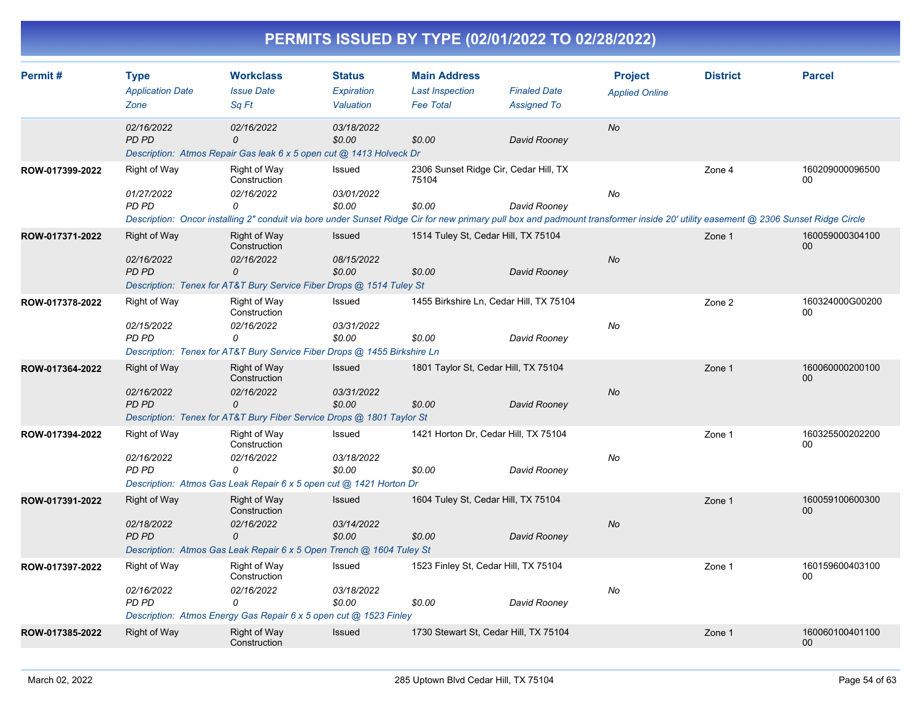| Permit#         | <b>Type</b><br><b>Application Date</b><br>Zone    | <b>Workclass</b><br><b>Issue Date</b><br>Sq Ft                                                                                                                                                                                              | <b>Status</b><br>Expiration<br>Valuation | <b>Main Address</b><br><b>Last Inspection</b><br><b>Fee Total</b> | <b>Finaled Date</b><br><b>Assigned To</b> | <b>Project</b><br><b>Applied Online</b> | <b>District</b> | <b>Parcel</b>                      |
|-----------------|---------------------------------------------------|---------------------------------------------------------------------------------------------------------------------------------------------------------------------------------------------------------------------------------------------|------------------------------------------|-------------------------------------------------------------------|-------------------------------------------|-----------------------------------------|-----------------|------------------------------------|
|                 | 02/16/2022<br>PD PD                               | 02/16/2022<br>0<br>Description: Atmos Repair Gas leak 6 x 5 open cut @ 1413 Holveck Dr                                                                                                                                                      | 03/18/2022<br>\$0.00                     | \$0.00                                                            | David Rooney                              | No                                      |                 |                                    |
| ROW-017399-2022 | Right of Way<br>01/27/2022<br>PD PD               | <b>Right of Way</b><br>Construction<br>02/16/2022<br>0<br>Description: Oncor installing 2" conduit via bore under Sunset Ridge Cir for new primary pull box and padmount transformer inside 20' utility easement @ 2306 Sunset Ridge Circle | Issued<br>03/01/2022<br>\$0.00           | 2306 Sunset Ridge Cir, Cedar Hill, TX<br>75104<br>\$0.00          | David Rooney                              | No                                      | Zone 4          | 160209000096500<br>00              |
| ROW-017371-2022 | <b>Right of Way</b><br>02/16/2022<br><b>PD PD</b> | Right of Way<br>Construction<br>02/16/2022<br>0<br>Description: Tenex for AT&T Bury Service Fiber Drops @ 1514 Tuley St                                                                                                                     | <b>Issued</b><br>08/15/2022<br>\$0.00    | 1514 Tuley St, Cedar Hill, TX 75104<br>\$0.00                     | David Rooney                              | <b>No</b>                               | Zone 1          | 160059000304100<br>$00\,$          |
| ROW-017378-2022 | <b>Right of Way</b><br>02/15/2022<br>PD PD        | Right of Way<br>Construction<br>02/16/2022<br>$\Omega$<br>Description: Tenex for AT&T Bury Service Fiber Drops @ 1455 Birkshire Ln                                                                                                          | Issued<br>03/31/2022<br>\$0.00           | 1455 Birkshire Ln, Cedar Hill, TX 75104<br>\$0.00                 | David Rooney                              | No                                      | Zone 2          | 160324000G00200<br>00              |
| ROW-017364-2022 | <b>Right of Way</b><br>02/16/2022<br><b>PD PD</b> | Right of Way<br>Construction<br>02/16/2022<br>0<br>Description: Tenex for AT&T Bury Fiber Service Drops @ 1801 Taylor St                                                                                                                    | Issued<br>03/31/2022<br>\$0.00           | 1801 Taylor St, Cedar Hill, TX 75104<br>\$0.00                    | David Rooney                              | No                                      | Zone 1          | 160060000200100<br>$00\,$          |
| ROW-017394-2022 | Right of Way<br>02/16/2022<br>PD PD               | <b>Right of Way</b><br>Construction<br>02/16/2022<br>$\Omega$<br>Description: Atmos Gas Leak Repair 6 x 5 open cut @ 1421 Horton Dr                                                                                                         | Issued<br>03/18/2022<br>\$0.00           | 1421 Horton Dr, Cedar Hill, TX 75104<br>\$0.00                    | David Rooney                              | No                                      | Zone 1          | 160325500202200<br>00              |
| ROW-017391-2022 | <b>Right of Way</b><br>02/18/2022<br><b>PD PD</b> | Right of Way<br>Construction<br>02/16/2022<br>0<br>Description: Atmos Gas Leak Repair 6 x 5 Open Trench @ 1604 Tuley St                                                                                                                     | <b>Issued</b><br>03/14/2022<br>\$0.00    | 1604 Tuley St, Cedar Hill, TX 75104<br>\$0.00                     | David Rooney                              | No                                      | Zone 1          | 160059100600300<br>00 <sup>°</sup> |
| ROW-017397-2022 | Right of Way<br>02/16/2022<br>PD PD               | Right of Way<br>Construction<br>02/16/2022<br>$\Omega$<br>Description: Atmos Energy Gas Repair 6 x 5 open cut @ 1523 Finley                                                                                                                 | Issued<br>03/18/2022<br>\$0.00           | 1523 Finley St, Cedar Hill, TX 75104<br>\$0.00                    | David Rooney                              | No                                      | Zone 1          | 160159600403100<br>00              |
| ROW-017385-2022 | <b>Right of Way</b>                               | Right of Way<br>Construction                                                                                                                                                                                                                | Issued                                   | 1730 Stewart St, Cedar Hill, TX 75104                             |                                           |                                         | Zone 1          | 160060100401100<br>00 <sup>°</sup> |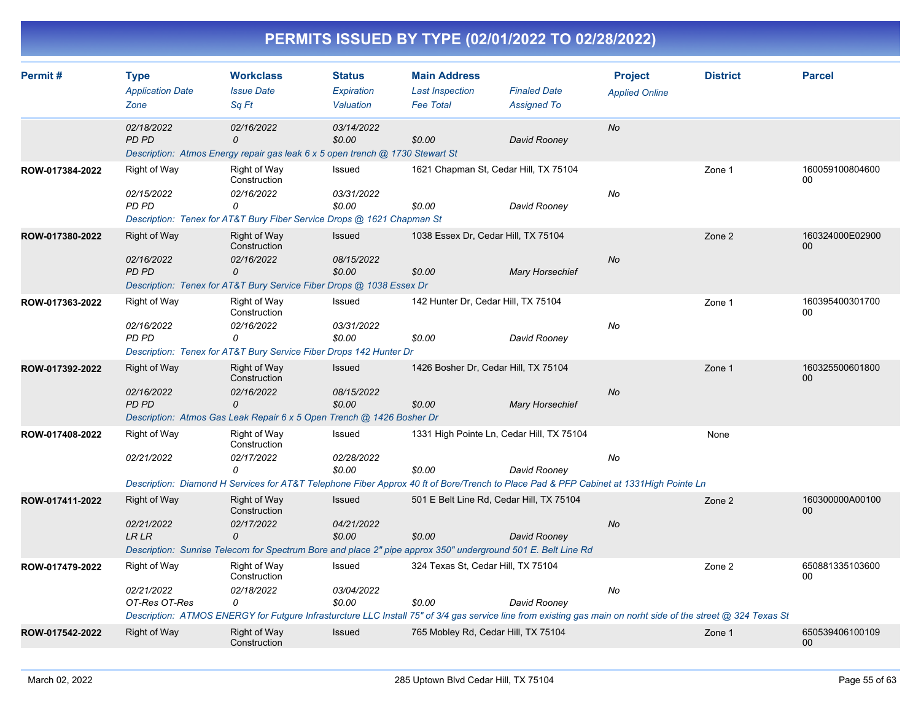| Permit#<br><b>Workclass</b><br><b>Status</b><br><b>Type</b><br><b>Application Date</b><br><b>Issue Date</b><br>Expiration |                             | <b>Main Address</b>                                                                                                                                            | <b>Last Inspection</b><br><b>Finaled Date</b> |                                           | <b>District</b>        | <b>Parcel</b>         |        |                           |
|---------------------------------------------------------------------------------------------------------------------------|-----------------------------|----------------------------------------------------------------------------------------------------------------------------------------------------------------|-----------------------------------------------|-------------------------------------------|------------------------|-----------------------|--------|---------------------------|
|                                                                                                                           | Zone                        | Sa Ft                                                                                                                                                          | Valuation                                     | <b>Fee Total</b>                          | <b>Assigned To</b>     | <b>Applied Online</b> |        |                           |
|                                                                                                                           | 02/18/2022<br><b>PD PD</b>  | 02/16/2022<br>0<br>Description: Atmos Energy repair gas leak 6 x 5 open trench @ 1730 Stewart St                                                               | 03/14/2022<br>\$0.00                          | \$0.00                                    | David Rooney           | <b>No</b>             |        |                           |
| ROW-017384-2022                                                                                                           | Right of Way<br>02/15/2022  | Right of Way<br>Construction<br>02/16/2022                                                                                                                     | Issued<br>03/31/2022                          | 1621 Chapman St, Cedar Hill, TX 75104     |                        | No                    | Zone 1 | 160059100804600<br>00     |
|                                                                                                                           | PD PD                       | 0<br>Description: Tenex for AT&T Bury Fiber Service Drops @ 1621 Chapman St                                                                                    | \$0.00                                        | \$0.00                                    | David Rooney           |                       |        |                           |
| ROW-017380-2022                                                                                                           | <b>Right of Way</b>         | <b>Right of Way</b><br>Construction                                                                                                                            | Issued                                        | 1038 Essex Dr, Cedar Hill, TX 75104       |                        |                       | Zone 2 | 160324000E02900<br>$00\,$ |
|                                                                                                                           | 02/16/2022<br><b>PD PD</b>  | 02/16/2022<br>0<br>Description: Tenex for AT&T Bury Service Fiber Drops @ 1038 Essex Dr                                                                        | 08/15/2022<br>\$0.00                          | \$0.00                                    | <b>Mary Horsechief</b> | No                    |        |                           |
| ROW-017363-2022                                                                                                           | <b>Right of Way</b>         | <b>Right of Way</b><br>Construction                                                                                                                            | Issued                                        | 142 Hunter Dr. Cedar Hill, TX 75104       |                        |                       | Zone 1 | 160395400301700<br>00     |
|                                                                                                                           | 02/16/2022<br><b>PD PD</b>  | 02/16/2022<br>0<br>Description: Tenex for AT&T Bury Service Fiber Drops 142 Hunter Dr                                                                          | 03/31/2022<br>\$0.00                          | \$0.00                                    | David Rooney           | No                    |        |                           |
| ROW-017392-2022                                                                                                           | <b>Right of Way</b>         | Right of Way<br>Construction                                                                                                                                   | Issued                                        | 1426 Bosher Dr, Cedar Hill, TX 75104      |                        |                       | Zone 1 | 160325500601800<br>00     |
|                                                                                                                           | 02/16/2022<br><b>PD PD</b>  | 02/16/2022<br>0<br>Description: Atmos Gas Leak Repair 6 x 5 Open Trench @ 1426 Bosher Dr                                                                       | 08/15/2022<br>\$0.00                          | \$0.00                                    | <b>Mary Horsechief</b> | No                    |        |                           |
| ROW-017408-2022                                                                                                           | <b>Right of Way</b>         | Right of Way<br>Construction                                                                                                                                   | Issued                                        | 1331 High Pointe Ln, Cedar Hill, TX 75104 |                        |                       | None   |                           |
|                                                                                                                           | 02/21/2022                  | 02/17/2022<br>0<br>Description: Diamond H Services for AT&T Telephone Fiber Approx 40 ft of Bore/Trench to Place Pad & PFP Cabinet at 1331 High Pointe Ln      | 02/28/2022<br>\$0.00                          | \$0.00                                    | David Roonev           | No                    |        |                           |
| ROW-017411-2022                                                                                                           | <b>Right of Way</b>         | <b>Right of Way</b><br>Construction                                                                                                                            | Issued                                        | 501 E Belt Line Rd, Cedar Hill, TX 75104  |                        |                       | Zone 2 | 160300000A00100<br>00     |
|                                                                                                                           | 02/21/2022<br><b>LR LR</b>  | 02/17/2022<br>0                                                                                                                                                | 04/21/2022<br>\$0.00                          | \$0.00                                    | David Rooney           | <b>No</b>             |        |                           |
|                                                                                                                           |                             | Description: Sunrise Telecom for Spectrum Bore and place 2" pipe approx 350" underground 501 E. Belt Line Rd                                                   |                                               |                                           |                        |                       |        |                           |
| ROW-017479-2022                                                                                                           | Right of Way                | <b>Right of Way</b><br>Construction                                                                                                                            | Issued                                        | 324 Texas St, Cedar Hill, TX 75104        |                        |                       | Zone 2 | 650881335103600<br>00     |
|                                                                                                                           | 02/21/2022<br>OT-Res OT-Res | 02/18/2022<br>0                                                                                                                                                | 03/04/2022<br>\$0.00                          | \$0.00                                    | David Rooney           | No                    |        |                           |
|                                                                                                                           | <b>Right of Way</b>         | Description: ATMOS ENERGY for Futgure Infrasturcture LLC Install 75" of 3/4 gas service line from existing gas main on norht side of the street @ 324 Texas St | Issued                                        | 765 Mobley Rd, Cedar Hill, TX 75104       |                        |                       |        | 650539406100109           |
| ROW-017542-2022                                                                                                           |                             | Right of Way<br>Construction                                                                                                                                   |                                               |                                           |                        |                       | Zone 1 | 00                        |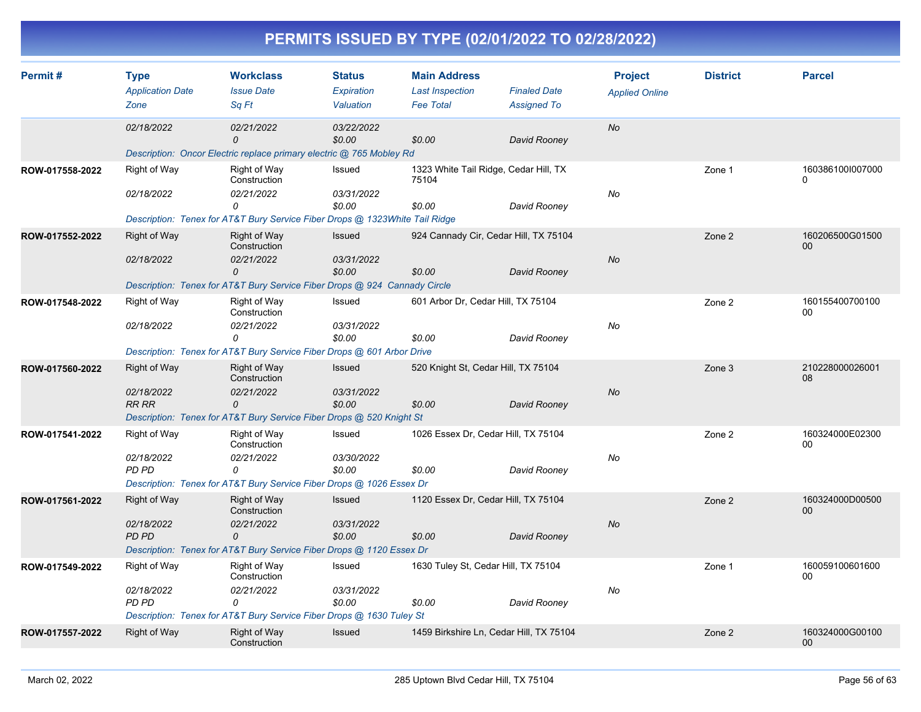| <b>Workclass</b><br>Permit#<br><b>Type</b><br><b>Application Date</b><br><b>Issue Date</b> |                                                                                                                                                                              | <b>Main Address</b><br><b>Status</b><br><b>Finaled Date</b><br><b>Expiration</b><br><b>Last Inspection</b> |                      | <b>Project</b><br><b>Applied Online</b> | <b>District</b>                         | <b>Parcel</b> |                           |                              |
|--------------------------------------------------------------------------------------------|------------------------------------------------------------------------------------------------------------------------------------------------------------------------------|------------------------------------------------------------------------------------------------------------|----------------------|-----------------------------------------|-----------------------------------------|---------------|---------------------------|------------------------------|
|                                                                                            | Zone                                                                                                                                                                         | Sa Ft                                                                                                      | Valuation            | <b>Fee Total</b>                        | <b>Assigned To</b>                      |               |                           |                              |
|                                                                                            | 02/18/2022                                                                                                                                                                   | 02/21/2022<br>$\Omega$                                                                                     | 03/22/2022<br>\$0.00 | \$0.00                                  | David Rooney                            | <b>No</b>     |                           |                              |
|                                                                                            |                                                                                                                                                                              | Description: Oncor Electric replace primary electric @ 765 Mobley Rd                                       |                      |                                         |                                         |               |                           |                              |
| ROW-017558-2022                                                                            | Right of Way                                                                                                                                                                 | Right of Way<br>Construction                                                                               | Issued               | 75104                                   | 1323 White Tail Ridge, Cedar Hill, TX   |               | Zone 1                    | 160386100I007000<br>$\Omega$ |
|                                                                                            | 02/18/2022                                                                                                                                                                   | 02/21/2022<br>0                                                                                            | 03/31/2022<br>\$0.00 | \$0.00                                  | David Rooney                            | No            |                           |                              |
|                                                                                            |                                                                                                                                                                              | Description: Tenex for AT&T Bury Service Fiber Drops @ 1323White Tail Ridge                                |                      |                                         |                                         |               |                           |                              |
| ROW-017552-2022                                                                            | <b>Right of Way</b>                                                                                                                                                          | Right of Way<br>Construction                                                                               | Issued               |                                         | 924 Cannady Cir, Cedar Hill, TX 75104   |               | Zone 2                    | 160206500G01500<br>$00\,$    |
|                                                                                            | 02/18/2022                                                                                                                                                                   | 02/21/2022<br>0                                                                                            | 03/31/2022<br>\$0.00 | \$0.00                                  | David Rooney                            | No            |                           |                              |
|                                                                                            |                                                                                                                                                                              | Description: Tenex for AT&T Bury Service Fiber Drops @ 924 Cannady Circle                                  |                      |                                         |                                         |               |                           |                              |
| ROW-017548-2022                                                                            | Right of Way<br><b>Right of Way</b><br>601 Arbor Dr, Cedar Hill, TX 75104<br>Issued<br>Construction                                                                          |                                                                                                            |                      | Zone 2                                  | 160155400700100<br>00                   |               |                           |                              |
|                                                                                            | 02/18/2022                                                                                                                                                                   | 02/21/2022<br>0                                                                                            | 03/31/2022<br>\$0.00 | \$0.00                                  | David Rooney                            | No            |                           |                              |
|                                                                                            |                                                                                                                                                                              | Description: Tenex for AT&T Bury Service Fiber Drops @ 601 Arbor Drive                                     |                      |                                         |                                         |               |                           |                              |
| ROW-017560-2022                                                                            | <b>Right of Way</b>                                                                                                                                                          | <b>Right of Way</b><br>Construction                                                                        | Issued               | 520 Knight St, Cedar Hill, TX 75104     |                                         |               | Zone 3                    | 210228000026001<br>08        |
|                                                                                            | 02/18/2022<br><b>RR RR</b>                                                                                                                                                   | 02/21/2022<br>$\mathcal{O}$                                                                                | 03/31/2022<br>\$0.00 | \$0.00                                  | David Rooney                            |               |                           |                              |
|                                                                                            |                                                                                                                                                                              | Description: Tenex for AT&T Bury Service Fiber Drops @ 520 Knight St                                       |                      |                                         |                                         |               |                           |                              |
| ROW-017541-2022                                                                            | Right of Way                                                                                                                                                                 | Right of Way<br>Construction                                                                               | Issued               |                                         | 1026 Essex Dr, Cedar Hill, TX 75104     |               | Zone 2                    | 160324000E02300<br>00        |
|                                                                                            | 02/18/2022                                                                                                                                                                   | 02/21/2022<br>0                                                                                            | 03/30/2022           |                                         |                                         | No            |                           |                              |
|                                                                                            | <b>PD PD</b>                                                                                                                                                                 |                                                                                                            | \$0.00               | \$0.00                                  | David Rooney                            |               |                           |                              |
| ROW-017561-2022                                                                            | Description: Tenex for AT&T Bury Service Fiber Drops @ 1026 Essex Dr<br><b>Right of Way</b><br>Issued<br>1120 Essex Dr, Cedar Hill, TX 75104<br>Right of Way<br>Construction |                                                                                                            |                      |                                         |                                         | Zone 2        | 160324000D00500<br>$00\,$ |                              |
|                                                                                            | 02/18/2022<br>PD PD                                                                                                                                                          | 02/21/2022<br>0                                                                                            | 03/31/2022<br>\$0.00 | \$0.00                                  | David Rooney                            | <b>No</b>     |                           |                              |
|                                                                                            |                                                                                                                                                                              | Description: Tenex for AT&T Bury Service Fiber Drops @ 1120 Essex Dr                                       |                      |                                         |                                         |               |                           |                              |
| ROW-017549-2022                                                                            | Right of Way                                                                                                                                                                 | Right of Way<br>Construction                                                                               | Issued               | 1630 Tuley St, Cedar Hill, TX 75104     |                                         |               | Zone 1                    | 160059100601600<br>00        |
|                                                                                            | 02/18/2022<br>PD PD                                                                                                                                                          | 02/21/2022<br>0                                                                                            | 03/31/2022<br>\$0.00 | \$0.00                                  | David Rooney                            | No            |                           |                              |
|                                                                                            |                                                                                                                                                                              | Description: Tenex for AT&T Bury Service Fiber Drops @ 1630 Tuley St                                       |                      |                                         |                                         |               |                           |                              |
| ROW-017557-2022                                                                            | <b>Right of Way</b>                                                                                                                                                          | <b>Right of Way</b><br>Construction                                                                        | Issued               |                                         | 1459 Birkshire Ln, Cedar Hill, TX 75104 |               | Zone 2                    | 160324000G00100<br>$00\,$    |
|                                                                                            |                                                                                                                                                                              |                                                                                                            |                      |                                         |                                         |               |                           |                              |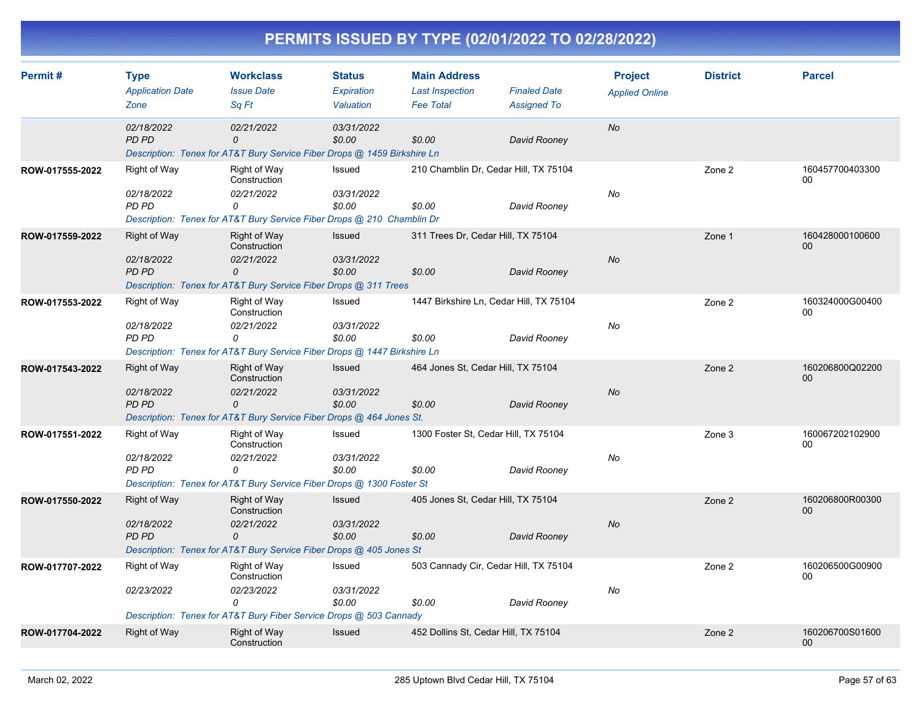| Permit#         | <b>Workclass</b><br><b>Main Address</b><br><b>Type</b><br><b>Status</b><br><b>Finaled Date</b><br><b>Application Date</b><br><b>Issue Date</b><br>Expiration<br><b>Last Inspection</b> |                                                                                                    | <b>Project</b><br><b>Applied Online</b> | <b>District</b>                         | <b>Parcel</b>      |           |        |                       |
|-----------------|----------------------------------------------------------------------------------------------------------------------------------------------------------------------------------------|----------------------------------------------------------------------------------------------------|-----------------------------------------|-----------------------------------------|--------------------|-----------|--------|-----------------------|
|                 | Zone                                                                                                                                                                                   | Sa Ft                                                                                              | Valuation                               | <b>Fee Total</b>                        | <b>Assigned To</b> |           |        |                       |
|                 | 02/18/2022<br><b>PD PD</b>                                                                                                                                                             | 02/21/2022<br>0<br>Description: Tenex for AT&T Bury Service Fiber Drops @ 1459 Birkshire Ln        | 03/31/2022<br>\$0.00                    | \$0.00                                  | David Rooney       | <b>No</b> |        |                       |
| ROW-017555-2022 | Right of Way                                                                                                                                                                           | Right of Way<br>Construction                                                                       | Issued                                  | 210 Chamblin Dr, Cedar Hill, TX 75104   |                    |           | Zone 2 | 160457700403300<br>00 |
|                 | 02/18/2022<br>PD PD                                                                                                                                                                    | 02/21/2022<br>0<br>Description: Tenex for AT&T Bury Service Fiber Drops @ 210 Chamblin Dr          | 03/31/2022<br>\$0.00                    | \$0.00                                  | David Rooney       | No        |        |                       |
| ROW-017559-2022 | <b>Right of Way</b>                                                                                                                                                                    | Right of Way<br>Construction                                                                       | <b>Issued</b>                           | 311 Trees Dr, Cedar Hill, TX 75104      |                    |           | Zone 1 | 160428000100600<br>00 |
|                 | 02/18/2022<br>PD PD                                                                                                                                                                    | 02/21/2022<br>0<br>Description: Tenex for AT&T Bury Service Fiber Drops @ 311 Trees                | 03/31/2022<br>\$0.00                    | \$0.00                                  | David Rooney       | <b>No</b> |        |                       |
| ROW-017553-2022 | Right of Way<br>02/18/2022                                                                                                                                                             | Right of Way<br>Construction<br>02/21/2022                                                         | Issued<br>03/31/2022                    | 1447 Birkshire Ln, Cedar Hill, TX 75104 |                    | No        | Zone 2 | 160324000G00400<br>00 |
|                 | <b>PD PD</b>                                                                                                                                                                           | 0<br>Description: Tenex for AT&T Bury Service Fiber Drops @ 1447 Birkshire Ln                      | \$0.00                                  | \$0.00                                  | David Rooney       |           |        |                       |
| ROW-017543-2022 | <b>Right of Way</b>                                                                                                                                                                    | Right of Way<br>Construction                                                                       | Issued                                  | 464 Jones St, Cedar Hill, TX 75104      |                    |           | Zone 2 | 160206800Q02200<br>00 |
|                 | 02/18/2022<br><b>PD PD</b>                                                                                                                                                             | 02/21/2022<br>0<br>Description: Tenex for AT&T Bury Service Fiber Drops @ 464 Jones St.            | 03/31/2022<br>\$0.00                    | \$0.00                                  | David Rooney       | <b>No</b> |        |                       |
| ROW-017551-2022 | <b>Right of Way</b>                                                                                                                                                                    | Right of Way<br>Construction                                                                       | Issued                                  | 1300 Foster St, Cedar Hill, TX 75104    |                    |           | Zone 3 | 160067202102900<br>00 |
|                 | 02/18/2022<br>PD PD                                                                                                                                                                    | 02/21/2022<br>$\Omega$<br>Description: Tenex for AT&T Bury Service Fiber Drops @ 1300 Foster St    | 03/31/2022<br>\$0.00                    | \$0.00                                  | David Rooney       | No        |        |                       |
| ROW-017550-2022 | <b>Right of Way</b>                                                                                                                                                                    | <b>Right of Way</b><br>Construction                                                                | Issued                                  | 405 Jones St. Cedar Hill, TX 75104      |                    |           | Zone 2 | 160206800R00300<br>00 |
|                 | 02/18/2022<br>PD PD                                                                                                                                                                    | 02/21/2022<br>$\mathcal{O}$<br>Description: Tenex for AT&T Bury Service Fiber Drops @ 405 Jones St | 03/31/2022<br>\$0.00                    | \$0.00                                  | David Rooney       | <b>No</b> |        |                       |
| ROW-017707-2022 | <b>Right of Way</b>                                                                                                                                                                    | <b>Right of Way</b><br>Construction                                                                | Issued                                  | 503 Cannady Cir, Cedar Hill, TX 75104   |                    |           | Zone 2 | 160206500G00900<br>00 |
|                 | 02/23/2022                                                                                                                                                                             | 02/23/2022<br>0                                                                                    | 03/31/2022<br>\$0.00                    | \$0.00                                  | David Rooney       | No        |        |                       |
|                 |                                                                                                                                                                                        | Description: Tenex for AT&T Bury Fiber Service Drops @ 503 Cannady                                 |                                         |                                         |                    |           |        |                       |
| ROW-017704-2022 | <b>Right of Way</b>                                                                                                                                                                    | <b>Right of Way</b><br>Construction                                                                | <b>Issued</b>                           | 452 Dollins St, Cedar Hill, TX 75104    |                    |           | Zone 2 | 160206700S01600<br>00 |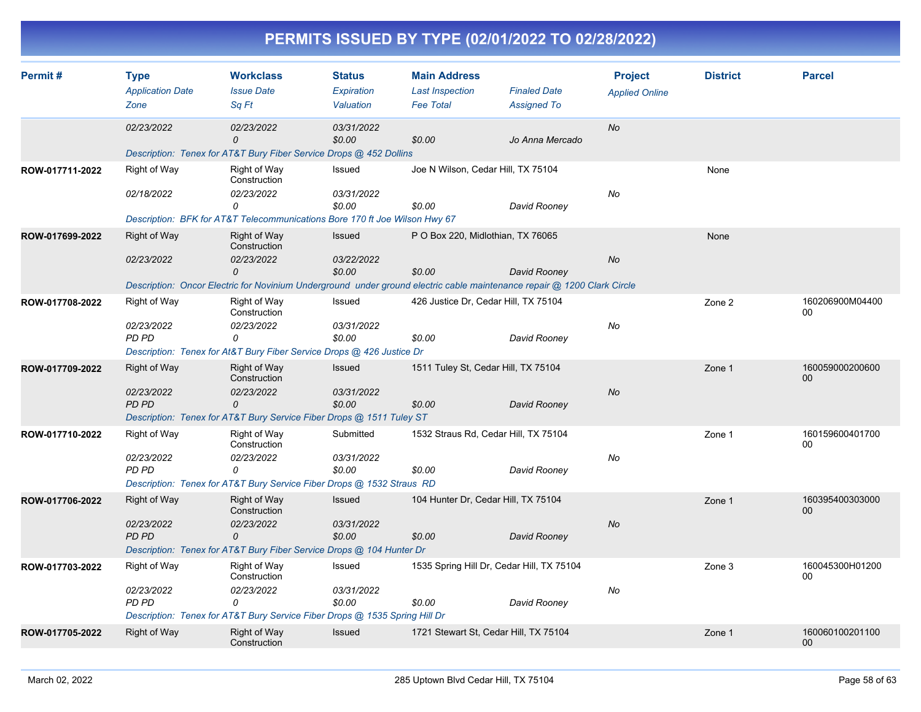|  | PERMITS ISSUED BY TYPE (02/01/2022 TO 02/28/2022) |  |
|--|---------------------------------------------------|--|
|--|---------------------------------------------------|--|

| Permit#         | <b>Type</b>                | <b>Workclass</b><br><b>Main Address</b><br><b>Status</b>                   |                      |                                            |                                                                                                                         | <b>Project</b>        | <b>District</b> | <b>Parcel</b>         |
|-----------------|----------------------------|----------------------------------------------------------------------------|----------------------|--------------------------------------------|-------------------------------------------------------------------------------------------------------------------------|-----------------------|-----------------|-----------------------|
|                 | <b>Application Date</b>    | <b>Issue Date</b>                                                          | Expiration           | <b>Last Inspection</b><br><b>Fee Total</b> | <b>Finaled Date</b>                                                                                                     | <b>Applied Online</b> |                 |                       |
|                 | Zone                       | Sq Ft                                                                      | Valuation            |                                            | <b>Assigned To</b>                                                                                                      |                       |                 |                       |
|                 | 02/23/2022                 | 02/23/2022<br>0                                                            | 03/31/2022<br>\$0.00 | \$0.00                                     | Jo Anna Mercado                                                                                                         | No                    |                 |                       |
|                 |                            | Description: Tenex for AT&T Bury Fiber Service Drops @ 452 Dollins         |                      |                                            |                                                                                                                         |                       |                 |                       |
| ROW-017711-2022 | Right of Way               | Right of Way<br>Construction                                               | Issued               | Joe N Wilson, Cedar Hill, TX 75104         |                                                                                                                         |                       | None            |                       |
|                 | 02/18/2022                 | 02/23/2022<br>0                                                            | 03/31/2022<br>\$0.00 | \$0.00                                     | David Rooney                                                                                                            | No                    |                 |                       |
|                 |                            | Description: BFK for AT&T Telecommunications Bore 170 ft Joe Wilson Hwy 67 |                      |                                            |                                                                                                                         |                       |                 |                       |
| ROW-017699-2022 | Right of Way               | <b>Right of Way</b><br>Construction                                        | Issued               | P O Box 220, Midlothian, TX 76065          |                                                                                                                         |                       | None            |                       |
|                 | 02/23/2022                 | 02/23/2022<br>$\Omega$                                                     | 03/22/2022<br>\$0.00 | \$0.00                                     | David Roonev                                                                                                            | No                    |                 |                       |
|                 |                            |                                                                            |                      |                                            | Description: Oncor Electric for Novinium Underground under ground electric cable maintenance repair @ 1200 Clark Circle |                       |                 |                       |
| ROW-017708-2022 | Right of Way               | Right of Way<br>Construction                                               | Issued               |                                            | 426 Justice Dr, Cedar Hill, TX 75104                                                                                    |                       | Zone 2          | 160206900M04400<br>00 |
|                 | 02/23/2022<br>PD PD        | 02/23/2022<br>0                                                            | 03/31/2022<br>\$0.00 | \$0.00                                     | David Rooney                                                                                                            | No                    |                 |                       |
|                 |                            | Description: Tenex for At&T Bury Fiber Service Drops @ 426 Justice Dr      |                      |                                            |                                                                                                                         |                       |                 |                       |
| ROW-017709-2022 | <b>Right of Way</b>        | Right of Way<br>Construction                                               | <b>Issued</b>        |                                            | 1511 Tuley St, Cedar Hill, TX 75104                                                                                     |                       | Zone 1          | 160059000200600<br>00 |
|                 | 02/23/2022<br><b>PD PD</b> | 02/23/2022<br>$\mathcal{O}$                                                | 03/31/2022<br>\$0.00 | \$0.00                                     | David Rooney                                                                                                            | No                    |                 |                       |
|                 |                            | Description: Tenex for AT&T Bury Service Fiber Drops @ 1511 Tuley ST       |                      |                                            |                                                                                                                         |                       |                 |                       |
| ROW-017710-2022 | Right of Way               | Right of Way<br>Construction                                               | Submitted            |                                            | 1532 Straus Rd, Cedar Hill, TX 75104                                                                                    |                       | Zone 1          | 160159600401700<br>00 |
|                 | 02/23/2022<br>PD PD        | 02/23/2022<br>$\Omega$                                                     | 03/31/2022<br>\$0.00 | \$0.00                                     | David Rooney                                                                                                            | No                    |                 |                       |
|                 |                            | Description: Tenex for AT&T Bury Service Fiber Drops @ 1532 Straus RD      |                      |                                            |                                                                                                                         |                       |                 |                       |
| ROW-017706-2022 | Right of Way               | Right of Way<br>Construction                                               | Issued               |                                            | 104 Hunter Dr, Cedar Hill, TX 75104                                                                                     |                       | Zone 1          | 160395400303000<br>00 |
|                 | 02/23/2022<br><b>PD PD</b> | 02/23/2022<br>0                                                            | 03/31/2022<br>\$0.00 | \$0.00                                     | David Rooney                                                                                                            | No                    |                 |                       |
|                 |                            | Description: Tenex for AT&T Bury Fiber Service Drops @ 104 Hunter Dr       |                      |                                            |                                                                                                                         |                       |                 |                       |
| ROW-017703-2022 | <b>Right of Way</b>        | Right of Way<br>Construction                                               | Issued               |                                            | 1535 Spring Hill Dr, Cedar Hill, TX 75104                                                                               |                       | Zone 3          | 160045300H01200<br>00 |
|                 | 02/23/2022<br><b>PD PD</b> | 02/23/2022<br>0                                                            | 03/31/2022<br>\$0.00 | \$0.00                                     | David Rooney                                                                                                            | No                    |                 |                       |
|                 |                            | Description: Tenex for AT&T Bury Service Fiber Drops @ 1535 Spring Hill Dr |                      |                                            |                                                                                                                         |                       |                 |                       |
| ROW-017705-2022 | Right of Way               | Right of Way<br>Construction                                               | Issued               |                                            | 1721 Stewart St, Cedar Hill, TX 75104                                                                                   |                       | Zone 1          | 160060100201100<br>00 |
|                 |                            |                                                                            |                      |                                            |                                                                                                                         |                       |                 |                       |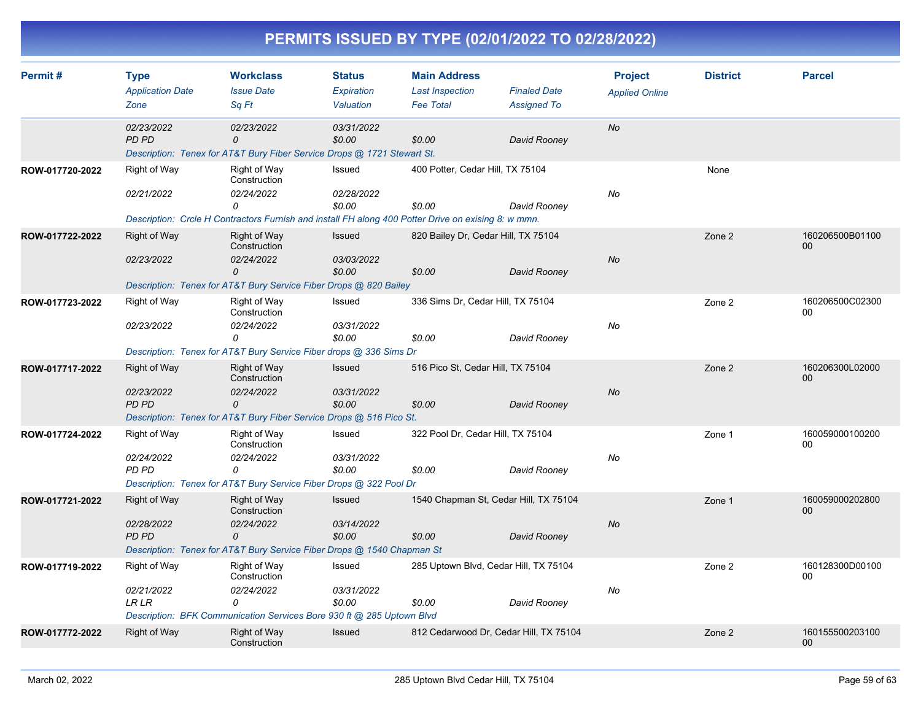| PERMITS ISSUED BY TYPE (02/01/2022 TO 02/28/2022) |
|---------------------------------------------------|
|---------------------------------------------------|

| Permit#         | <b>Type</b><br><b>Application Date</b><br>Zone | <b>Workclass</b><br><b>Issue Date</b><br>Sa Ft                                                                                                         | <b>Status</b><br><b>Expiration</b><br>Valuation | <b>Main Address</b><br><b>Last Inspection</b><br><b>Fee Total</b> | <b>Finaled Date</b><br><b>Assigned To</b> | <b>Project</b><br><b>Applied Online</b> | <b>District</b> | <b>Parcel</b>             |
|-----------------|------------------------------------------------|--------------------------------------------------------------------------------------------------------------------------------------------------------|-------------------------------------------------|-------------------------------------------------------------------|-------------------------------------------|-----------------------------------------|-----------------|---------------------------|
|                 | 02/23/2022<br><b>PD PD</b>                     | 02/23/2022<br>$\Omega$<br>Description: Tenex for AT&T Bury Fiber Service Drops @ 1721 Stewart St.                                                      | 03/31/2022<br>\$0.00                            | \$0.00                                                            | David Rooney                              | <b>No</b>                               |                 |                           |
| ROW-017720-2022 | Right of Way<br>02/21/2022                     | Right of Way<br>Construction<br>02/24/2022<br>0<br>Description: Crcle H Contractors Furnish and install FH along 400 Potter Drive on exising 8: w mmn. | Issued<br>02/28/2022<br>\$0.00                  | 400 Potter, Cedar Hill, TX 75104<br>\$0.00                        | David Rooney                              | No                                      | None            |                           |
| ROW-017722-2022 | <b>Right of Way</b><br>02/23/2022              | Right of Way<br>Construction<br>02/24/2022<br>0<br>Description: Tenex for AT&T Bury Service Fiber Drops @ 820 Bailey                                   | <b>Issued</b><br>03/03/2022<br>\$0.00           | 820 Bailey Dr, Cedar Hill, TX 75104<br>\$0.00                     | David Rooney                              | <b>No</b>                               | Zone 2          | 160206500B01100<br>$00\,$ |
| ROW-017723-2022 | <b>Right of Way</b><br>02/23/2022              | Right of Way<br>Construction<br>02/24/2022<br>0<br>Description: Tenex for AT&T Bury Service Fiber drops @ 336 Sims Dr                                  | Issued<br>03/31/2022<br>\$0.00                  | 336 Sims Dr, Cedar Hill, TX 75104<br>\$0.00                       | David Rooney                              | No                                      | Zone 2          | 160206500C02300<br>00     |
| ROW-017717-2022 | <b>Right of Way</b><br>02/23/2022<br>PD PD     | <b>Right of Way</b><br>Construction<br>02/24/2022<br>$\mathcal{O}$<br>Description: Tenex for AT&T Bury Fiber Service Drops @ 516 Pico St.              | Issued<br>03/31/2022<br>\$0.00                  | 516 Pico St, Cedar Hill, TX 75104<br>\$0.00                       | David Rooney                              | <b>No</b>                               | Zone 2          | 160206300L02000<br>$00\,$ |
| ROW-017724-2022 | Right of Way<br>02/24/2022<br><b>PD PD</b>     | Right of Way<br>Construction<br>02/24/2022<br>0<br>Description: Tenex for AT&T Bury Service Fiber Drops @ 322 Pool Dr                                  | Issued<br>03/31/2022<br>\$0.00                  | 322 Pool Dr, Cedar Hill, TX 75104<br>\$0.00                       | David Rooney                              | No                                      | Zone 1          | 160059000100200<br>00     |
| ROW-017721-2022 | Right of Way<br>02/28/2022<br>PD PD            | <b>Right of Way</b><br>Construction<br>02/24/2022<br>0<br>Description: Tenex for AT&T Bury Service Fiber Drops @ 1540 Chapman St                       | Issued<br>03/14/2022<br>\$0.00                  | 1540 Chapman St, Cedar Hill, TX 75104<br>\$0.00                   | David Rooney                              | <b>No</b>                               | Zone 1          | 160059000202800<br>$00\,$ |
| ROW-017719-2022 | Right of Way<br>02/21/2022<br><b>LR LR</b>     | Right of Way<br>Construction<br>02/24/2022<br>0<br>Description: BFK Communication Services Bore 930 ft @ 285 Uptown Blvd                               | Issued<br>03/31/2022<br>\$0.00                  | 285 Uptown Blvd, Cedar Hill, TX 75104<br>\$0.00                   | David Rooney                              | No                                      | Zone 2          | 160128300D00100<br>00     |
| ROW-017772-2022 | <b>Right of Way</b>                            | <b>Right of Way</b><br>Construction                                                                                                                    | Issued                                          | 812 Cedarwood Dr, Cedar Hill, TX 75104                            |                                           |                                         | Zone 2          | 160155500203100<br>$00\,$ |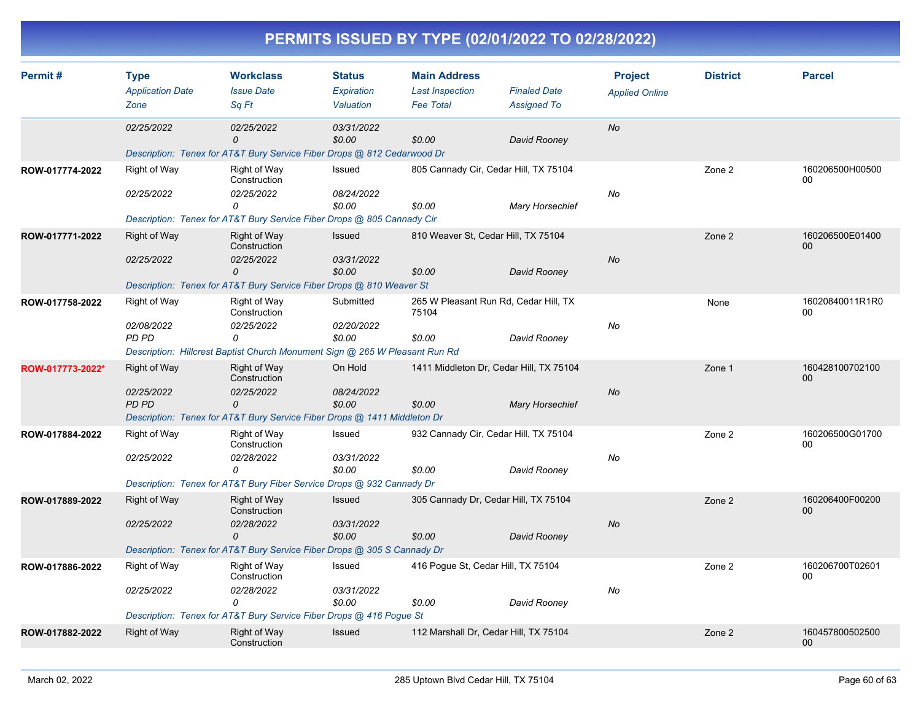| Permit#          | <b>Type</b>                | <b>Workclass</b>                                                            | <b>Status</b>        | <b>Main Address</b>    |                                         | <b>Project</b>        | <b>District</b> | <b>Parcel</b>         |
|------------------|----------------------------|-----------------------------------------------------------------------------|----------------------|------------------------|-----------------------------------------|-----------------------|-----------------|-----------------------|
|                  | <b>Application Date</b>    | <b>Issue Date</b>                                                           | Expiration           | <b>Last Inspection</b> | <b>Finaled Date</b>                     | <b>Applied Online</b> |                 |                       |
|                  | Zone                       | Sq Ft                                                                       | Valuation            | <b>Fee Total</b>       | <b>Assigned To</b>                      |                       |                 |                       |
|                  | 02/25/2022                 | 02/25/2022<br>0                                                             | 03/31/2022<br>\$0.00 | \$0.00                 | David Rooney                            | <b>No</b>             |                 |                       |
|                  |                            | Description: Tenex for AT&T Bury Service Fiber Drops @ 812 Cedarwood Dr     |                      |                        |                                         |                       |                 |                       |
| ROW-017774-2022  | Right of Way               | Right of Way<br>Construction                                                | Issued               |                        | 805 Cannady Cir, Cedar Hill, TX 75104   |                       | Zone 2          | 160206500H00500<br>00 |
|                  | 02/25/2022                 | 02/25/2022<br>0                                                             | 08/24/2022<br>\$0.00 | \$0.00                 | <b>Mary Horsechief</b>                  | No                    |                 |                       |
|                  |                            | Description: Tenex for AT&T Bury Service Fiber Drops @ 805 Cannady Cir      |                      |                        |                                         |                       |                 |                       |
| ROW-017771-2022  | <b>Right of Way</b>        | <b>Right of Way</b><br>Construction                                         | Issued               |                        | 810 Weaver St, Cedar Hill, TX 75104     |                       | Zone 2          | 160206500E01400<br>00 |
|                  | 02/25/2022                 | 02/25/2022<br>0                                                             | 03/31/2022<br>\$0.00 | \$0.00                 | David Rooney                            | <b>No</b>             |                 |                       |
|                  |                            | Description: Tenex for AT&T Bury Service Fiber Drops @ 810 Weaver St        |                      |                        |                                         |                       |                 |                       |
| ROW-017758-2022  | Right of Way               | <b>Right of Way</b><br>Construction                                         | Submitted            | 75104                  | 265 W Pleasant Run Rd, Cedar Hill, TX   |                       | None            | 16020840011R1R0<br>00 |
|                  | 02/08/2022<br>PD PD        | 02/25/2022<br>0                                                             | 02/20/2022<br>\$0.00 | \$0.00                 | David Rooney                            | No                    |                 |                       |
|                  |                            | Description: Hillcrest Baptist Church Monument Sign @ 265 W Pleasant Run Rd |                      |                        |                                         |                       |                 |                       |
| ROW-017773-2022* | <b>Right of Way</b>        | Right of Way<br>Construction                                                | On Hold              |                        | 1411 Middleton Dr. Cedar Hill, TX 75104 |                       | Zone 1          | 160428100702100<br>00 |
|                  | 02/25/2022<br><b>PD PD</b> | 02/25/2022<br>$\Omega$                                                      | 08/24/2022<br>\$0.00 | \$0.00                 | <b>Mary Horsechief</b>                  | <b>No</b>             |                 |                       |
|                  |                            | Description: Tenex for AT&T Bury Service Fiber Drops @ 1411 Middleton Dr    |                      |                        |                                         |                       |                 |                       |
| ROW-017884-2022  | Right of Way               | Right of Way<br>Construction                                                | Issued               |                        | 932 Cannady Cir, Cedar Hill, TX 75104   |                       | Zone 2          | 160206500G01700<br>00 |
|                  | 02/25/2022                 | 02/28/2022<br>$\Omega$                                                      | 03/31/2022<br>\$0.00 | \$0.00                 | David Rooney                            | No                    |                 |                       |
|                  |                            | Description: Tenex for AT&T Bury Fiber Service Drops @ 932 Cannady Dr       |                      |                        |                                         |                       |                 |                       |
| ROW-017889-2022  | <b>Right of Way</b>        | <b>Right of Way</b><br>Construction                                         | <b>Issued</b>        |                        | 305 Cannady Dr, Cedar Hill, TX 75104    |                       | Zone 2          | 160206400F00200<br>00 |
|                  | 02/25/2022                 | 02/28/2022<br>0                                                             | 03/31/2022<br>\$0.00 | \$0.00                 | David Rooney                            | No                    |                 |                       |
|                  |                            | Description: Tenex for AT&T Bury Service Fiber Drops @ 305 S Cannady Dr     |                      |                        |                                         |                       |                 |                       |
| ROW-017886-2022  | <b>Right of Way</b>        | Right of Way<br>Construction                                                | Issued               |                        | 416 Pogue St, Cedar Hill, TX 75104      |                       | Zone 2          | 160206700T02601<br>00 |
|                  | 02/25/2022                 | 02/28/2022<br>0                                                             | 03/31/2022<br>\$0.00 | \$0.00                 | David Rooney                            | No                    |                 |                       |
|                  |                            | Description: Tenex for AT&T Bury Service Fiber Drops @ 416 Pogue St         |                      |                        |                                         |                       |                 |                       |
| ROW-017882-2022  | <b>Right of Way</b>        | <b>Right of Way</b><br>Construction                                         | Issued               |                        | 112 Marshall Dr, Cedar Hill, TX 75104   |                       | Zone 2          | 160457800502500<br>00 |
|                  |                            |                                                                             |                      |                        |                                         |                       |                 |                       |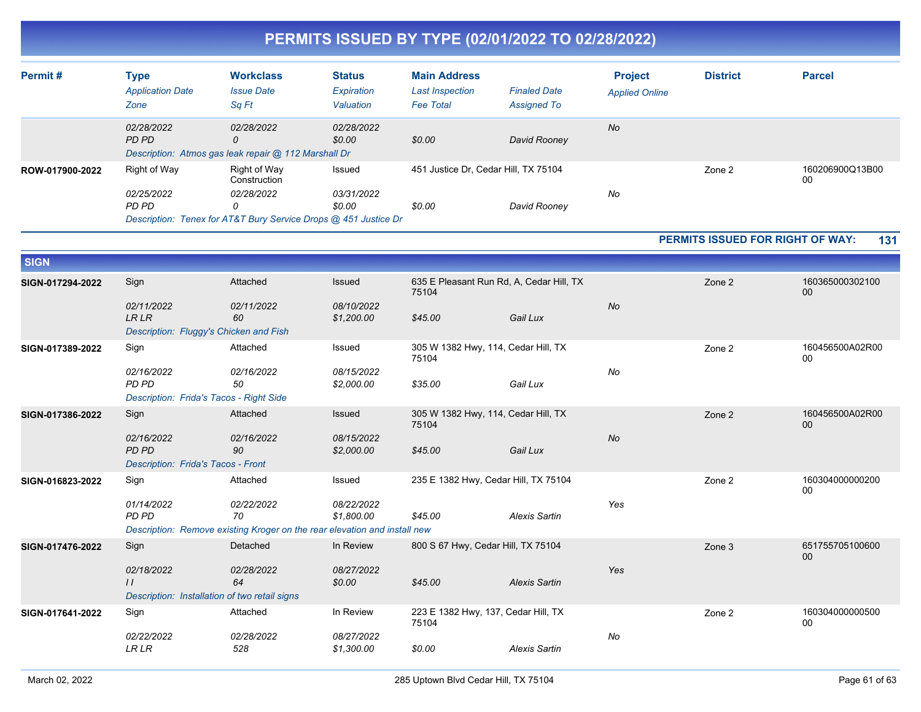| PERMITS ISSUED BY TYPE (02/01/2022 TO 02/28/2022) |
|---------------------------------------------------|
|---------------------------------------------------|

| Permit#         | Type<br><b>Application Date</b><br>Zone | <b>Workclass</b><br><b>Issue Date</b><br>Sq Ft                                                                            | <b>Status</b><br>Expiration<br>Valuation | <b>Main Address</b><br><b>Last Inspection</b><br><b>Fee Total</b> | <b>Finaled Date</b><br><b>Assigned To</b> | <b>Project</b><br><b>Applied Online</b> | <b>District</b> | <b>Parcel</b>         |
|-----------------|-----------------------------------------|---------------------------------------------------------------------------------------------------------------------------|------------------------------------------|-------------------------------------------------------------------|-------------------------------------------|-----------------------------------------|-----------------|-----------------------|
|                 | 02/28/2022<br>PD PD                     | 02/28/2022<br>0<br>Description: Atmos gas leak repair @ 112 Marshall Dr                                                   | 02/28/2022<br>\$0.00                     | \$0.00                                                            | David Rooney                              | No                                      |                 |                       |
| ROW-017900-2022 | Right of Way<br>02/25/2022<br>PD PD     | Right of Way<br>Construction<br><i>02/28/2022</i><br>0<br>Description: Tenex for AT&T Bury Service Drops @ 451 Justice Dr | Issued<br>03/31/2022<br>\$0.00           | 451 Justice Dr. Cedar Hill, TX 75104<br>\$0.00                    | David Rooney                              | No                                      | Zone 2          | 160206900Q13B00<br>00 |

**PERMITS ISSUED FOR RIGHT OF WAY: 131**

| <b>SIGN</b>      |                                                                              |                                                                                               |                          |                                                   |                      |           |        |                           |
|------------------|------------------------------------------------------------------------------|-----------------------------------------------------------------------------------------------|--------------------------|---------------------------------------------------|----------------------|-----------|--------|---------------------------|
| SIGN-017294-2022 | Sign                                                                         | Attached                                                                                      | Issued                   | 635 E Pleasant Run Rd, A, Cedar Hill, TX<br>75104 |                      |           | Zone 2 | 160365000302100<br>$00\,$ |
|                  | 02/11/2022<br><b>LRLR</b><br>Description: Fluggy's Chicken and Fish          | 02/11/2022<br>60                                                                              | 08/10/2022<br>\$1,200.00 | \$45.00                                           | Gail Lux             | <b>No</b> |        |                           |
| SIGN-017389-2022 | Sign                                                                         | Attached                                                                                      | Issued                   | 305 W 1382 Hwy, 114, Cedar Hill, TX<br>75104      |                      |           | Zone 2 | 160456500A02R00<br>00     |
|                  | 02/16/2022<br><b>PD PD</b><br>Description: Frida's Tacos - Right Side        | 02/16/2022<br>50                                                                              | 08/15/2022<br>\$2,000.00 | \$35.00                                           | Gail Lux             | No        |        |                           |
| SIGN-017386-2022 | Sign                                                                         | Attached                                                                                      | Issued                   | 305 W 1382 Hwy, 114, Cedar Hill, TX<br>75104      |                      |           | Zone 2 | 160456500A02R00<br>$00\,$ |
|                  | 02/16/2022<br><b>PD PD</b><br>Description: Frida's Tacos - Front             | 02/16/2022<br>90                                                                              | 08/15/2022<br>\$2,000.00 | \$45.00                                           | Gail Lux             | <b>No</b> |        |                           |
| SIGN-016823-2022 | Sign                                                                         | Attached                                                                                      | Issued                   | 235 E 1382 Hwy, Cedar Hill, TX 75104              |                      |           | Zone 2 | 160304000000200<br>00     |
|                  | 01/14/2022<br><b>PD PD</b>                                                   | 02/22/2022<br>70<br>Description: Remove existing Kroger on the rear elevation and install new | 08/22/2022<br>\$1,800.00 | \$45.00                                           | <b>Alexis Sartin</b> | Yes       |        |                           |
| SIGN-017476-2022 | Sign                                                                         | Detached                                                                                      | In Review                | 800 S 67 Hwy, Cedar Hill, TX 75104                |                      |           | Zone 3 | 651755705100600<br>$00\,$ |
|                  | 02/18/2022<br>$\frac{1}{2}$<br>Description: Installation of two retail signs | 02/28/2022<br>64                                                                              | 08/27/2022<br>\$0.00     | \$45.00                                           | <b>Alexis Sartin</b> | Yes       |        |                           |
| SIGN-017641-2022 | Sign                                                                         | Attached                                                                                      | In Review                | 223 E 1382 Hwy, 137, Cedar Hill, TX<br>75104      |                      |           | Zone 2 | 160304000000500<br>00     |
|                  | 02/22/2022<br><b>LR LR</b>                                                   | 02/28/2022<br>528                                                                             | 08/27/2022<br>\$1,300.00 | \$0.00                                            | <b>Alexis Sartin</b> | No        |        |                           |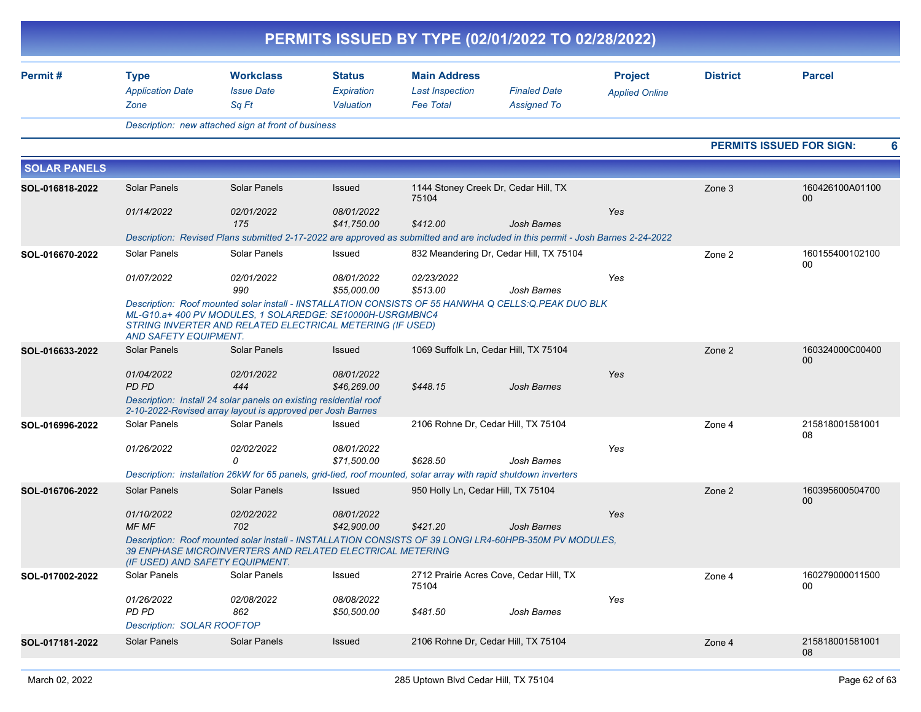|                     |                                                |                                                                                                                                                                                                                               |                                   |                                                                   | PERMITS ISSUED BY TYPE (02/01/2022 TO 02/28/2022) |                                         |                 |                                 |
|---------------------|------------------------------------------------|-------------------------------------------------------------------------------------------------------------------------------------------------------------------------------------------------------------------------------|-----------------------------------|-------------------------------------------------------------------|---------------------------------------------------|-----------------------------------------|-----------------|---------------------------------|
| Permit#             | <b>Type</b><br><b>Application Date</b><br>Zone | <b>Workclass</b><br><b>Issue Date</b><br>Sq Ft                                                                                                                                                                                | Status<br>Expiration<br>Valuation | <b>Main Address</b><br><b>Last Inspection</b><br><b>Fee Total</b> | <b>Finaled Date</b><br><b>Assigned To</b>         | <b>Project</b><br><b>Applied Online</b> | <b>District</b> | <b>Parcel</b>                   |
|                     |                                                | Description: new attached sign at front of business                                                                                                                                                                           |                                   |                                                                   |                                                   |                                         |                 |                                 |
|                     |                                                |                                                                                                                                                                                                                               |                                   |                                                                   |                                                   |                                         |                 | <b>PERMITS ISSUED FOR SIGN:</b> |
| <b>SOLAR PANELS</b> |                                                |                                                                                                                                                                                                                               |                                   |                                                                   |                                                   |                                         |                 |                                 |
| SOL-016818-2022     | Solar Panels                                   | Solar Panels                                                                                                                                                                                                                  | Issued                            | 1144 Stoney Creek Dr, Cedar Hill, TX<br>75104                     |                                                   |                                         | Zone 3          | 160426100A01100<br>00           |
|                     | 01/14/2022                                     | 02/01/2022<br>175                                                                                                                                                                                                             | 08/01/2022<br>\$41,750.00         | \$412.00                                                          | <b>Josh Barnes</b>                                | Yes                                     |                 |                                 |
|                     |                                                | Description: Revised Plans submitted 2-17-2022 are approved as submitted and are included in this permit - Josh Barnes 2-24-2022                                                                                              |                                   |                                                                   |                                                   |                                         |                 |                                 |
| SOL-016670-2022     | Solar Panels                                   | Solar Panels                                                                                                                                                                                                                  | Issued                            |                                                                   | 832 Meandering Dr, Cedar Hill, TX 75104           |                                         | Zone 2          | 160155400102100<br>00           |
|                     | 01/07/2022                                     | 02/01/2022<br>990                                                                                                                                                                                                             | 08/01/2022<br>\$55,000.00         | 02/23/2022<br>\$513.00                                            | Josh Barnes                                       | Yes                                     |                 |                                 |
|                     | <b>AND SAFETY EQUIPMENT.</b>                   | Description: Roof mounted solar install - INSTALLATION CONSISTS OF 55 HANWHA Q CELLS: Q PEAK DUO BLK<br>ML-G10.a+400 PV MODULES, 1 SOLAREDGE: SE10000H-USRGMBNC4<br>STRING INVERTER AND RELATED ELECTRICAL METERING (IF USED) |                                   |                                                                   |                                                   |                                         |                 |                                 |
| SOL-016633-2022     | Solar Panels                                   | <b>Solar Panels</b>                                                                                                                                                                                                           | Issued                            |                                                                   | 1069 Suffolk Ln, Cedar Hill, TX 75104             |                                         | Zone 2          | 160324000C00400<br>00           |
|                     | 01/04/2022<br>PD PD                            | 02/01/2022<br>444                                                                                                                                                                                                             | 08/01/2022<br>\$46,269.00         | \$448.15                                                          | <b>Josh Barnes</b>                                | Yes                                     |                 |                                 |
|                     |                                                | Description: Install 24 solar panels on existing residential roof<br>2-10-2022-Revised array layout is approved per Josh Barnes                                                                                               |                                   |                                                                   |                                                   |                                         |                 |                                 |
| SOL-016996-2022     | Solar Panels                                   | Solar Panels                                                                                                                                                                                                                  | Issued                            | 2106 Rohne Dr, Cedar Hill, TX 75104                               |                                                   |                                         | Zone 4          | 215818001581001<br>08           |
|                     | 01/26/2022                                     | 02/02/2022<br>$\Omega$                                                                                                                                                                                                        | 08/01/2022<br>\$71,500.00         | \$628.50                                                          | Josh Barnes                                       | Yes                                     |                 |                                 |
|                     |                                                | Description: installation 26kW for 65 panels, grid-tied, roof mounted, solar array with rapid shutdown inverters                                                                                                              |                                   |                                                                   |                                                   |                                         |                 |                                 |
| SOL-016706-2022     | Solar Panels                                   | <b>Solar Panels</b>                                                                                                                                                                                                           | Issued                            | 950 Holly Ln, Cedar Hill, TX 75104                                |                                                   |                                         | Zone 2          | 160395600504700<br>00           |
|                     | 01/10/2022<br>MF MF                            | 02/02/2022<br>702                                                                                                                                                                                                             | 08/01/2022<br>\$42,900.00         | \$421.20                                                          | <b>Josh Barnes</b>                                | Yes                                     |                 |                                 |
|                     | (IF USED) AND SAFETY EQUIPMENT.                | Description: Roof mounted solar install - INSTALLATION CONSISTS OF 39 LONGI LR4-60HPB-350M PV MODULES,<br>39 ENPHASE MICROINVERTERS AND RELATED ELECTRICAL METERING                                                           |                                   |                                                                   |                                                   |                                         |                 |                                 |
| SOL-017002-2022     | Solar Panels                                   | Solar Panels                                                                                                                                                                                                                  | Issued                            | 75104                                                             | 2712 Prairie Acres Cove, Cedar Hill, TX           |                                         | Zone 4          | 160279000011500<br>00           |
|                     | 01/26/2022                                     | 02/08/2022                                                                                                                                                                                                                    | 08/08/2022                        |                                                                   |                                                   | Yes                                     |                 |                                 |
|                     | PD PD<br>Description: SOLAR ROOFTOP            | 862                                                                                                                                                                                                                           | \$50,500.00                       | \$481.50                                                          | Josh Barnes                                       |                                         |                 |                                 |
| SOL-017181-2022     | Solar Panels                                   | Solar Panels                                                                                                                                                                                                                  | Issued                            | 2106 Rohne Dr, Cedar Hill, TX 75104                               |                                                   |                                         | Zone 4          | 215818001581001<br>08           |
|                     |                                                |                                                                                                                                                                                                                               |                                   |                                                                   |                                                   |                                         |                 |                                 |